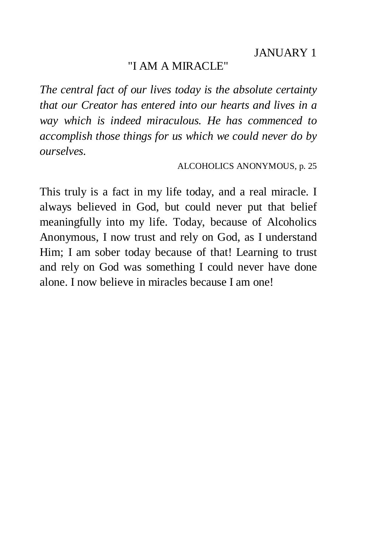## "I AM A MIRACLE"

*The central fact of our lives today is the absolute certainty that our Creator has entered into our hearts and lives in a way which is indeed miraculous. He has commenced to accomplish those things for us which we could never do by ourselves.* 

ALCOHOLICS ANONYMOUS, p. 25

This truly is a fact in my life today, and a real miracle. I always believed in God, but could never put that belief meaningfully into my life. Today, because of Alcoholics Anonymous, I now trust and rely on God, as I understand Him; I am sober today because of that! Learning to trust and rely on God was something I could never have done alone. I now believe in miracles because I am one!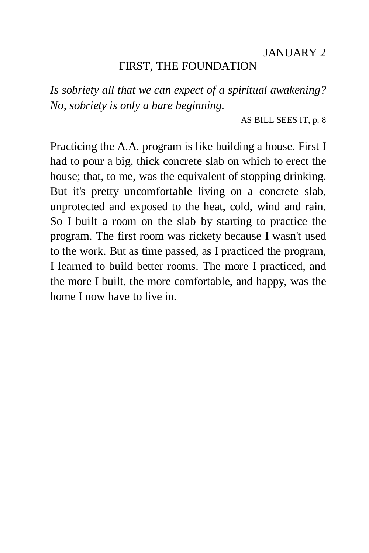## FIRST, THE FOUNDATION

*Is sobriety all that we can expect of a spiritual awakening? No, sobriety is only a bare beginning.* 

AS BILL SEES IT, p. 8

Practicing the A.A. program is like building a house. First I had to pour a big, thick concrete slab on which to erect the house; that, to me, was the equivalent of stopping drinking. But it's pretty uncomfortable living on a concrete slab, unprotected and exposed to the heat, cold, wind and rain. So I built a room on the slab by starting to practice the program. The first room was rickety because I wasn't used to the work. But as time passed, as I practiced the program, I learned to build better rooms. The more I practiced, and the more I built, the more comfortable, and happy, was the home I now have to live in.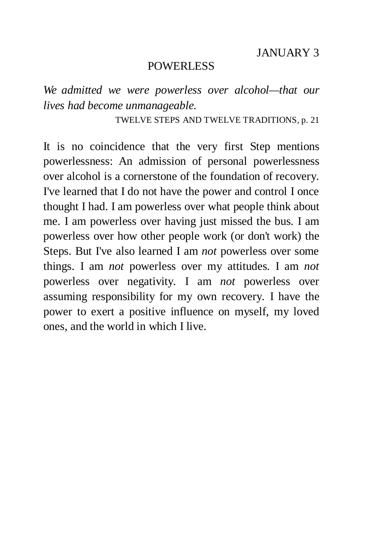### POWERLESS

*We admitted we were powerless over alcohol—that our lives had become unmanageable.* 

TWELVE STEPS AND TWELVE TRADITIONS, p. 21

It is no coincidence that the very first Step mentions powerlessness: An admission of personal powerlessness over alcohol is a cornerstone of the foundation of recovery. I've learned that I do not have the power and control I once thought I had. I am powerless over what people think about me. I am powerless over having just missed the bus. I am powerless over how other people work (or don't work) the Steps. But I've also learned I am *not* powerless over some things. I am *not* powerless over my attitudes. I am *not*  powerless over negativity. I am *not* powerless over assuming responsibility for my own recovery. I have the power to exert a positive influence on myself, my loved ones, and the world in which I live.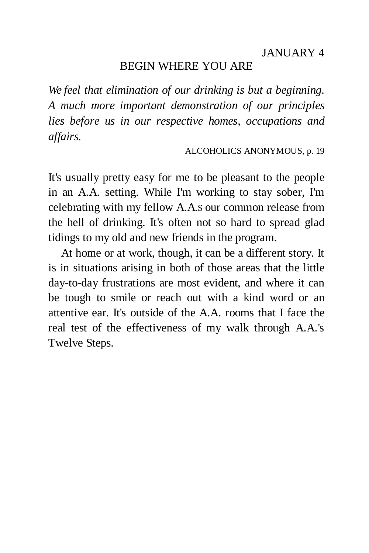#### BEGIN WHERE YOU ARE

*We feel that elimination of our drinking is but a beginning. A much more important demonstration of our principles lies before us in our respective homes, occupations and affairs.* 

ALCOHOLICS ANONYMOUS, p. 19

It's usually pretty easy for me to be pleasant to the people in an A.A. setting. While I'm working to stay sober, I'm celebrating with my fellow A.A.S our common release from the hell of drinking. It's often not so hard to spread glad tidings to my old and new friends in the program.

At home or at work, though, it can be a different story. It is in situations arising in both of those areas that the little day-to-day frustrations are most evident, and where it can be tough to smile or reach out with a kind word or an attentive ear. It's outside of the A.A. rooms that I face the real test of the effectiveness of my walk through A.A.'s Twelve Steps.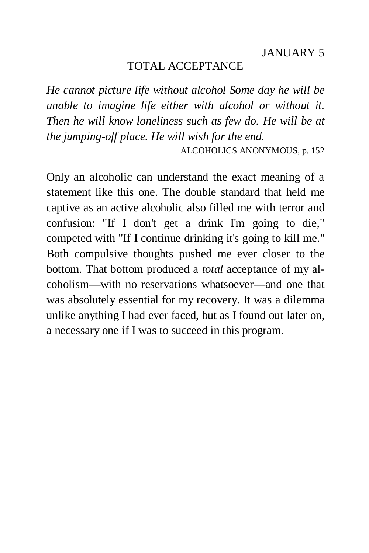### TOTAL ACCEPTANCE

*He cannot picture life without alcohol Some day he will be unable to imagine life either with alcohol or without it. Then he will know loneliness such as few do. He will be at the jumping-off place. He will wish for the end.* 

ALCOHOLICS ANONYMOUS, p. 152

Only an alcoholic can understand the exact meaning of a statement like this one. The double standard that held me captive as an active alcoholic also filled me with terror and confusion: "If I don't get a drink I'm going to die," competed with "If I continue drinking it's going to kill me." Both compulsive thoughts pushed me ever closer to the bottom. That bottom produced a *total* acceptance of my alcoholism—with no reservations whatsoever—and one that was absolutely essential for my recovery. It was a dilemma unlike anything I had ever faced, but as I found out later on, a necessary one if I was to succeed in this program.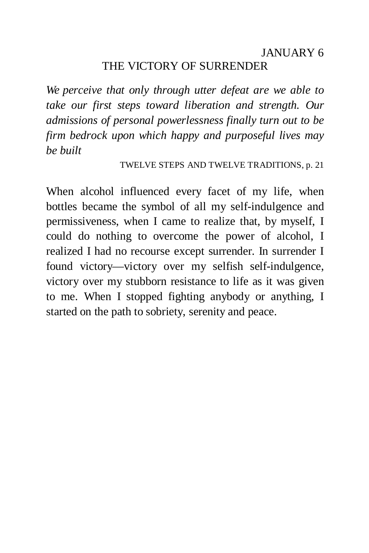## JANUARY 6 THE VICTORY OF SURRENDER

*We perceive that only through utter defeat are we able to take our first steps toward liberation and strength. Our admissions of personal powerlessness finally turn out to be firm bedrock upon which happy and purposeful lives may be built* 

TWELVE STEPS AND TWELVE TRADITIONS, p. 21

When alcohol influenced every facet of my life, when bottles became the symbol of all my self-indulgence and permissiveness, when I came to realize that, by myself, I could do nothing to overcome the power of alcohol, I realized I had no recourse except surrender. In surrender I found victory—victory over my selfish self-indulgence, victory over my stubborn resistance to life as it was given to me. When I stopped fighting anybody or anything, I started on the path to sobriety, serenity and peace.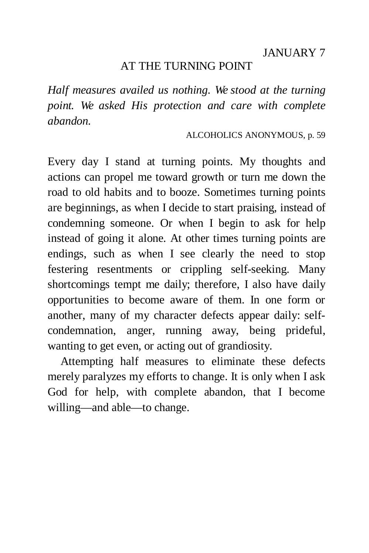### AT THE TURNING POINT

*Half measures availed us nothing. We stood at the turning point. We asked His protection and care with complete abandon.* 

ALCOHOLICS ANONYMOUS, p. 59

Every day I stand at turning points. My thoughts and actions can propel me toward growth or turn me down the road to old habits and to booze. Sometimes turning points are beginnings, as when I decide to start praising, instead of condemning someone. Or when I begin to ask for help instead of going it alone. At other times turning points are endings, such as when I see clearly the need to stop festering resentments or crippling self-seeking. Many shortcomings tempt me daily; therefore, I also have daily opportunities to become aware of them. In one form or another, many of my character defects appear daily: selfcondemnation, anger, running away, being prideful, wanting to get even, or acting out of grandiosity.

Attempting half measures to eliminate these defects merely paralyzes my efforts to change. It is only when I ask God for help, with complete abandon, that I become willing—and able—to change.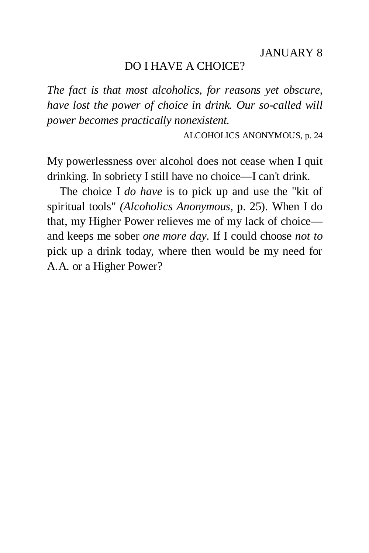#### DO I HAVE A CHOICE?

*The fact is that most alcoholics, for reasons yet obscure, have lost the power of choice in drink. Our so-called will power becomes practically nonexistent.* 

ALCOHOLICS ANONYMOUS, p. 24

My powerlessness over alcohol does not cease when I quit drinking. In sobriety I still have no choice—I can't drink.

The choice I *do have* is to pick up and use the "kit of spiritual tools" *(Alcoholics Anonymous,* p. 25). When I do that, my Higher Power relieves me of my lack of choice and keeps me sober *one more day.* If I could choose *not to*  pick up a drink today, where then would be my need for A.A. or a Higher Power?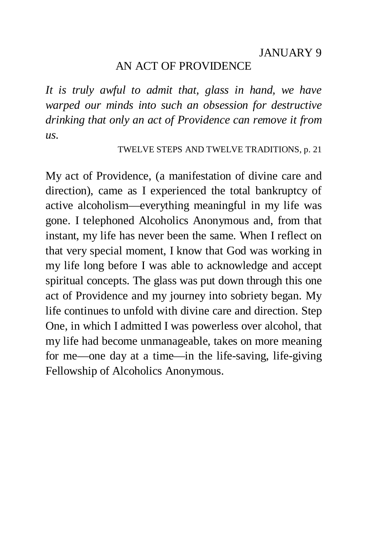#### AN ACT OF PROVIDENCE

*It is truly awful to admit that, glass in hand, we have warped our minds into such an obsession for destructive drinking that only an act of Providence can remove it from us.* 

#### TWELVE STEPS AND TWELVE TRADITIONS, p. 21

My act of Providence, (a manifestation of divine care and direction), came as I experienced the total bankruptcy of active alcoholism—everything meaningful in my life was gone. I telephoned Alcoholics Anonymous and, from that instant, my life has never been the same. When I reflect on that very special moment, I know that God was working in my life long before I was able to acknowledge and accept spiritual concepts. The glass was put down through this one act of Providence and my journey into sobriety began. My life continues to unfold with divine care and direction. Step One, in which I admitted I was powerless over alcohol, that my life had become unmanageable, takes on more meaning for me—one day at a time—in the life-saving, life-giving Fellowship of Alcoholics Anonymous.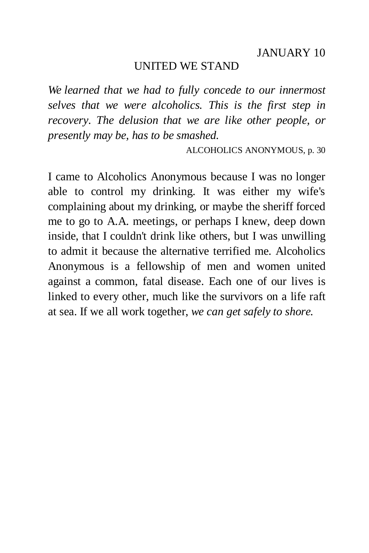### UNITED WE STAND

*We learned that we had to fully concede to our innermost selves that we were alcoholics. This is the first step in recovery. The delusion that we are like other people, or presently may be, has to be smashed.* 

ALCOHOLICS ANONYMOUS, p. 30

I came to Alcoholics Anonymous because I was no longer able to control my drinking. It was either my wife's complaining about my drinking, or maybe the sheriff forced me to go to A.A. meetings, or perhaps I knew, deep down inside, that I couldn't drink like others, but I was unwilling to admit it because the alternative terrified me. Alcoholics Anonymous is a fellowship of men and women united against a common, fatal disease. Each one of our lives is linked to every other, much like the survivors on a life raft at sea. If we all work together, *we can get safely to shore.*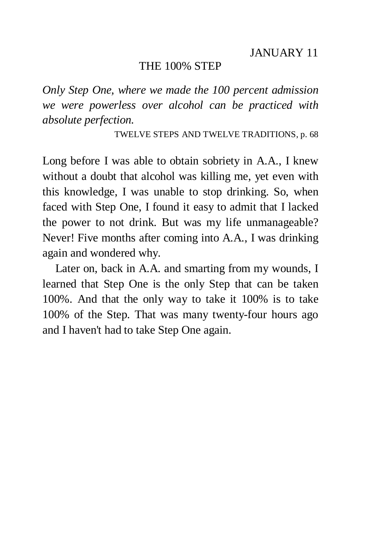#### THE 100% STEP

*Only Step One, where we made the 100 percent admission we were powerless over alcohol can be practiced with absolute perfection.* 

TWELVE STEPS AND TWELVE TRADITIONS, p. 68

Long before I was able to obtain sobriety in A.A., I knew without a doubt that alcohol was killing me, yet even with this knowledge, I was unable to stop drinking. So, when faced with Step One, I found it easy to admit that I lacked the power to not drink. But was my life unmanageable? Never! Five months after coming into A.A., I was drinking again and wondered why.

Later on, back in A.A. and smarting from my wounds, I learned that Step One is the only Step that can be taken 100%. And that the only way to take it 100% is to take 100% of the Step. That was many twenty-four hours ago and I haven't had to take Step One again.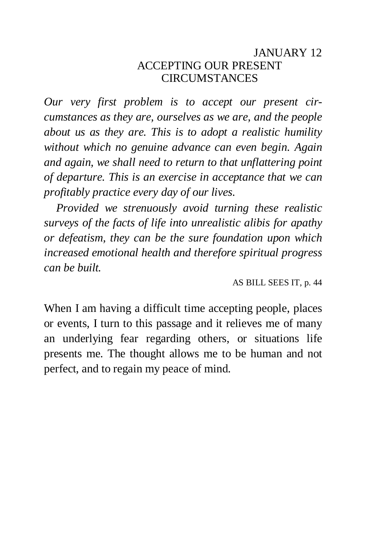## JANUARY 12 ACCEPTING OUR PRESENT **CIRCUMSTANCES**

*Our very first problem is to accept our present circumstances as they are, ourselves as we are, and the people about us as they are. This is to adopt a realistic humility without which no genuine advance can even begin. Again and again, we shall need to return to that unflattering point of departure. This is an exercise in acceptance that we can profitably practice every day of our lives.* 

*Provided we strenuously avoid turning these realistic surveys of the facts of life into unrealistic alibis for apathy or defeatism, they can be the sure foundation upon which increased emotional health and therefore spiritual progress can be built.* 

AS BILL SEES IT, p. 44

When I am having a difficult time accepting people, places or events, I turn to this passage and it relieves me of many an underlying fear regarding others, or situations life presents me. The thought allows me to be human and not perfect, and to regain my peace of mind.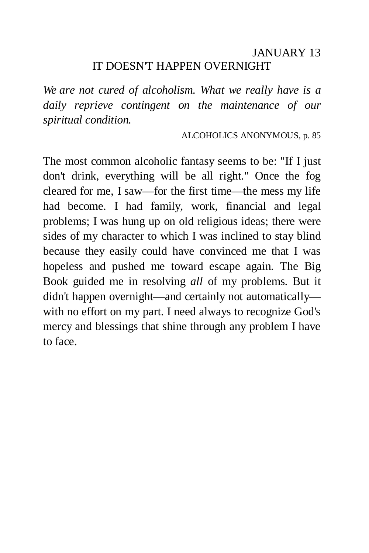## JANUARY 13 IT DOESN'T HAPPEN OVERNIGHT

*We are not cured of alcoholism. What we really have is a daily reprieve contingent on the maintenance of our spiritual condition.* 

ALCOHOLICS ANONYMOUS, p. 85

The most common alcoholic fantasy seems to be: "If I just don't drink, everything will be all right." Once the fog cleared for me, I saw—for the first time—the mess my life had become. I had family, work, financial and legal problems; I was hung up on old religious ideas; there were sides of my character to which I was inclined to stay blind because they easily could have convinced me that I was hopeless and pushed me toward escape again. The Big Book guided me in resolving *all* of my problems. But it didn't happen overnight—and certainly not automatically with no effort on my part. I need always to recognize God's mercy and blessings that shine through any problem I have to face.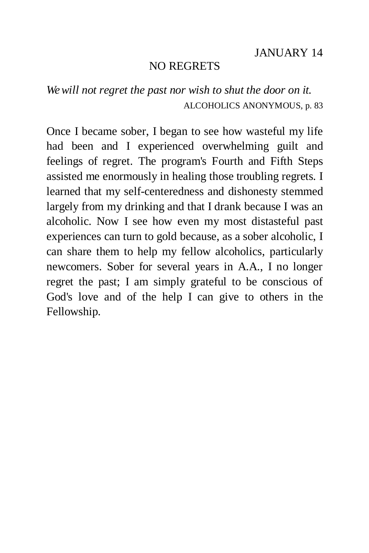### NO REGRETS

*We will not regret the past nor wish to shut the door on it.*  ALCOHOLICS ANONYMOUS, p. 83

Once I became sober, I began to see how wasteful my life had been and I experienced overwhelming guilt and feelings of regret. The program's Fourth and Fifth Steps assisted me enormously in healing those troubling regrets. I learned that my self-centeredness and dishonesty stemmed largely from my drinking and that I drank because I was an alcoholic. Now I see how even my most distasteful past experiences can turn to gold because, as a sober alcoholic, I can share them to help my fellow alcoholics, particularly newcomers. Sober for several years in A.A., I no longer regret the past; I am simply grateful to be conscious of God's love and of the help I can give to others in the Fellowship.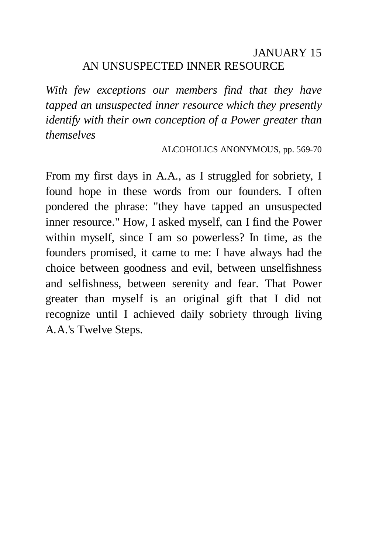## JANUARY 15 AN UNSUSPECTED INNER RESOURCE

*With few exceptions our members find that they have tapped an unsuspected inner resource which they presently identify with their own conception of a Power greater than themselves* 

ALCOHOLICS ANONYMOUS, pp. 569-70

From my first days in A.A., as I struggled for sobriety, I found hope in these words from our founders. I often pondered the phrase: "they have tapped an unsuspected inner resource." How, I asked myself, can I find the Power within myself, since I am so powerless? In time, as the founders promised, it came to me: I have always had the choice between goodness and evil, between unselfishness and selfishness, between serenity and fear. That Power greater than myself is an original gift that I did not recognize until I achieved daily sobriety through living A.A.'s Twelve Steps.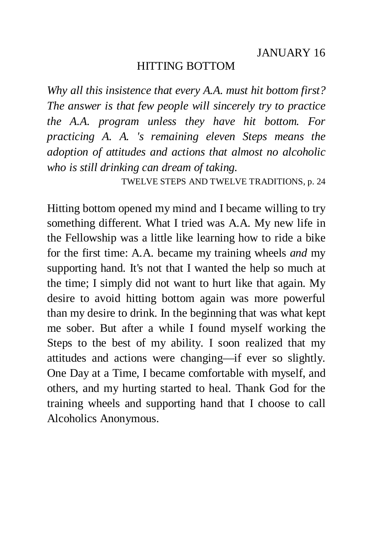### HITTING BOTTOM

*Why all this insistence that every A.A. must hit bottom first? The answer is that few people will sincerely try to practice the A.A. program unless they have hit bottom. For practicing A. A. 's remaining eleven Steps means the adoption of attitudes and actions that almost no alcoholic who is still drinking can dream of taking.* 

TWELVE STEPS AND TWELVE TRADITIONS, p. 24

Hitting bottom opened my mind and I became willing to try something different. What I tried was A.A. My new life in the Fellowship was a little like learning how to ride a bike for the first time: A.A. became my training wheels *and* my supporting hand. It's not that I wanted the help so much at the time; I simply did not want to hurt like that again. My desire to avoid hitting bottom again was more powerful than my desire to drink. In the beginning that was what kept me sober. But after a while I found myself working the Steps to the best of my ability. I soon realized that my attitudes and actions were changing—if ever so slightly. One Day at a Time, I became comfortable with myself, and others, and my hurting started to heal. Thank God for the training wheels and supporting hand that I choose to call Alcoholics Anonymous.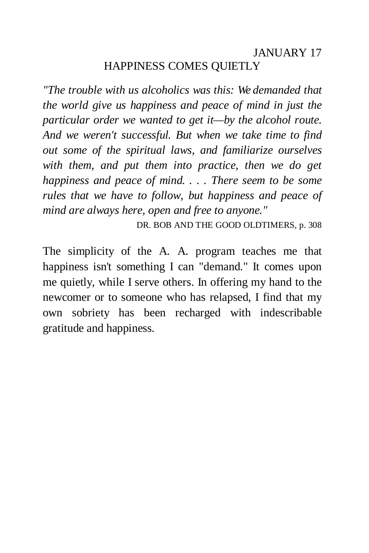## JANUARY 17 HAPPINESS COMES QUIETLY

*"The trouble with us alcoholics was this: We demanded that the world give us happiness and peace of mind in just the particular order we wanted to get it—by the alcohol route. And we weren't successful. But when we take time to find out some of the spiritual laws, and familiarize ourselves with them, and put them into practice, then we do get happiness and peace of mind. . . . There seem to be some rules that we have to follow, but happiness and peace of mind are always here, open and free to anyone."* 

DR. BOB AND THE GOOD OLDTIMERS, p. 308

The simplicity of the A. A. program teaches me that happiness isn't something I can "demand." It comes upon me quietly, while I serve others. In offering my hand to the newcomer or to someone who has relapsed, I find that my own sobriety has been recharged with indescribable gratitude and happiness.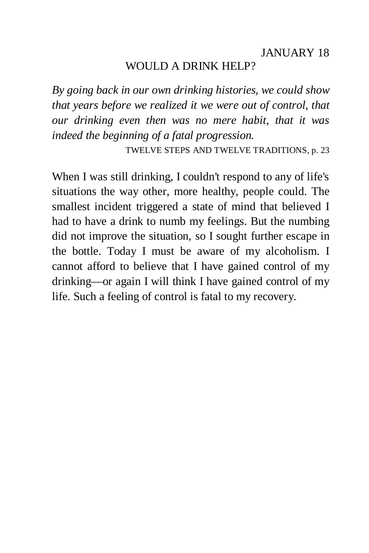#### WOULD A DRINK HELP?

*By going back in our own drinking histories, we could show that years before we realized it we were out of control, that our drinking even then was no mere habit, that it was indeed the beginning of a fatal progression.* 

TWELVE STEPS AND TWELVE TRADITIONS, p. 23

When I was still drinking, I couldn't respond to any of life's situations the way other, more healthy, people could. The smallest incident triggered a state of mind that believed I had to have a drink to numb my feelings. But the numbing did not improve the situation, so I sought further escape in the bottle. Today I must be aware of my alcoholism. I cannot afford to believe that I have gained control of my drinking—or again I will think I have gained control of my life. Such a feeling of control is fatal to my recovery.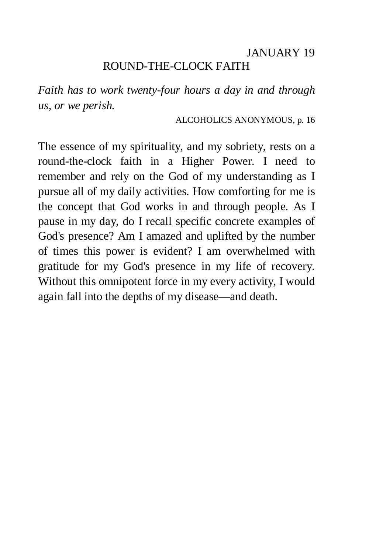## JANUARY 19 ROUND-THE-CLOCK FAITH

*Faith has to work twenty-four hours a day in and through us, or we perish.* 

ALCOHOLICS ANONYMOUS, p. 16

The essence of my spirituality, and my sobriety, rests on a round-the-clock faith in a Higher Power. I need to remember and rely on the God of my understanding as I pursue all of my daily activities. How comforting for me is the concept that God works in and through people. As I pause in my day, do I recall specific concrete examples of God's presence? Am I amazed and uplifted by the number of times this power is evident? I am overwhelmed with gratitude for my God's presence in my life of recovery. Without this omnipotent force in my every activity, I would again fall into the depths of my disease—and death.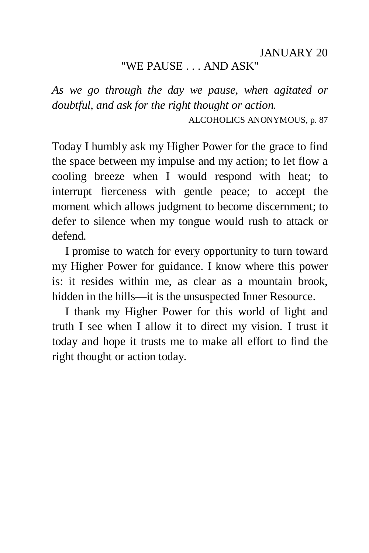# "WE PAUSE . . . AND ASK"

*As we go through the day we pause, when agitated or doubtful, and ask for the right thought or action.*  ALCOHOLICS ANONYMOUS, p. 87

Today I humbly ask my Higher Power for the grace to find the space between my impulse and my action; to let flow a cooling breeze when I would respond with heat; to interrupt fierceness with gentle peace; to accept the moment which allows judgment to become discernment; to defer to silence when my tongue would rush to attack or defend.

I promise to watch for every opportunity to turn toward my Higher Power for guidance. I know where this power is: it resides within me, as clear as a mountain brook, hidden in the hills—it is the unsuspected Inner Resource.

I thank my Higher Power for this world of light and truth I see when I allow it to direct my vision. I trust it today and hope it trusts me to make all effort to find the right thought or action today.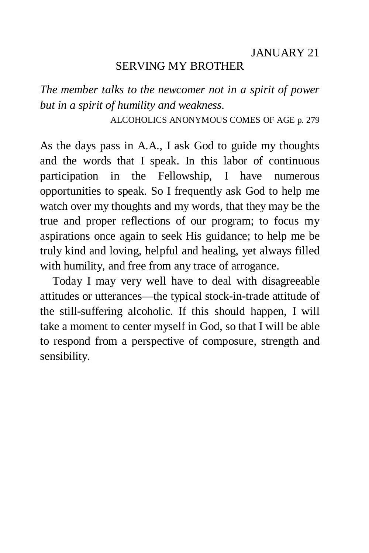#### SERVING MY BROTHER

*The member talks to the newcomer not in a spirit of power but in a spirit of humility and weakness.* 

ALCOHOLICS ANONYMOUS COMES OF AGE p. 279

As the days pass in A.A., I ask God to guide my thoughts and the words that I speak. In this labor of continuous participation in the Fellowship, I have numerous opportunities to speak. So I frequently ask God to help me watch over my thoughts and my words, that they may be the true and proper reflections of our program; to focus my aspirations once again to seek His guidance; to help me be truly kind and loving, helpful and healing, yet always filled with humility, and free from any trace of arrogance.

Today I may very well have to deal with disagreeable attitudes or utterances—the typical stock-in-trade attitude of the still-suffering alcoholic. If this should happen, I will take a moment to center myself in God, so that I will be able to respond from a perspective of composure, strength and sensibility.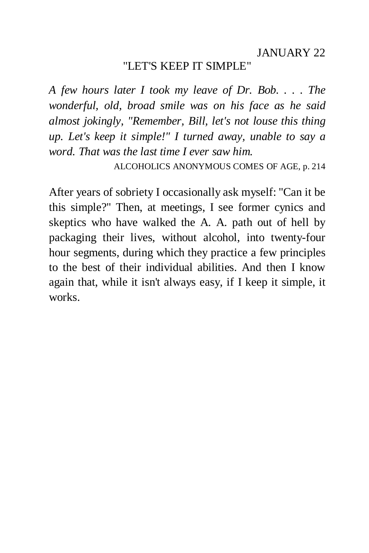### "LET'S KEEP IT SIMPLE"

*A few hours later I took my leave of Dr. Bob. . . . The wonderful, old, broad smile was on his face as he said almost jokingly, "Remember, Bill, let's not louse this thing up. Let's keep it simple!" I turned away, unable to say a word. That was the last time I ever saw him.* 

ALCOHOLICS ANONYMOUS COMES OF AGE, p. 214

After years of sobriety I occasionally ask myself: "Can it be this simple?" Then, at meetings, I see former cynics and skeptics who have walked the A. A. path out of hell by packaging their lives, without alcohol, into twenty-four hour segments, during which they practice a few principles to the best of their individual abilities. And then I know again that, while it isn't always easy, if I keep it simple, it works.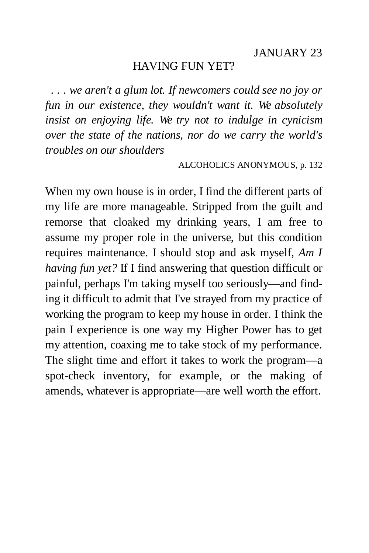#### HAVING FUN YET?

*. . . we aren't a glum lot. If newcomers could see no joy or fun in our existence, they wouldn't want it. We absolutely insist on enjoying life. We try not to indulge in cynicism over the state of the nations, nor do we carry the world's troubles on our shoulders* 

ALCOHOLICS ANONYMOUS, p. 132

When my own house is in order, I find the different parts of my life are more manageable. Stripped from the guilt and remorse that cloaked my drinking years, I am free to assume my proper role in the universe, but this condition requires maintenance. I should stop and ask myself, *Am I having fun yet?* If I find answering that question difficult or painful, perhaps I'm taking myself too seriously—and finding it difficult to admit that I've strayed from my practice of working the program to keep my house in order. I think the pain I experience is one way my Higher Power has to get my attention, coaxing me to take stock of my performance. The slight time and effort it takes to work the program—a spot-check inventory, for example, or the making of amends, whatever is appropriate—are well worth the effort.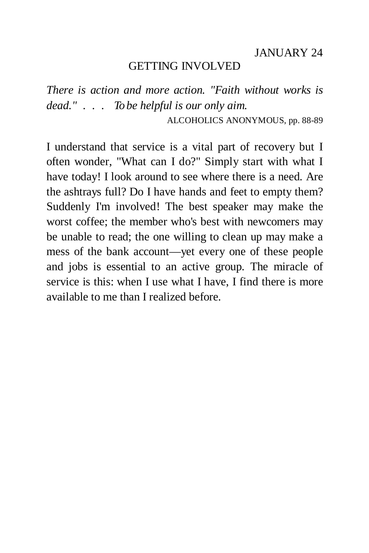### GETTING INVOLVED

*There is action and more action. "Faith without works is dead." . . . To be helpful is our only aim.*  ALCOHOLICS ANONYMOUS, pp. 88-89

I understand that service is a vital part of recovery but I often wonder, "What can I do?" Simply start with what I have today! I look around to see where there is a need. Are the ashtrays full? Do I have hands and feet to empty them? Suddenly I'm involved! The best speaker may make the worst coffee; the member who's best with newcomers may be unable to read; the one willing to clean up may make a mess of the bank account—yet every one of these people and jobs is essential to an active group. The miracle of service is this: when I use what I have, I find there is more available to me than I realized before.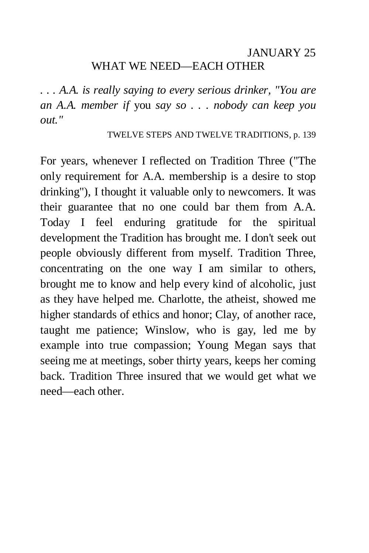## JANUARY 25 WHAT WE NEED—EACH OTHER

*. . . A.A. is really saying to every serious drinker, "You are an A.A. member if* you *say so . . . nobody can keep you out."* 

TWELVE STEPS AND TWELVE TRADITIONS, p. 139

For years, whenever I reflected on Tradition Three ("The only requirement for A.A. membership is a desire to stop drinking"), I thought it valuable only to newcomers. It was their guarantee that no one could bar them from A.A. Today I feel enduring gratitude for the spiritual development the Tradition has brought me. I don't seek out people obviously different from myself. Tradition Three, concentrating on the one way I am similar to others, brought me to know and help every kind of alcoholic, just as they have helped me. Charlotte, the atheist, showed me higher standards of ethics and honor; Clay, of another race, taught me patience; Winslow, who is gay, led me by example into true compassion; Young Megan says that seeing me at meetings, sober thirty years, keeps her coming back. Tradition Three insured that we would get what we need—each other.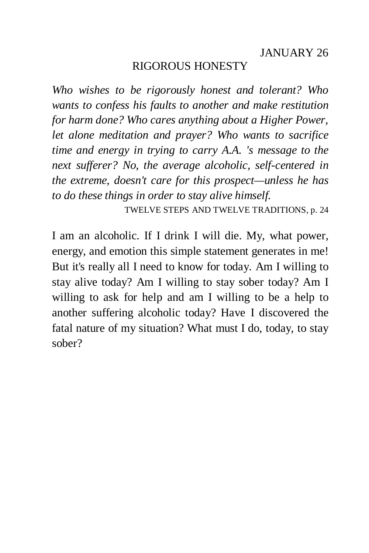## RIGOROUS HONESTY

*Who wishes to be rigorously honest and tolerant? Who wants to confess his faults to another and make restitution for harm done? Who cares anything about a Higher Power, let alone meditation and prayer? Who wants to sacrifice time and energy in trying to carry A.A. 's message to the next sufferer? No, the average alcoholic, self-centered in the extreme, doesn't care for this prospect—unless he has to do these things in order to stay alive himself.* 

TWELVE STEPS AND TWELVE TRADITIONS, p. 24

I am an alcoholic. If I drink I will die. My, what power, energy, and emotion this simple statement generates in me! But it's really all I need to know for today. Am I willing to stay alive today? Am I willing to stay sober today? Am I willing to ask for help and am I willing to be a help to another suffering alcoholic today? Have I discovered the fatal nature of my situation? What must I do, today, to stay sober?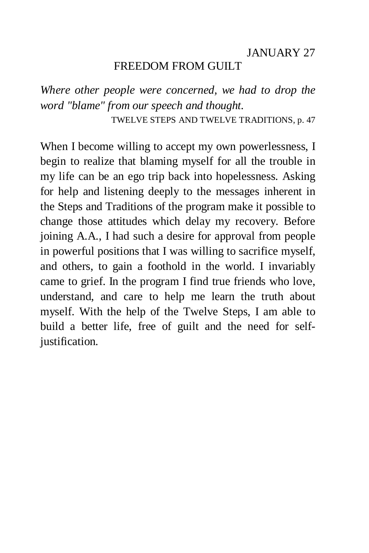## JANUARY 27 FREEDOM FROM GUILT

*Where other people were concerned, we had to drop the word "blame" from our speech and thought.*  TWELVE STEPS AND TWELVE TRADITIONS, p. 47

When I become willing to accept my own powerlessness, I begin to realize that blaming myself for all the trouble in my life can be an ego trip back into hopelessness. Asking for help and listening deeply to the messages inherent in the Steps and Traditions of the program make it possible to change those attitudes which delay my recovery. Before joining A.A., I had such a desire for approval from people in powerful positions that I was willing to sacrifice myself, and others, to gain a foothold in the world. I invariably came to grief. In the program I find true friends who love, understand, and care to help me learn the truth about myself. With the help of the Twelve Steps, I am able to build a better life, free of guilt and the need for selfjustification.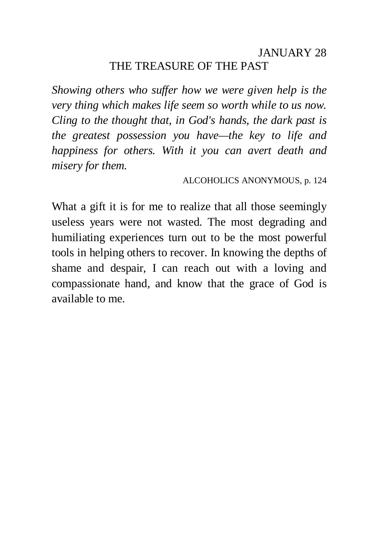## JANUARY 28 THE TREASURE OF THE PAST

*Showing others who suffer how we were given help is the very thing which makes life seem so worth while to us now. Cling to the thought that, in God's hands, the dark past is the greatest possession you have—the key to life and happiness for others. With it you can avert death and misery for them.* 

ALCOHOLICS ANONYMOUS, p. 124

What a gift it is for me to realize that all those seemingly useless years were not wasted. The most degrading and humiliating experiences turn out to be the most powerful tools in helping others to recover. In knowing the depths of shame and despair, I can reach out with a loving and compassionate hand, and know that the grace of God is available to me.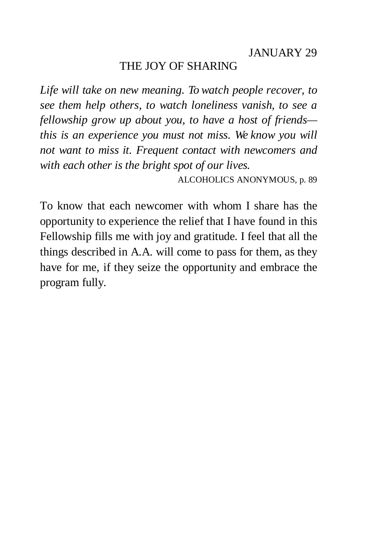### THE JOY OF SHARING

*Life will take on new meaning. To watch people recover, to see them help others, to watch loneliness vanish, to see a fellowship grow up about you, to have a host of friends this is an experience you must not miss. We know you will not want to miss it. Frequent contact with newcomers and with each other is the bright spot of our lives.* 

ALCOHOLICS ANONYMOUS, p. 89

To know that each newcomer with whom I share has the opportunity to experience the relief that I have found in this Fellowship fills me with joy and gratitude. I feel that all the things described in A.A. will come to pass for them, as they have for me, if they seize the opportunity and embrace the program fully.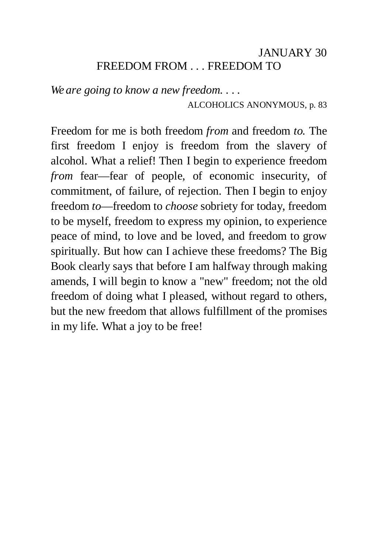## JANUARY 30 FREEDOM FROM . . . FREEDOM TO

*We are going to know a new freedom. . . .*  ALCOHOLICS ANONYMOUS, p. 83

Freedom for me is both freedom *from* and freedom *to.* The first freedom I enjoy is freedom from the slavery of alcohol. What a relief! Then I begin to experience freedom *from* fear—fear of people, of economic insecurity, of commitment, of failure, of rejection. Then I begin to enjoy freedom *to*—freedom to *choose* sobriety for today, freedom to be myself, freedom to express my opinion, to experience peace of mind, to love and be loved, and freedom to grow spiritually. But how can I achieve these freedoms? The Big Book clearly says that before I am halfway through making amends, I will begin to know a "new" freedom; not the old freedom of doing what I pleased, without regard to others, but the new freedom that allows fulfillment of the promises in my life. What a joy to be free!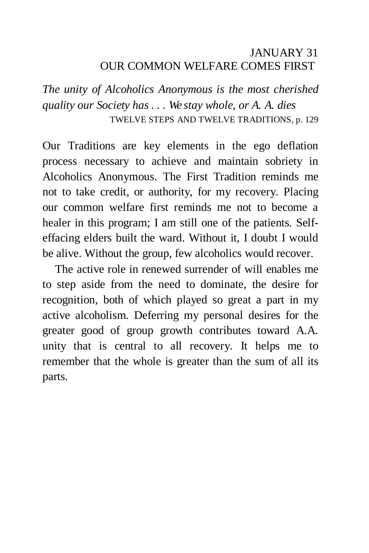## JANUARY 31 OUR COMMON WELFARE COMES FIRST

*The unity of Alcoholics Anonymous is the most cherished quality our Society has . . . We stay whole, or A. A. dies*  TWELVE STEPS AND TWELVE TRADITIONS, p. 129

Our Traditions are key elements in the ego deflation process necessary to achieve and maintain sobriety in Alcoholics Anonymous. The First Tradition reminds me not to take credit, or authority, for my recovery. Placing our common welfare first reminds me not to become a healer in this program; I am still one of the patients. Selfeffacing elders built the ward. Without it, I doubt I would be alive. Without the group, few alcoholics would recover.

The active role in renewed surrender of will enables me to step aside from the need to dominate, the desire for recognition, both of which played so great a part in my active alcoholism. Deferring my personal desires for the greater good of group growth contributes toward A.A. unity that is central to all recovery. It helps me to remember that the whole is greater than the sum of all its parts.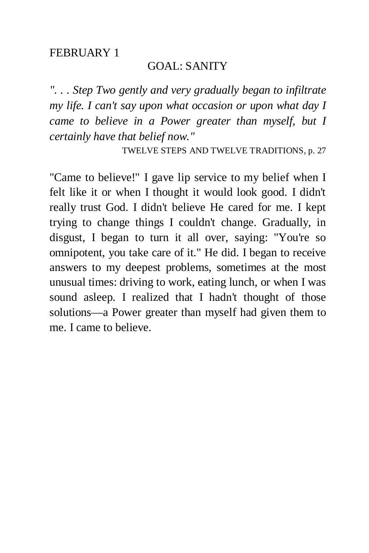#### FEBRUARY 1

### GOAL: SANITY

*". . . Step Two gently and very gradually began to infiltrate my life. I can't say upon what occasion or upon what day I came to believe in a Power greater than myself, but I certainly have that belief now."* 

TWELVE STEPS AND TWELVE TRADITIONS, p. 27

"Came to believe!" I gave lip service to my belief when I felt like it or when I thought it would look good. I didn't really trust God. I didn't believe He cared for me. I kept trying to change things I couldn't change. Gradually, in disgust, I began to turn it all over, saying: "You're so omnipotent, you take care of it." He did. I began to receive answers to my deepest problems, sometimes at the most unusual times: driving to work, eating lunch, or when I was sound asleep. I realized that I hadn't thought of those solutions—a Power greater than myself had given them to me. I came to believe.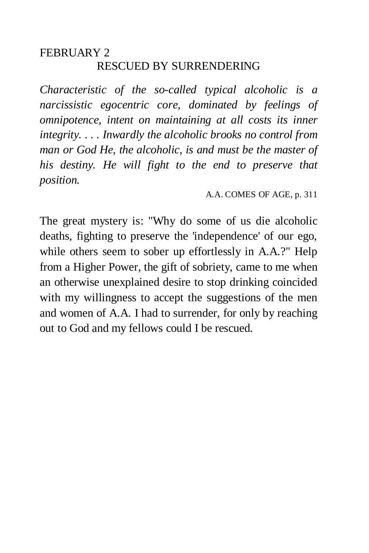## FEBRUARY 2 RESCUED BY SURRENDERING

*Characteristic of the so-called typical alcoholic is a narcissistic egocentric core, dominated by feelings of omnipotence, intent on maintaining at all costs its inner integrity. . . . Inwardly the alcoholic brooks no control from man or God He, the alcoholic, is and must be the master of his destiny. He will fight to the end to preserve that position.* 

A.A. COMES OF AGE, p. 311

The great mystery is: "Why do some of us die alcoholic deaths, fighting to preserve the 'independence' of our ego, while others seem to sober up effortlessly in A.A.?" Help from a Higher Power, the gift of sobriety, came to me when an otherwise unexplained desire to stop drinking coincided with my willingness to accept the suggestions of the men and women of A.A. I had to surrender, for only by reaching out to God and my fellows could I be rescued.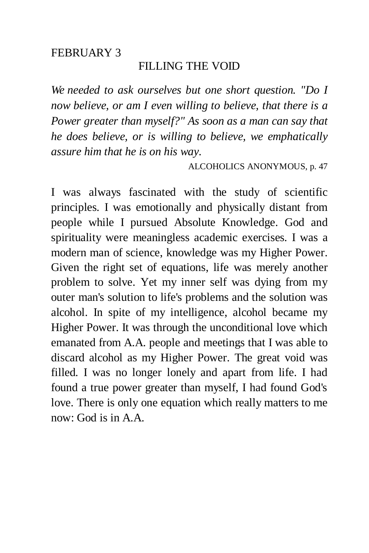### FILLING THE VOID

*We needed to ask ourselves but one short question. "Do I now believe, or am I even willing to believe, that there is a Power greater than myself?" As soon as a man can say that he does believe, or is willing to believe, we emphatically assure him that he is on his way.* 

ALCOHOLICS ANONYMOUS, p. 47

I was always fascinated with the study of scientific principles. I was emotionally and physically distant from people while I pursued Absolute Knowledge. God and spirituality were meaningless academic exercises. I was a modern man of science, knowledge was my Higher Power. Given the right set of equations, life was merely another problem to solve. Yet my inner self was dying from my outer man's solution to life's problems and the solution was alcohol. In spite of my intelligence, alcohol became my Higher Power. It was through the unconditional love which emanated from A.A. people and meetings that I was able to discard alcohol as my Higher Power. The great void was filled. I was no longer lonely and apart from life. I had found a true power greater than myself, I had found God's love. There is only one equation which really matters to me now: God is in A.A.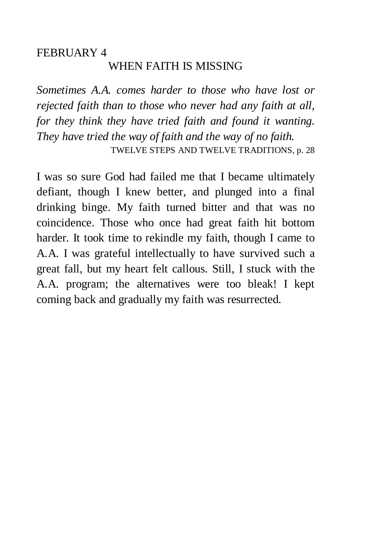## FEBRUARY 4 WHEN FAITH IS MISSING

*Sometimes A.A. comes harder to those who have lost or rejected faith than to those who never had any faith at all, for they think they have tried faith and found it wanting. They have tried the way of faith and the way of no faith.*  TWELVE STEPS AND TWELVE TRADITIONS, p. 28

I was so sure God had failed me that I became ultimately defiant, though I knew better, and plunged into a final drinking binge. My faith turned bitter and that was no coincidence. Those who once had great faith hit bottom harder. It took time to rekindle my faith, though I came to A.A. I was grateful intellectually to have survived such a great fall, but my heart felt callous. Still, I stuck with the A.A. program; the alternatives were too bleak! I kept coming back and gradually my faith was resurrected.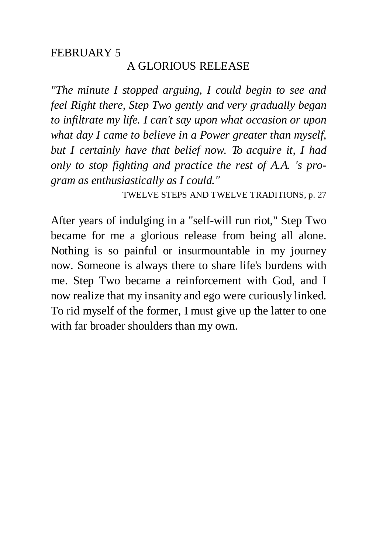## FEBRUARY 5 A GLORIOUS RELEASE

*"The minute I stopped arguing, I could begin to see and feel Right there, Step Two gently and very gradually began to infiltrate my life. I can't say upon what occasion or upon what day I came to believe in a Power greater than myself, but I certainly have that belief now. To acquire it, I had only to stop fighting and practice the rest of A.A. 's program as enthusiastically as I could."* 

TWELVE STEPS AND TWELVE TRADITIONS, p. 27

After years of indulging in a "self-will run riot," Step Two became for me a glorious release from being all alone. Nothing is so painful or insurmountable in my journey now. Someone is always there to share life's burdens with me. Step Two became a reinforcement with God, and I now realize that my insanity and ego were curiously linked. To rid myself of the former, I must give up the latter to one with far broader shoulders than my own.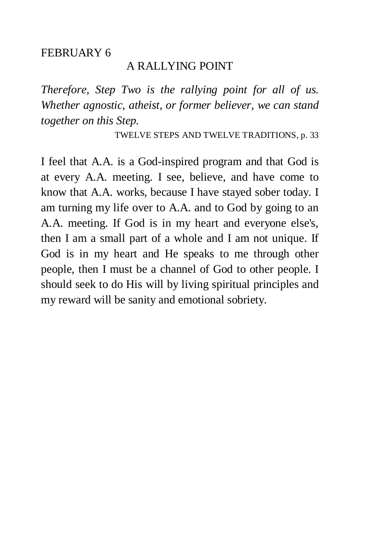### A RALLYING POINT

*Therefore, Step Two is the rallying point for all of us. Whether agnostic, atheist, or former believer, we can stand together on this Step.* 

TWELVE STEPS AND TWELVE TRADITIONS, p. 33

I feel that A.A. is a God-inspired program and that God is at every A.A. meeting. I see, believe, and have come to know that A.A. works, because I have stayed sober today. I am turning my life over to A.A. and to God by going to an A.A. meeting. If God is in my heart and everyone else's, then I am a small part of a whole and I am not unique. If God is in my heart and He speaks to me through other people, then I must be a channel of God to other people. I should seek to do His will by living spiritual principles and my reward will be sanity and emotional sobriety.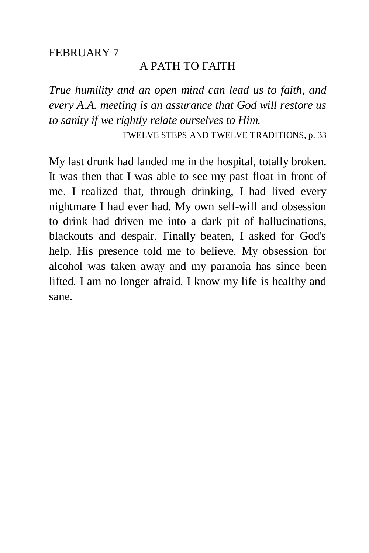### A PATH TO FAITH

*True humility and an open mind can lead us to faith, and every A.A. meeting is an assurance that God will restore us to sanity if we rightly relate ourselves to Him.* 

TWELVE STEPS AND TWELVE TRADITIONS, p. 33

My last drunk had landed me in the hospital, totally broken. It was then that I was able to see my past float in front of me. I realized that, through drinking, I had lived every nightmare I had ever had. My own self-will and obsession to drink had driven me into a dark pit of hallucinations, blackouts and despair. Finally beaten, I asked for God's help. His presence told me to believe. My obsession for alcohol was taken away and my paranoia has since been lifted. I am no longer afraid. I know my life is healthy and sane.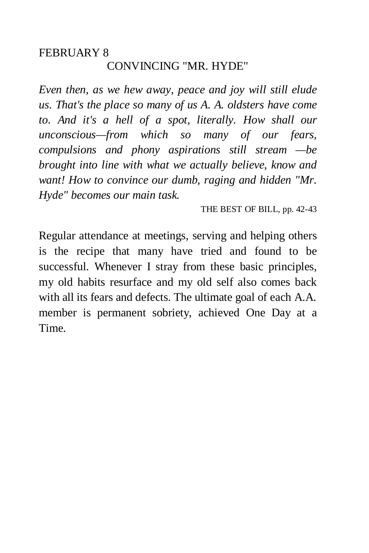## FEBRUARY 8 CONVINCING "MR. HYDE"

*Even then, as we hew away, peace and joy will still elude us. That's the place so many of us A. A. oldsters have come to. And it's a hell of a spot, literally. How shall our unconscious—from which so many of our fears, compulsions and phony aspirations still stream —be brought into line with what we actually believe, know and want! How to convince our dumb, raging and hidden "Mr. Hyde" becomes our main task.* 

THE BEST OF BILL, pp. 42-43

Regular attendance at meetings, serving and helping others is the recipe that many have tried and found to be successful. Whenever I stray from these basic principles, my old habits resurface and my old self also comes back with all its fears and defects. The ultimate goal of each A.A. member is permanent sobriety, achieved One Day at a Time.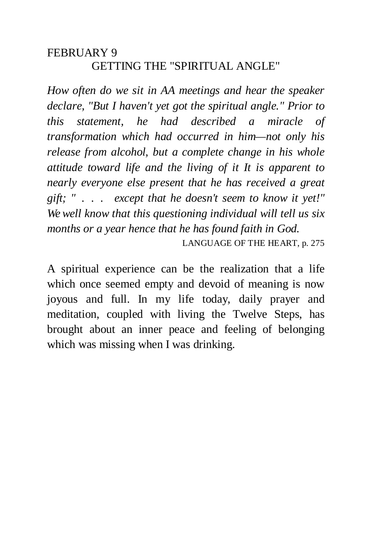## FEBRUARY 9 GETTING THE "SPIRITUAL ANGLE"

*How often do we sit in AA meetings and hear the speaker declare, "But I haven't yet got the spiritual angle." Prior to this statement, he had described a miracle of transformation which had occurred in him—not only his release from alcohol, but a complete change in his whole attitude toward life and the living of it It is apparent to nearly everyone else present that he has received a great gift; " . . . except that he doesn't seem to know it yet!" We well know that this questioning individual will tell us six months or a year hence that he has found faith in God.* 

LANGUAGE OF THE HEART, p. 275

A spiritual experience can be the realization that a life which once seemed empty and devoid of meaning is now joyous and full. In my life today, daily prayer and meditation, coupled with living the Twelve Steps, has brought about an inner peace and feeling of belonging which was missing when I was drinking.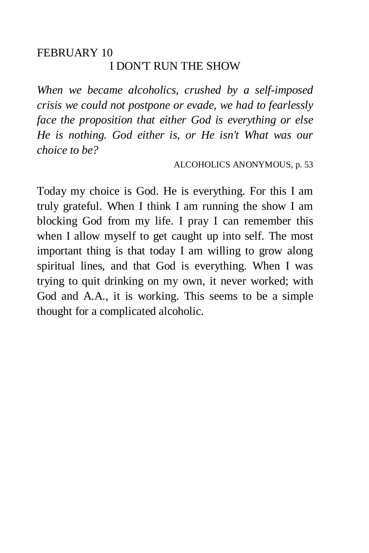## FEBRUARY 10 I DON'T RUN THE SHOW

*When we became alcoholics, crushed by a self-imposed crisis we could not postpone or evade, we had to fearlessly face the proposition that either God is everything or else He is nothing. God either is, or He isn't What was our choice to be?* 

ALCOHOLICS ANONYMOUS, p. 53

Today my choice is God. He is everything. For this I am truly grateful. When I think I am running the show I am blocking God from my life. I pray I can remember this when I allow myself to get caught up into self. The most important thing is that today I am willing to grow along spiritual lines, and that God is everything. When I was trying to quit drinking on my own, it never worked; with God and A.A., it is working. This seems to be a simple thought for a complicated alcoholic.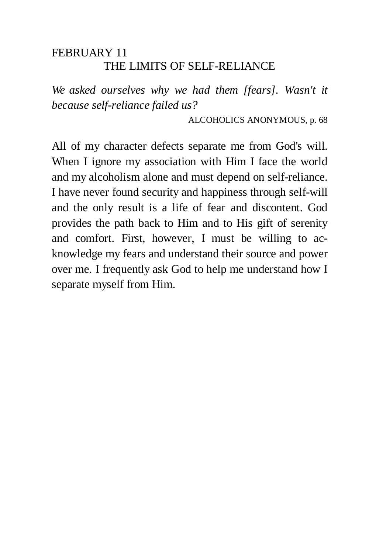# FEBRUARY 11 THE LIMITS OF SELF-RELIANCE

We asked ourselves why we had them [fears]. Wasn't it *because self-reliance failed us?* 

ALCOHOLICS ANONYMOUS, p. 68

All of my character defects separate me from God's will. When I ignore my association with Him I face the world and my alcoholism alone and must depend on self-reliance. I have never found security and happiness through self-will and the only result is a life of fear and discontent. God provides the path back to Him and to His gift of serenity and comfort. First, however, I must be willing to acknowledge my fears and understand their source and power over me. I frequently ask God to help me understand how I separate myself from Him.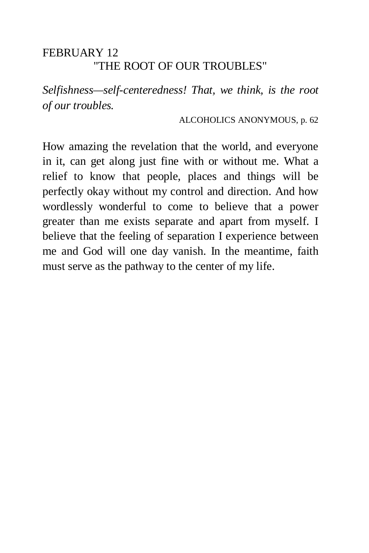# FEBRUARY 12 "THE ROOT OF OUR TROUBLES"

*Selfishness—self-centeredness! That, we think, is the root of our troubles.* 

ALCOHOLICS ANONYMOUS, p. 62

How amazing the revelation that the world, and everyone in it, can get along just fine with or without me. What a relief to know that people, places and things will be perfectly okay without my control and direction. And how wordlessly wonderful to come to believe that a power greater than me exists separate and apart from myself. I believe that the feeling of separation I experience between me and God will one day vanish. In the meantime, faith must serve as the pathway to the center of my life.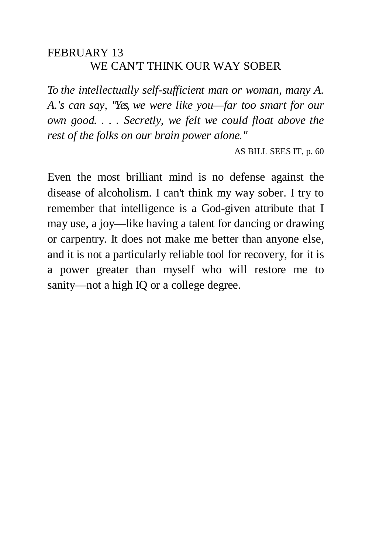## FEBRUARY 13 WE CAN'T THINK OUR WAY SOBER

*To the intellectually self-sufficient man or woman, many A. A.'s can say, "Yes, we were like you—far too smart for our own good. . . . Secretly, we felt we could float above the rest of the folks on our brain power alone."* 

AS BILL SEES IT, p. 60

Even the most brilliant mind is no defense against the disease of alcoholism. I can't think my way sober. I try to remember that intelligence is a God-given attribute that I may use, a joy—like having a talent for dancing or drawing or carpentry. It does not make me better than anyone else, and it is not a particularly reliable tool for recovery, for it is a power greater than myself who will restore me to sanity—not a high IQ or a college degree.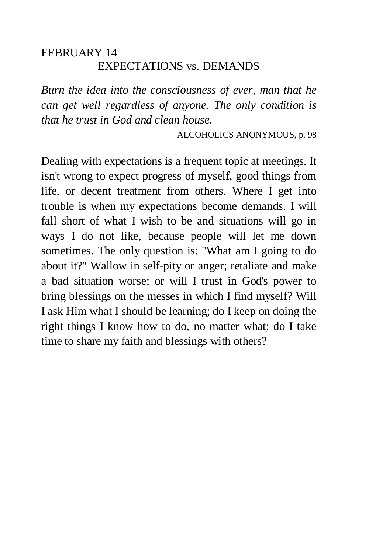## FEBRUARY 14 EXPECTATIONS vs. DEMANDS

*Burn the idea into the consciousness of ever, man that he can get well regardless of anyone. The only condition is that he trust in God and clean house.* 

ALCOHOLICS ANONYMOUS, p. 98

Dealing with expectations is a frequent topic at meetings. It isn't wrong to expect progress of myself, good things from life, or decent treatment from others. Where I get into trouble is when my expectations become demands. I will fall short of what I wish to be and situations will go in ways I do not like, because people will let me down sometimes. The only question is: "What am I going to do about it?" Wallow in self-pity or anger; retaliate and make a bad situation worse; or will I trust in God's power to bring blessings on the messes in which I find myself? Will I ask Him what I should be learning; do I keep on doing the right things I know how to do, no matter what; do I take time to share my faith and blessings with others?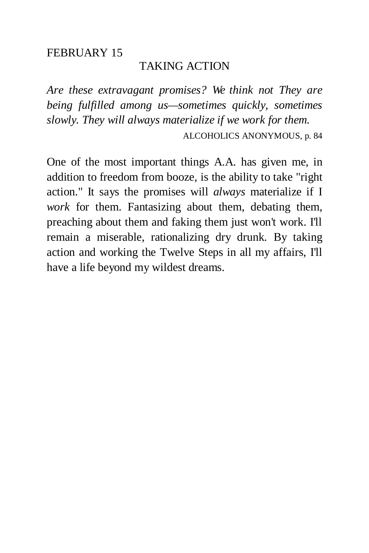### TAKING ACTION

*Are these extravagant promises? We think not They are being fulfilled among us—sometimes quickly, sometimes slowly. They will always materialize if we work for them.* 

ALCOHOLICS ANONYMOUS, p. 84

One of the most important things A.A. has given me, in addition to freedom from booze, is the ability to take "right action." It says the promises will *always* materialize if I *work* for them. Fantasizing about them, debating them, preaching about them and faking them just won't work. I'll remain a miserable, rationalizing dry drunk. By taking action and working the Twelve Steps in all my affairs, I'll have a life beyond my wildest dreams.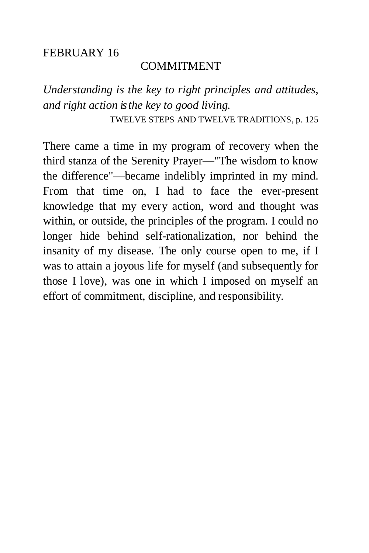### COMMITMENT

*Understanding is the key to right principles and attitudes, and right action is the key to good living.* 

TWELVE STEPS AND TWELVE TRADITIONS, p. 125

There came a time in my program of recovery when the third stanza of the Serenity Prayer—"The wisdom to know the difference"—became indelibly imprinted in my mind. From that time on, I had to face the ever-present knowledge that my every action, word and thought was within, or outside, the principles of the program. I could no longer hide behind self-rationalization, nor behind the insanity of my disease. The only course open to me, if I was to attain a joyous life for myself (and subsequently for those I love), was one in which I imposed on myself an effort of commitment, discipline, and responsibility.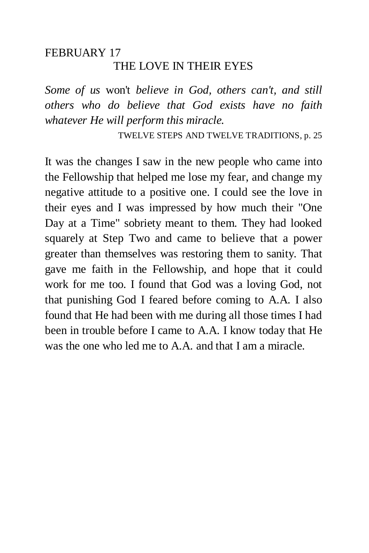# FEBRUARY 17 THE LOVE IN THEIR EYES

*Some of us* won't *believe in God, others can't, and still others who do believe that God exists have no faith whatever He will perform this miracle.* 

TWELVE STEPS AND TWELVE TRADITIONS, p. 25

It was the changes I saw in the new people who came into the Fellowship that helped me lose my fear, and change my negative attitude to a positive one. I could see the love in their eyes and I was impressed by how much their "One Day at a Time" sobriety meant to them. They had looked squarely at Step Two and came to believe that a power greater than themselves was restoring them to sanity. That gave me faith in the Fellowship, and hope that it could work for me too. I found that God was a loving God, not that punishing God I feared before coming to A.A. I also found that He had been with me during all those times I had been in trouble before I came to A.A. I know today that He was the one who led me to A.A. and that I am a miracle.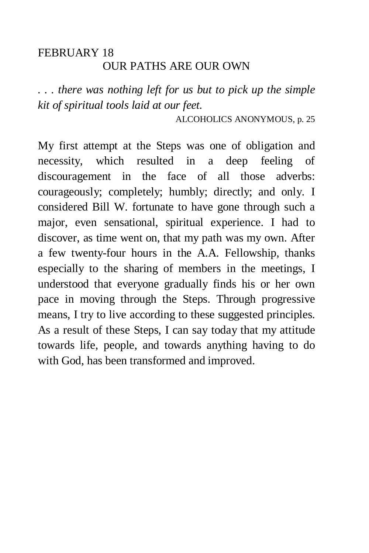## FEBRUARY 18 OUR PATHS ARE OUR OWN

*. . . there was nothing left for us but to pick up the simple kit of spiritual tools laid at our feet.* 

ALCOHOLICS ANONYMOUS, p. 25

My first attempt at the Steps was one of obligation and necessity, which resulted in a deep feeling of discouragement in the face of all those adverbs: courageously; completely; humbly; directly; and only. I considered Bill W. fortunate to have gone through such a major, even sensational, spiritual experience. I had to discover, as time went on, that my path was my own. After a few twenty-four hours in the A.A. Fellowship, thanks especially to the sharing of members in the meetings, I understood that everyone gradually finds his or her own pace in moving through the Steps. Through progressive means, I try to live according to these suggested principles. As a result of these Steps, I can say today that my attitude towards life, people, and towards anything having to do with God, has been transformed and improved.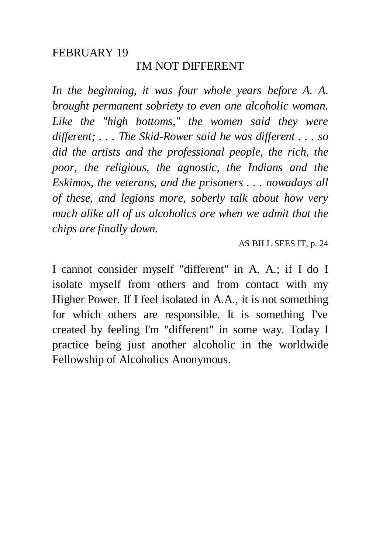### I'M NOT DIFFERENT

*In the beginning, it was four whole years before A. A. brought permanent sobriety to even one alcoholic woman. Like the "high bottoms," the women said they were different; . . . The Skid-Rower said he was different . . . so did the artists and the professional people, the rich, the poor, the religious, the agnostic, the Indians and the Eskimos, the veterans, and the prisoners . . . nowadays all of these, and legions more, soberly talk about how very much alike all of us alcoholics are when we admit that the chips are finally down.* 

AS BILL SEES IT, p. 24

I cannot consider myself "different" in A. A.; if I do I isolate myself from others and from contact with my Higher Power. If I feel isolated in A.A., it is not something for which others are responsible. It is something I've created by feeling I'm "different" in some way. Today I practice being just another alcoholic in the worldwide Fellowship of Alcoholics Anonymous.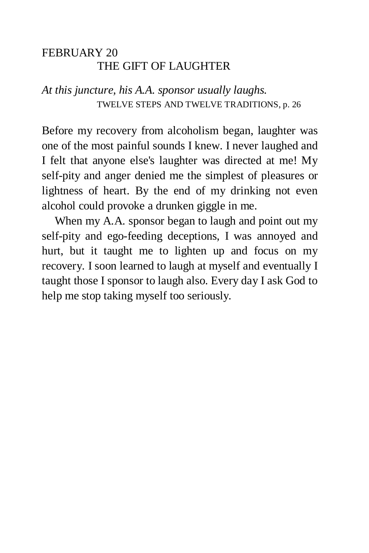## FEBRUARY 20 THE GIFT OF LAUGHTER

# *At this juncture, his A.A. sponsor usually laughs.*  TWELVE STEPS AND TWELVE TRADITIONS, p. 26

Before my recovery from alcoholism began, laughter was one of the most painful sounds I knew. I never laughed and I felt that anyone else's laughter was directed at me! My self-pity and anger denied me the simplest of pleasures or lightness of heart. By the end of my drinking not even alcohol could provoke a drunken giggle in me.

When my A.A. sponsor began to laugh and point out my self-pity and ego-feeding deceptions, I was annoyed and hurt, but it taught me to lighten up and focus on my recovery. I soon learned to laugh at myself and eventually I taught those I sponsor to laugh also. Every day I ask God to help me stop taking myself too seriously.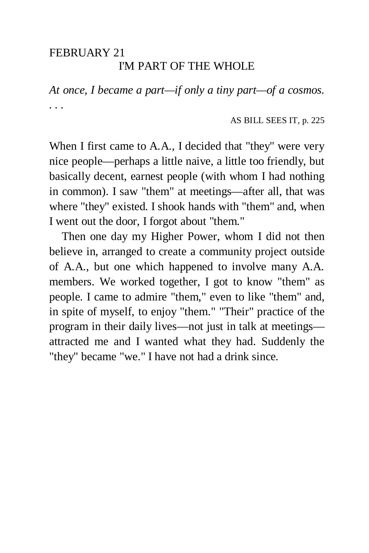# FEBRUARY 21 I'M PART OF THE WHOLE

*At once, I became a part—if only a tiny part—of a cosmos. . . .* 

#### AS BILL SEES IT, p. 225

When I first came to A.A., I decided that "they" were very nice people—perhaps a little naive, a little too friendly, but basically decent, earnest people (with whom I had nothing in common). I saw "them" at meetings—after all, that was where "they" existed. I shook hands with "them" and, when I went out the door, I forgot about "them."

Then one day my Higher Power, whom I did not then believe in, arranged to create a community project outside of A.A., but one which happened to involve many A.A. members. We worked together, I got to know "them" as people. I came to admire "them," even to like "them" and, in spite of myself, to enjoy "them." "Their" practice of the program in their daily lives—not just in talk at meetings attracted me and I wanted what they had. Suddenly the "they" became "we." I have not had a drink since.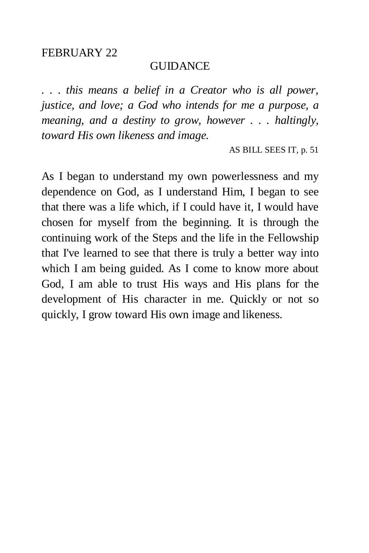#### GUIDANCE

*. . . this means a belief in a Creator who is all power, justice, and love; a God who intends for me a purpose, a meaning, and a destiny to grow, however . . . haltingly, toward His own likeness and image.* 

AS BILL SEES IT, p. 51

As I began to understand my own powerlessness and my dependence on God, as I understand Him, I began to see that there was a life which, if I could have it, I would have chosen for myself from the beginning. It is through the continuing work of the Steps and the life in the Fellowship that I've learned to see that there is truly a better way into which I am being guided. As I come to know more about God, I am able to trust His ways and His plans for the development of His character in me. Quickly or not so quickly, I grow toward His own image and likeness.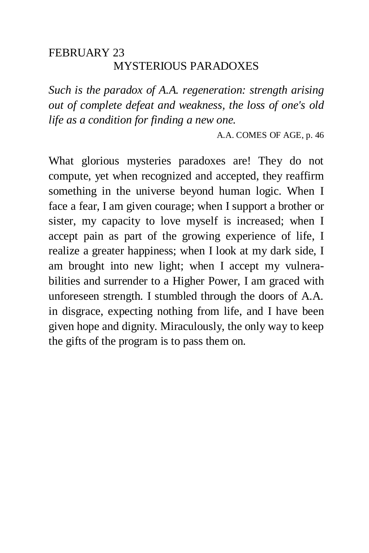## FEBRUARY 23 MYSTERIOUS PARADOXES

*Such is the paradox of A.A. regeneration: strength arising out of complete defeat and weakness, the loss of one's old life as a condition for finding a new one.* 

A.A. COMES OF AGE, p. 46

What glorious mysteries paradoxes are! They do not compute, yet when recognized and accepted, they reaffirm something in the universe beyond human logic. When I face a fear, I am given courage; when I support a brother or sister, my capacity to love myself is increased; when I accept pain as part of the growing experience of life, I realize a greater happiness; when I look at my dark side, I am brought into new light; when I accept my vulnerabilities and surrender to a Higher Power, I am graced with unforeseen strength. I stumbled through the doors of A.A. in disgrace, expecting nothing from life, and I have been given hope and dignity. Miraculously, the only way to keep the gifts of the program is to pass them on.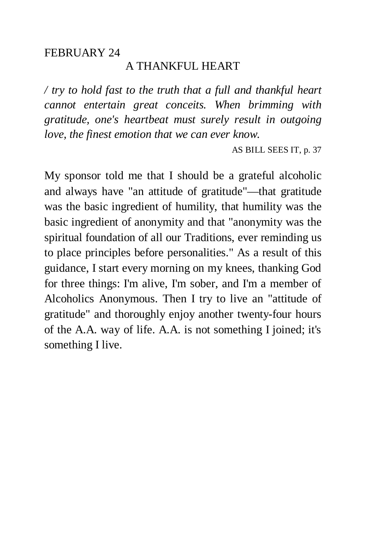### A THANKFUL HEART

*/ try to hold fast to the truth that a full and thankful heart cannot entertain great conceits. When brimming with gratitude, one's heartbeat must surely result in outgoing love, the finest emotion that we can ever know.* 

AS BILL SEES IT, p. 37

My sponsor told me that I should be a grateful alcoholic and always have "an attitude of gratitude"—that gratitude was the basic ingredient of humility, that humility was the basic ingredient of anonymity and that "anonymity was the spiritual foundation of all our Traditions, ever reminding us to place principles before personalities." As a result of this guidance, I start every morning on my knees, thanking God for three things: I'm alive, I'm sober, and I'm a member of Alcoholics Anonymous. Then I try to live an "attitude of gratitude" and thoroughly enjoy another twenty-four hours of the A.A. way of life. A.A. is not something I joined; it's something I live.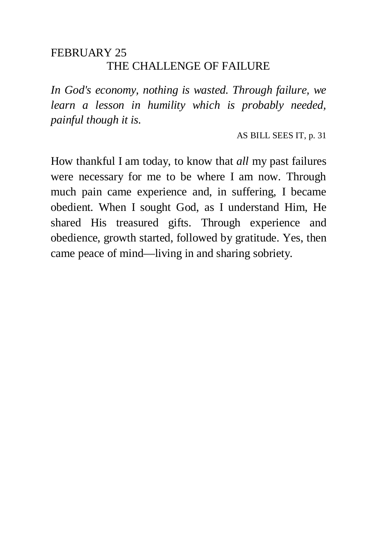# FEBRUARY 25 THE CHALLENGE OF FAILURE

*In God's economy, nothing is wasted. Through failure, we learn a lesson in humility which is probably needed, painful though it is.* 

AS BILL SEES IT, p. 31

How thankful I am today, to know that *all* my past failures were necessary for me to be where I am now. Through much pain came experience and, in suffering, I became obedient. When I sought God, as I understand Him, He shared His treasured gifts. Through experience and obedience, growth started, followed by gratitude. Yes, then came peace of mind—living in and sharing sobriety.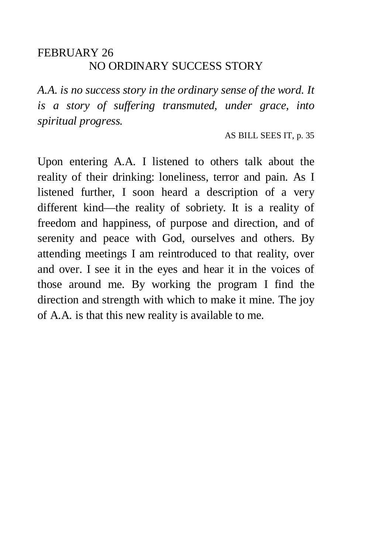## FEBRUARY 26 NO ORDINARY SUCCESS STORY

*A.A. is no success story in the ordinary sense of the word. It is a story of suffering transmuted, under grace, into spiritual progress.* 

AS BILL SEES IT, p. 35

Upon entering A.A. I listened to others talk about the reality of their drinking: loneliness, terror and pain. As I listened further, I soon heard a description of a very different kind—the reality of sobriety. It is a reality of freedom and happiness, of purpose and direction, and of serenity and peace with God, ourselves and others. By attending meetings I am reintroduced to that reality, over and over. I see it in the eyes and hear it in the voices of those around me. By working the program I find the direction and strength with which to make it mine. The joy of A.A. is that this new reality is available to me.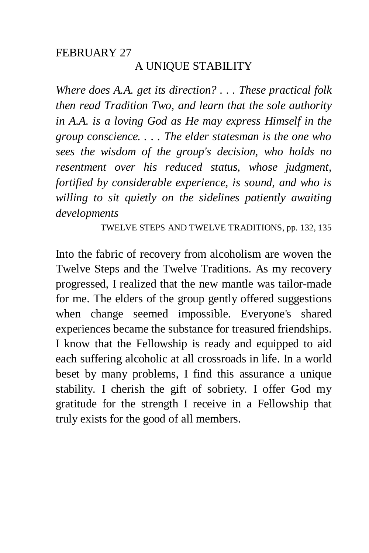# FEBRUARY 27 A UNIQUE STABILITY

*Where does A.A. get its direction? . . . These practical folk then read Tradition Two, and learn that the sole authority in A.A. is a loving God as He may express Himself in the group conscience. . . . The elder statesman is the one who sees the wisdom of the group's decision, who holds no resentment over his reduced status, whose judgment, fortified by considerable experience, is sound, and who is willing to sit quietly on the sidelines patiently awaiting developments* 

TWELVE STEPS AND TWELVE TRADITIONS, pp. 132, 135

Into the fabric of recovery from alcoholism are woven the Twelve Steps and the Twelve Traditions. As my recovery progressed, I realized that the new mantle was tailor-made for me. The elders of the group gently offered suggestions when change seemed impossible. Everyone's shared experiences became the substance for treasured friendships. I know that the Fellowship is ready and equipped to aid each suffering alcoholic at all crossroads in life. In a world beset by many problems, I find this assurance a unique stability. I cherish the gift of sobriety. I offer God my gratitude for the strength I receive in a Fellowship that truly exists for the good of all members.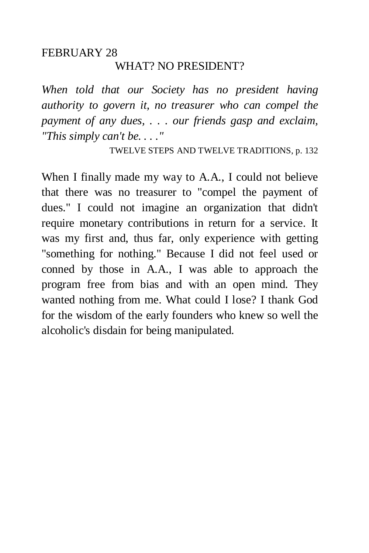### FEBRUARY 28 WHAT? NO PRESIDENT?

*When told that our Society has no president having authority to govern it, no treasurer who can compel the payment of any dues, . . . our friends gasp and exclaim, "This simply can't be. . . ."* 

TWELVE STEPS AND TWELVE TRADITIONS, p. 132

When I finally made my way to A.A., I could not believe that there was no treasurer to "compel the payment of dues." I could not imagine an organization that didn't require monetary contributions in return for a service. It was my first and, thus far, only experience with getting "something for nothing." Because I did not feel used or conned by those in A.A., I was able to approach the program free from bias and with an open mind. They wanted nothing from me. What could I lose? I thank God for the wisdom of the early founders who knew so well the alcoholic's disdain for being manipulated.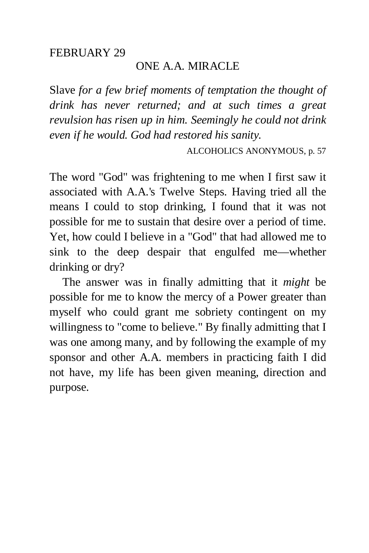### ONE A.A. MIRACLE

Slave *for a few brief moments of temptation the thought of drink has never returned; and at such times a great revulsion has risen up in him. Seemingly he could not drink even if he would. God had restored his sanity.* 

ALCOHOLICS ANONYMOUS, p. 57

The word "God" was frightening to me when I first saw it associated with A.A.'s Twelve Steps. Having tried all the means I could to stop drinking, I found that it was not possible for me to sustain that desire over a period of time. Yet, how could I believe in a "God" that had allowed me to sink to the deep despair that engulfed me—whether drinking or dry?

The answer was in finally admitting that it *might* be possible for me to know the mercy of a Power greater than myself who could grant me sobriety contingent on my willingness to "come to believe." By finally admitting that I was one among many, and by following the example of my sponsor and other A.A. members in practicing faith I did not have, my life has been given meaning, direction and purpose.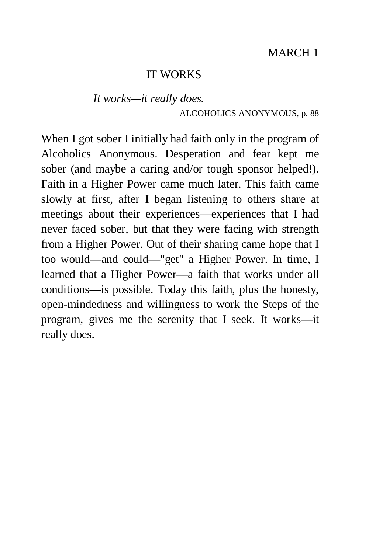### IT WORKS

### *It works—it really does.*  ALCOHOLICS ANONYMOUS, p. 88

When I got sober I initially had faith only in the program of Alcoholics Anonymous. Desperation and fear kept me sober (and maybe a caring and/or tough sponsor helped!). Faith in a Higher Power came much later. This faith came slowly at first, after I began listening to others share at meetings about their experiences—experiences that I had never faced sober, but that they were facing with strength from a Higher Power. Out of their sharing came hope that I too would—and could—"get" a Higher Power. In time, I learned that a Higher Power—a faith that works under all conditions—is possible. Today this faith, plus the honesty, open-mindedness and willingness to work the Steps of the program, gives me the serenity that I seek. It works—it really does.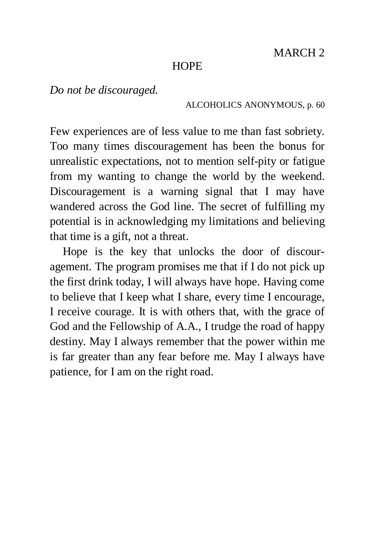MARCH<sub>2</sub>

#### HOPE

*Do not be discouraged.* 

### ALCOHOLICS ANONYMOUS, p. 60

Few experiences are of less value to me than fast sobriety. Too many times discouragement has been the bonus for unrealistic expectations, not to mention self-pity or fatigue from my wanting to change the world by the weekend. Discouragement is a warning signal that I may have wandered across the God line. The secret of fulfilling my potential is in acknowledging my limitations and believing that time is a gift, not a threat.

Hope is the key that unlocks the door of discouragement. The program promises me that if I do not pick up the first drink today, I will always have hope. Having come to believe that I keep what I share, every time I encourage, I receive courage. It is with others that, with the grace of God and the Fellowship of A.A., I trudge the road of happy destiny. May I always remember that the power within me is far greater than any fear before me. May I always have patience, for I am on the right road.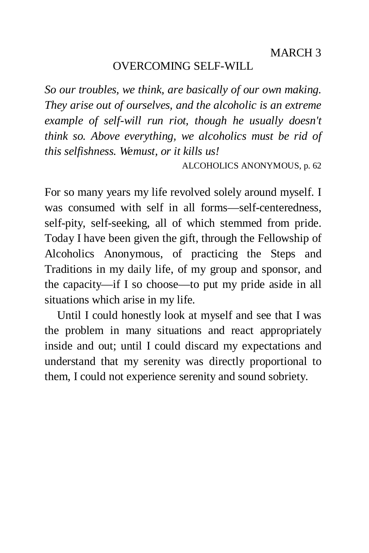#### OVERCOMING SELF-WILL

*So our troubles, we think, are basically of our own making. They arise out of ourselves, and the alcoholic is an extreme example of self-will run riot, though he usually doesn't think so. Above everything, we alcoholics must be rid of this selfishness. We must, or it kills us!* 

ALCOHOLICS ANONYMOUS, p. 62

For so many years my life revolved solely around myself. I was consumed with self in all forms—self-centeredness, self-pity, self-seeking, all of which stemmed from pride. Today I have been given the gift, through the Fellowship of Alcoholics Anonymous, of practicing the Steps and Traditions in my daily life, of my group and sponsor, and the capacity—if I so choose—to put my pride aside in all situations which arise in my life.

Until I could honestly look at myself and see that I was the problem in many situations and react appropriately inside and out; until I could discard my expectations and understand that my serenity was directly proportional to them, I could not experience serenity and sound sobriety.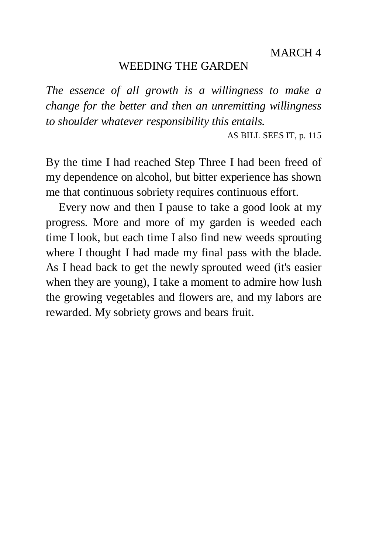#### WEEDING THE GARDEN

*The essence of all growth is a willingness to make a change for the better and then an unremitting willingness to shoulder whatever responsibility this entails.* 

AS BILL SEES IT, p. 115

By the time I had reached Step Three I had been freed of my dependence on alcohol, but bitter experience has shown me that continuous sobriety requires continuous effort.

Every now and then I pause to take a good look at my progress. More and more of my garden is weeded each time I look, but each time I also find new weeds sprouting where I thought I had made my final pass with the blade. As I head back to get the newly sprouted weed (it's easier when they are young), I take a moment to admire how lush the growing vegetables and flowers are, and my labors are rewarded. My sobriety grows and bears fruit.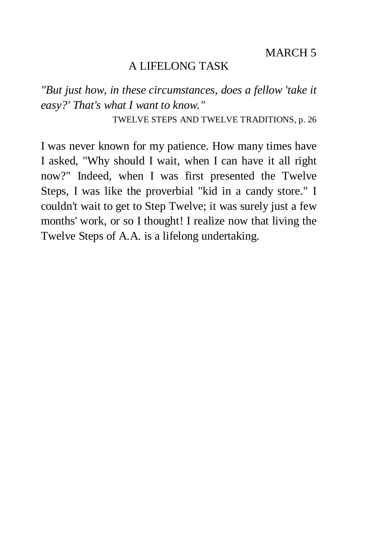### A LIFELONG TASK

*"But just how, in these circumstances, does a fellow 'take it easy?' That's what I want to know."* 

TWELVE STEPS AND TWELVE TRADITIONS, p. 26

I was never known for my patience. How many times have I asked, "Why should I wait, when I can have it all right now?" Indeed, when I was first presented the Twelve Steps, I was like the proverbial "kid in a candy store." I couldn't wait to get to Step Twelve; it was surely just a few months' work, or so I thought! I realize now that living the Twelve Steps of A.A. is a lifelong undertaking.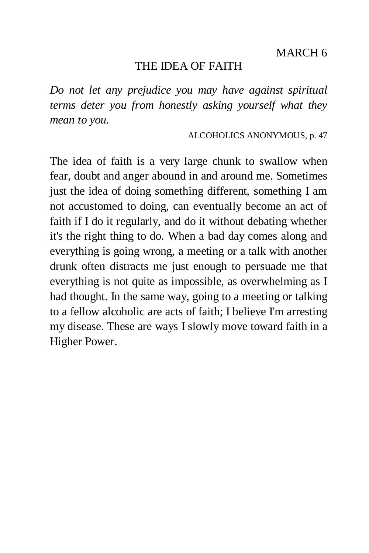### THE IDEA OF FAITH

*Do not let any prejudice you may have against spiritual terms deter you from honestly asking yourself what they mean to you.* 

ALCOHOLICS ANONYMOUS, p. 47

The idea of faith is a very large chunk to swallow when fear, doubt and anger abound in and around me. Sometimes just the idea of doing something different, something I am not accustomed to doing, can eventually become an act of faith if I do it regularly, and do it without debating whether it's the right thing to do. When a bad day comes along and everything is going wrong, a meeting or a talk with another drunk often distracts me just enough to persuade me that everything is not quite as impossible, as overwhelming as I had thought. In the same way, going to a meeting or talking to a fellow alcoholic are acts of faith; I believe I'm arresting my disease. These are ways I slowly move toward faith in a Higher Power.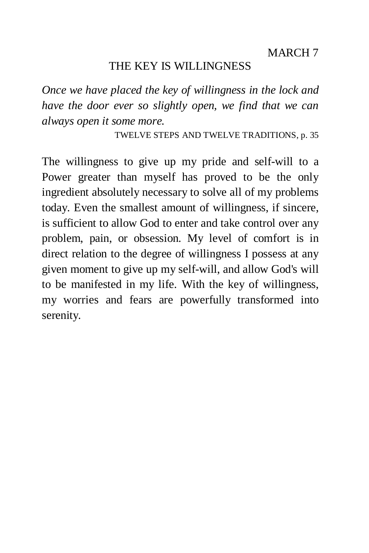#### THE KEY IS WILLINGNESS

*Once we have placed the key of willingness in the lock and have the door ever so slightly open, we find that we can always open it some more.* 

TWELVE STEPS AND TWELVE TRADITIONS, p. 35

The willingness to give up my pride and self-will to a Power greater than myself has proved to be the only ingredient absolutely necessary to solve all of my problems today. Even the smallest amount of willingness, if sincere, is sufficient to allow God to enter and take control over any problem, pain, or obsession. My level of comfort is in direct relation to the degree of willingness I possess at any given moment to give up my self-will, and allow God's will to be manifested in my life. With the key of willingness, my worries and fears are powerfully transformed into serenity.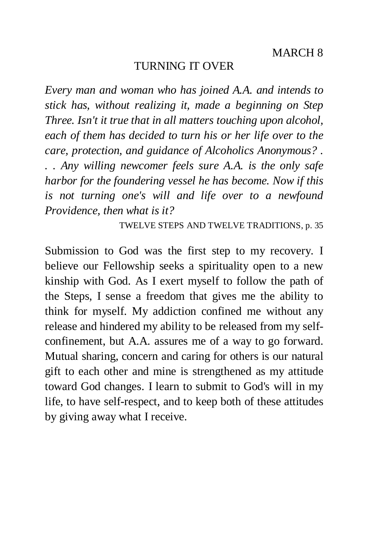### TURNING IT OVER

*Every man and woman who has joined A.A. and intends to stick has, without realizing it, made a beginning on Step Three. Isn't it true that in all matters touching upon alcohol, each of them has decided to turn his or her life over to the care, protection, and guidance of Alcoholics Anonymous? . . . Any willing newcomer feels sure A.A. is the only safe harbor for the foundering vessel he has become. Now if this is not turning one's will and life over to a newfound Providence, then what is it?* 

TWELVE STEPS AND TWELVE TRADITIONS, p. 35

Submission to God was the first step to my recovery. I believe our Fellowship seeks a spirituality open to a new kinship with God. As I exert myself to follow the path of the Steps, I sense a freedom that gives me the ability to think for myself. My addiction confined me without any release and hindered my ability to be released from my selfconfinement, but A.A. assures me of a way to go forward. Mutual sharing, concern and caring for others is our natural gift to each other and mine is strengthened as my attitude toward God changes. I learn to submit to God's will in my life, to have self-respect, and to keep both of these attitudes by giving away what I receive.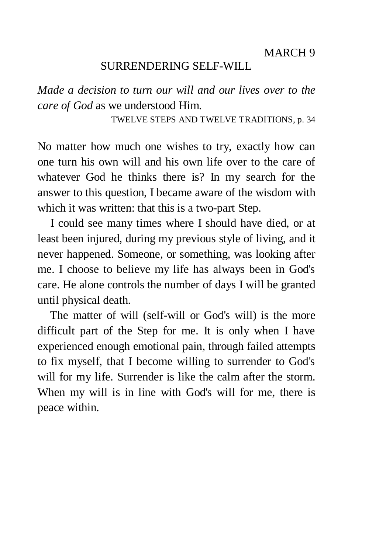## SURRENDERING SELF-WILL

*Made a decision to turn our will and our lives over to the care of God* as we understood Him.

TWELVE STEPS AND TWELVE TRADITIONS, p. 34

No matter how much one wishes to try, exactly how can one turn his own will and his own life over to the care of whatever God he thinks there is? In my search for the answer to this question, I became aware of the wisdom with which it was written: that this is a two-part Step.

I could see many times where I should have died, or at least been injured, during my previous style of living, and it never happened. Someone, or something, was looking after me. I choose to believe my life has always been in God's care. He alone controls the number of days I will be granted until physical death.

The matter of will (self-will or God's will) is the more difficult part of the Step for me. It is only when I have experienced enough emotional pain, through failed attempts to fix myself, that I become willing to surrender to God's will for my life. Surrender is like the calm after the storm. When my will is in line with God's will for me, there is peace within.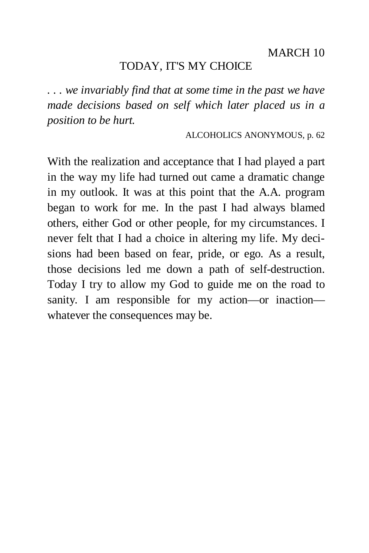### TODAY, IT'S MY CHOICE

*. . . we invariably find that at some time in the past we have made decisions based on self which later placed us in a position to be hurt.* 

ALCOHOLICS ANONYMOUS, p. 62

With the realization and acceptance that I had played a part in the way my life had turned out came a dramatic change in my outlook. It was at this point that the A.A. program began to work for me. In the past I had always blamed others, either God or other people, for my circumstances. I never felt that I had a choice in altering my life. My decisions had been based on fear, pride, or ego. As a result, those decisions led me down a path of self-destruction. Today I try to allow my God to guide me on the road to sanity. I am responsible for my action—or inaction whatever the consequences may be.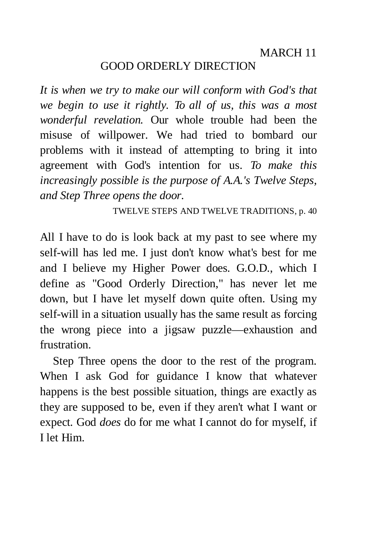# GOOD ORDERLY DIRECTION

*It is when we try to make our will conform with God's that we begin to use it rightly. To all of us, this was a most wonderful revelation.* Our whole trouble had been the misuse of willpower. We had tried to bombard our problems with it instead of attempting to bring it into agreement with God's intention for us. *To make this increasingly possible is the purpose of A.A.'s Twelve Steps, and Step Three opens the door.* 

TWELVE STEPS AND TWELVE TRADITIONS, p. 40

All I have to do is look back at my past to see where my self-will has led me. I just don't know what's best for me and I believe my Higher Power does. G.O.D., which I define as "Good Orderly Direction," has never let me down, but I have let myself down quite often. Using my self-will in a situation usually has the same result as forcing the wrong piece into a jigsaw puzzle—exhaustion and frustration.

Step Three opens the door to the rest of the program. When I ask God for guidance I know that whatever happens is the best possible situation, things are exactly as they are supposed to be, even if they aren't what I want or expect. God *does* do for me what I cannot do for myself, if I let Him.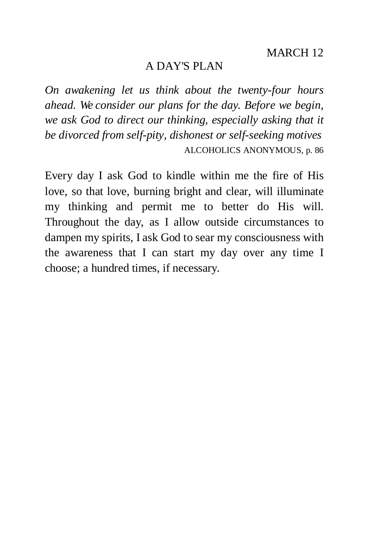# A DAY'S PLAN

*On awakening let us think about the twenty-four hours ahead. We consider our plans for the day. Before we begin, we ask God to direct our thinking, especially asking that it be divorced from self-pity, dishonest or self-seeking motives*  ALCOHOLICS ANONYMOUS, p. 86

Every day I ask God to kindle within me the fire of His love, so that love, burning bright and clear, will illuminate my thinking and permit me to better do His will. Throughout the day, as I allow outside circumstances to dampen my spirits, I ask God to sear my consciousness with the awareness that I can start my day over any time I choose; a hundred times, if necessary.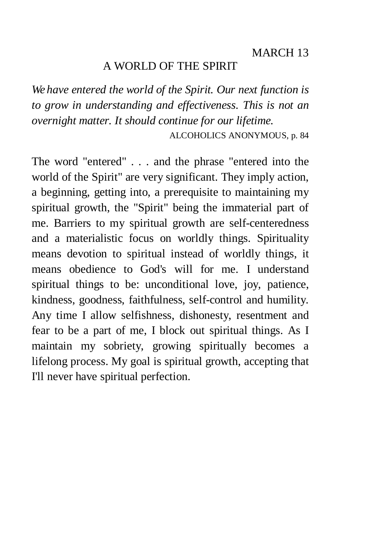## A WORLD OF THE SPIRIT

*We have entered the world of the Spirit. Our next function is to grow in understanding and effectiveness. This is not an overnight matter. It should continue for our lifetime.* 

ALCOHOLICS ANONYMOUS, p. 84

The word "entered" . . . and the phrase "entered into the world of the Spirit" are very significant. They imply action, a beginning, getting into, a prerequisite to maintaining my spiritual growth, the "Spirit" being the immaterial part of me. Barriers to my spiritual growth are self-centeredness and a materialistic focus on worldly things. Spirituality means devotion to spiritual instead of worldly things, it means obedience to God's will for me. I understand spiritual things to be: unconditional love, joy, patience, kindness, goodness, faithfulness, self-control and humility. Any time I allow selfishness, dishonesty, resentment and fear to be a part of me, I block out spiritual things. As I maintain my sobriety, growing spiritually becomes a lifelong process. My goal is spiritual growth, accepting that I'll never have spiritual perfection.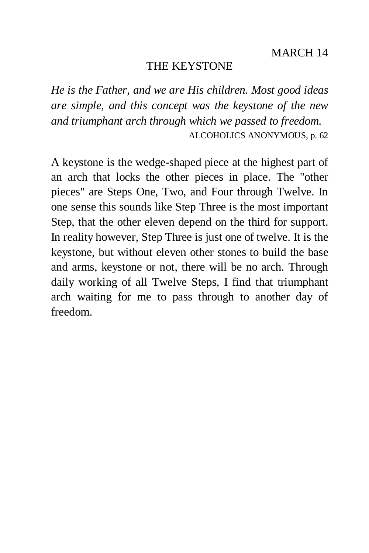# THE KEYSTONE

*He is the Father, and we are His children. Most good ideas are simple, and this concept was the keystone of the new and triumphant arch through which we passed to freedom.*  ALCOHOLICS ANONYMOUS, p. 62

A keystone is the wedge-shaped piece at the highest part of an arch that locks the other pieces in place. The "other pieces" are Steps One, Two, and Four through Twelve. In one sense this sounds like Step Three is the most important Step, that the other eleven depend on the third for support. In reality however, Step Three is just one of twelve. It is the keystone, but without eleven other stones to build the base and arms, keystone or not, there will be no arch. Through daily working of all Twelve Steps, I find that triumphant arch waiting for me to pass through to another day of freedom.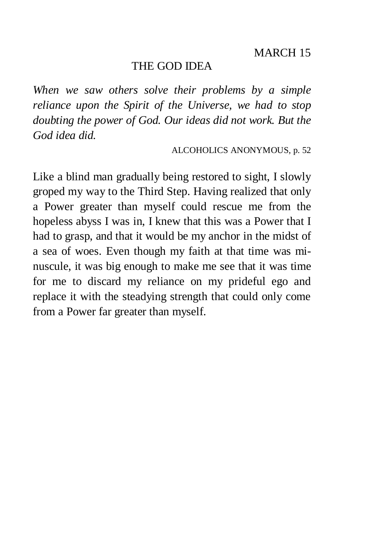## THE GOD IDEA

*When we saw others solve their problems by a simple reliance upon the Spirit of the Universe, we had to stop doubting the power of God. Our ideas did not work. But the God idea did.* 

ALCOHOLICS ANONYMOUS, p. 52

Like a blind man gradually being restored to sight, I slowly groped my way to the Third Step. Having realized that only a Power greater than myself could rescue me from the hopeless abyss I was in, I knew that this was a Power that I had to grasp, and that it would be my anchor in the midst of a sea of woes. Even though my faith at that time was minuscule, it was big enough to make me see that it was time for me to discard my reliance on my prideful ego and replace it with the steadying strength that could only come from a Power far greater than myself.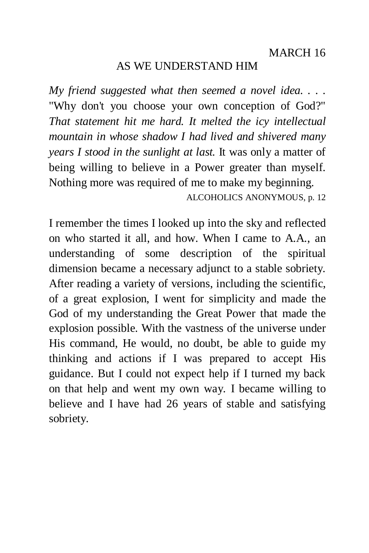# AS WE UNDERSTAND HIM

*My friend suggested what then seemed a novel idea. . . .*  "Why don't you choose your own conception of God?" *That statement hit me hard. It melted the icy intellectual mountain in whose shadow I had lived and shivered many years I stood in the sunlight at last.* It was only a matter of being willing to believe in a Power greater than myself. Nothing more was required of me to make my beginning.

ALCOHOLICS ANONYMOUS, p. 12

I remember the times I looked up into the sky and reflected on who started it all, and how. When I came to A.A., an understanding of some description of the spiritual dimension became a necessary adjunct to a stable sobriety. After reading a variety of versions, including the scientific, of a great explosion, I went for simplicity and made the God of my understanding the Great Power that made the explosion possible. With the vastness of the universe under His command, He would, no doubt, be able to guide my thinking and actions if I was prepared to accept His guidance. But I could not expect help if I turned my back on that help and went my own way. I became willing to believe and I have had 26 years of stable and satisfying sobriety.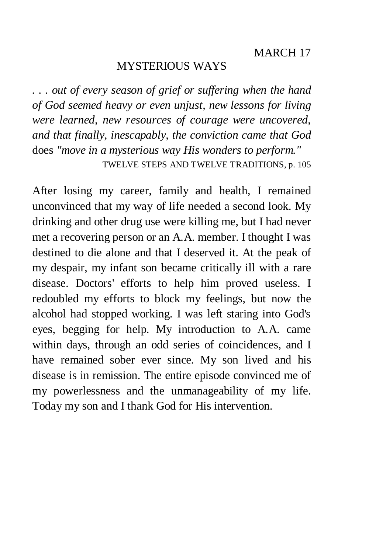# MYSTERIOUS WAYS

*. . . out of every season of grief or suffering when the hand of God seemed heavy or even unjust, new lessons for living were learned, new resources of courage were uncovered, and that finally, inescapably, the conviction came that God*  does *"move in a mysterious way His wonders to perform."*  TWELVE STEPS AND TWELVE TRADITIONS, p. 105

After losing my career, family and health, I remained unconvinced that my way of life needed a second look. My drinking and other drug use were killing me, but I had never met a recovering person or an A.A. member. I thought I was destined to die alone and that I deserved it. At the peak of my despair, my infant son became critically ill with a rare disease. Doctors' efforts to help him proved useless. I redoubled my efforts to block my feelings, but now the alcohol had stopped working. I was left staring into God's eyes, begging for help. My introduction to A.A. came within days, through an odd series of coincidences, and I have remained sober ever since. My son lived and his disease is in remission. The entire episode convinced me of my powerlessness and the unmanageability of my life. Today my son and I thank God for His intervention.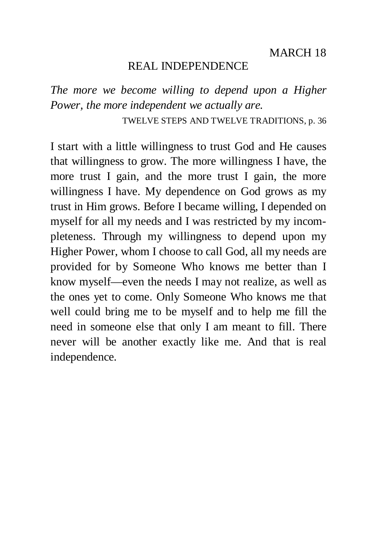## REAL INDEPENDENCE

*The more we become willing to depend upon a Higher Power, the more independent we actually are.* 

TWELVE STEPS AND TWELVE TRADITIONS, p. 36

I start with a little willingness to trust God and He causes that willingness to grow. The more willingness I have, the more trust I gain, and the more trust I gain, the more willingness I have. My dependence on God grows as my trust in Him grows. Before I became willing, I depended on myself for all my needs and I was restricted by my incompleteness. Through my willingness to depend upon my Higher Power, whom I choose to call God, all my needs are provided for by Someone Who knows me better than I know myself—even the needs I may not realize, as well as the ones yet to come. Only Someone Who knows me that well could bring me to be myself and to help me fill the need in someone else that only I am meant to fill. There never will be another exactly like me. And that is real independence.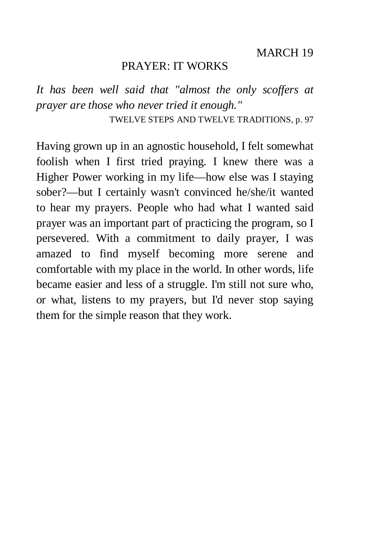# PRAYER: IT WORKS

*It has been well said that "almost the only scoffers at prayer are those who never tried it enough."* 

TWELVE STEPS AND TWELVE TRADITIONS, p. 97

Having grown up in an agnostic household, I felt somewhat foolish when I first tried praying. I knew there was a Higher Power working in my life—how else was I staying sober?—but I certainly wasn't convinced he/she/it wanted to hear my prayers. People who had what I wanted said prayer was an important part of practicing the program, so I persevered. With a commitment to daily prayer, I was amazed to find myself becoming more serene and comfortable with my place in the world. In other words, life became easier and less of a struggle. I'm still not sure who, or what, listens to my prayers, but I'd never stop saying them for the simple reason that they work.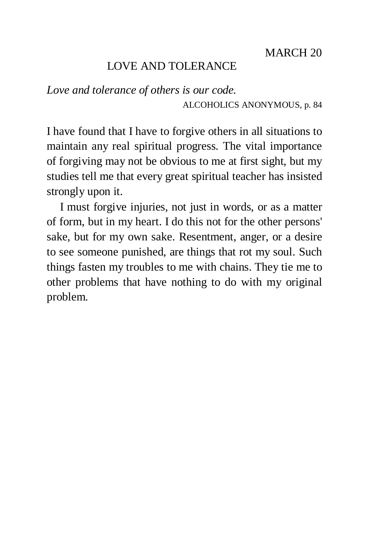# LOVE AND TOLERANCE

*Love and tolerance of others is our code.*  ALCOHOLICS ANONYMOUS, p. 84

I have found that I have to forgive others in all situations to maintain any real spiritual progress. The vital importance of forgiving may not be obvious to me at first sight, but my studies tell me that every great spiritual teacher has insisted strongly upon it.

I must forgive injuries, not just in words, or as a matter of form, but in my heart. I do this not for the other persons' sake, but for my own sake. Resentment, anger, or a desire to see someone punished, are things that rot my soul. Such things fasten my troubles to me with chains. They tie me to other problems that have nothing to do with my original problem.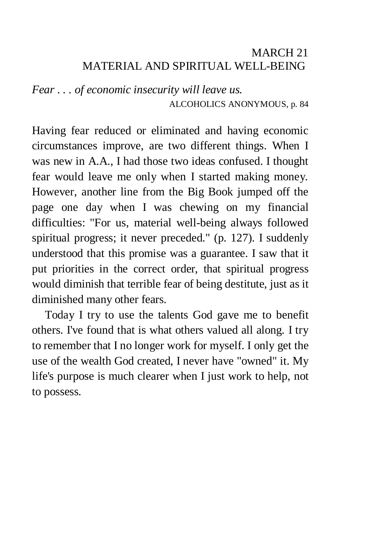# MARCH 21 MATERIAL AND SPIRITUAL WELL-BEING

*Fear . . . of economic insecurity will leave us.*  ALCOHOLICS ANONYMOUS, p. 84

Having fear reduced or eliminated and having economic circumstances improve, are two different things. When I was new in A.A., I had those two ideas confused. I thought fear would leave me only when I started making money. However, another line from the Big Book jumped off the page one day when I was chewing on my financial difficulties: "For us, material well-being always followed spiritual progress; it never preceded." (p. 127). I suddenly understood that this promise was a guarantee. I saw that it put priorities in the correct order, that spiritual progress would diminish that terrible fear of being destitute, just as it diminished many other fears.

Today I try to use the talents God gave me to benefit others. I've found that is what others valued all along. I try to remember that I no longer work for myself. I only get the use of the wealth God created, I never have "owned" it. My life's purpose is much clearer when I just work to help, not to possess.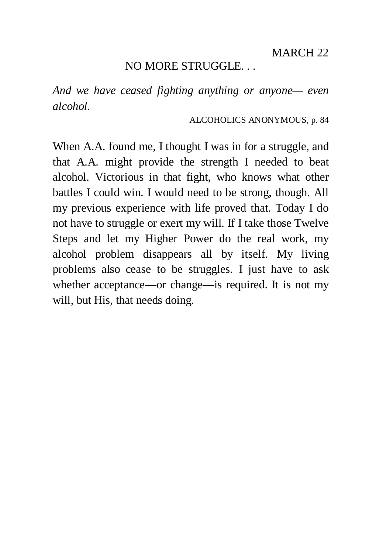# NO MORE STRUGGLE. . .

*And we have ceased fighting anything or anyone— even alcohol.* 

ALCOHOLICS ANONYMOUS, p. 84

When A.A. found me, I thought I was in for a struggle, and that A.A. might provide the strength I needed to beat alcohol. Victorious in that fight, who knows what other battles I could win. I would need to be strong, though. All my previous experience with life proved that. Today I do not have to struggle or exert my will. If I take those Twelve Steps and let my Higher Power do the real work, my alcohol problem disappears all by itself. My living problems also cease to be struggles. I just have to ask whether acceptance—or change—is required. It is not my will, but His, that needs doing.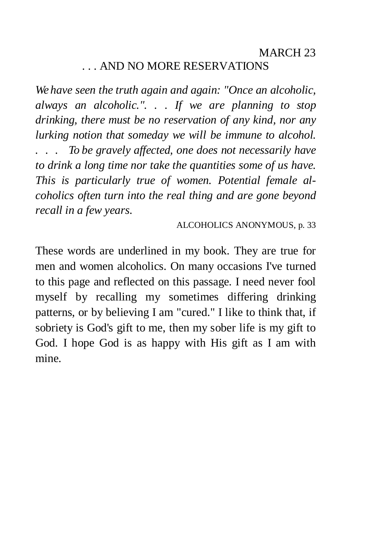# MARCH 23 . . . AND NO MORE RESERVATIONS

*We have seen the truth again and again: "Once an alcoholic, always an alcoholic.". . . If we are planning to stop drinking, there must be no reservation of any kind, nor any lurking notion that someday we will be immune to alcohol. . . . To be gravely affected, one does not necessarily have to drink a long time nor take the quantities some of us have. This is particularly true of women. Potential female alcoholics often turn into the real thing and are gone beyond recall in a few years.* 

ALCOHOLICS ANONYMOUS, p. 33

These words are underlined in my book. They are true for men and women alcoholics. On many occasions I've turned to this page and reflected on this passage. I need never fool myself by recalling my sometimes differing drinking patterns, or by believing I am "cured." I like to think that, if sobriety is God's gift to me, then my sober life is my gift to God. I hope God is as happy with His gift as I am with mine.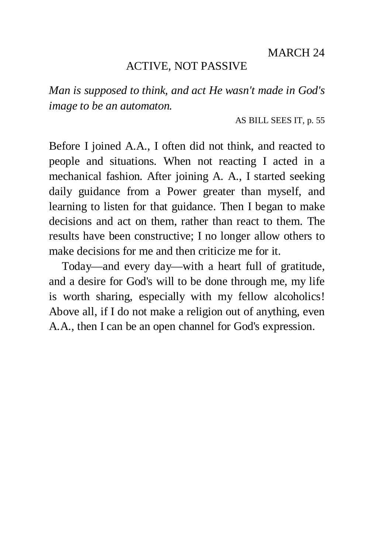# ACTIVE, NOT PASSIVE

*Man is supposed to think, and act He wasn't made in God's image to be an automaton.* 

AS BILL SEES IT, p. 55

Before I joined A.A., I often did not think, and reacted to people and situations. When not reacting I acted in a mechanical fashion. After joining A. A., I started seeking daily guidance from a Power greater than myself, and learning to listen for that guidance. Then I began to make decisions and act on them, rather than react to them. The results have been constructive; I no longer allow others to make decisions for me and then criticize me for it.

Today—and every day—with a heart full of gratitude, and a desire for God's will to be done through me, my life is worth sharing, especially with my fellow alcoholics! Above all, if I do not make a religion out of anything, even A.A., then I can be an open channel for God's expression.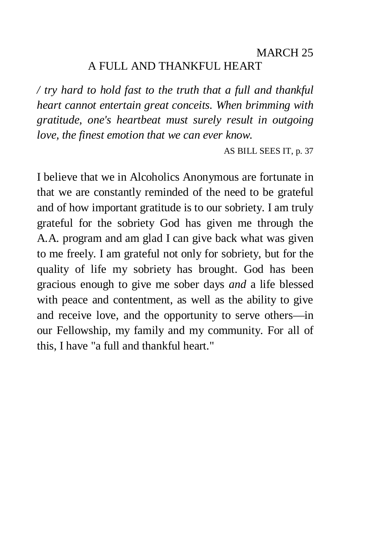# MARCH 25 A FULL AND THANKFUL HEART

*/ try hard to hold fast to the truth that a full and thankful heart cannot entertain great conceits. When brimming with gratitude, one's heartbeat must surely result in outgoing love, the finest emotion that we can ever know.* 

AS BILL SEES IT, p. 37

I believe that we in Alcoholics Anonymous are fortunate in that we are constantly reminded of the need to be grateful and of how important gratitude is to our sobriety. I am truly grateful for the sobriety God has given me through the A.A. program and am glad I can give back what was given to me freely. I am grateful not only for sobriety, but for the quality of life my sobriety has brought. God has been gracious enough to give me sober days *and* a life blessed with peace and contentment, as well as the ability to give and receive love, and the opportunity to serve others—in our Fellowship, my family and my community. For all of this, I have "a full and thankful heart."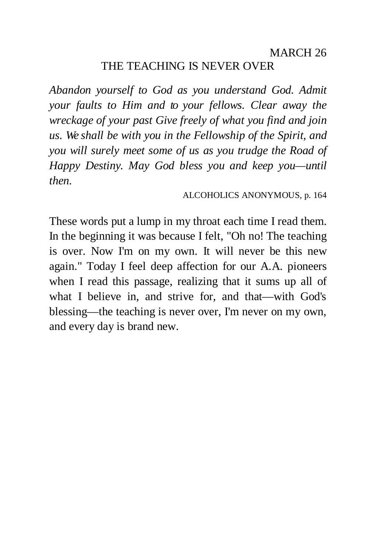# MARCH 26 THE TEACHING IS NEVER OVER

*Abandon yourself to God as you understand God. Admit your faults to Him and to your fellows. Clear away the wreckage of your past Give freely of what you find and join us. We shall be with you in the Fellowship of the Spirit, and you will surely meet some of us as you trudge the Road of Happy Destiny. May God bless you and keep you—until then.* 

#### ALCOHOLICS ANONYMOUS, p. 164

These words put a lump in my throat each time I read them. In the beginning it was because I felt, "Oh no! The teaching is over. Now I'm on my own. It will never be this new again." Today I feel deep affection for our A.A. pioneers when I read this passage, realizing that it sums up all of what I believe in, and strive for, and that—with God's blessing—the teaching is never over, I'm never on my own, and every day is brand new.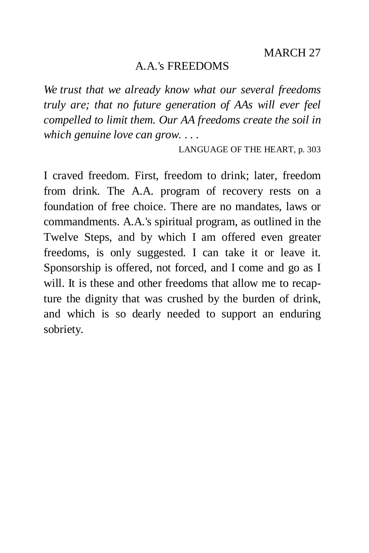## A.A.'s FREEDOMS

*We trust that we already know what our several freedoms truly are; that no future generation of AAs will ever feel compelled to limit them. Our AA freedoms create the soil in which genuine love can grow. . . .* 

LANGUAGE OF THE HEART, p. 303

I craved freedom. First, freedom to drink; later, freedom from drink. The A.A. program of recovery rests on a foundation of free choice. There are no mandates, laws or commandments. A.A.'s spiritual program, as outlined in the Twelve Steps, and by which I am offered even greater freedoms, is only suggested. I can take it or leave it. Sponsorship is offered, not forced, and I come and go as I will. It is these and other freedoms that allow me to recapture the dignity that was crushed by the burden of drink, and which is so dearly needed to support an enduring sobriety.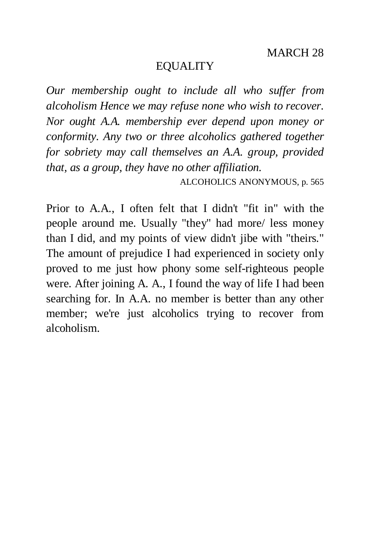# EQUALITY

*Our membership ought to include all who suffer from alcoholism Hence we may refuse none who wish to recover. Nor ought A.A. membership ever depend upon money or conformity. Any two or three alcoholics gathered together for sobriety may call themselves an A.A. group, provided that, as a group, they have no other affiliation.* 

ALCOHOLICS ANONYMOUS, p. 565

Prior to A.A., I often felt that I didn't "fit in" with the people around me. Usually "they" had more/ less money than I did, and my points of view didn't jibe with "theirs." The amount of prejudice I had experienced in society only proved to me just how phony some self-righteous people were. After joining A. A., I found the way of life I had been searching for. In A.A. no member is better than any other member; we're just alcoholics trying to recover from alcoholism.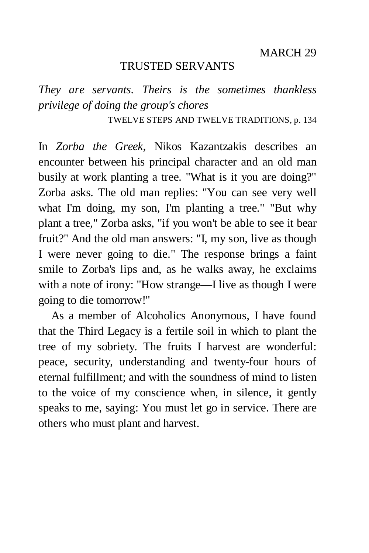## TRUSTED SERVANTS

*They are servants. Theirs is the sometimes thankless privilege of doing the group's chores* 

TWELVE STEPS AND TWELVE TRADITIONS, p. 134

In *Zorba the Greek,* Nikos Kazantzakis describes an encounter between his principal character and an old man busily at work planting a tree. "What is it you are doing?" Zorba asks. The old man replies: "You can see very well what I'm doing, my son, I'm planting a tree." "But why plant a tree," Zorba asks, "if you won't be able to see it bear fruit?" And the old man answers: "I, my son, live as though I were never going to die." The response brings a faint smile to Zorba's lips and, as he walks away, he exclaims with a note of irony: "How strange—I live as though I were going to die tomorrow!"

As a member of Alcoholics Anonymous, I have found that the Third Legacy is a fertile soil in which to plant the tree of my sobriety. The fruits I harvest are wonderful: peace, security, understanding and twenty-four hours of eternal fulfillment; and with the soundness of mind to listen to the voice of my conscience when, in silence, it gently speaks to me, saying: You must let go in service. There are others who must plant and harvest.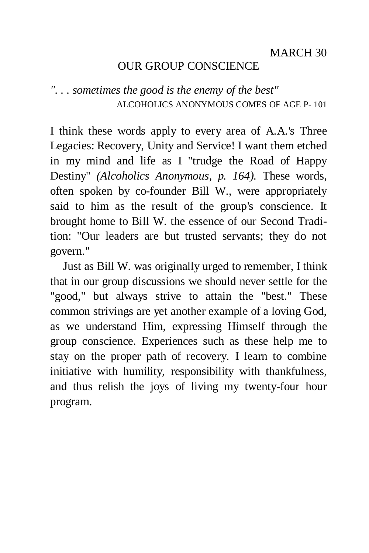MARCH<sub>30</sub>

# OUR GROUP CONSCIENCE

# *". . . sometimes the good is the enemy of the best"*  ALCOHOLICS ANONYMOUS COMES OF AGE P- 101

I think these words apply to every area of A.A.'s Three Legacies: Recovery, Unity and Service! I want them etched in my mind and life as I "trudge the Road of Happy Destiny" *(Alcoholics Anonymous, p. 164).* These words, often spoken by co-founder Bill W., were appropriately said to him as the result of the group's conscience. It brought home to Bill W. the essence of our Second Tradition: "Our leaders are but trusted servants; they do not govern."

Just as Bill W. was originally urged to remember, I think that in our group discussions we should never settle for the "good," but always strive to attain the "best." These common strivings are yet another example of a loving God, as we understand Him, expressing Himself through the group conscience. Experiences such as these help me to stay on the proper path of recovery. I learn to combine initiative with humility, responsibility with thankfulness, and thus relish the joys of living my twenty-four hour program.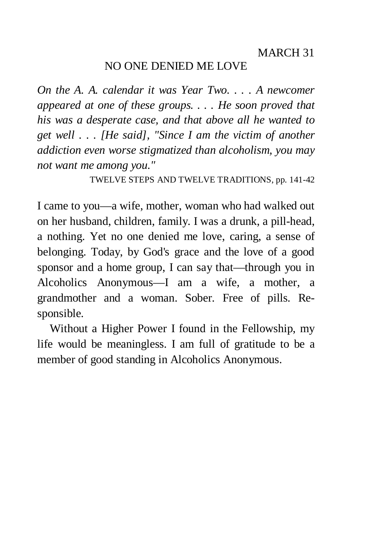# NO ONE DENIED ME LOVE

*On the A. A. calendar it was Year Two. . . . A newcomer appeared at one of these groups. . . . He soon proved that his was a desperate case, and that above all he wanted to get well . . . [He said], "Since I am the victim of another addiction even worse stigmatized than alcoholism, you may not want me among you."* 

TWELVE STEPS AND TWELVE TRADITIONS, pp. 141-42

I came to you—a wife, mother, woman who had walked out on her husband, children, family. I was a drunk, a pill-head, a nothing. Yet no one denied me love, caring, a sense of belonging. Today, by God's grace and the love of a good sponsor and a home group, I can say that—through you in Alcoholics Anonymous—I am a wife, a mother, a grandmother and a woman. Sober. Free of pills. Responsible.

Without a Higher Power I found in the Fellowship, my life would be meaningless. I am full of gratitude to be a member of good standing in Alcoholics Anonymous.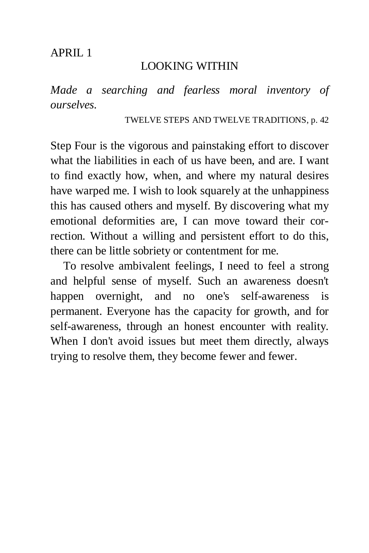## LOOKING WITHIN

*Made a searching and fearless moral inventory of ourselves.* 

TWELVE STEPS AND TWELVE TRADITIONS, p. 42

Step Four is the vigorous and painstaking effort to discover what the liabilities in each of us have been, and are. I want to find exactly how, when, and where my natural desires have warped me. I wish to look squarely at the unhappiness this has caused others and myself. By discovering what my emotional deformities are, I can move toward their correction. Without a willing and persistent effort to do this, there can be little sobriety or contentment for me.

To resolve ambivalent feelings, I need to feel a strong and helpful sense of myself. Such an awareness doesn't happen overnight, and no one's self-awareness is permanent. Everyone has the capacity for growth, and for self-awareness, through an honest encounter with reality. When I don't avoid issues but meet them directly, always trying to resolve them, they become fewer and fewer.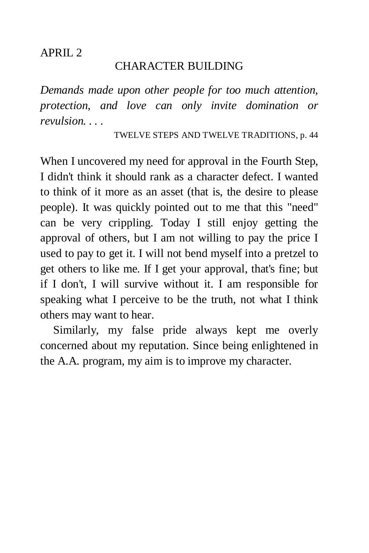#### APRIL<sub>2</sub>

## CHARACTER BUILDING

*Demands made upon other people for too much attention, protection, and love can only invite domination or revulsion. . . .* 

TWELVE STEPS AND TWELVE TRADITIONS, p. 44

When I uncovered my need for approval in the Fourth Step, I didn't think it should rank as a character defect. I wanted to think of it more as an asset (that is, the desire to please people). It was quickly pointed out to me that this "need" can be very crippling. Today I still enjoy getting the approval of others, but I am not willing to pay the price I used to pay to get it. I will not bend myself into a pretzel to get others to like me. If I get your approval, that's fine; but if I don't, I will survive without it. I am responsible for speaking what I perceive to be the truth, not what I think others may want to hear.

Similarly, my false pride always kept me overly concerned about my reputation. Since being enlightened in the A.A. program, my aim is to improve my character.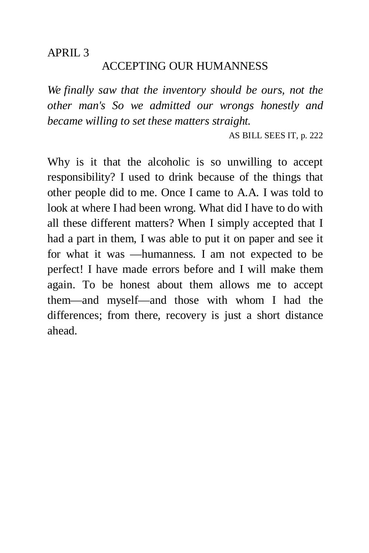## ACCEPTING OUR HUMANNESS

*We finally saw that the inventory should be ours, not the other man's So we admitted our wrongs honestly and became willing to set these matters straight.* 

AS BILL SEES IT, p. 222

Why is it that the alcoholic is so unwilling to accept responsibility? I used to drink because of the things that other people did to me. Once I came to A.A. I was told to look at where I had been wrong. What did I have to do with all these different matters? When I simply accepted that I had a part in them, I was able to put it on paper and see it for what it was —humanness. I am not expected to be perfect! I have made errors before and I will make them again. To be honest about them allows me to accept them—and myself—and those with whom I had the differences; from there, recovery is just a short distance ahead.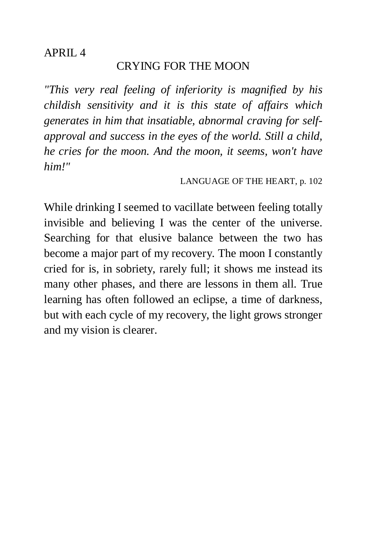### CRYING FOR THE MOON

*"This very real feeling of inferiority is magnified by his childish sensitivity and it is this state of affairs which generates in him that insatiable, abnormal craving for selfapproval and success in the eyes of the world. Still a child, he cries for the moon. And the moon, it seems, won't have him!"* 

LANGUAGE OF THE HEART, p. 102

While drinking I seemed to vacillate between feeling totally invisible and believing I was the center of the universe. Searching for that elusive balance between the two has become a major part of my recovery. The moon I constantly cried for is, in sobriety, rarely full; it shows me instead its many other phases, and there are lessons in them all. True learning has often followed an eclipse, a time of darkness, but with each cycle of my recovery, the light grows stronger and my vision is clearer.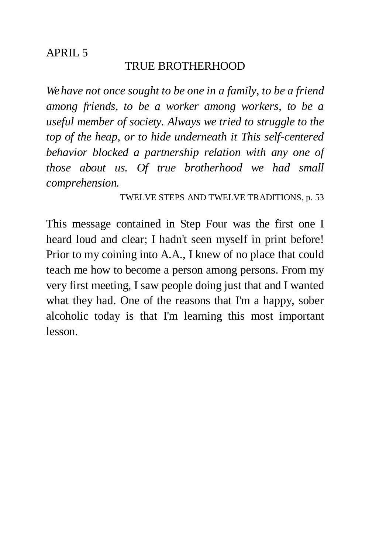# TRUE BROTHERHOOD

*We have not once sought to be one in a family, to be a friend among friends, to be a worker among workers, to be a useful member of society. Always we tried to struggle to the top of the heap, or to hide underneath it This self-centered behavior blocked a partnership relation with any one of those about us. Of true brotherhood we had small comprehension.* 

#### TWELVE STEPS AND TWELVE TRADITIONS, p. 53

This message contained in Step Four was the first one I heard loud and clear; I hadn't seen myself in print before! Prior to my coining into A.A., I knew of no place that could teach me how to become a person among persons. From my very first meeting, I saw people doing just that and I wanted what they had. One of the reasons that I'm a happy, sober alcoholic today is that I'm learning this most important lesson.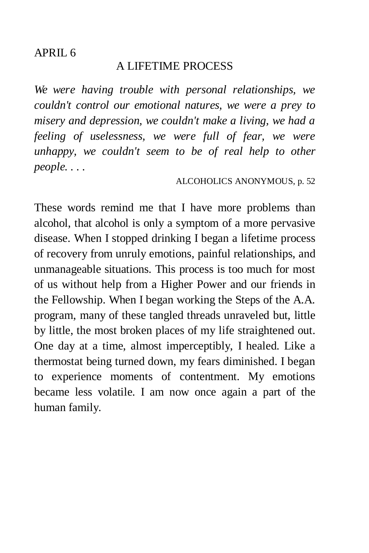### A LIFETIME PROCESS

*We were having trouble with personal relationships, we couldn't control our emotional natures, we were a prey to misery and depression, we couldn't make a living, we had a feeling of uselessness, we were full of fear, we were unhappy, we couldn't seem to be of real help to other people. . . .* 

ALCOHOLICS ANONYMOUS, p. 52

These words remind me that I have more problems than alcohol, that alcohol is only a symptom of a more pervasive disease. When I stopped drinking I began a lifetime process of recovery from unruly emotions, painful relationships, and unmanageable situations. This process is too much for most of us without help from a Higher Power and our friends in the Fellowship. When I began working the Steps of the A.A. program, many of these tangled threads unraveled but, little by little, the most broken places of my life straightened out. One day at a time, almost imperceptibly, I healed. Like a thermostat being turned down, my fears diminished. I began to experience moments of contentment. My emotions became less volatile. I am now once again a part of the human family.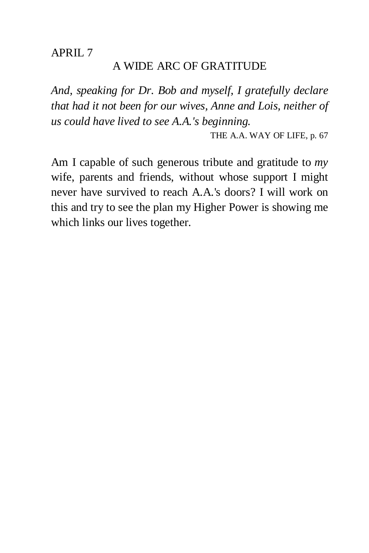## A WIDE ARC OF GRATITUDE

*And, speaking for Dr. Bob and myself, I gratefully declare that had it not been for our wives, Anne and Lois, neither of us could have lived to see A.A.'s beginning.* 

THE A.A. WAY OF LIFE, p. 67

Am I capable of such generous tribute and gratitude to *my*  wife, parents and friends, without whose support I might never have survived to reach A.A.'s doors? I will work on this and try to see the plan my Higher Power is showing me which links our lives together.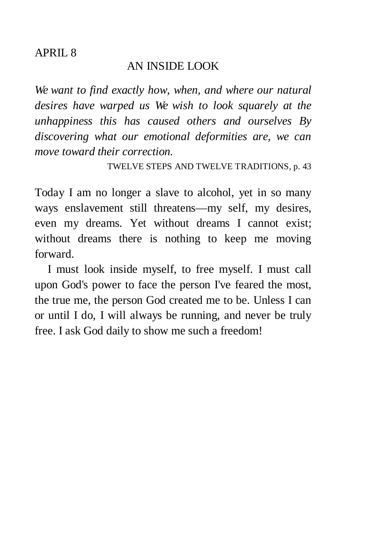### AN INSIDE LOOK

*We want to find exactly how, when, and where our natural desires have warped us We wish to look squarely at the unhappiness this has caused others and ourselves By discovering what our emotional deformities are, we can move toward their correction.* 

TWELVE STEPS AND TWELVE TRADITIONS, p. 43

Today I am no longer a slave to alcohol, yet in so many ways enslavement still threatens—my self, my desires, even my dreams. Yet without dreams I cannot exist; without dreams there is nothing to keep me moving forward.

I must look inside myself, to free myself. I must call upon God's power to face the person I've feared the most, the true me, the person God created me to be. Unless I can or until I do, I will always be running, and never be truly free. I ask God daily to show me such a freedom!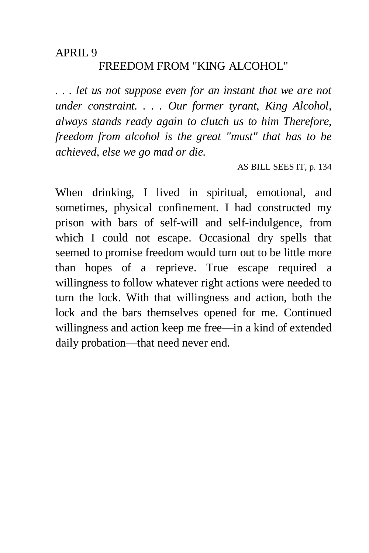# APRIL 9 FREEDOM FROM "KING ALCOHOL"

*. . . let us not suppose even for an instant that we are not under constraint. . . . Our former tyrant, King Alcohol, always stands ready again to clutch us to him Therefore, freedom from alcohol is the great "must" that has to be achieved, else we go mad or die.* 

AS BILL SEES IT, p. 134

When drinking, I lived in spiritual, emotional, and sometimes, physical confinement. I had constructed my prison with bars of self-will and self-indulgence, from which I could not escape. Occasional dry spells that seemed to promise freedom would turn out to be little more than hopes of a reprieve. True escape required a willingness to follow whatever right actions were needed to turn the lock. With that willingness and action, both the lock and the bars themselves opened for me. Continued willingness and action keep me free—in a kind of extended daily probation—that need never end.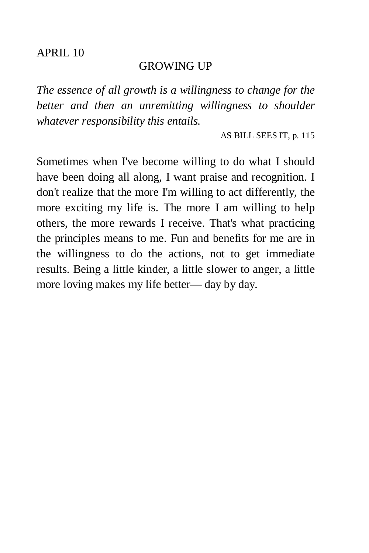## GROWING UP

*The essence of all growth is a willingness to change for the better and then an unremitting willingness to shoulder whatever responsibility this entails.* 

AS BILL SEES IT, p. 115

Sometimes when I've become willing to do what I should have been doing all along, I want praise and recognition. I don't realize that the more I'm willing to act differently, the more exciting my life is. The more I am willing to help others, the more rewards I receive. That's what practicing the principles means to me. Fun and benefits for me are in the willingness to do the actions, not to get immediate results. Being a little kinder, a little slower to anger, a little more loving makes my life better— day by day.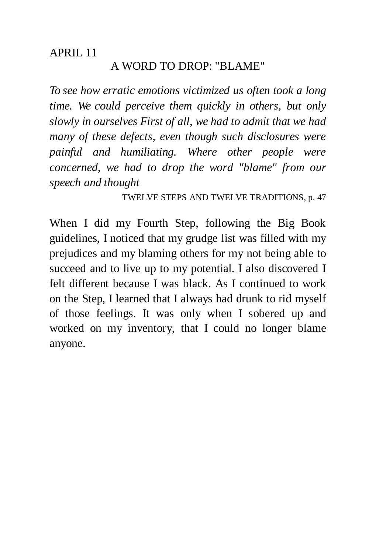# A WORD TO DROP: "BLAME"

*To see how erratic emotions victimized us often took a long time. We could perceive them quickly in others, but only slowly in ourselves First of all, we had to admit that we had many of these defects, even though such disclosures were painful and humiliating. Where other people were concerned, we had to drop the word "blame" from our speech and thought* 

TWELVE STEPS AND TWELVE TRADITIONS, p. 47

When I did my Fourth Step, following the Big Book guidelines, I noticed that my grudge list was filled with my prejudices and my blaming others for my not being able to succeed and to live up to my potential. I also discovered I felt different because I was black. As I continued to work on the Step, I learned that I always had drunk to rid myself of those feelings. It was only when I sobered up and worked on my inventory, that I could no longer blame anyone.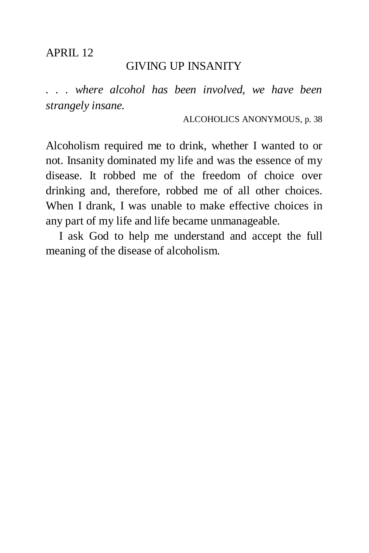## GIVING UP INSANITY

*. . . where alcohol has been involved, we have been strangely insane.* 

ALCOHOLICS ANONYMOUS, p. 38

Alcoholism required me to drink, whether I wanted to or not. Insanity dominated my life and was the essence of my disease. It robbed me of the freedom of choice over drinking and, therefore, robbed me of all other choices. When I drank, I was unable to make effective choices in any part of my life and life became unmanageable.

I ask God to help me understand and accept the full meaning of the disease of alcoholism.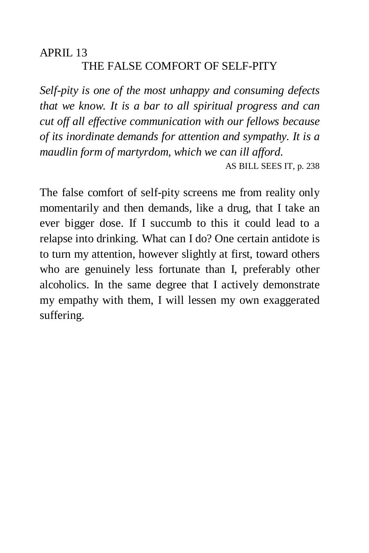# APRIL 13 THE FALSE COMFORT OF SELF-PITY

*Self-pity is one of the most unhappy and consuming defects that we know. It is a bar to all spiritual progress and can cut off all effective communication with our fellows because of its inordinate demands for attention and sympathy. It is a maudlin form of martyrdom, which we can ill afford.* 

AS BILL SEES IT, p. 238

The false comfort of self-pity screens me from reality only momentarily and then demands, like a drug, that I take an ever bigger dose. If I succumb to this it could lead to a relapse into drinking. What can I do? One certain antidote is to turn my attention, however slightly at first, toward others who are genuinely less fortunate than I, preferably other alcoholics. In the same degree that I actively demonstrate my empathy with them, I will lessen my own exaggerated suffering.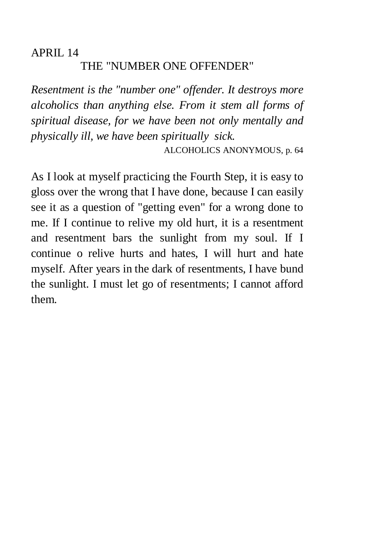# THE "NUMBER ONE OFFENDER"

*Resentment is the "number one" offender. It destroys more alcoholics than anything else. From it stem all forms of spiritual disease, for we have been not only mentally and physically ill, we have been spiritually sick.* 

ALCOHOLICS ANONYMOUS, p. 64

As I look at myself practicing the Fourth Step, it is easy to gloss over the wrong that I have done, because I can easily see it as a question of "getting even" for a wrong done to me. If I continue to relive my old hurt, it is a resentment and resentment bars the sunlight from my soul. If I continue o relive hurts and hates, I will hurt and hate myself. After years in the dark of resentments, I have bund the sunlight. I must let go of resentments; I cannot afford them.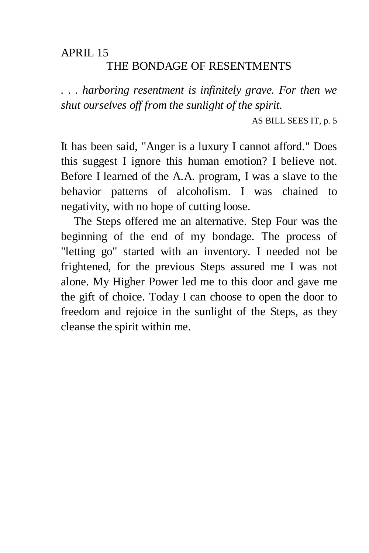# APRIL 15 THE BONDAGE OF RESENTMENTS

*. . . harboring resentment is infinitely grave. For then we shut ourselves off from the sunlight of the spirit.* 

AS BILL SEES IT, p. 5

It has been said, "Anger is a luxury I cannot afford." Does this suggest I ignore this human emotion? I believe not. Before I learned of the A.A. program, I was a slave to the behavior patterns of alcoholism. I was chained to negativity, with no hope of cutting loose.

The Steps offered me an alternative. Step Four was the beginning of the end of my bondage. The process of "letting go" started with an inventory. I needed not be frightened, for the previous Steps assured me I was not alone. My Higher Power led me to this door and gave me the gift of choice. Today I can choose to open the door to freedom and rejoice in the sunlight of the Steps, as they cleanse the spirit within me.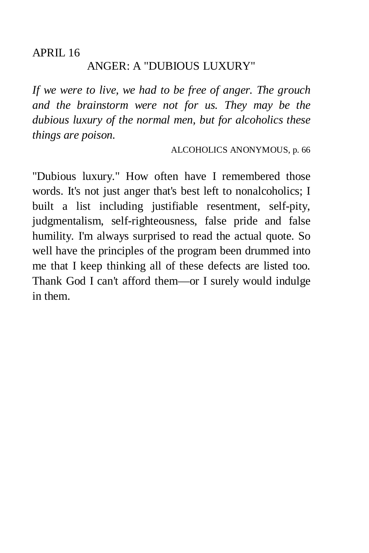# ANGER: A "DUBIOUS LUXURY"

*If we were to live, we had to be free of anger. The grouch and the brainstorm were not for us. They may be the dubious luxury of the normal men, but for alcoholics these things are poison.* 

ALCOHOLICS ANONYMOUS, p. 66

"Dubious luxury." How often have I remembered those words. It's not just anger that's best left to nonalcoholics; I built a list including justifiable resentment, self-pity, judgmentalism, self-righteousness, false pride and false humility. I'm always surprised to read the actual quote. So well have the principles of the program been drummed into me that I keep thinking all of these defects are listed too. Thank God I can't afford them—or I surely would indulge in them.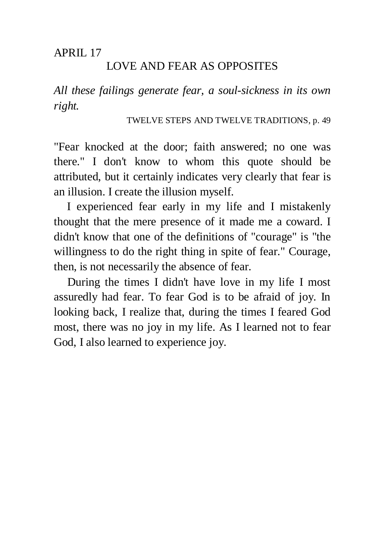### LOVE AND FEAR AS OPPOSITES

*All these failings generate fear, a soul-sickness in its own right.* 

TWELVE STEPS AND TWELVE TRADITIONS, p. 49

"Fear knocked at the door; faith answered; no one was there." I don't know to whom this quote should be attributed, but it certainly indicates very clearly that fear is an illusion. I create the illusion myself.

I experienced fear early in my life and I mistakenly thought that the mere presence of it made me a coward. I didn't know that one of the definitions of "courage" is "the willingness to do the right thing in spite of fear." Courage, then, is not necessarily the absence of fear.

During the times I didn't have love in my life I most assuredly had fear. To fear God is to be afraid of joy. In looking back, I realize that, during the times I feared God most, there was no joy in my life. As I learned not to fear God, I also learned to experience joy.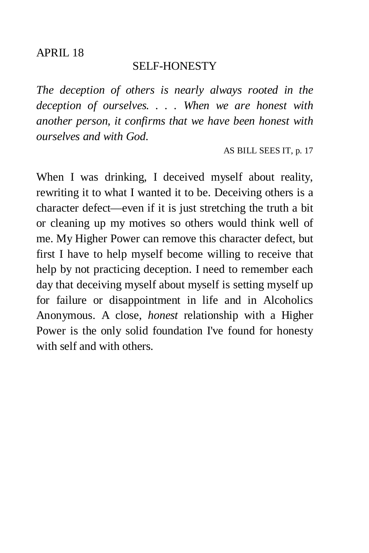#### SELF-HONESTY

*The deception of others is nearly always rooted in the deception of ourselves. . . . When we are honest with another person, it confirms that we have been honest with ourselves and with God.* 

AS BILL SEES IT, p. 17

When I was drinking, I deceived myself about reality, rewriting it to what I wanted it to be. Deceiving others is a character defect—even if it is just stretching the truth a bit or cleaning up my motives so others would think well of me. My Higher Power can remove this character defect, but first I have to help myself become willing to receive that help by not practicing deception. I need to remember each day that deceiving myself about myself is setting myself up for failure or disappointment in life and in Alcoholics Anonymous. A close, *honest* relationship with a Higher Power is the only solid foundation I've found for honesty with self and with others.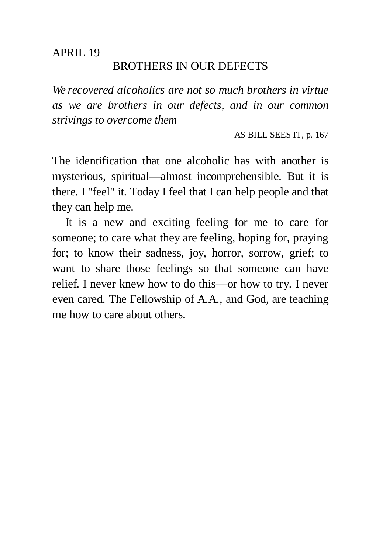#### BROTHERS IN OUR DEFECTS

*We recovered alcoholics are not so much brothers in virtue as we are brothers in our defects, and in our common strivings to overcome them* 

AS BILL SEES IT, p. 167

The identification that one alcoholic has with another is mysterious, spiritual—almost incomprehensible. But it is there. I "feel" it. Today I feel that I can help people and that they can help me.

It is a new and exciting feeling for me to care for someone; to care what they are feeling, hoping for, praying for; to know their sadness, joy, horror, sorrow, grief; to want to share those feelings so that someone can have relief. I never knew how to do this—or how to try. I never even cared. The Fellowship of A.A., and God, are teaching me how to care about others.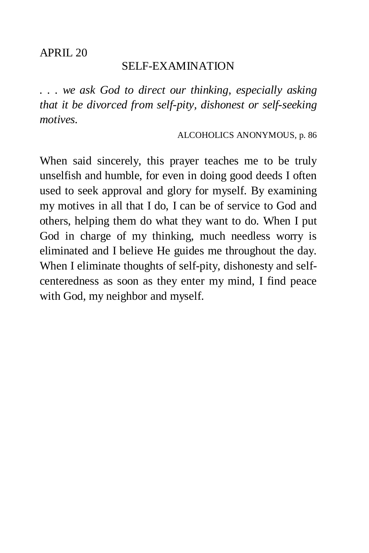#### SELF-EXAMINATION

*. . . we ask God to direct our thinking, especially asking that it be divorced from self-pity, dishonest or self-seeking motives.* 

ALCOHOLICS ANONYMOUS, p. 86

When said sincerely, this prayer teaches me to be truly unselfish and humble, for even in doing good deeds I often used to seek approval and glory for myself. By examining my motives in all that I do, I can be of service to God and others, helping them do what they want to do. When I put God in charge of my thinking, much needless worry is eliminated and I believe He guides me throughout the day. When I eliminate thoughts of self-pity, dishonesty and selfcenteredness as soon as they enter my mind, I find peace with God, my neighbor and myself.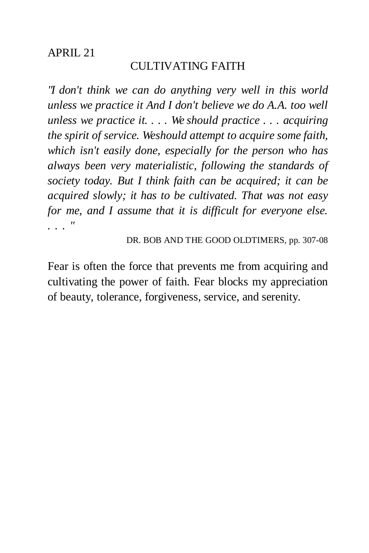# CULTIVATING FAITH

*"I don't think we can do anything very well in this world unless we practice it And I don't believe we do A.A. too well unless we practice it. . . . We should practice . . . acquiring the spirit of service. We should attempt to acquire some faith, which isn't easily done, especially for the person who has always been very materialistic, following the standards of society today. But I think faith can be acquired; it can be acquired slowly; it has to be cultivated. That was not easy for me, and I assume that it is difficult for everyone else. ..."* 

DR. BOB AND THE GOOD OLDTIMERS, pp. 307-08

Fear is often the force that prevents me from acquiring and cultivating the power of faith. Fear blocks my appreciation of beauty, tolerance, forgiveness, service, and serenity.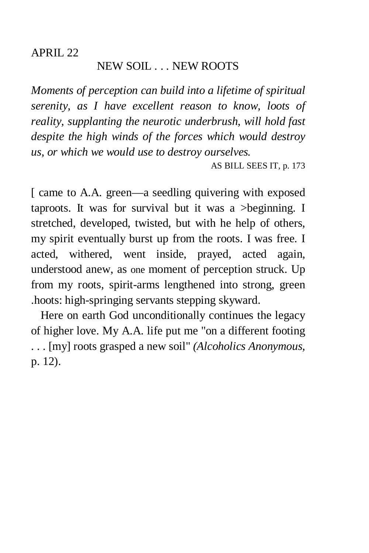APRIL<sub>22</sub>

# NEW SOIL . . . NEW ROOTS

*Moments of perception can build into a lifetime of spiritual serenity, as I have excellent reason to know, loots of reality, supplanting the neurotic underbrush, will hold fast despite the high winds of the forces which would destroy us, or which we would use to destroy ourselves.* 

AS BILL SEES IT, p. 173

[ came to A.A. green—a seedling quivering with exposed taproots. It was for survival but it was a >beginning. I stretched, developed, twisted, but with he help of others, my spirit eventually burst up from the roots. I was free. I acted, withered, went inside, prayed, acted again, understood anew, as one moment of perception struck. Up from my roots, spirit-arms lengthened into strong, green .hoots: high-springing servants stepping skyward.

Here on earth God unconditionally continues the legacy of higher love. My A.A. life put me "on a different footing . . . [my] roots grasped a new soil" *(Alcoholics Anonymous,*  p. 12).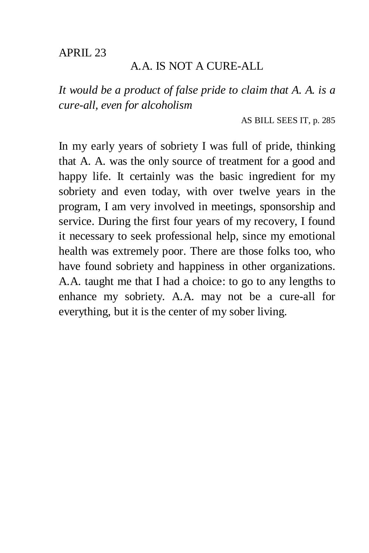# A.A. IS NOT A CURE-ALL

*It would be a product of false pride to claim that A. A. is a cure-all, even for alcoholism* 

AS BILL SEES IT, p. 285

In my early years of sobriety I was full of pride, thinking that A. A. was the only source of treatment for a good and happy life. It certainly was the basic ingredient for my sobriety and even today, with over twelve years in the program, I am very involved in meetings, sponsorship and service. During the first four years of my recovery, I found it necessary to seek professional help, since my emotional health was extremely poor. There are those folks too, who have found sobriety and happiness in other organizations. A.A. taught me that I had a choice: to go to any lengths to enhance my sobriety. A.A. may not be a cure-all for everything, but it is the center of my sober living.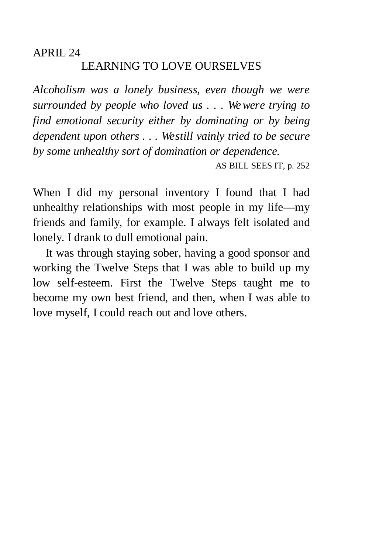# LEARNING TO LOVE OURSELVES

*Alcoholism was a lonely business, even though we were surrounded by people who loved us . . . We were trying to find emotional security either by dominating or by being dependent upon others . . . We still vainly tried to be secure by some unhealthy sort of domination or dependence.* 

AS BILL SEES IT, p. 252

When I did my personal inventory I found that I had unhealthy relationships with most people in my life—my friends and family, for example. I always felt isolated and lonely. I drank to dull emotional pain.

It was through staying sober, having a good sponsor and working the Twelve Steps that I was able to build up my low self-esteem. First the Twelve Steps taught me to become my own best friend, and then, when I was able to love myself, I could reach out and love others.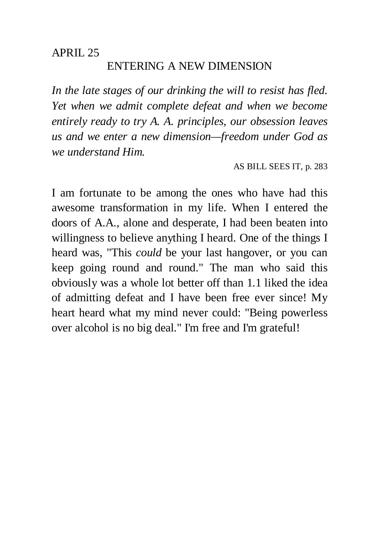## ENTERING A NEW DIMENSION

*In the late stages of our drinking the will to resist has fled. Yet when we admit complete defeat and when we become entirely ready to try A. A. principles, our obsession leaves us and we enter a new dimension—freedom under God as we understand Him.* 

AS BILL SEES IT, p. 283

I am fortunate to be among the ones who have had this awesome transformation in my life. When I entered the doors of A.A., alone and desperate, I had been beaten into willingness to believe anything I heard. One of the things I heard was, "This *could* be your last hangover, or you can keep going round and round." The man who said this obviously was a whole lot better off than 1.1 liked the idea of admitting defeat and I have been free ever since! My heart heard what my mind never could: "Being powerless over alcohol is no big deal." I'm free and I'm grateful!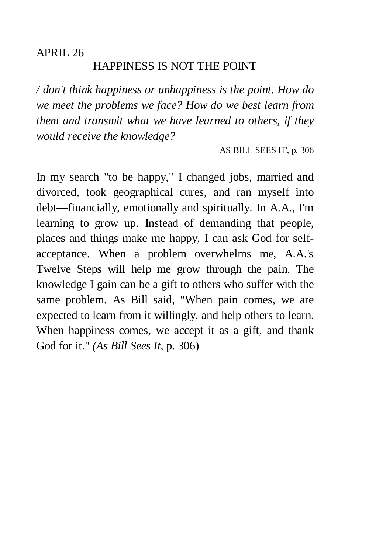# APRIL 26 HAPPINESS IS NOT THE POINT

*/ don't think happiness or unhappiness is the point. How do we meet the problems we face? How do we best learn from them and transmit what we have learned to others, if they would receive the knowledge?* 

AS BILL SEES IT, p. 306

In my search "to be happy," I changed jobs, married and divorced, took geographical cures, and ran myself into debt—financially, emotionally and spiritually. In A.A., I'm learning to grow up. Instead of demanding that people, places and things make me happy, I can ask God for selfacceptance. When a problem overwhelms me, A.A.'s Twelve Steps will help me grow through the pain. The knowledge I gain can be a gift to others who suffer with the same problem. As Bill said, "When pain comes, we are expected to learn from it willingly, and help others to learn. When happiness comes, we accept it as a gift, and thank God for it." *(As Bill Sees It,* p. 306)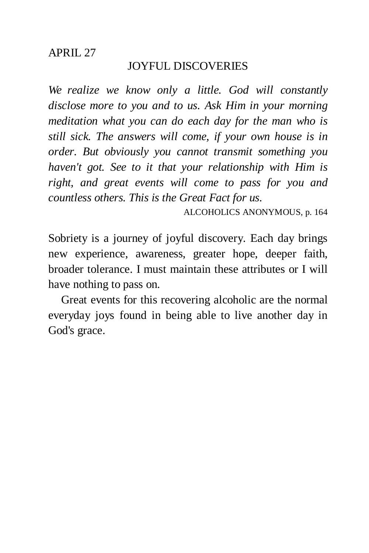# JOYFUL DISCOVERIES

*We realize we know only a little. God will constantly disclose more to you and to us. Ask Him in your morning meditation what you can do each day for the man who is still sick. The answers will come, if your own house is in order. But obviously you cannot transmit something you haven't got. See to it that your relationship with Him is right, and great events will come to pass for you and countless others. This is the Great Fact for us.* 

ALCOHOLICS ANONYMOUS, p. 164

Sobriety is a journey of joyful discovery. Each day brings new experience, awareness, greater hope, deeper faith, broader tolerance. I must maintain these attributes or I will have nothing to pass on.

Great events for this recovering alcoholic are the normal everyday joys found in being able to live another day in God's grace.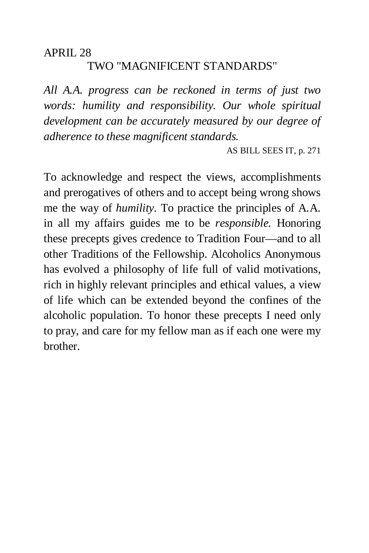# APRIL 28 TWO "MAGNIFICENT STANDARDS"

*All A.A. progress can be reckoned in terms of just two words: humility and responsibility. Our whole spiritual development can be accurately measured by our degree of adherence to these magnificent standards.* 

AS BILL SEES IT, p. 271

To acknowledge and respect the views, accomplishments and prerogatives of others and to accept being wrong shows me the way of *humility.* To practice the principles of A.A. in all my affairs guides me to be *responsible.* Honoring these precepts gives credence to Tradition Four—and to all other Traditions of the Fellowship. Alcoholics Anonymous has evolved a philosophy of life full of valid motivations, rich in highly relevant principles and ethical values, a view of life which can be extended beyond the confines of the alcoholic population. To honor these precepts I need only to pray, and care for my fellow man as if each one were my brother.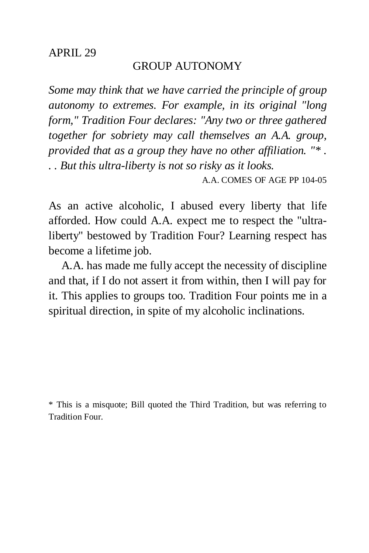## GROUP AUTONOMY

*Some may think that we have carried the principle of group autonomy to extremes. For example, in its original "long form," Tradition Four declares: "Any two or three gathered together for sobriety may call themselves an A.A. group, provided that as a group they have no other affiliation. "\* . . . But this ultra-liberty is not so risky as it looks.* 

A.A. COMES OF AGE PP 104-05

As an active alcoholic, I abused every liberty that life afforded. How could A.A. expect me to respect the "ultraliberty" bestowed by Tradition Four? Learning respect has become a lifetime job.

A.A. has made me fully accept the necessity of discipline and that, if I do not assert it from within, then I will pay for it. This applies to groups too. Tradition Four points me in a spiritual direction, in spite of my alcoholic inclinations.

\* This is a misquote; Bill quoted the Third Tradition, but was referring to Tradition Four.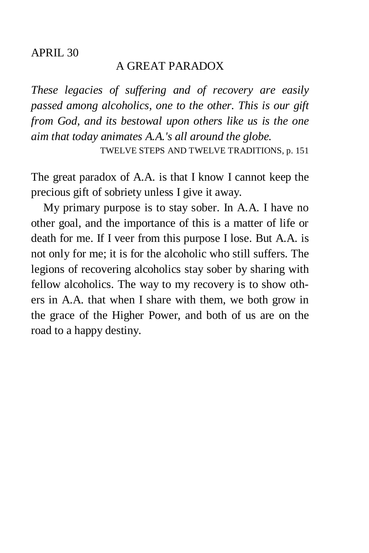# A GREAT PARADOX

*These legacies of suffering and of recovery are easily passed among alcoholics, one to the other. This is our gift from God, and its bestowal upon others like us is the one aim that today animates A.A.'s all around the globe.* 

TWELVE STEPS AND TWELVE TRADITIONS, p. 151

The great paradox of A.A. is that I know I cannot keep the precious gift of sobriety unless I give it away.

My primary purpose is to stay sober. In A.A. I have no other goal, and the importance of this is a matter of life or death for me. If I veer from this purpose I lose. But A.A. is not only for me; it is for the alcoholic who still suffers. The legions of recovering alcoholics stay sober by sharing with fellow alcoholics. The way to my recovery is to show others in A.A. that when I share with them, we both grow in the grace of the Higher Power, and both of us are on the road to a happy destiny.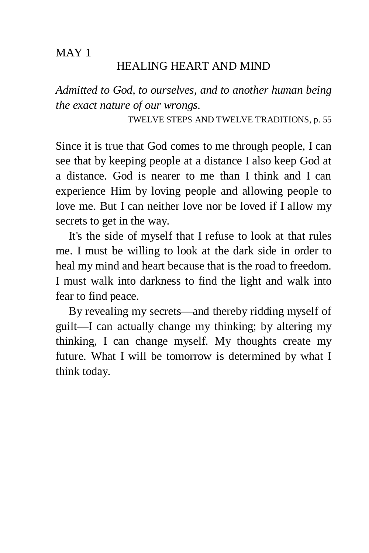### HEALING HEART AND MIND

*Admitted to God, to ourselves, and to another human being the exact nature of our wrongs.* 

TWELVE STEPS AND TWELVE TRADITIONS, p. 55

Since it is true that God comes to me through people, I can see that by keeping people at a distance I also keep God at a distance. God is nearer to me than I think and I can experience Him by loving people and allowing people to love me. But I can neither love nor be loved if I allow my secrets to get in the way.

It's the side of myself that I refuse to look at that rules me. I must be willing to look at the dark side in order to heal my mind and heart because that is the road to freedom. I must walk into darkness to find the light and walk into fear to find peace.

By revealing my secrets—and thereby ridding myself of guilt—I can actually change my thinking; by altering my thinking, I can change myself. My thoughts create my future. What I will be tomorrow is determined by what I think today.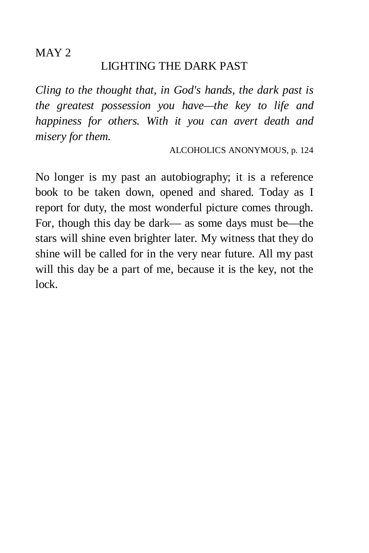#### MAY<sub>2</sub>

# LIGHTING THE DARK PAST

*Cling to the thought that, in God's hands, the dark past is the greatest possession you have—the key to life and happiness for others. With it you can avert death and misery for them.* 

ALCOHOLICS ANONYMOUS, p. 124

No longer is my past an autobiography; it is a reference book to be taken down, opened and shared. Today as I report for duty, the most wonderful picture comes through. For, though this day be dark— as some days must be—the stars will shine even brighter later. My witness that they do shine will be called for in the very near future. All my past will this day be a part of me, because it is the key, not the lock.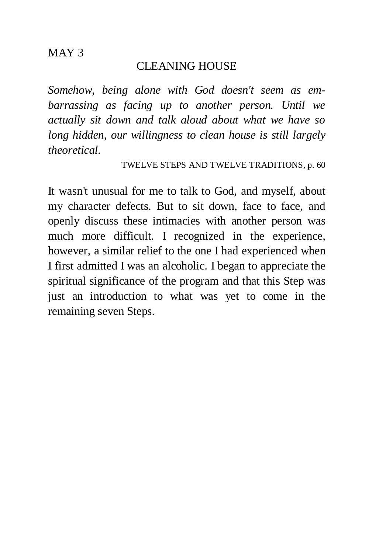# CLEANING HOUSE

*Somehow, being alone with God doesn't seem as embarrassing as facing up to another person. Until we actually sit down and talk aloud about what we have so long hidden, our willingness to clean house is still largely theoretical.* 

TWELVE STEPS AND TWELVE TRADITIONS, p. 60

It wasn't unusual for me to talk to God, and myself, about my character defects. But to sit down, face to face, and openly discuss these intimacies with another person was much more difficult. I recognized in the experience, however, a similar relief to the one I had experienced when I first admitted I was an alcoholic. I began to appreciate the spiritual significance of the program and that this Step was just an introduction to what was yet to come in the remaining seven Steps.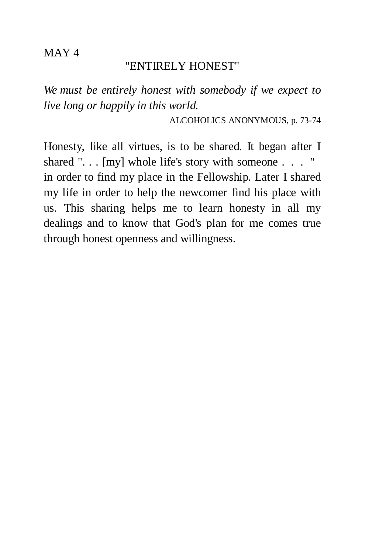# "ENTIRELY HONEST"

*We must be entirely honest with somebody if we expect to live long or happily in this world.* 

ALCOHOLICS ANONYMOUS, p. 73-74

Honesty, like all virtues, is to be shared. It began after I shared "... [my] whole life's story with someone ... " in order to find my place in the Fellowship. Later I shared my life in order to help the newcomer find his place with us. This sharing helps me to learn honesty in all my dealings and to know that God's plan for me comes true through honest openness and willingness.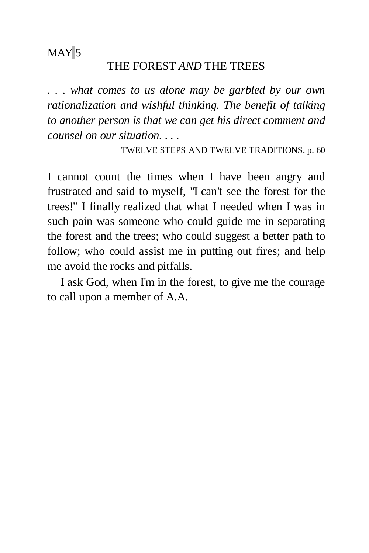### THE FOREST *AND* THE TREES

*. . . what comes to us alone may be garbled by our own rationalization and wishful thinking. The benefit of talking to another person is that we can get his direct comment and counsel on our situation. . . .* 

TWELVE STEPS AND TWELVE TRADITIONS, p. 60

I cannot count the times when I have been angry and frustrated and said to myself, "I can't see the forest for the trees!" I finally realized that what I needed when I was in such pain was someone who could guide me in separating the forest and the trees; who could suggest a better path to follow; who could assist me in putting out fires; and help me avoid the rocks and pitfalls.

I ask God, when I'm in the forest, to give me the courage to call upon a member of A.A.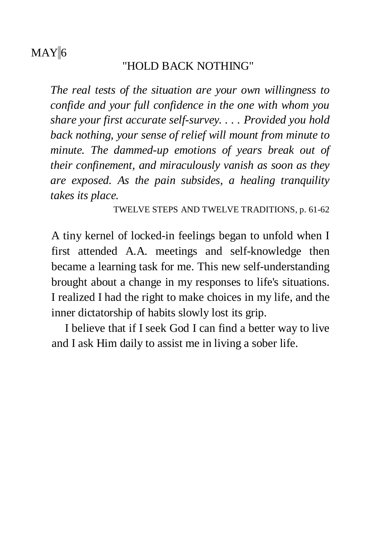# "HOLD BACK NOTHING"

*The real tests of the situation are your own willingness to confide and your full confidence in the one with whom you share your first accurate self-survey. . . . Provided you hold back nothing, your sense of relief will mount from minute to minute. The dammed-up emotions of years break out of their confinement, and miraculously vanish as soon as they are exposed. As the pain subsides, a healing tranquility takes its place.* 

TWELVE STEPS AND TWELVE TRADITIONS, p. 61-62

A tiny kernel of locked-in feelings began to unfold when I first attended A.A. meetings and self-knowledge then became a learning task for me. This new self-understanding brought about a change in my responses to life's situations. I realized I had the right to make choices in my life, and the inner dictatorship of habits slowly lost its grip.

I believe that if I seek God I can find a better way to live and I ask Him daily to assist me in living a sober life.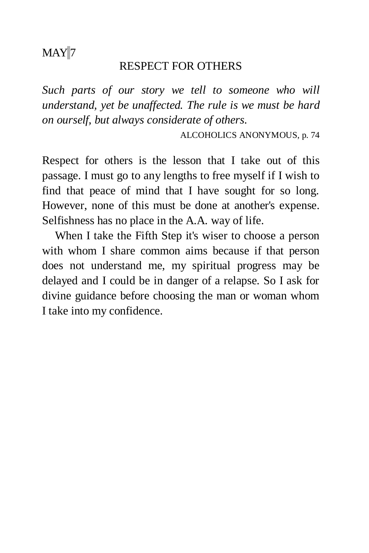# MAY<sub>7</sub>

## RESPECT FOR OTHERS

*Such parts of our story we tell to someone who will understand, yet be unaffected. The rule is we must be hard on ourself, but always considerate of others.* 

ALCOHOLICS ANONYMOUS, p. 74

Respect for others is the lesson that I take out of this passage. I must go to any lengths to free myself if I wish to find that peace of mind that I have sought for so long. However, none of this must be done at another's expense. Selfishness has no place in the A.A. way of life.

When I take the Fifth Step it's wiser to choose a person with whom I share common aims because if that person does not understand me, my spiritual progress may be delayed and I could be in danger of a relapse. So I ask for divine guidance before choosing the man or woman whom I take into my confidence.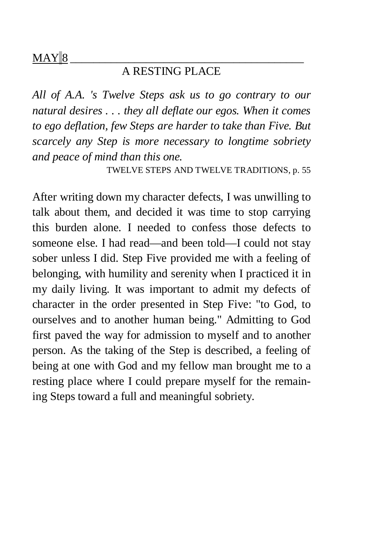# $MAY$ <sup> $8$ </sup>

# A RESTING PLACE

*All of A.A. 's Twelve Steps ask us to go contrary to our natural desires . . . they all deflate our egos. When it comes to ego deflation, few Steps are harder to take than Five. But scarcely any Step is more necessary to longtime sobriety and peace of mind than this one.* 

TWELVE STEPS AND TWELVE TRADITIONS, p. 55

After writing down my character defects, I was unwilling to talk about them, and decided it was time to stop carrying this burden alone. I needed to confess those defects to someone else. I had read—and been told—I could not stay sober unless I did. Step Five provided me with a feeling of belonging, with humility and serenity when I practiced it in my daily living. It was important to admit my defects of character in the order presented in Step Five: "to God, to ourselves and to another human being." Admitting to God first paved the way for admission to myself and to another person. As the taking of the Step is described, a feeling of being at one with God and my fellow man brought me to a resting place where I could prepare myself for the remaining Steps toward a full and meaningful sobriety.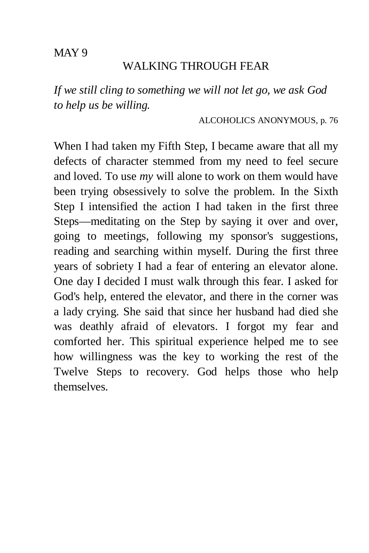# WALKING THROUGH FEAR

*If we still cling to something we will not let go, we ask God to help us be willing.* 

ALCOHOLICS ANONYMOUS, p. 76

When I had taken my Fifth Step, I became aware that all my defects of character stemmed from my need to feel secure and loved. To use *my* will alone to work on them would have been trying obsessively to solve the problem. In the Sixth Step I intensified the action I had taken in the first three Steps—meditating on the Step by saying it over and over, going to meetings, following my sponsor's suggestions, reading and searching within myself. During the first three years of sobriety I had a fear of entering an elevator alone. One day I decided I must walk through this fear. I asked for God's help, entered the elevator, and there in the corner was a lady crying. She said that since her husband had died she was deathly afraid of elevators. I forgot my fear and comforted her. This spiritual experience helped me to see how willingness was the key to working the rest of the Twelve Steps to recovery. God helps those who help themselves.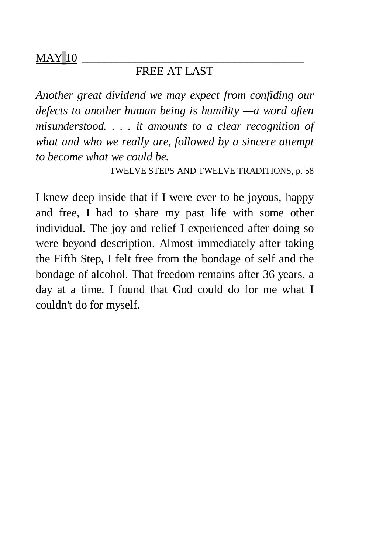# $MAX <sub>10</sub>$

# FREE AT LAST

*Another great dividend we may expect from confiding our defects to another human being is humility —a word often misunderstood. . . . it amounts to a clear recognition of what and who we really are, followed by a sincere attempt to become what we could be.* 

TWELVE STEPS AND TWELVE TRADITIONS, p. 58

I knew deep inside that if I were ever to be joyous, happy and free, I had to share my past life with some other individual. The joy and relief I experienced after doing so were beyond description. Almost immediately after taking the Fifth Step, I felt free from the bondage of self and the bondage of alcohol. That freedom remains after 36 years, a day at a time. I found that God could do for me what I couldn't do for myself.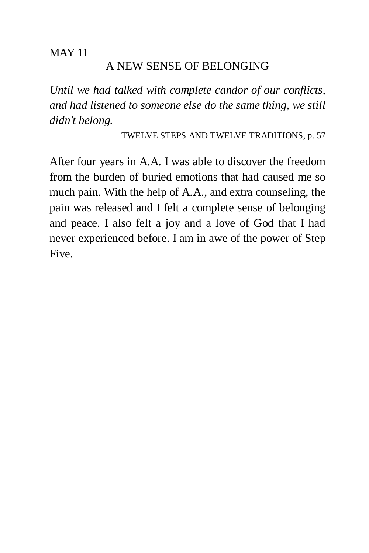# A NEW SENSE OF BELONGING

*Until we had talked with complete candor of our conflicts, and had listened to someone else do the same thing, we still didn't belong.* 

TWELVE STEPS AND TWELVE TRADITIONS, p. 57

After four years in A.A. I was able to discover the freedom from the burden of buried emotions that had caused me so much pain. With the help of A.A., and extra counseling, the pain was released and I felt a complete sense of belonging and peace. I also felt a joy and a love of God that I had never experienced before. I am in awe of the power of Step Five.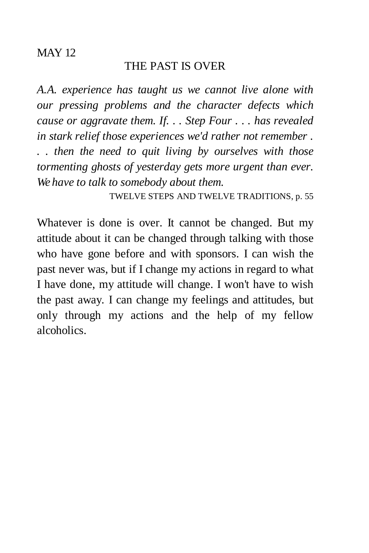### THE PAST IS OVER

*A.A. experience has taught us we cannot live alone with our pressing problems and the character defects which cause or aggravate them. If. . . Step Four . . . has revealed in stark relief those experiences we'd rather not remember . . . then the need to quit living by ourselves with those tormenting ghosts of yesterday gets more urgent than ever. We have to talk to somebody about them.* 

TWELVE STEPS AND TWELVE TRADITIONS, p. 55

Whatever is done is over. It cannot be changed. But my attitude about it can be changed through talking with those who have gone before and with sponsors. I can wish the past never was, but if I change my actions in regard to what I have done, my attitude will change. I won't have to wish the past away. I can change my feelings and attitudes, but only through my actions and the help of my fellow alcoholics.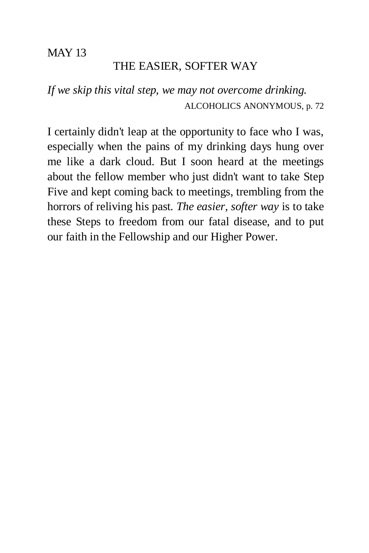# THE EASIER, SOFTER WAY

*If we skip this vital step, we may not overcome drinking.*  ALCOHOLICS ANONYMOUS, p. 72

I certainly didn't leap at the opportunity to face who I was, especially when the pains of my drinking days hung over me like a dark cloud. But I soon heard at the meetings about the fellow member who just didn't want to take Step Five and kept coming back to meetings, trembling from the horrors of reliving his past. *The easier, softer way* is to take these Steps to freedom from our fatal disease, and to put our faith in the Fellowship and our Higher Power.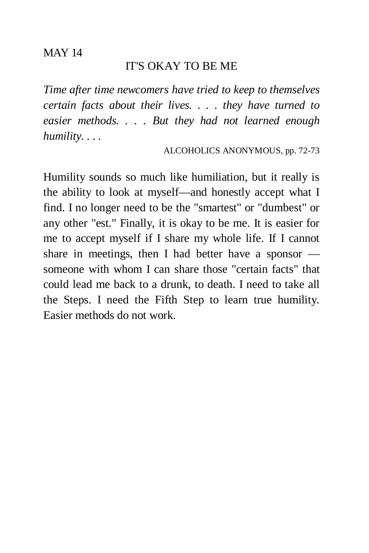#### IT'S OKAY TO BE ME

*Time after time newcomers have tried to keep to themselves certain facts about their lives. . . . they have turned to easier methods. . . . But they had not learned enough humility. . . .* 

ALCOHOLICS ANONYMOUS, pp. 72-73

Humility sounds so much like humiliation, but it really is the ability to look at myself—and honestly accept what I find. I no longer need to be the "smartest" or "dumbest" or any other "est." Finally, it is okay to be me. It is easier for me to accept myself if I share my whole life. If I cannot share in meetings, then I had better have a sponsor someone with whom I can share those "certain facts" that could lead me back to a drunk, to death. I need to take all the Steps. I need the Fifth Step to learn true humility. Easier methods do not work.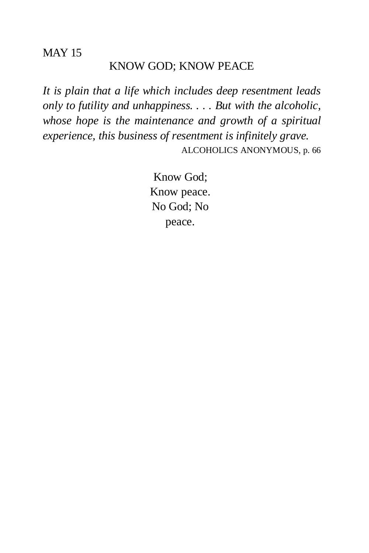# KNOW GOD; KNOW PEACE

*It is plain that a life which includes deep resentment leads only to futility and unhappiness. . . . But with the alcoholic, whose hope is the maintenance and growth of a spiritual experience, this business of resentment is infinitely grave.*  ALCOHOLICS ANONYMOUS, p. 66

> Know God; Know peace. No God; No peace.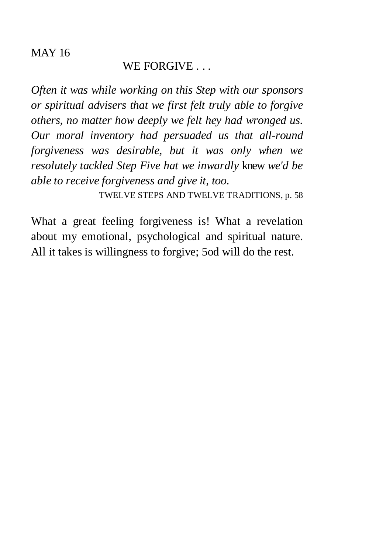# WE FORGIVE . . .

*Often it was while working on this Step with our sponsors or spiritual advisers that we first felt truly able to forgive others, no matter how deeply we felt hey had wronged us. Our moral inventory had persuaded us that all-round forgiveness was desirable, but it was only when we resolutely tackled Step Five hat we inwardly* knew *we'd be able to receive forgiveness and give it, too.* 

TWELVE STEPS AND TWELVE TRADITIONS, p. 58

What a great feeling forgiveness is! What a revelation about my emotional, psychological and spiritual nature. All it takes is willingness to forgive; 5od will do the rest.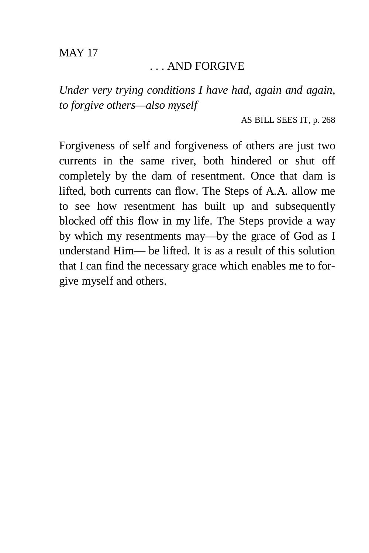# . . . AND FORGIVE

*Under very trying conditions I have had, again and again, to forgive others—also myself* 

AS BILL SEES IT, p. 268

Forgiveness of self and forgiveness of others are just two currents in the same river, both hindered or shut off completely by the dam of resentment. Once that dam is lifted, both currents can flow. The Steps of A.A. allow me to see how resentment has built up and subsequently blocked off this flow in my life. The Steps provide a way by which my resentments may—by the grace of God as I understand Him— be lifted. It is as a result of this solution that I can find the necessary grace which enables me to forgive myself and others.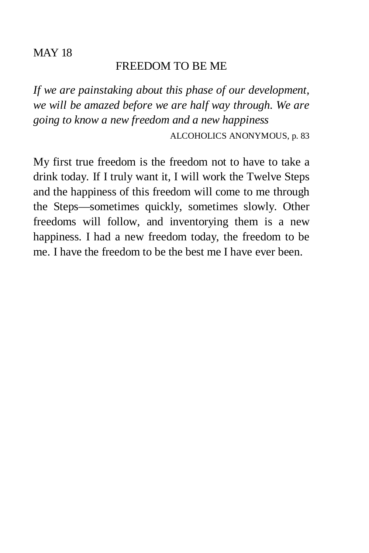## FREEDOM TO BE ME

*If we are painstaking about this phase of our development, we will be amazed before we are half way through. We are going to know a new freedom and a new happiness* 

ALCOHOLICS ANONYMOUS, p. 83

My first true freedom is the freedom not to have to take a drink today. If I truly want it, I will work the Twelve Steps and the happiness of this freedom will come to me through the Steps—sometimes quickly, sometimes slowly. Other freedoms will follow, and inventorying them is a new happiness. I had a new freedom today, the freedom to be me. I have the freedom to be the best me I have ever been.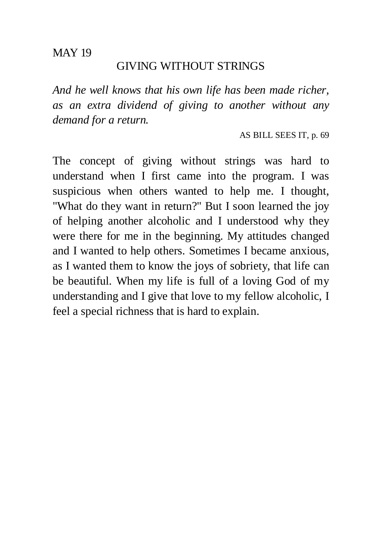#### GIVING WITHOUT STRINGS

*And he well knows that his own life has been made richer, as an extra dividend of giving to another without any demand for a return.* 

AS BILL SEES IT, p. 69

The concept of giving without strings was hard to understand when I first came into the program. I was suspicious when others wanted to help me. I thought, "What do they want in return?" But I soon learned the joy of helping another alcoholic and I understood why they were there for me in the beginning. My attitudes changed and I wanted to help others. Sometimes I became anxious, as I wanted them to know the joys of sobriety, that life can be beautiful. When my life is full of a loving God of my understanding and I give that love to my fellow alcoholic, I feel a special richness that is hard to explain.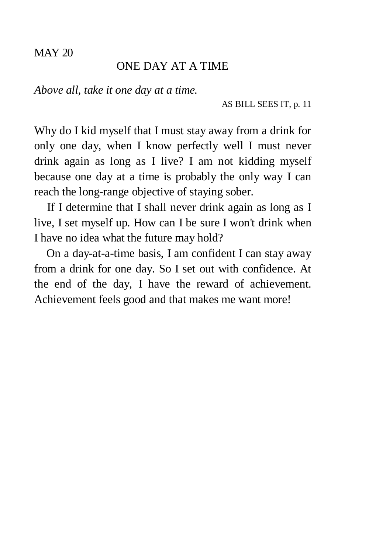## ONE DAY AT A TIME

*Above all, take it one day at a time.* 

AS BILL SEES IT, p. 11

Why do I kid myself that I must stay away from a drink for only one day, when I know perfectly well I must never drink again as long as I live? I am not kidding myself because one day at a time is probably the only way I can reach the long-range objective of staying sober.

If I determine that I shall never drink again as long as I live, I set myself up. How can I be sure I won't drink when I have no idea what the future may hold?

On a day-at-a-time basis, I am confident I can stay away from a drink for one day. So I set out with confidence. At the end of the day, I have the reward of achievement. Achievement feels good and that makes me want more!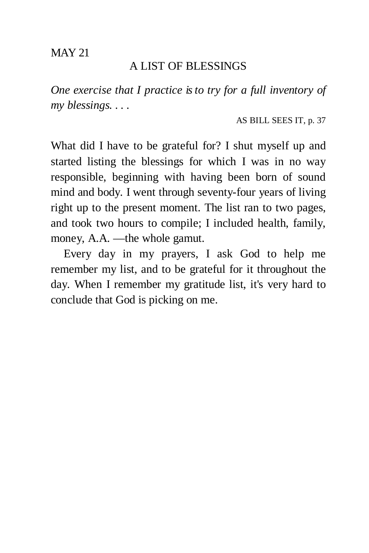### A LIST OF BLESSINGS

*One exercise that I practice is to try for a full inventory of my blessings. . . .* 

AS BILL SEES IT, p. 37

What did I have to be grateful for? I shut myself up and started listing the blessings for which I was in no way responsible, beginning with having been born of sound mind and body. I went through seventy-four years of living right up to the present moment. The list ran to two pages, and took two hours to compile; I included health, family, money, A.A. —the whole gamut.

Every day in my prayers, I ask God to help me remember my list, and to be grateful for it throughout the day. When I remember my gratitude list, it's very hard to conclude that God is picking on me.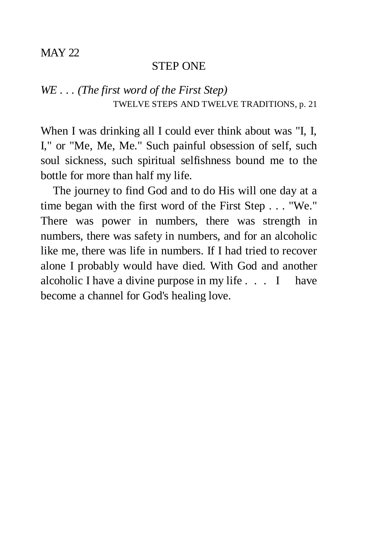# STEP ONE

# *WE . . . (The first word of the First Step)*  TWELVE STEPS AND TWELVE TRADITIONS, p. 21

When I was drinking all I could ever think about was "I, I, I," or "Me, Me, Me." Such painful obsession of self, such soul sickness, such spiritual selfishness bound me to the bottle for more than half my life.

The journey to find God and to do His will one day at a time began with the first word of the First Step . . . "We." There was power in numbers, there was strength in numbers, there was safety in numbers, and for an alcoholic like me, there was life in numbers. If I had tried to recover alone I probably would have died. With God and another alcoholic I have a divine purpose in my life . . . I have become a channel for God's healing love.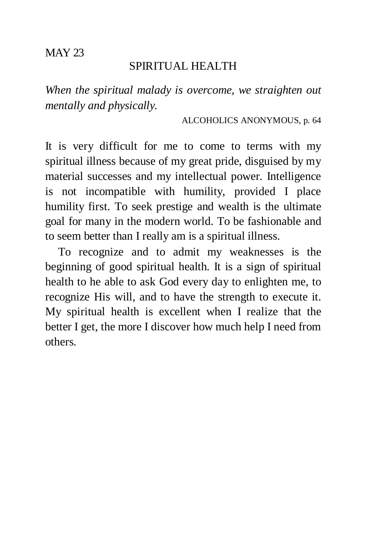### SPIRITUAL HEALTH

*When the spiritual malady is overcome, we straighten out mentally and physically.* 

ALCOHOLICS ANONYMOUS, p. 64

It is very difficult for me to come to terms with my spiritual illness because of my great pride, disguised by my material successes and my intellectual power. Intelligence is not incompatible with humility, provided I place humility first. To seek prestige and wealth is the ultimate goal for many in the modern world. To be fashionable and to seem better than I really am is a spiritual illness.

To recognize and to admit my weaknesses is the beginning of good spiritual health. It is a sign of spiritual health to he able to ask God every day to enlighten me, to recognize His will, and to have the strength to execute it. My spiritual health is excellent when I realize that the better I get, the more I discover how much help I need from others.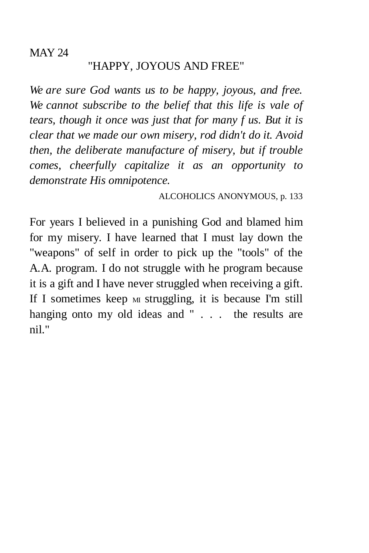# "HAPPY, JOYOUS AND FREE"

*We are sure God wants us to be happy, joyous, and free. We cannot subscribe to the belief that this life is vale of tears, though it once was just that for many f us. But it is clear that we made our own misery, rod didn't do it. Avoid then, the deliberate manufacture of misery, but if trouble comes, cheerfully capitalize it as an opportunity to demonstrate His omnipotence.* 

ALCOHOLICS ANONYMOUS, p. 133

For years I believed in a punishing God and blamed him for my misery. I have learned that I must lay down the "weapons" of self in order to pick up the "tools" of the A.A. program. I do not struggle with he program because it is a gift and I have never struggled when receiving a gift. If I sometimes keep  $M$  struggling, it is because I'm still hanging onto my old ideas and " . . . the results are nil."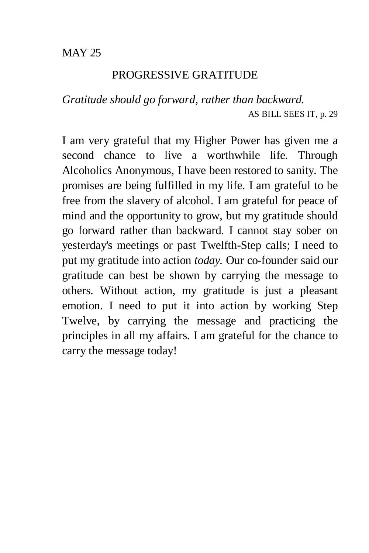# PROGRESSIVE GRATITUDE

*Gratitude should go forward, rather than backward.* AS BILL SEES IT, p. 29

I am very grateful that my Higher Power has given me a second chance to live a worthwhile life. Through Alcoholics Anonymous, I have been restored to sanity. The promises are being fulfilled in my life. I am grateful to be free from the slavery of alcohol. I am grateful for peace of mind and the opportunity to grow, but my gratitude should go forward rather than backward. I cannot stay sober on yesterday's meetings or past Twelfth-Step calls; I need to put my gratitude into action *today.* Our co-founder said our gratitude can best be shown by carrying the message to others. Without action, my gratitude is just a pleasant emotion. I need to put it into action by working Step Twelve, by carrying the message and practicing the principles in all my affairs. I am grateful for the chance to carry the message today!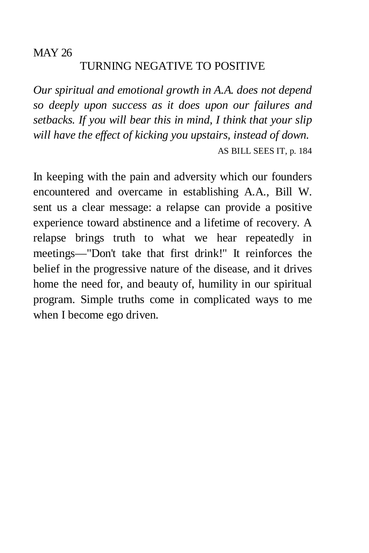# TURNING NEGATIVE TO POSITIVE

*Our spiritual and emotional growth in A.A. does not depend so deeply upon success as it does upon our failures and setbacks. If you will bear this in mind, I think that your slip will have the effect of kicking you upstairs, instead of down.*  AS BILL SEES IT, p. 184

In keeping with the pain and adversity which our founders encountered and overcame in establishing A.A., Bill W. sent us a clear message: a relapse can provide a positive experience toward abstinence and a lifetime of recovery. A relapse brings truth to what we hear repeatedly in meetings—"Don't take that first drink!" It reinforces the belief in the progressive nature of the disease, and it drives home the need for, and beauty of, humility in our spiritual program. Simple truths come in complicated ways to me when I become ego driven.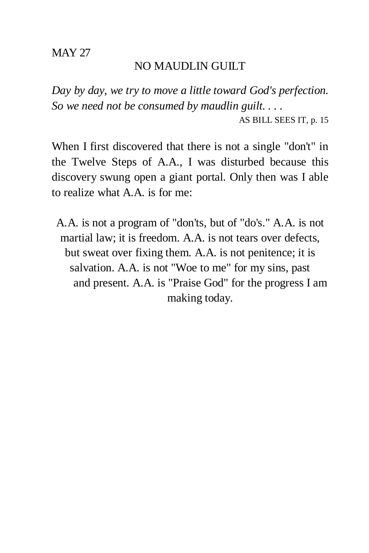## NO MAUDLIN GUILT

*Day by day, we try to move a little toward God's perfection. So we need not be consumed by maudlin guilt. . . .*  AS BILL SEES IT, p. 15

When I first discovered that there is not a single "don't" in the Twelve Steps of A.A., I was disturbed because this discovery swung open a giant portal. Only then was I able to realize what A.A. is for me:

A.A. is not a program of "don'ts, but of "do's." A.A. is not martial law; it is freedom. A.A. is not tears over defects, but sweat over fixing them. A.A. is not penitence; it is salvation. A.A. is not "Woe to me" for my sins, past and present. A.A. is "Praise God" for the progress I am making today.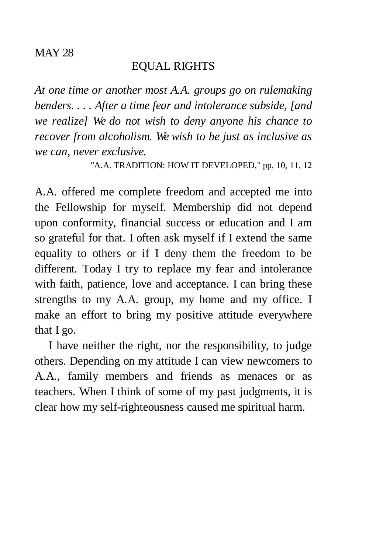## EQUAL RIGHTS

*At one time or another most A.A. groups go on rulemaking benders. . . . After a time fear and intolerance subside, [and we realize] We do not wish to deny anyone his chance to recover from alcoholism. We wish to be just as inclusive as we can, never exclusive.* 

"A.A. TRADITION: HOW IT DEVELOPED," pp. 10, 11, 12

A.A. offered me complete freedom and accepted me into the Fellowship for myself. Membership did not depend upon conformity, financial success or education and I am so grateful for that. I often ask myself if I extend the same equality to others or if I deny them the freedom to be different. Today I try to replace my fear and intolerance with faith, patience, love and acceptance. I can bring these strengths to my A.A. group, my home and my office. I make an effort to bring my positive attitude everywhere that I go.

I have neither the right, nor the responsibility, to judge others. Depending on my attitude I can view newcomers to A.A., family members and friends as menaces or as teachers. When I think of some of my past judgments, it is clear how my self-righteousness caused me spiritual harm.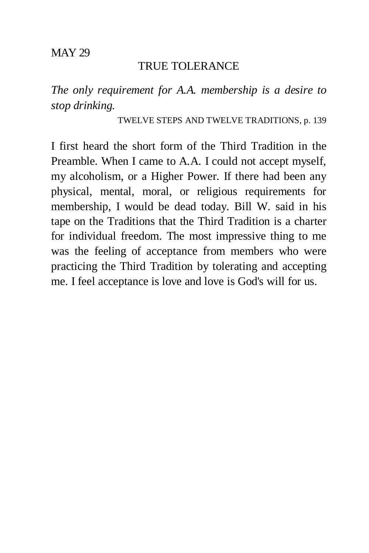# TRUE TOLERANCE

*The only requirement for A.A. membership is a desire to stop drinking.* 

TWELVE STEPS AND TWELVE TRADITIONS, p. 139

I first heard the short form of the Third Tradition in the Preamble. When I came to A.A. I could not accept myself, my alcoholism, or a Higher Power. If there had been any physical, mental, moral, or religious requirements for membership, I would be dead today. Bill W. said in his tape on the Traditions that the Third Tradition is a charter for individual freedom. The most impressive thing to me was the feeling of acceptance from members who were practicing the Third Tradition by tolerating and accepting me. I feel acceptance is love and love is God's will for us.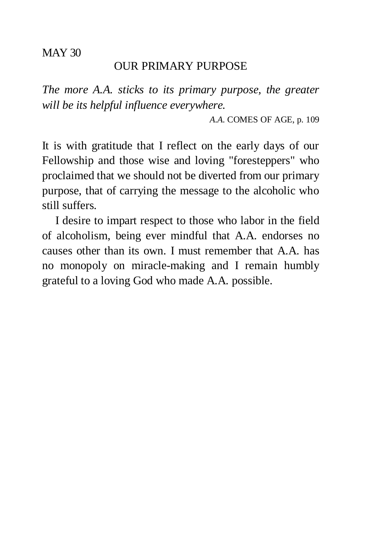## OUR PRIMARY PURPOSE

*The more A.A. sticks to its primary purpose, the greater will be its helpful influence everywhere.* 

*A.A.* COMES OF AGE, p. 109

It is with gratitude that I reflect on the early days of our Fellowship and those wise and loving "foresteppers" who proclaimed that we should not be diverted from our primary purpose, that of carrying the message to the alcoholic who still suffers.

I desire to impart respect to those who labor in the field of alcoholism, being ever mindful that A.A. endorses no causes other than its own. I must remember that A.A. has no monopoly on miracle-making and I remain humbly grateful to a loving God who made A.A. possible.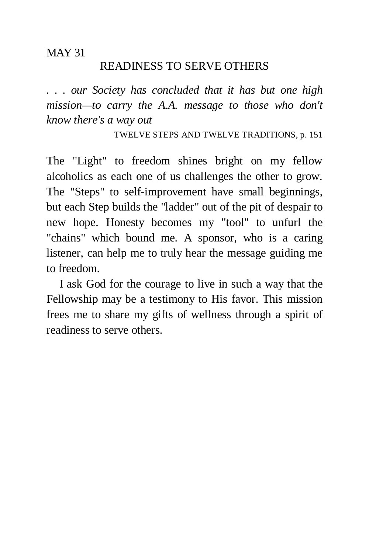### READINESS TO SERVE OTHERS

*. . . our Society has concluded that it has but one high mission—to carry the A.A. message to those who don't know there's a way out* 

TWELVE STEPS AND TWELVE TRADITIONS, p. 151

The "Light" to freedom shines bright on my fellow alcoholics as each one of us challenges the other to grow. The "Steps" to self-improvement have small beginnings, but each Step builds the "ladder" out of the pit of despair to new hope. Honesty becomes my "tool" to unfurl the "chains" which bound me. A sponsor, who is a caring listener, can help me to truly hear the message guiding me to freedom.

I ask God for the courage to live in such a way that the Fellowship may be a testimony to His favor. This mission frees me to share my gifts of wellness through a spirit of readiness to serve others.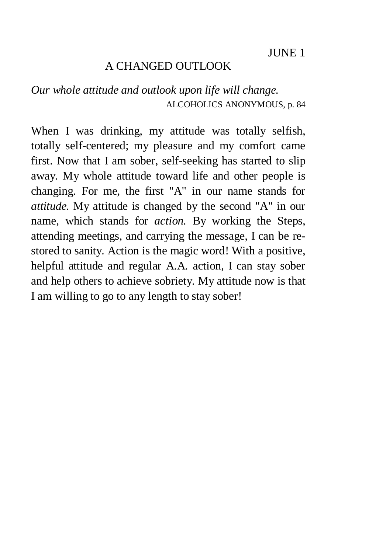# A CHANGED OUTLOOK

*Our whole attitude and outlook upon life will change.*  ALCOHOLICS ANONYMOUS, p. 84

When I was drinking, my attitude was totally selfish, totally self-centered; my pleasure and my comfort came first. Now that I am sober, self-seeking has started to slip away. My whole attitude toward life and other people is changing. For me, the first "A" in our name stands for *attitude.* My attitude is changed by the second "A" in our name, which stands for *action.* By working the Steps, attending meetings, and carrying the message, I can be restored to sanity. Action is the magic word! With a positive, helpful attitude and regular A.A. action, I can stay sober and help others to achieve sobriety. My attitude now is that I am willing to go to any length to stay sober!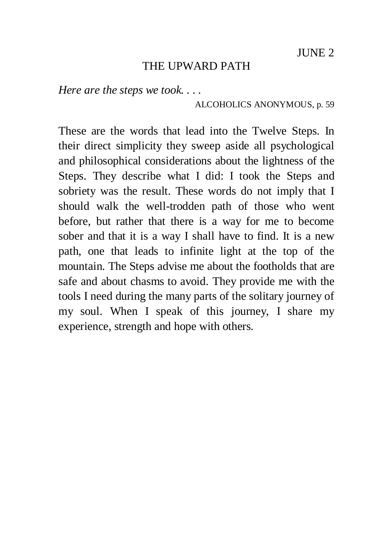### THE UPWARD PATH

*Here are the steps we took. . . .* 

ALCOHOLICS ANONYMOUS, p. 59

These are the words that lead into the Twelve Steps. In their direct simplicity they sweep aside all psychological and philosophical considerations about the lightness of the Steps. They describe what I did: I took the Steps and sobriety was the result. These words do not imply that I should walk the well-trodden path of those who went before, but rather that there is a way for me to become sober and that it is a way I shall have to find. It is a new path, one that leads to infinite light at the top of the mountain. The Steps advise me about the footholds that are safe and about chasms to avoid. They provide me with the tools I need during the many parts of the solitary journey of my soul. When I speak of this journey, I share my experience, strength and hope with others.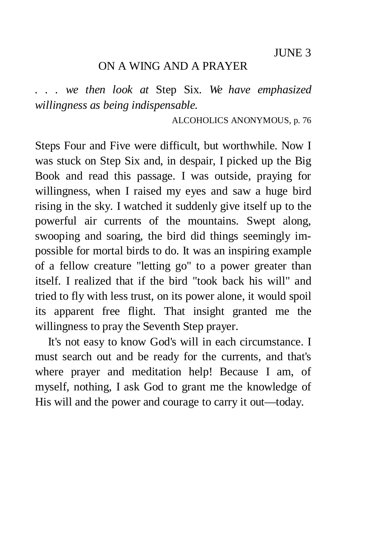# ON A WING AND A PRAYER

*. . . we then look at* Step Six. *We have emphasized willingness as being indispensable.* 

ALCOHOLICS ANONYMOUS, p. 76

Steps Four and Five were difficult, but worthwhile. Now I was stuck on Step Six and, in despair, I picked up the Big Book and read this passage. I was outside, praying for willingness, when I raised my eyes and saw a huge bird rising in the sky. I watched it suddenly give itself up to the powerful air currents of the mountains. Swept along, swooping and soaring, the bird did things seemingly impossible for mortal birds to do. It was an inspiring example of a fellow creature "letting go" to a power greater than itself. I realized that if the bird "took back his will" and tried to fly with less trust, on its power alone, it would spoil its apparent free flight. That insight granted me the willingness to pray the Seventh Step prayer.

It's not easy to know God's will in each circumstance. I must search out and be ready for the currents, and that's where prayer and meditation help! Because I am, of myself, nothing, I ask God to grant me the knowledge of His will and the power and courage to carry it out—today.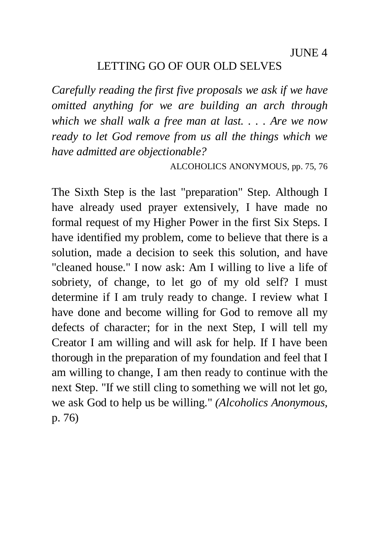# LETTING GO OF OUR OLD SELVES

*Carefully reading the first five proposals we ask if we have omitted anything for we are building an arch through which we shall walk a free man at last. . . . Are we now ready to let God remove from us all the things which we have admitted are objectionable?* 

ALCOHOLICS ANONYMOUS, pp. 75, 76

The Sixth Step is the last "preparation" Step. Although I have already used prayer extensively, I have made no formal request of my Higher Power in the first Six Steps. I have identified my problem, come to believe that there is a solution, made a decision to seek this solution, and have "cleaned house." I now ask: Am I willing to live a life of sobriety, of change, to let go of my old self? I must determine if I am truly ready to change. I review what I have done and become willing for God to remove all my defects of character; for in the next Step, I will tell my Creator I am willing and will ask for help. If I have been thorough in the preparation of my foundation and feel that I am willing to change, I am then ready to continue with the next Step. "If we still cling to something we will not let go, we ask God to help us be willing." *(Alcoholics Anonymous,*  p. 76)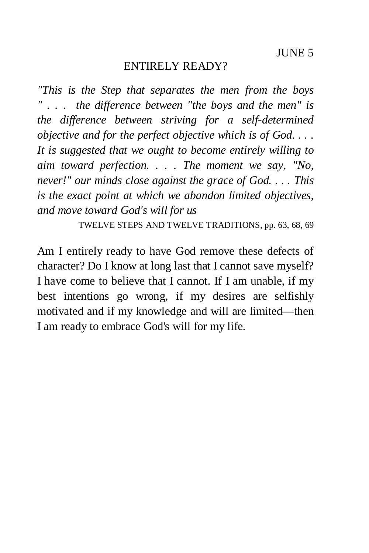### ENTIRELY READY?

*"This is the Step that separates the men from the boys " . . . the difference between "the boys and the men" is the difference between striving for a self-determined objective and for the perfect objective which is of God. . . . It is suggested that we ought to become entirely willing to aim toward perfection. . . . The moment we say, "No, never!" our minds close against the grace of God. . . . This is the exact point at which we abandon limited objectives, and move toward God's will for us* 

TWELVE STEPS AND TWELVE TRADITIONS, pp. 63, 68, 69

Am I entirely ready to have God remove these defects of character? Do I know at long last that I cannot save myself? I have come to believe that I cannot. If I am unable, if my best intentions go wrong, if my desires are selfishly motivated and if my knowledge and will are limited—then I am ready to embrace God's will for my life.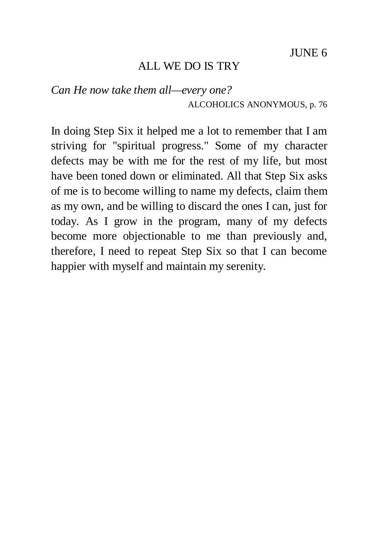# ALL WE DO IS TRY

*Can He now take them all—every one?*  ALCOHOLICS ANONYMOUS, p. 76

In doing Step Six it helped me a lot to remember that I am striving for "spiritual progress." Some of my character defects may be with me for the rest of my life, but most have been toned down or eliminated. All that Step Six asks of me is to become willing to name my defects, claim them as my own, and be willing to discard the ones I can, just for today. As I grow in the program, many of my defects become more objectionable to me than previously and, therefore, I need to repeat Step Six so that I can become happier with myself and maintain my serenity.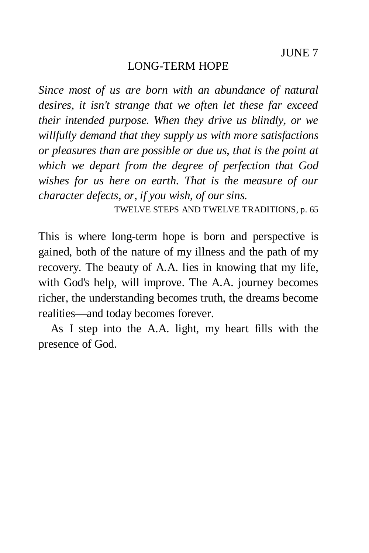## LONG-TERM HOPE

*Since most of us are born with an abundance of natural desires, it isn't strange that we often let these far exceed their intended purpose. When they drive us blindly, or we willfully demand that they supply us with more satisfactions or pleasures than are possible or due us, that is the point at which we depart from the degree of perfection that God wishes for us here on earth. That is the measure of our character defects, or, if you wish, of our sins.* 

TWELVE STEPS AND TWELVE TRADITIONS, p. 65

This is where long-term hope is born and perspective is gained, both of the nature of my illness and the path of my recovery. The beauty of A.A. lies in knowing that my life, with God's help, will improve. The A.A. journey becomes richer, the understanding becomes truth, the dreams become realities—and today becomes forever.

As I step into the A.A. light, my heart fills with the presence of God.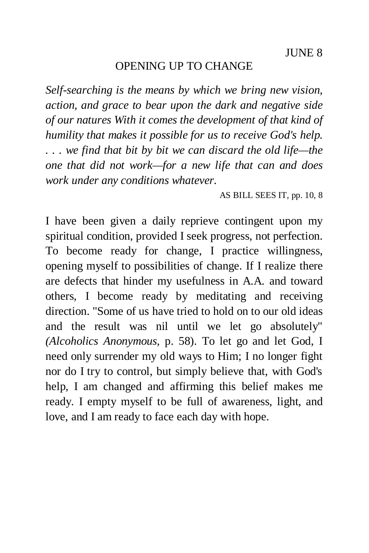## OPENING UP TO CHANGE

*Self-searching is the means by which we bring new vision, action, and grace to bear upon the dark and negative side of our natures With it comes the development of that kind of humility that makes it possible for us to receive God's help. . . . we find that bit by bit we can discard the old life—the one that did not work—for a new life that can and does work under any conditions whatever.* 

AS BILL SEES IT, pp. 10, 8

I have been given a daily reprieve contingent upon my spiritual condition, provided I seek progress, not perfection. To become ready for change, I practice willingness, opening myself to possibilities of change. If I realize there are defects that hinder my usefulness in A.A. and toward others, I become ready by meditating and receiving direction. "Some of us have tried to hold on to our old ideas and the result was nil until we let go absolutely" *(Alcoholics Anonymous,* p. 58). To let go and let God, I need only surrender my old ways to Him; I no longer fight nor do I try to control, but simply believe that, with God's help, I am changed and affirming this belief makes me ready. I empty myself to be full of awareness, light, and love, and I am ready to face each day with hope.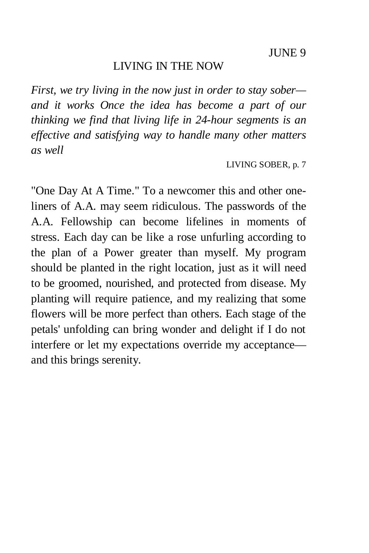### LIVING IN THE NOW

*First, we try living in the now just in order to stay sober and it works Once the idea has become a part of our thinking we find that living life in 24-hour segments is an effective and satisfying way to handle many other matters as well* 

LIVING SOBER, p. 7

"One Day At A Time." To a newcomer this and other oneliners of A.A. may seem ridiculous. The passwords of the A.A. Fellowship can become lifelines in moments of stress. Each day can be like a rose unfurling according to the plan of a Power greater than myself. My program should be planted in the right location, just as it will need to be groomed, nourished, and protected from disease. My planting will require patience, and my realizing that some flowers will be more perfect than others. Each stage of the petals' unfolding can bring wonder and delight if I do not interfere or let my expectations override my acceptance and this brings serenity.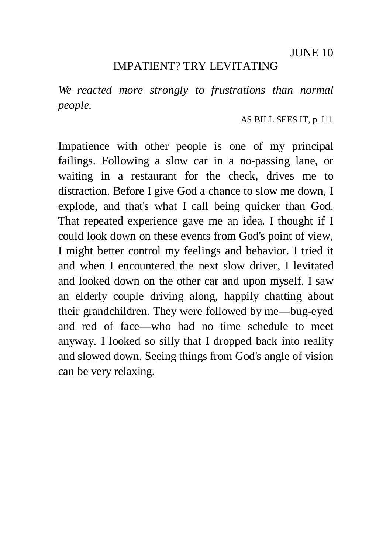# IMPATIENT? TRY LEVITATING

*We reacted more strongly to frustrations than normal people.* 

#### AS BILL SEES IT, p. I11

Impatience with other people is one of my principal failings. Following a slow car in a no-passing lane, or waiting in a restaurant for the check, drives me to distraction. Before I give God a chance to slow me down, I explode, and that's what I call being quicker than God. That repeated experience gave me an idea. I thought if I could look down on these events from God's point of view, I might better control my feelings and behavior. I tried it and when I encountered the next slow driver, I levitated and looked down on the other car and upon myself. I saw an elderly couple driving along, happily chatting about their grandchildren. They were followed by me—bug-eyed and red of face—who had no time schedule to meet anyway. I looked so silly that I dropped back into reality and slowed down. Seeing things from God's angle of vision can be very relaxing.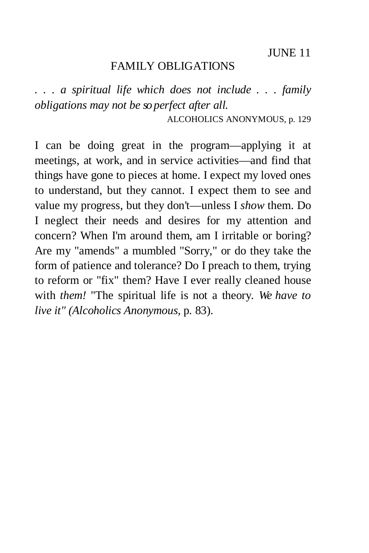# FAMILY OBLIGATIONS

*. . . a spiritual life which does not include . . . family obligations may not be so perfect after all.*  ALCOHOLICS ANONYMOUS, p. 129

I can be doing great in the program—applying it at meetings, at work, and in service activities—and find that things have gone to pieces at home. I expect my loved ones to understand, but they cannot. I expect them to see and value my progress, but they don't—unless I *show* them. Do I neglect their needs and desires for my attention and concern? When I'm around them, am I irritable or boring? Are my "amends" a mumbled "Sorry," or do they take the form of patience and tolerance? Do I preach to them, trying to reform or "fix" them? Have I ever really cleaned house with *them!* "The spiritual life is not a theory. *We have to live it" (Alcoholics Anonymous,* p. 83).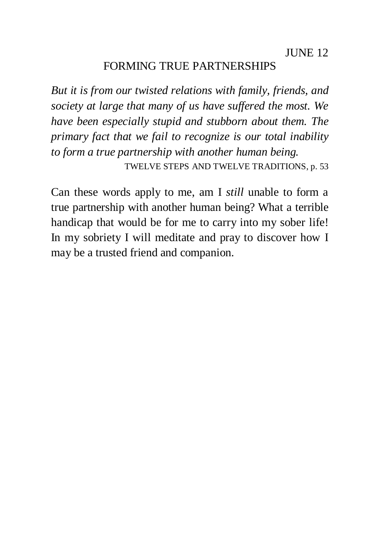# FORMING TRUE PARTNERSHIPS

*But it is from our twisted relations with family, friends, and society at large that many of us have suffered the most. We have been especially stupid and stubborn about them. The primary fact that we fail to recognize is our total inability to form a true partnership with another human being.*  TWELVE STEPS AND TWELVE TRADITIONS, p. 53

Can these words apply to me, am I *still* unable to form a true partnership with another human being? What a terrible handicap that would be for me to carry into my sober life! In my sobriety I will meditate and pray to discover how I may be a trusted friend and companion.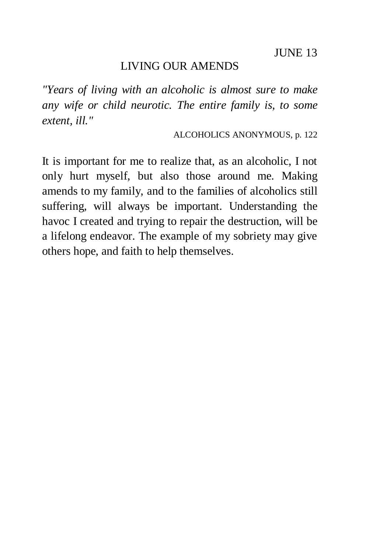# LIVING OUR AMENDS

*"Years of living with an alcoholic is almost sure to make any wife or child neurotic. The entire family is, to some extent, ill."* 

ALCOHOLICS ANONYMOUS, p. 122

It is important for me to realize that, as an alcoholic, I not only hurt myself, but also those around me. Making amends to my family, and to the families of alcoholics still suffering, will always be important. Understanding the havoc I created and trying to repair the destruction, will be a lifelong endeavor. The example of my sobriety may give others hope, and faith to help themselves.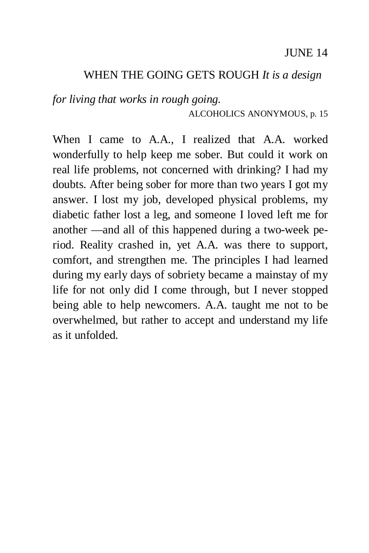# WHEN THE GOING GETS ROUGH *It is a design*

*for living that works in rough going.* 

ALCOHOLICS ANONYMOUS, p. 15

When I came to A.A., I realized that A.A. worked wonderfully to help keep me sober. But could it work on real life problems, not concerned with drinking? I had my doubts. After being sober for more than two years I got my answer. I lost my job, developed physical problems, my diabetic father lost a leg, and someone I loved left me for another —and all of this happened during a two-week period. Reality crashed in, yet A.A. was there to support, comfort, and strengthen me. The principles I had learned during my early days of sobriety became a mainstay of my life for not only did I come through, but I never stopped being able to help newcomers. A.A. taught me not to be overwhelmed, but rather to accept and understand my life as it unfolded.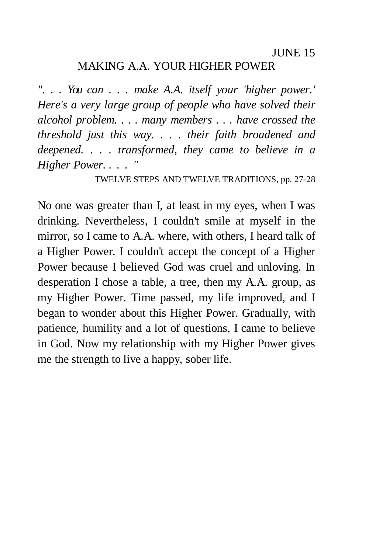# MAKING A.A. YOUR HIGHER POWER

*". . . You can . . . make A.A. itself your 'higher power.' Here's a very large group of people who have solved their alcohol problem. . . . many members . . . have crossed the threshold just this way. . . . their faith broadened and deepened. . . . transformed, they came to believe in a Higher Power. . . . "* 

TWELVE STEPS AND TWELVE TRADITIONS, pp. 27-28

No one was greater than I, at least in my eyes, when I was drinking. Nevertheless, I couldn't smile at myself in the mirror, so I came to A.A. where, with others, I heard talk of a Higher Power. I couldn't accept the concept of a Higher Power because I believed God was cruel and unloving. In desperation I chose a table, a tree, then my A.A. group, as my Higher Power. Time passed, my life improved, and I began to wonder about this Higher Power. Gradually, with patience, humility and a lot of questions, I came to believe in God. Now my relationship with my Higher Power gives me the strength to live a happy, sober life.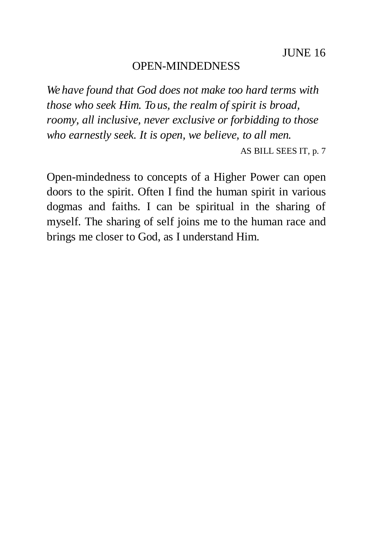### OPEN-MINDEDNESS

*We have found that God does not make too hard terms with those who seek Him. To us, the realm of spirit is broad, roomy, all inclusive, never exclusive or forbidding to those who earnestly seek. It is open, we believe, to all men.*  AS BILL SEES IT, p. 7

Open-mindedness to concepts of a Higher Power can open doors to the spirit. Often I find the human spirit in various dogmas and faiths. I can be spiritual in the sharing of myself. The sharing of self joins me to the human race and brings me closer to God, as I understand Him.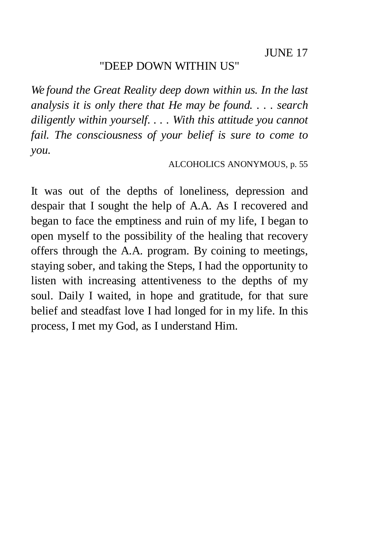### "DEEP DOWN WITHIN US"

*We found the Great Reality deep down within us. In the last analysis it is only there that He may be found. . . . search diligently within yourself. . . . With this attitude you cannot fail. The consciousness of your belief is sure to come to you.* 

ALCOHOLICS ANONYMOUS, p. 55

It was out of the depths of loneliness, depression and despair that I sought the help of A.A. As I recovered and began to face the emptiness and ruin of my life, I began to open myself to the possibility of the healing that recovery offers through the A.A. program. By coining to meetings, staying sober, and taking the Steps, I had the opportunity to listen with increasing attentiveness to the depths of my soul. Daily I waited, in hope and gratitude, for that sure belief and steadfast love I had longed for in my life. In this process, I met my God, as I understand Him.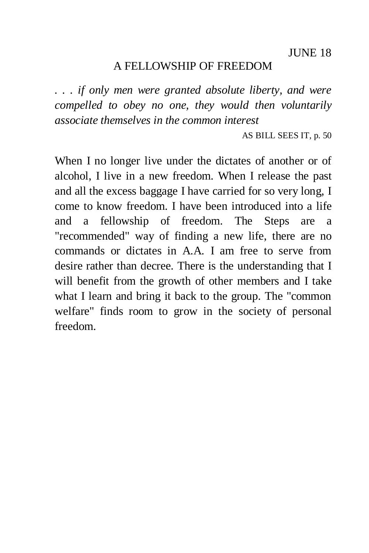## A FELLOWSHIP OF FREEDOM

*. . . if only men were granted absolute liberty, and were compelled to obey no one, they would then voluntarily associate themselves in the common interest* 

AS BILL SEES IT, p. 50

When I no longer live under the dictates of another or of alcohol, I live in a new freedom. When I release the past and all the excess baggage I have carried for so very long, I come to know freedom. I have been introduced into a life and a fellowship of freedom. The Steps are a "recommended" way of finding a new life, there are no commands or dictates in A.A. I am free to serve from desire rather than decree. There is the understanding that I will benefit from the growth of other members and I take what I learn and bring it back to the group. The "common welfare" finds room to grow in the society of personal freedom.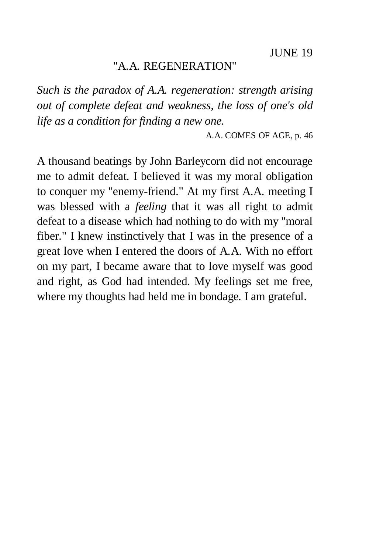# "A.A. REGENERATION"

*Such is the paradox of A.A. regeneration: strength arising out of complete defeat and weakness, the loss of one's old life as a condition for finding a new one.* 

A.A. COMES OF AGE, p. 46

A thousand beatings by John Barleycorn did not encourage me to admit defeat. I believed it was my moral obligation to conquer my "enemy-friend." At my first A.A. meeting I was blessed with a *feeling* that it was all right to admit defeat to a disease which had nothing to do with my "moral fiber." I knew instinctively that I was in the presence of a great love when I entered the doors of A.A. With no effort on my part, I became aware that to love myself was good and right, as God had intended. My feelings set me free, where my thoughts had held me in bondage. I am grateful.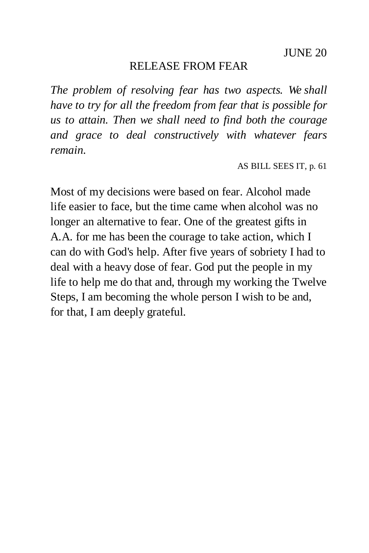### RELEASE FROM FEAR

*The problem of resolving fear has two aspects. We shall have to try for all the freedom from fear that is possible for us to attain. Then we shall need to find both the courage and grace to deal constructively with whatever fears remain.* 

AS BILL SEES IT, p. 61

Most of my decisions were based on fear. Alcohol made life easier to face, but the time came when alcohol was no longer an alternative to fear. One of the greatest gifts in A.A. for me has been the courage to take action, which I can do with God's help. After five years of sobriety I had to deal with a heavy dose of fear. God put the people in my life to help me do that and, through my working the Twelve Steps, I am becoming the whole person I wish to be and, for that, I am deeply grateful.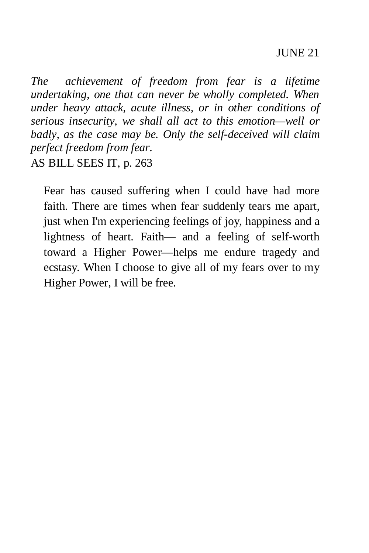*The achievement of freedom from fear is a lifetime undertaking, one that can never be wholly completed. When under heavy attack, acute illness, or in other conditions of serious insecurity, we shall all act to this emotion—well or badly, as the case may be. Only the self-deceived will claim perfect freedom from fear.* 

AS BILL SEES IT, p. 263

Fear has caused suffering when I could have had more faith. There are times when fear suddenly tears me apart, just when I'm experiencing feelings of joy, happiness and a lightness of heart. Faith— and a feeling of self-worth toward a Higher Power—helps me endure tragedy and ecstasy. When I choose to give all of my fears over to my Higher Power, I will be free.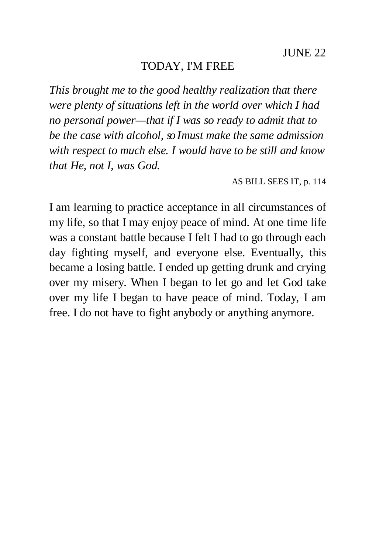# TODAY, I'M FREE

*This brought me to the good healthy realization that there were plenty of situations left in the world over which I had no personal power—that if I was so ready to admit that to be the case with alcohol, so I must make the same admission with respect to much else. I would have to be still and know that He, not I, was God.* 

AS BILL SEES IT, p. 114

I am learning to practice acceptance in all circumstances of my life, so that I may enjoy peace of mind. At one time life was a constant battle because I felt I had to go through each day fighting myself, and everyone else. Eventually, this became a losing battle. I ended up getting drunk and crying over my misery. When I began to let go and let God take over my life I began to have peace of mind. Today, I am free. I do not have to fight anybody or anything anymore.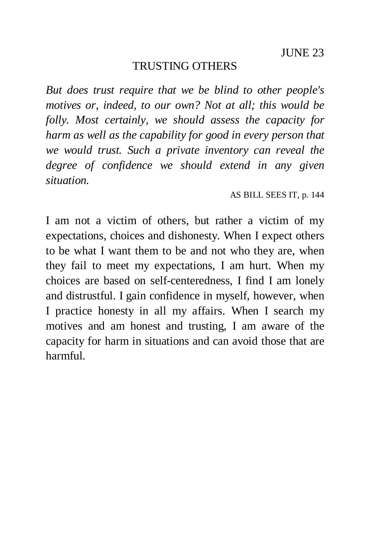## TRUSTING OTHERS

*But does trust require that we be blind to other people's motives or, indeed, to our own? Not at all; this would be folly. Most certainly, we should assess the capacity for harm as well as the capability for good in every person that we would trust. Such a private inventory can reveal the degree of confidence we should extend in any given situation.* 

AS BILL SEES IT, p. 144

I am not a victim of others, but rather a victim of my expectations, choices and dishonesty. When I expect others to be what I want them to be and not who they are, when they fail to meet my expectations, I am hurt. When my choices are based on self-centeredness, I find I am lonely and distrustful. I gain confidence in myself, however, when I practice honesty in all my affairs. When I search my motives and am honest and trusting, I am aware of the capacity for harm in situations and can avoid those that are harmful.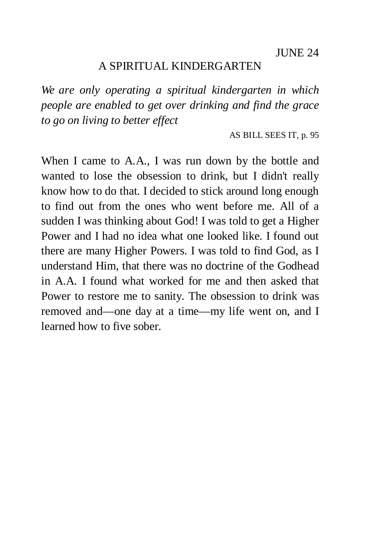## A SPIRITUAL KINDERGARTEN

*We are only operating a spiritual kindergarten in which people are enabled to get over drinking and find the grace to go on living to better effect* 

AS BILL SEES IT, p. 95

When I came to A.A., I was run down by the bottle and wanted to lose the obsession to drink, but I didn't really know how to do that. I decided to stick around long enough to find out from the ones who went before me. All of a sudden I was thinking about God! I was told to get a Higher Power and I had no idea what one looked like. I found out there are many Higher Powers. I was told to find God, as I understand Him, that there was no doctrine of the Godhead in A.A. I found what worked for me and then asked that Power to restore me to sanity. The obsession to drink was removed and—one day at a time—my life went on, and I learned how to five sober.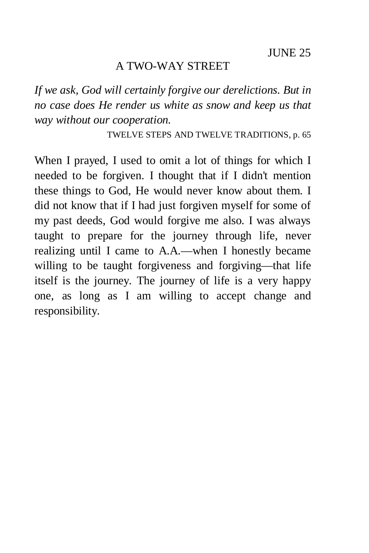### A TWO-WAY STREET

*If we ask, God will certainly forgive our derelictions. But in no case does He render us white as snow and keep us that way without our cooperation.* 

TWELVE STEPS AND TWELVE TRADITIONS, p. 65

When I prayed, I used to omit a lot of things for which I needed to be forgiven. I thought that if I didn't mention these things to God, He would never know about them. I did not know that if I had just forgiven myself for some of my past deeds, God would forgive me also. I was always taught to prepare for the journey through life, never realizing until I came to A.A.—when I honestly became willing to be taught forgiveness and forgiving—that life itself is the journey. The journey of life is a very happy one, as long as I am willing to accept change and responsibility.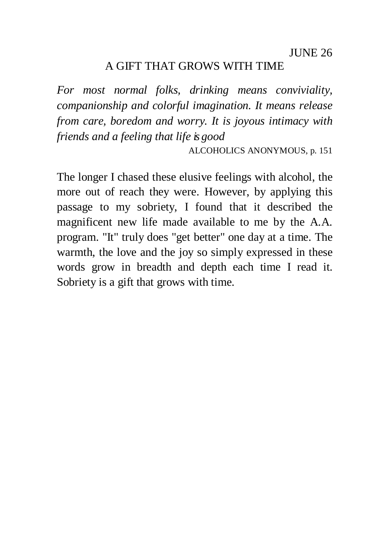### A GIFT THAT GROWS WITH TIME

*For most normal folks, drinking means conviviality, companionship and colorful imagination. It means release from care, boredom and worry. It is joyous intimacy with friends and a feeling that life is good* 

ALCOHOLICS ANONYMOUS, p. 151

The longer I chased these elusive feelings with alcohol, the more out of reach they were. However, by applying this passage to my sobriety, I found that it described the magnificent new life made available to me by the A.A. program. "It" truly does "get better" one day at a time. The warmth, the love and the joy so simply expressed in these words grow in breadth and depth each time I read it. Sobriety is a gift that grows with time.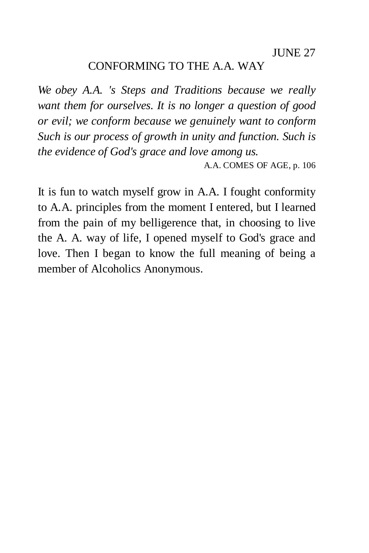### CONFORMING TO THE A.A. WAY

*We obey A.A. 's Steps and Traditions because we really want them for ourselves. It is no longer a question of good or evil; we conform because we genuinely want to conform Such is our process of growth in unity and function. Such is the evidence of God's grace and love among us.* 

A.A. COMES OF AGE, p. 106

It is fun to watch myself grow in A.A. I fought conformity to A.A. principles from the moment I entered, but I learned from the pain of my belligerence that, in choosing to live the A. A. way of life, I opened myself to God's grace and love. Then I began to know the full meaning of being a member of Alcoholics Anonymous.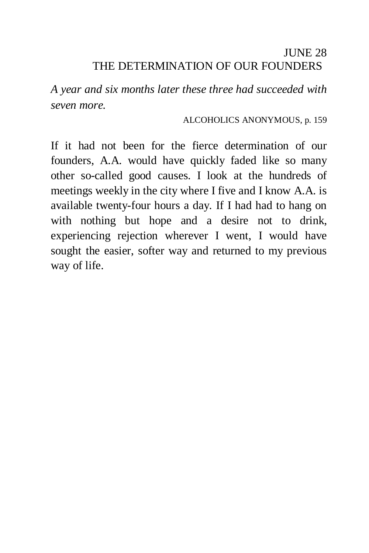# JUNE 28 THE DETERMINATION OF OUR FOUNDERS

*A year and six months later these three had succeeded with seven more.* 

#### ALCOHOLICS ANONYMOUS, p. 159

If it had not been for the fierce determination of our founders, A.A. would have quickly faded like so many other so-called good causes. I look at the hundreds of meetings weekly in the city where I five and I know A.A. is available twenty-four hours a day. If I had had to hang on with nothing but hope and a desire not to drink, experiencing rejection wherever I went, I would have sought the easier, softer way and returned to my previous way of life.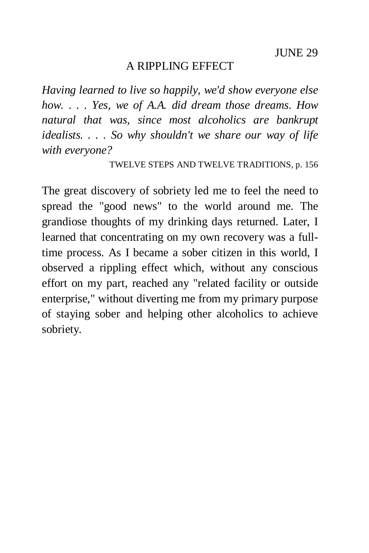### A RIPPLING EFFECT

*Having learned to live so happily, we'd show everyone else how. . . . Yes, we of A.A. did dream those dreams. How natural that was, since most alcoholics are bankrupt idealists. . . . So why shouldn't we share our way of life with everyone?* 

TWELVE STEPS AND TWELVE TRADITIONS, p. 156

The great discovery of sobriety led me to feel the need to spread the "good news" to the world around me. The grandiose thoughts of my drinking days returned. Later, I learned that concentrating on my own recovery was a fulltime process. As I became a sober citizen in this world, I observed a rippling effect which, without any conscious effort on my part, reached any "related facility or outside enterprise," without diverting me from my primary purpose of staying sober and helping other alcoholics to achieve sobriety.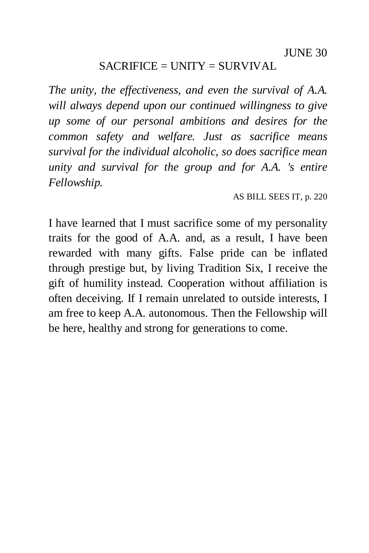#### $SACRIFICE = UNITY = SURVIVAL$

*The unity, the effectiveness, and even the survival of A.A. will always depend upon our continued willingness to give up some of our personal ambitions and desires for the common safety and welfare. Just as sacrifice means survival for the individual alcoholic, so does sacrifice mean unity and survival for the group and for A.A. 's entire Fellowship.* 

AS BILL SEES IT, p. 220

I have learned that I must sacrifice some of my personality traits for the good of A.A. and, as a result, I have been rewarded with many gifts. False pride can be inflated through prestige but, by living Tradition Six, I receive the gift of humility instead. Cooperation without affiliation is often deceiving. If I remain unrelated to outside interests, I am free to keep A.A. autonomous. Then the Fellowship will be here, healthy and strong for generations to come.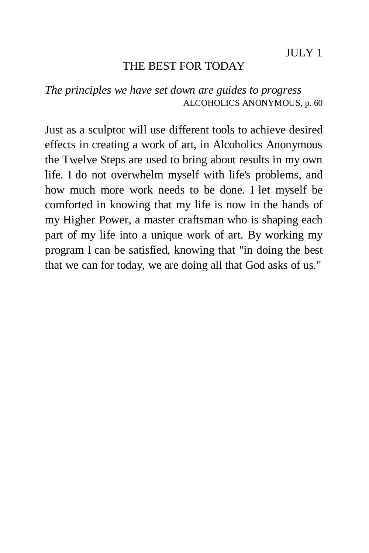### THE BEST FOR TODAY

*The principles we have set down are guides to progress*  ALCOHOLICS ANONYMOUS, p. 60

Just as a sculptor will use different tools to achieve desired effects in creating a work of art, in Alcoholics Anonymous the Twelve Steps are used to bring about results in my own life. I do not overwhelm myself with life's problems, and how much more work needs to be done. I let myself be comforted in knowing that my life is now in the hands of my Higher Power, a master craftsman who is shaping each part of my life into a unique work of art. By working my program I can be satisfied, knowing that "in doing the best that we can for today, we are doing all that God asks of us."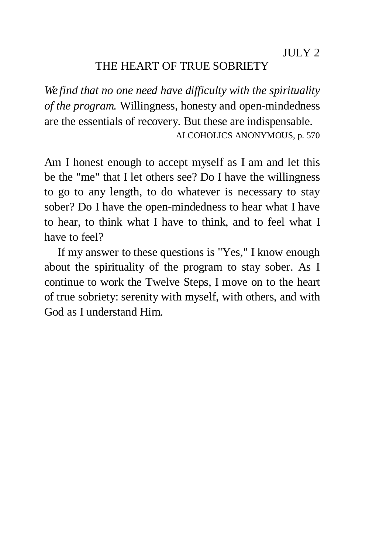$JUIX2$ 

#### THE HEART OF TRUE SOBRIETY

*We find that no one need have difficulty with the spirituality of the program.* Willingness, honesty and open-mindedness are the essentials of recovery. But these are indispensable. ALCOHOLICS ANONYMOUS, p. 570

Am I honest enough to accept myself as I am and let this be the "me" that I let others see? Do I have the willingness to go to any length, to do whatever is necessary to stay sober? Do I have the open-mindedness to hear what I have to hear, to think what I have to think, and to feel what I have to feel?

If my answer to these questions is "Yes," I know enough about the spirituality of the program to stay sober. As I continue to work the Twelve Steps, I move on to the heart of true sobriety: serenity with myself, with others, and with God as I understand Him.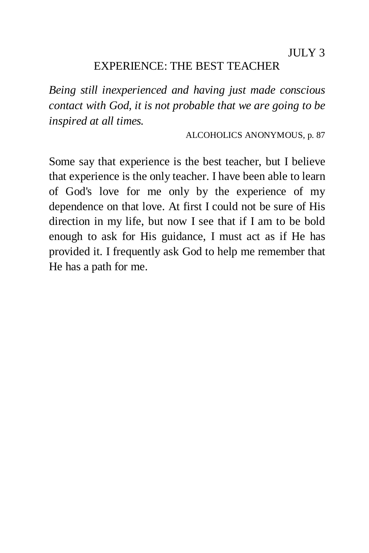$JJJJY3$ 

### EXPERIENCE: THE BEST TEACHER

*Being still inexperienced and having just made conscious contact with God, it is not probable that we are going to be inspired at all times.* 

ALCOHOLICS ANONYMOUS, p. 87

Some say that experience is the best teacher, but I believe that experience is the only teacher. I have been able to learn of God's love for me only by the experience of my dependence on that love. At first I could not be sure of His direction in my life, but now I see that if I am to be bold enough to ask for His guidance, I must act as if He has provided it. I frequently ask God to help me remember that He has a path for me.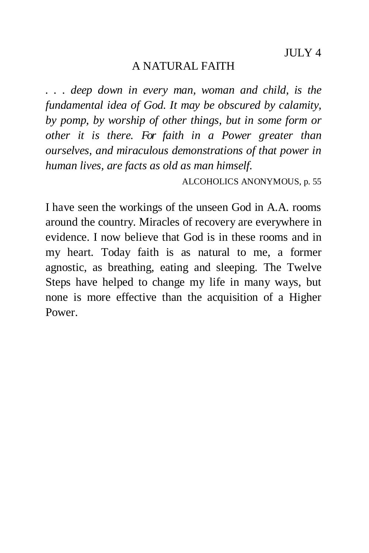$JUIX4$ 

### A NATURAL FAITH

*. . . deep down in every man, woman and child, is the fundamental idea of God. It may be obscured by calamity, by pomp, by worship of other things, but in some form or other it is there. For faith in a Power greater than ourselves, and miraculous demonstrations of that power in human lives, are facts as old as man himself.* 

ALCOHOLICS ANONYMOUS, p. 55

I have seen the workings of the unseen God in A.A. rooms around the country. Miracles of recovery are everywhere in evidence. I now believe that God is in these rooms and in my heart. Today faith is as natural to me, a former agnostic, as breathing, eating and sleeping. The Twelve Steps have helped to change my life in many ways, but none is more effective than the acquisition of a Higher Power.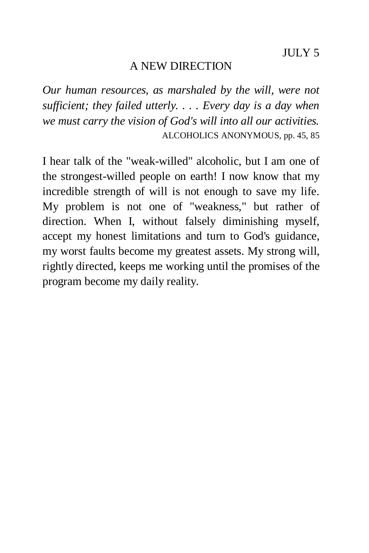$JUIX$  5

#### A NEW DIRECTION

*Our human resources, as marshaled by the will, were not sufficient; they failed utterly. . . . Every day is a day when we must carry the vision of God's will into all our activities.*  ALCOHOLICS ANONYMOUS, pp. 45, 85

I hear talk of the "weak-willed" alcoholic, but I am one of the strongest-willed people on earth! I now know that my incredible strength of will is not enough to save my life. My problem is not one of "weakness," but rather of direction. When I, without falsely diminishing myself, accept my honest limitations and turn to God's guidance, my worst faults become my greatest assets. My strong will, rightly directed, keeps me working until the promises of the program become my daily reality.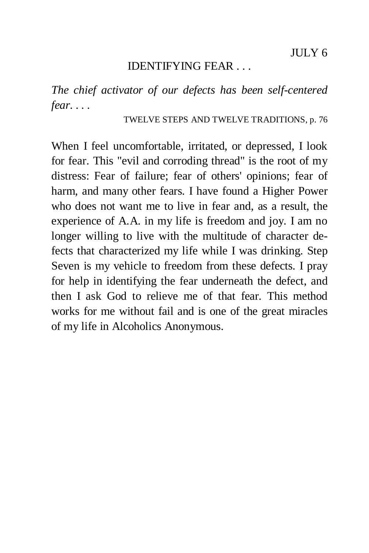$JJJX6$ 

### IDENTIFYING FEAR . . .

*The chief activator of our defects has been self-centered fear. . . .* 

TWELVE STEPS AND TWELVE TRADITIONS, p. 76

When I feel uncomfortable, irritated, or depressed, I look for fear. This "evil and corroding thread" is the root of my distress: Fear of failure; fear of others' opinions; fear of harm, and many other fears. I have found a Higher Power who does not want me to live in fear and, as a result, the experience of A.A. in my life is freedom and joy. I am no longer willing to live with the multitude of character defects that characterized my life while I was drinking. Step Seven is my vehicle to freedom from these defects. I pray for help in identifying the fear underneath the defect, and then I ask God to relieve me of that fear. This method works for me without fail and is one of the great miracles of my life in Alcoholics Anonymous.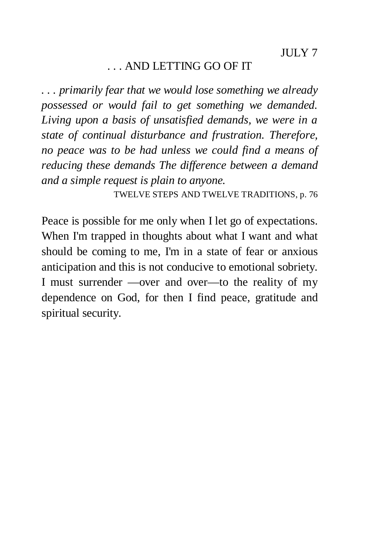# . . . AND LETTING GO OF IT

*. . . primarily fear that we would lose something we already possessed or would fail to get something we demanded. Living upon a basis of unsatisfied demands, we were in a state of continual disturbance and frustration. Therefore, no peace was to be had unless we could find a means of reducing these demands The difference between a demand and a simple request is plain to anyone.* 

TWELVE STEPS AND TWELVE TRADITIONS, p. 76

Peace is possible for me only when I let go of expectations. When I'm trapped in thoughts about what I want and what should be coming to me, I'm in a state of fear or anxious anticipation and this is not conducive to emotional sobriety. I must surrender —over and over—to the reality of my dependence on God, for then I find peace, gratitude and spiritual security.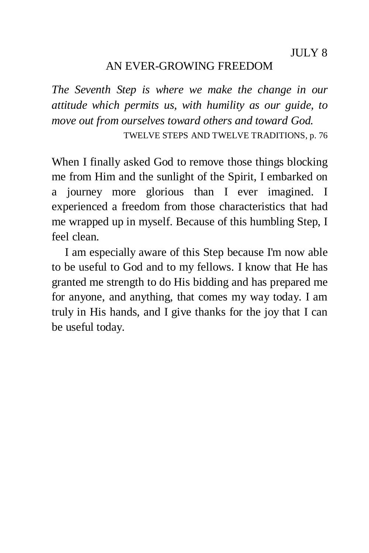#### AN EVER-GROWING FREEDOM

*The Seventh Step is where we make the change in our attitude which permits us, with humility as our guide, to move out from ourselves toward others and toward God.*  TWELVE STEPS AND TWELVE TRADITIONS, p. 76

When I finally asked God to remove those things blocking me from Him and the sunlight of the Spirit, I embarked on a journey more glorious than I ever imagined. I experienced a freedom from those characteristics that had me wrapped up in myself. Because of this humbling Step, I feel clean.

I am especially aware of this Step because I'm now able to be useful to God and to my fellows. I know that He has granted me strength to do His bidding and has prepared me for anyone, and anything, that comes my way today. I am truly in His hands, and I give thanks for the joy that I can be useful today.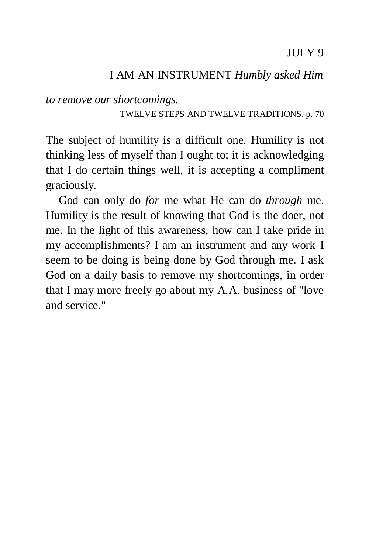# I AM AN INSTRUMENT *Humbly asked Him*

*to remove our shortcomings.* 

TWELVE STEPS AND TWELVE TRADITIONS, p. 70

The subject of humility is a difficult one. Humility is not thinking less of myself than I ought to; it is acknowledging that I do certain things well, it is accepting a compliment graciously.

God can only do *for* me what He can do *through* me. Humility is the result of knowing that God is the doer, not me. In the light of this awareness, how can I take pride in my accomplishments? I am an instrument and any work I seem to be doing is being done by God through me. I ask God on a daily basis to remove my shortcomings, in order that I may more freely go about my A.A. business of "love and service."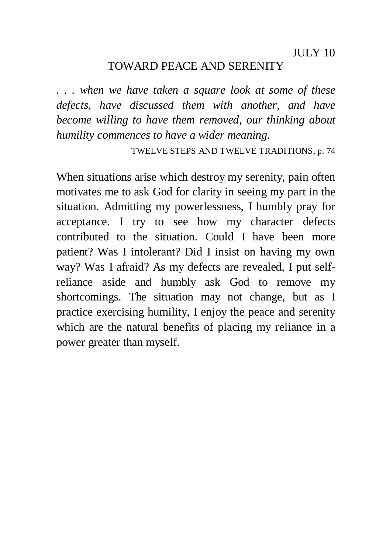#### TOWARD PEACE AND SERENITY

*. . . when we have taken a square look at some of these defects, have discussed them with another, and have become willing to have them removed, our thinking about humility commences to have a wider meaning.* 

TWELVE STEPS AND TWELVE TRADITIONS, p. 74

When situations arise which destroy my serenity, pain often motivates me to ask God for clarity in seeing my part in the situation. Admitting my powerlessness, I humbly pray for acceptance. I try to see how my character defects contributed to the situation. Could I have been more patient? Was I intolerant? Did I insist on having my own way? Was I afraid? As my defects are revealed, I put selfreliance aside and humbly ask God to remove my shortcomings. The situation may not change, but as I practice exercising humility, I enjoy the peace and serenity which are the natural benefits of placing my reliance in a power greater than myself.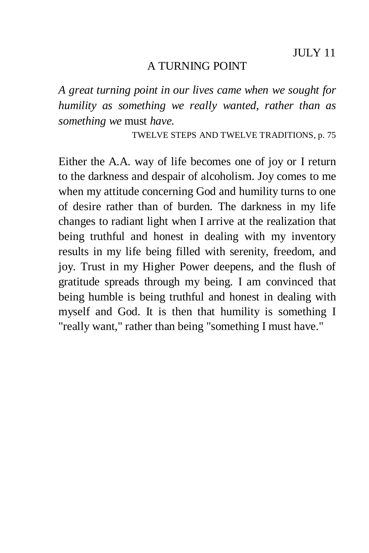### A TURNING POINT

*A great turning point in our lives came when we sought for humility as something we really wanted, rather than as something we* must *have.* 

TWELVE STEPS AND TWELVE TRADITIONS, p. 75

Either the A.A. way of life becomes one of joy or I return to the darkness and despair of alcoholism. Joy comes to me when my attitude concerning God and humility turns to one of desire rather than of burden. The darkness in my life changes to radiant light when I arrive at the realization that being truthful and honest in dealing with my inventory results in my life being filled with serenity, freedom, and joy. Trust in my Higher Power deepens, and the flush of gratitude spreads through my being. I am convinced that being humble is being truthful and honest in dealing with myself and God. It is then that humility is something I "really want," rather than being "something I must have."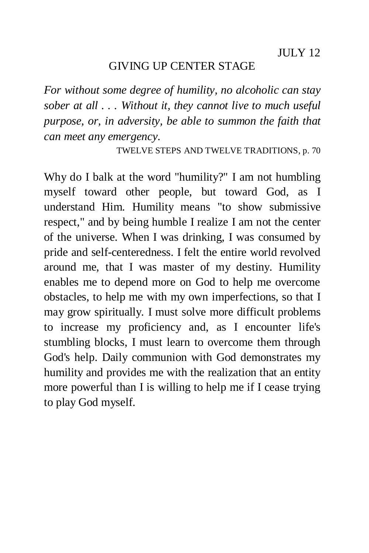#### GIVING UP CENTER STAGE

*For without some degree of humility, no alcoholic can stay sober at all . . . Without it, they cannot live to much useful purpose, or, in adversity, be able to summon the faith that can meet any emergency.* 

TWELVE STEPS AND TWELVE TRADITIONS, p. 70

Why do I balk at the word "humility?" I am not humbling myself toward other people, but toward God, as I understand Him. Humility means "to show submissive respect," and by being humble I realize I am not the center of the universe. When I was drinking, I was consumed by pride and self-centeredness. I felt the entire world revolved around me, that I was master of my destiny. Humility enables me to depend more on God to help me overcome obstacles, to help me with my own imperfections, so that I may grow spiritually. I must solve more difficult problems to increase my proficiency and, as I encounter life's stumbling blocks, I must learn to overcome them through God's help. Daily communion with God demonstrates my humility and provides me with the realization that an entity more powerful than I is willing to help me if I cease trying to play God myself.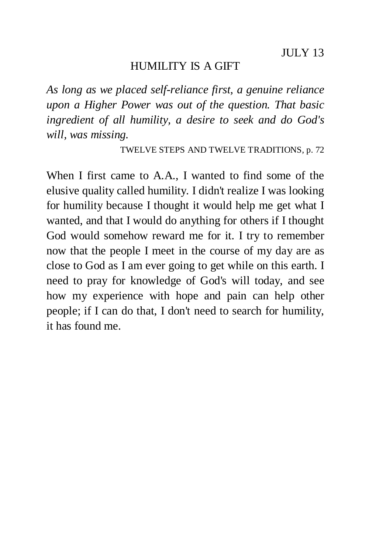### HUMILITY IS A GIFT

*As long as we placed self-reliance first, a genuine reliance upon a Higher Power was out of the question. That basic ingredient of all humility, a desire to seek and do God's will, was missing.* 

TWELVE STEPS AND TWELVE TRADITIONS, p. 72

When I first came to A.A., I wanted to find some of the elusive quality called humility. I didn't realize I was looking for humility because I thought it would help me get what I wanted, and that I would do anything for others if I thought God would somehow reward me for it. I try to remember now that the people I meet in the course of my day are as close to God as I am ever going to get while on this earth. I need to pray for knowledge of God's will today, and see how my experience with hope and pain can help other people; if I can do that, I don't need to search for humility, it has found me.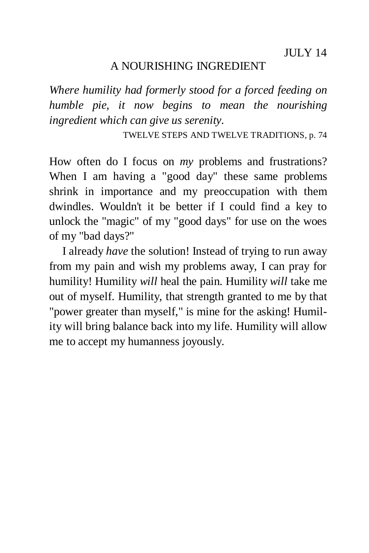### A NOURISHING INGREDIENT

*Where humility had formerly stood for a forced feeding on humble pie, it now begins to mean the nourishing ingredient which can give us serenity.* 

TWELVE STEPS AND TWELVE TRADITIONS, p. 74

How often do I focus on *my* problems and frustrations? When I am having a "good day" these same problems shrink in importance and my preoccupation with them dwindles. Wouldn't it be better if I could find a key to unlock the "magic" of my "good days" for use on the woes of my "bad days?"

I already *have* the solution! Instead of trying to run away from my pain and wish my problems away, I can pray for humility! Humility *will* heal the pain. Humility *will* take me out of myself. Humility, that strength granted to me by that "power greater than myself," is mine for the asking! Humility will bring balance back into my life. Humility will allow me to accept my humanness joyously.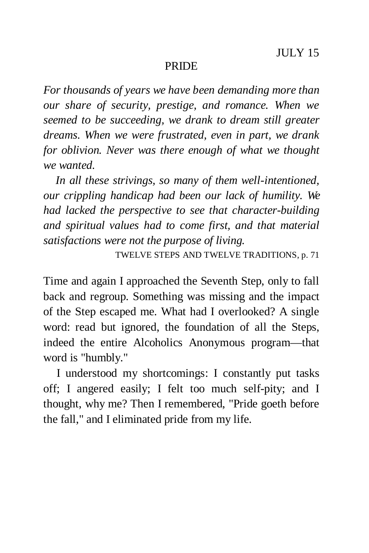#### PRIDE

*For thousands of years we have been demanding more than our share of security, prestige, and romance. When we seemed to be succeeding, we drank to dream still greater dreams. When we were frustrated, even in part, we drank for oblivion. Never was there enough of what we thought we wanted.* 

*In all these strivings, so many of them well-intentioned, our crippling handicap had been our lack of humility. We had lacked the perspective to see that character-building and spiritual values had to come first, and that material satisfactions were not the purpose of living.* 

TWELVE STEPS AND TWELVE TRADITIONS, p. 71

Time and again I approached the Seventh Step, only to fall back and regroup. Something was missing and the impact of the Step escaped me. What had I overlooked? A single word: read but ignored, the foundation of all the Steps, indeed the entire Alcoholics Anonymous program—that word is "humbly."

I understood my shortcomings: I constantly put tasks off; I angered easily; I felt too much self-pity; and I thought, why me? Then I remembered, "Pride goeth before the fall," and I eliminated pride from my life.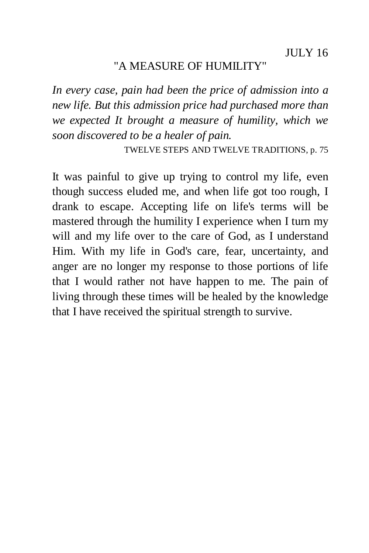### "A MEASURE OF HUMILITY"

*In every case, pain had been the price of admission into a new life. But this admission price had purchased more than we expected It brought a measure of humility, which we soon discovered to be a healer of pain.* 

TWELVE STEPS AND TWELVE TRADITIONS, p. 75

It was painful to give up trying to control my life, even though success eluded me, and when life got too rough, I drank to escape. Accepting life on life's terms will be mastered through the humility I experience when I turn my will and my life over to the care of God, as I understand Him. With my life in God's care, fear, uncertainty, and anger are no longer my response to those portions of life that I would rather not have happen to me. The pain of living through these times will be healed by the knowledge that I have received the spiritual strength to survive.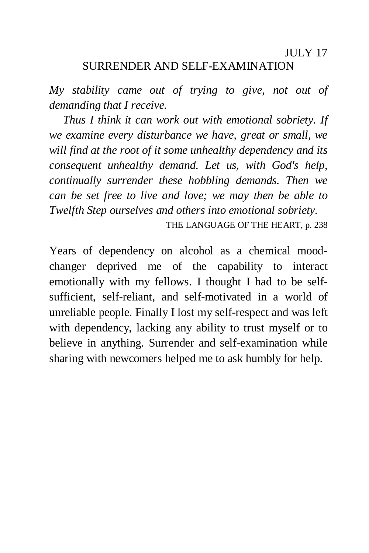*My stability came out of trying to give, not out of demanding that I receive.* 

*Thus I think it can work out with emotional sobriety. If we examine every disturbance we have, great or small, we will find at the root of it some unhealthy dependency and its consequent unhealthy demand. Let us, with God's help, continually surrender these hobbling demands. Then we can be set free to live and love; we may then be able to Twelfth Step ourselves and others into emotional sobriety.* 

THE LANGUAGE OF THE HEART, p. 238

Years of dependency on alcohol as a chemical moodchanger deprived me of the capability to interact emotionally with my fellows. I thought I had to be selfsufficient, self-reliant, and self-motivated in a world of unreliable people. Finally I lost my self-respect and was left with dependency, lacking any ability to trust myself or to believe in anything. Surrender and self-examination while sharing with newcomers helped me to ask humbly for help.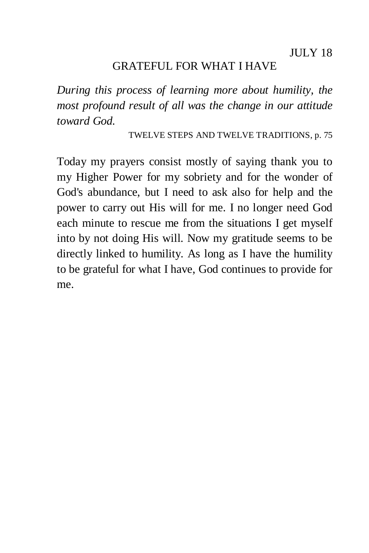### GRATEFUL FOR WHAT I HAVE

*During this process of learning more about humility, the most profound result of all was the change in our attitude toward God.* 

TWELVE STEPS AND TWELVE TRADITIONS, p. 75

Today my prayers consist mostly of saying thank you to my Higher Power for my sobriety and for the wonder of God's abundance, but I need to ask also for help and the power to carry out His will for me. I no longer need God each minute to rescue me from the situations I get myself into by not doing His will. Now my gratitude seems to be directly linked to humility. As long as I have the humility to be grateful for what I have, God continues to provide for me.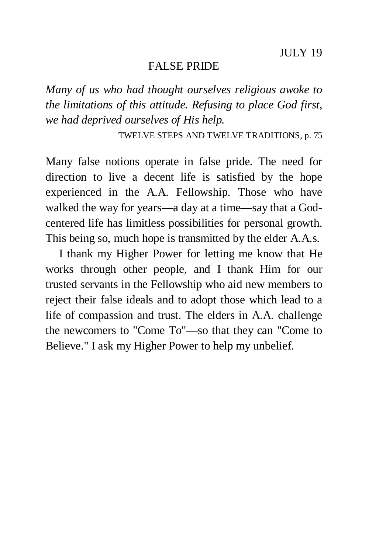#### FALSE PRIDE

*Many of us who had thought ourselves religious awoke to the limitations of this attitude. Refusing to place God first, we had deprived ourselves of His help.* 

TWELVE STEPS AND TWELVE TRADITIONS, p. 75

Many false notions operate in false pride. The need for direction to live a decent life is satisfied by the hope experienced in the A.A. Fellowship. Those who have walked the way for years—a day at a time—say that a Godcentered life has limitless possibilities for personal growth. This being so, much hope is transmitted by the elder A.A.s.

I thank my Higher Power for letting me know that He works through other people, and I thank Him for our trusted servants in the Fellowship who aid new members to reject their false ideals and to adopt those which lead to a life of compassion and trust. The elders in A.A. challenge the newcomers to "Come To"—so that they can "Come to Believe." I ask my Higher Power to help my unbelief.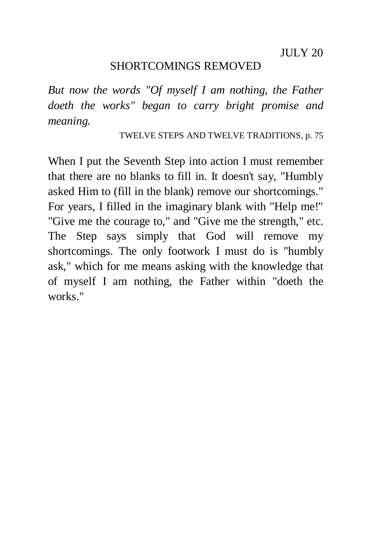#### SHORTCOMINGS REMOVED

*But now the words "Of myself I am nothing, the Father doeth the works" began to carry bright promise and meaning.* 

TWELVE STEPS AND TWELVE TRADITIONS, p. 75

When I put the Seventh Step into action I must remember that there are no blanks to fill in. It doesn't say, "Humbly asked Him to (fill in the blank) remove our shortcomings." For years, I filled in the imaginary blank with "Help me!" "Give me the courage to," and "Give me the strength," etc. The Step says simply that God will remove my shortcomings. The only footwork I must do is "humbly ask," which for me means asking with the knowledge that of myself I am nothing, the Father within "doeth the works."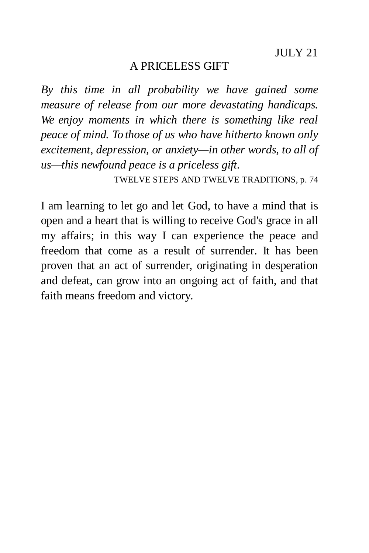#### A PRICELESS GIFT

*By this time in all probability we have gained some measure of release from our more devastating handicaps. We enjoy moments in which there is something like real peace of mind. To those of us who have hitherto known only excitement, depression, or anxiety—in other words, to all of us—this newfound peace is a priceless gift.* 

TWELVE STEPS AND TWELVE TRADITIONS, p. 74

I am learning to let go and let God, to have a mind that is open and a heart that is willing to receive God's grace in all my affairs; in this way I can experience the peace and freedom that come as a result of surrender. It has been proven that an act of surrender, originating in desperation and defeat, can grow into an ongoing act of faith, and that faith means freedom and victory.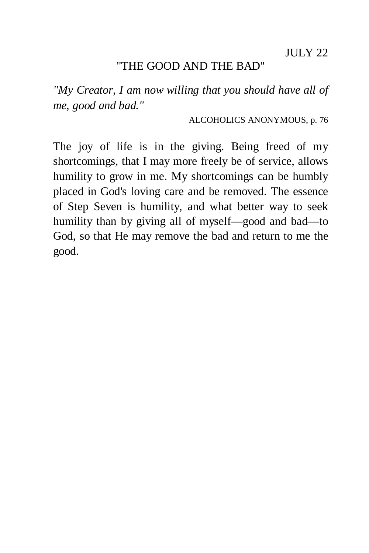## "THE GOOD AND THE BAD"

*"My Creator, I am now willing that you should have all of me, good and bad."* 

ALCOHOLICS ANONYMOUS, p. 76

The joy of life is in the giving. Being freed of my shortcomings, that I may more freely be of service, allows humility to grow in me. My shortcomings can be humbly placed in God's loving care and be removed. The essence of Step Seven is humility, and what better way to seek humility than by giving all of myself—good and bad—to God, so that He may remove the bad and return to me the good.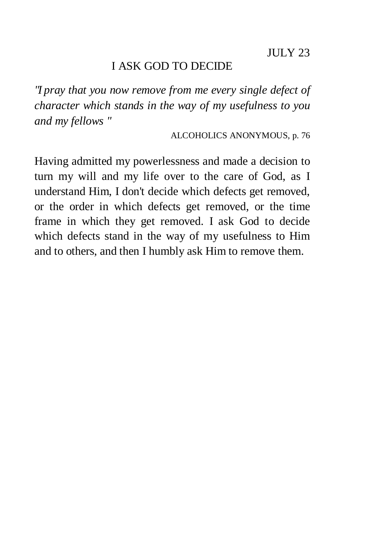$JUIX$  23

## I ASK GOD TO DECIDE

*"I pray that you now remove from me every single defect of character which stands in the way of my usefulness to you and my fellows "* 

ALCOHOLICS ANONYMOUS, p. 76

Having admitted my powerlessness and made a decision to turn my will and my life over to the care of God, as I understand Him, I don't decide which defects get removed, or the order in which defects get removed, or the time frame in which they get removed. I ask God to decide which defects stand in the way of my usefulness to Him and to others, and then I humbly ask Him to remove them.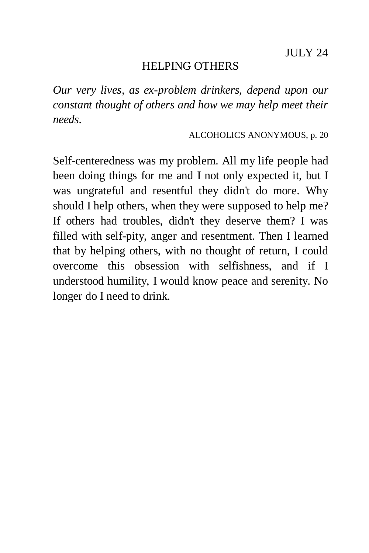### HELPING OTHERS

*Our very lives, as ex-problem drinkers, depend upon our constant thought of others and how we may help meet their needs.* 

ALCOHOLICS ANONYMOUS, p. 20

Self-centeredness was my problem. All my life people had been doing things for me and I not only expected it, but I was ungrateful and resentful they didn't do more. Why should I help others, when they were supposed to help me? If others had troubles, didn't they deserve them? I was filled with self-pity, anger and resentment. Then I learned that by helping others, with no thought of return, I could overcome this obsession with selfishness, and if I understood humility, I would know peace and serenity. No longer do I need to drink.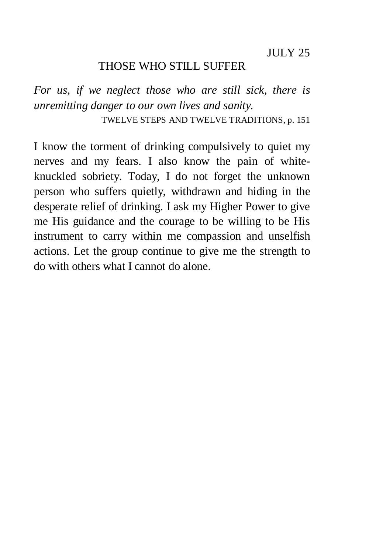## THOSE WHO STILL SUFFER

*For us, if we neglect those who are still sick, there is unremitting danger to our own lives and sanity.*  TWELVE STEPS AND TWELVE TRADITIONS, p. 151

I know the torment of drinking compulsively to quiet my nerves and my fears. I also know the pain of whiteknuckled sobriety. Today, I do not forget the unknown person who suffers quietly, withdrawn and hiding in the desperate relief of drinking. I ask my Higher Power to give me His guidance and the courage to be willing to be His instrument to carry within me compassion and unselfish actions. Let the group continue to give me the strength to do with others what I cannot do alone.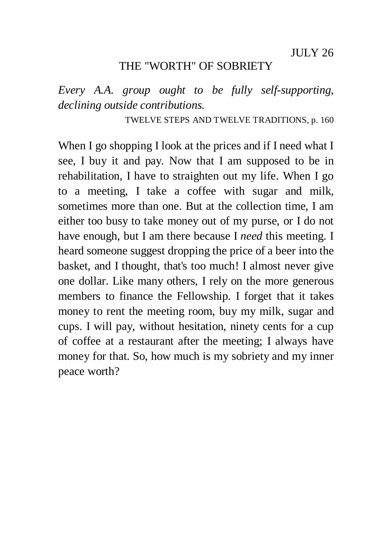## THE "WORTH" OF SOBRIETY

*Every A.A. group ought to be fully self-supporting, declining outside contributions.* 

TWELVE STEPS AND TWELVE TRADITIONS, p. 160

When I go shopping I look at the prices and if I need what I see, I buy it and pay. Now that I am supposed to be in rehabilitation, I have to straighten out my life. When I go to a meeting, I take a coffee with sugar and milk, sometimes more than one. But at the collection time, I am either too busy to take money out of my purse, or I do not have enough, but I am there because I *need* this meeting. I heard someone suggest dropping the price of a beer into the basket, and I thought, that's too much! I almost never give one dollar. Like many others, I rely on the more generous members to finance the Fellowship. I forget that it takes money to rent the meeting room, buy my milk, sugar and cups. I will pay, without hesitation, ninety cents for a cup of coffee at a restaurant after the meeting; I always have money for that. So, how much is my sobriety and my inner peace worth?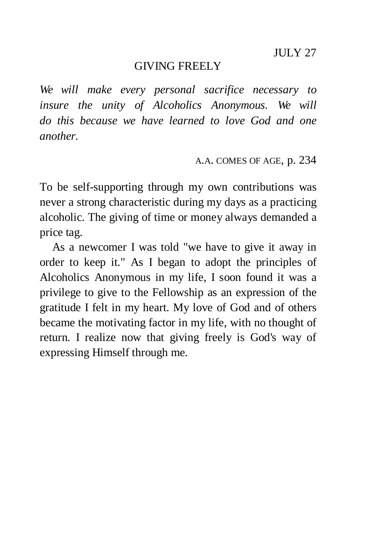## GIVING FREELY

*We will make every personal sacrifice necessary to insure the unity of Alcoholics Anonymous. We will do this because we have learned to love God and one another.*

A.A. COMES OF AGE, p. 234

To be self-supporting through my own contributions was never a strong characteristic during my days as a practicing alcoholic. The giving of time or money always demanded a price tag.

As a newcomer I was told "we have to give it away in order to keep it." As I began to adopt the principles of Alcoholics Anonymous in my life, I soon found it was a privilege to give to the Fellowship as an expression of the gratitude I felt in my heart. My love of God and of others became the motivating factor in my life, with no thought of return. I realize now that giving freely is God's way of expressing Himself through me.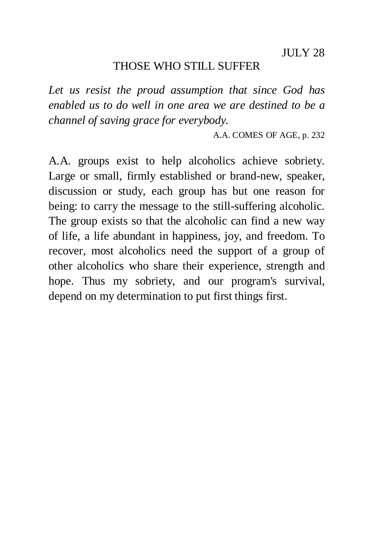#### THOSE WHO STILL SUFFER

*Let us resist the proud assumption that since God has enabled us to do well in one area we are destined to be a channel of saving grace for everybody.* 

A.A. COMES OF AGE, p. 232

A.A. groups exist to help alcoholics achieve sobriety. Large or small, firmly established or brand-new, speaker, discussion or study, each group has but one reason for being: to carry the message to the still-suffering alcoholic. The group exists so that the alcoholic can find a new way of life, a life abundant in happiness, joy, and freedom. To recover, most alcoholics need the support of a group of other alcoholics who share their experience, strength and hope. Thus my sobriety, and our program's survival, depend on my determination to put first things first.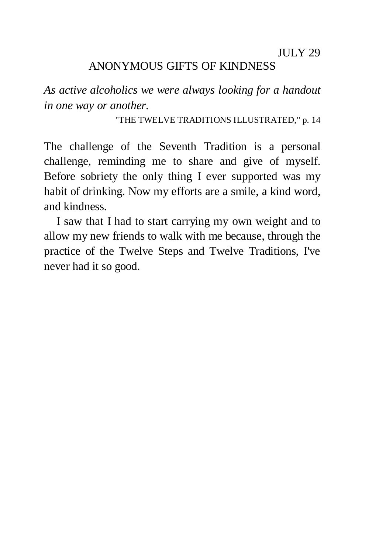#### ANONYMOUS GIFTS OF KINDNESS

*As active alcoholics we were always looking for a handout in one way or another.* 

"THE TWELVE TRADITIONS ILLUSTRATED," p. 14

The challenge of the Seventh Tradition is a personal challenge, reminding me to share and give of myself. Before sobriety the only thing I ever supported was my habit of drinking. Now my efforts are a smile, a kind word, and kindness.

I saw that I had to start carrying my own weight and to allow my new friends to walk with me because, through the practice of the Twelve Steps and Twelve Traditions, I've never had it so good.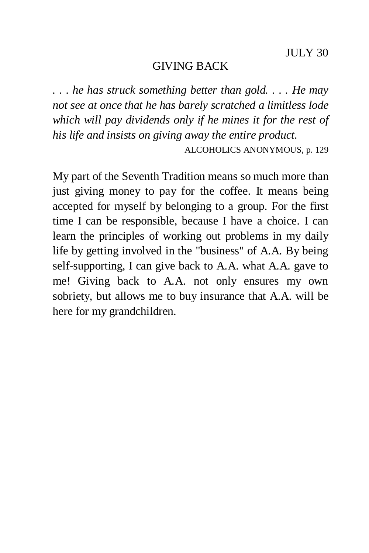### GIVING BACK

*. . . he has struck something better than gold. . . . He may not see at once that he has barely scratched a limitless lode which will pay dividends only if he mines it for the rest of his life and insists on giving away the entire product.*  ALCOHOLICS ANONYMOUS, p. 129

My part of the Seventh Tradition means so much more than just giving money to pay for the coffee. It means being accepted for myself by belonging to a group. For the first time I can be responsible, because I have a choice. I can learn the principles of working out problems in my daily life by getting involved in the "business" of A.A. By being self-supporting, I can give back to A.A. what A.A. gave to me! Giving back to A.A. not only ensures my own sobriety, but allows me to buy insurance that A.A. will be here for my grandchildren.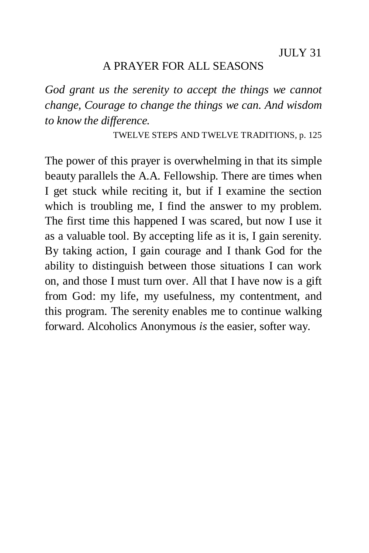### A PRAYER FOR ALL SEASONS

*God grant us the serenity to accept the things we cannot change, Courage to change the things we can. And wisdom to know the difference.* 

TWELVE STEPS AND TWELVE TRADITIONS, p. 125

The power of this prayer is overwhelming in that its simple beauty parallels the A.A. Fellowship. There are times when I get stuck while reciting it, but if I examine the section which is troubling me, I find the answer to my problem. The first time this happened I was scared, but now I use it as a valuable tool. By accepting life as it is, I gain serenity. By taking action, I gain courage and I thank God for the ability to distinguish between those situations I can work on, and those I must turn over. All that I have now is a gift from God: my life, my usefulness, my contentment, and this program. The serenity enables me to continue walking forward. Alcoholics Anonymous *is* the easier, softer way.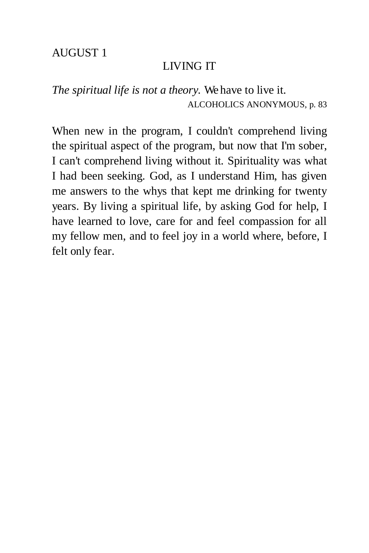# LIVING IT

# *The spiritual life is not a theory.* We have to live it. ALCOHOLICS ANONYMOUS, p. 83

When new in the program, I couldn't comprehend living the spiritual aspect of the program, but now that I'm sober, I can't comprehend living without it. Spirituality was what I had been seeking. God, as I understand Him, has given me answers to the whys that kept me drinking for twenty years. By living a spiritual life, by asking God for help, I have learned to love, care for and feel compassion for all my fellow men, and to feel joy in a world where, before, I felt only fear.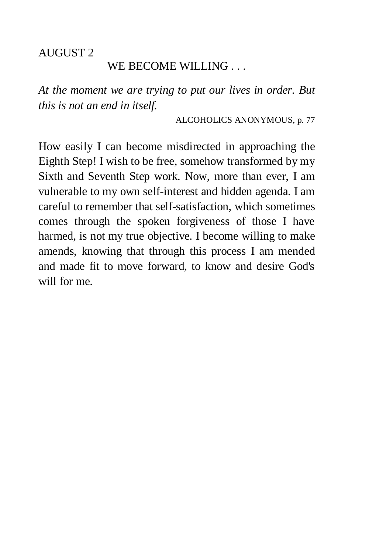### WE BECOME WILLING . . .

*At the moment we are trying to put our lives in order. But this is not an end in itself.* 

ALCOHOLICS ANONYMOUS, p. 77

How easily I can become misdirected in approaching the Eighth Step! I wish to be free, somehow transformed by my Sixth and Seventh Step work. Now, more than ever, I am vulnerable to my own self-interest and hidden agenda. I am careful to remember that self-satisfaction, which sometimes comes through the spoken forgiveness of those I have harmed, is not my true objective. I become willing to make amends, knowing that through this process I am mended and made fit to move forward, to know and desire God's will for me.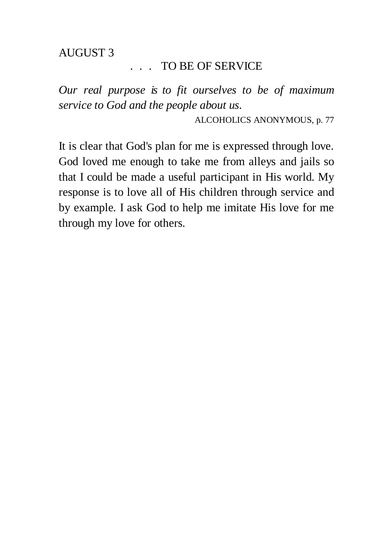# . . . TO BE OF SERVICE

*Our real purpose is to fit ourselves to be of maximum service to God and the people about us.* 

ALCOHOLICS ANONYMOUS, p. 77

It is clear that God's plan for me is expressed through love. God loved me enough to take me from alleys and jails so that I could be made a useful participant in His world. My response is to love all of His children through service and by example. I ask God to help me imitate His love for me through my love for others.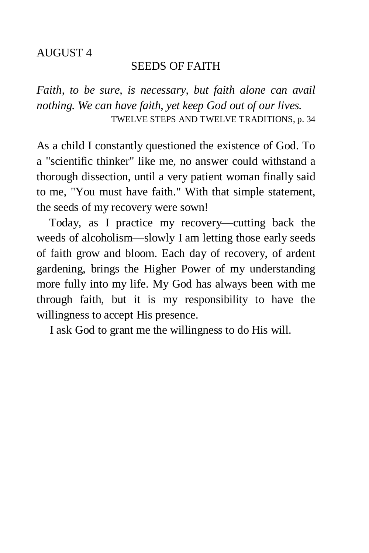#### SEEDS OF FAITH

*Faith, to be sure, is necessary, but faith alone can avail nothing. We can have faith, yet keep God out of our lives.*  TWELVE STEPS AND TWELVE TRADITIONS, p. 34

As a child I constantly questioned the existence of God. To a "scientific thinker" like me, no answer could withstand a thorough dissection, until a very patient woman finally said to me, "You must have faith." With that simple statement, the seeds of my recovery were sown!

Today, as I practice my recovery—cutting back the weeds of alcoholism—slowly I am letting those early seeds of faith grow and bloom. Each day of recovery, of ardent gardening, brings the Higher Power of my understanding more fully into my life. My God has always been with me through faith, but it is my responsibility to have the willingness to accept His presence.

I ask God to grant me the willingness to do His will.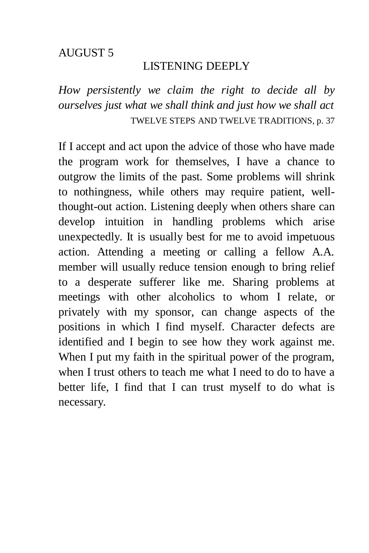#### LISTENING DEEPLY

*How persistently we claim the right to decide all by ourselves just what we shall think and just how we shall act*  TWELVE STEPS AND TWELVE TRADITIONS, p. 37

If I accept and act upon the advice of those who have made the program work for themselves, I have a chance to outgrow the limits of the past. Some problems will shrink to nothingness, while others may require patient, wellthought-out action. Listening deeply when others share can develop intuition in handling problems which arise unexpectedly. It is usually best for me to avoid impetuous action. Attending a meeting or calling a fellow A.A. member will usually reduce tension enough to bring relief to a desperate sufferer like me. Sharing problems at meetings with other alcoholics to whom I relate, or privately with my sponsor, can change aspects of the positions in which I find myself. Character defects are identified and I begin to see how they work against me. When I put my faith in the spiritual power of the program, when I trust others to teach me what I need to do to have a better life, I find that I can trust myself to do what is necessary.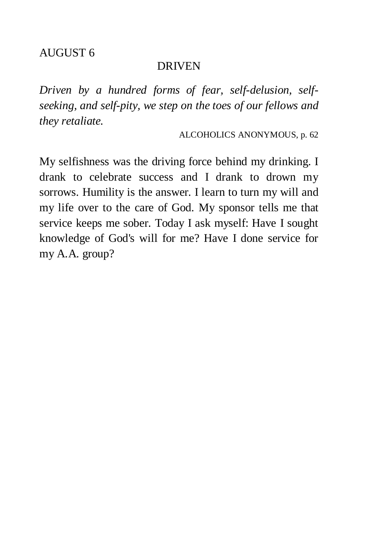### DRIVEN

*Driven by a hundred forms of fear, self-delusion, selfseeking, and self-pity, we step on the toes of our fellows and they retaliate.* 

ALCOHOLICS ANONYMOUS, p. 62

My selfishness was the driving force behind my drinking. I drank to celebrate success and I drank to drown my sorrows. Humility is the answer. I learn to turn my will and my life over to the care of God. My sponsor tells me that service keeps me sober. Today I ask myself: Have I sought knowledge of God's will for me? Have I done service for my A.A. group?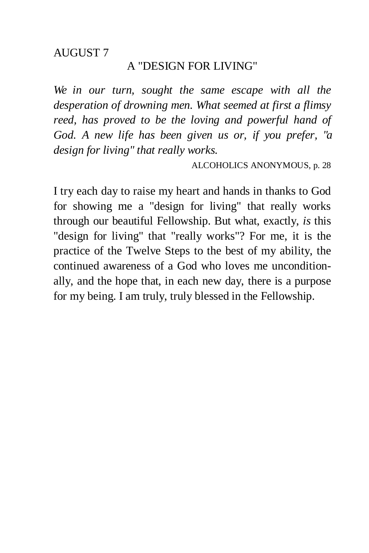#### A "DESIGN FOR LIVING"

*We in our turn, sought the same escape with all the desperation of drowning men. What seemed at first a flimsy reed, has proved to be the loving and powerful hand of God. A new life has been given us or, if you prefer, "a design for living" that really works.* 

ALCOHOLICS ANONYMOUS, p. 28

I try each day to raise my heart and hands in thanks to God for showing me a "design for living" that really works through our beautiful Fellowship. But what, exactly, *is* this "design for living" that "really works"? For me, it is the practice of the Twelve Steps to the best of my ability, the continued awareness of a God who loves me unconditionally, and the hope that, in each new day, there is a purpose for my being. I am truly, truly blessed in the Fellowship.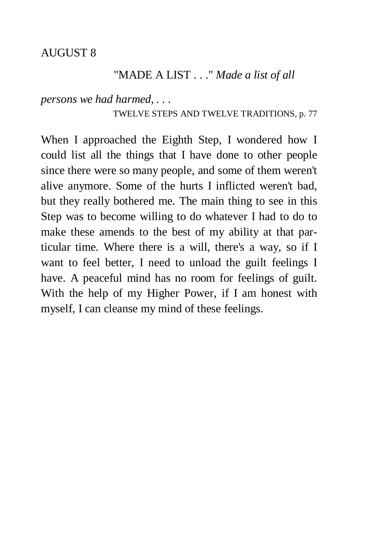# "MADE A LIST . . ." *Made a list of all*

*persons we had harmed, . . .* 

TWELVE STEPS AND TWELVE TRADITIONS, p. 77

When I approached the Eighth Step, I wondered how I could list all the things that I have done to other people since there were so many people, and some of them weren't alive anymore. Some of the hurts I inflicted weren't bad, but they really bothered me. The main thing to see in this Step was to become willing to do whatever I had to do to make these amends to the best of my ability at that particular time. Where there is a will, there's a way, so if I want to feel better, I need to unload the guilt feelings I have. A peaceful mind has no room for feelings of guilt. With the help of my Higher Power, if I am honest with myself, I can cleanse my mind of these feelings.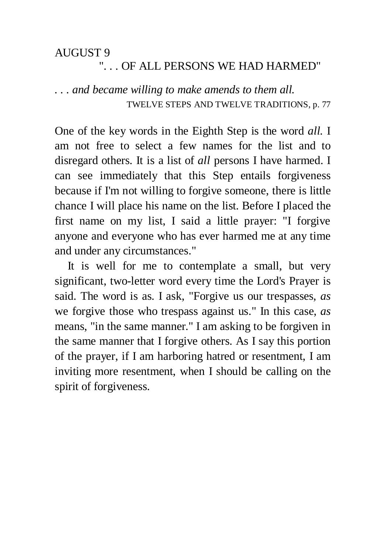# ". . . OF ALL PERSONS WE HAD HARMED"

*. . . and became willing to make amends to them all.*  TWELVE STEPS AND TWELVE TRADITIONS, p. 77

One of the key words in the Eighth Step is the word *all.* I am not free to select a few names for the list and to disregard others. It is a list of *all* persons I have harmed. I can see immediately that this Step entails forgiveness because if I'm not willing to forgive someone, there is little chance I will place his name on the list. Before I placed the first name on my list, I said a little prayer: "I forgive anyone and everyone who has ever harmed me at any time and under any circumstances."

It is well for me to contemplate a small, but very significant, two-letter word every time the Lord's Prayer is said. The word is as. I ask, "Forgive us our trespasses, *as*  we forgive those who trespass against us." In this case, *as*  means, "in the same manner." I am asking to be forgiven in the same manner that I forgive others. As I say this portion of the prayer, if I am harboring hatred or resentment, I am inviting more resentment, when I should be calling on the spirit of forgiveness.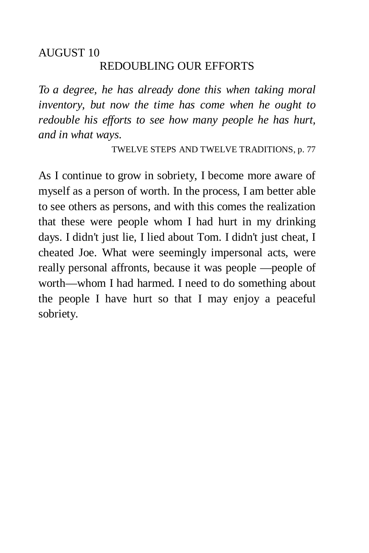# AUGUST 10 REDOUBLING OUR EFFORTS

*To a degree, he has already done this when taking moral inventory, but now the time has come when he ought to redouble his efforts to see how many people he has hurt, and in what ways.* 

TWELVE STEPS AND TWELVE TRADITIONS, p. 77

As I continue to grow in sobriety, I become more aware of myself as a person of worth. In the process, I am better able to see others as persons, and with this comes the realization that these were people whom I had hurt in my drinking days. I didn't just lie, I lied about Tom. I didn't just cheat, I cheated Joe. What were seemingly impersonal acts, were really personal affronts, because it was people —people of worth—whom I had harmed. I need to do something about the people I have hurt so that I may enjoy a peaceful sobriety.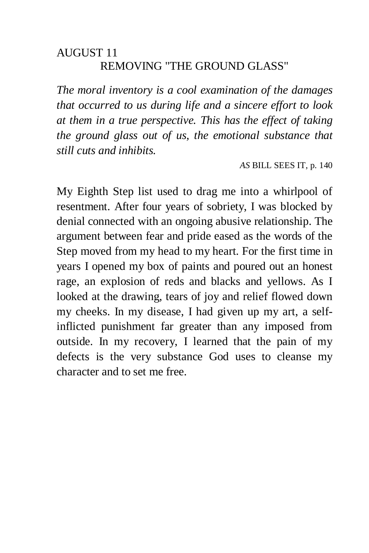# AUGUST 11 REMOVING "THE GROUND GLASS"

*The moral inventory is a cool examination of the damages that occurred to us during life and a sincere effort to look at them in a true perspective. This has the effect of taking the ground glass out of us, the emotional substance that still cuts and inhibits.* 

*AS* BILL SEES IT, p. 140

My Eighth Step list used to drag me into a whirlpool of resentment. After four years of sobriety, I was blocked by denial connected with an ongoing abusive relationship. The argument between fear and pride eased as the words of the Step moved from my head to my heart. For the first time in years I opened my box of paints and poured out an honest rage, an explosion of reds and blacks and yellows. As I looked at the drawing, tears of joy and relief flowed down my cheeks. In my disease, I had given up my art, a selfinflicted punishment far greater than any imposed from outside. In my recovery, I learned that the pain of my defects is the very substance God uses to cleanse my character and to set me free.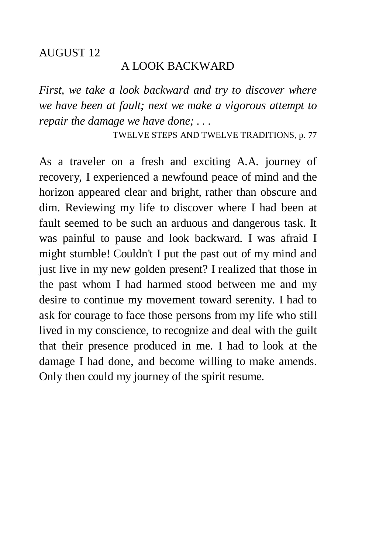#### A LOOK BACKWARD

*First, we take a look backward and try to discover where we have been at fault; next we make a vigorous attempt to repair the damage we have done; . . .* 

TWELVE STEPS AND TWELVE TRADITIONS, p. 77

As a traveler on a fresh and exciting A.A. journey of recovery, I experienced a newfound peace of mind and the horizon appeared clear and bright, rather than obscure and dim. Reviewing my life to discover where I had been at fault seemed to be such an arduous and dangerous task. It was painful to pause and look backward. I was afraid I might stumble! Couldn't I put the past out of my mind and just live in my new golden present? I realized that those in the past whom I had harmed stood between me and my desire to continue my movement toward serenity. I had to ask for courage to face those persons from my life who still lived in my conscience, to recognize and deal with the guilt that their presence produced in me. I had to look at the damage I had done, and become willing to make amends. Only then could my journey of the spirit resume.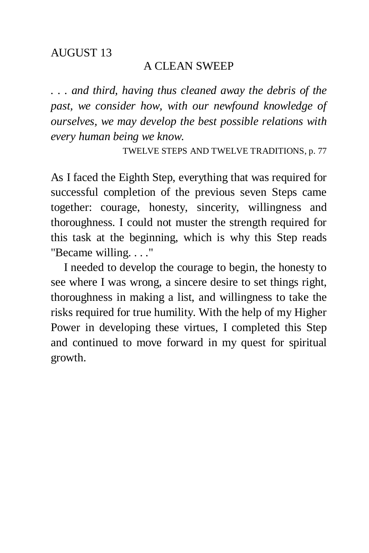#### A CLEAN SWEEP

*. . . and third, having thus cleaned away the debris of the past, we consider how, with our newfound knowledge of ourselves, we may develop the best possible relations with every human being we know.* 

TWELVE STEPS AND TWELVE TRADITIONS, p. 77

As I faced the Eighth Step, everything that was required for successful completion of the previous seven Steps came together: courage, honesty, sincerity, willingness and thoroughness. I could not muster the strength required for this task at the beginning, which is why this Step reads "Became willing. . . ."

I needed to develop the courage to begin, the honesty to see where I was wrong, a sincere desire to set things right, thoroughness in making a list, and willingness to take the risks required for true humility. With the help of my Higher Power in developing these virtues, I completed this Step and continued to move forward in my quest for spiritual growth.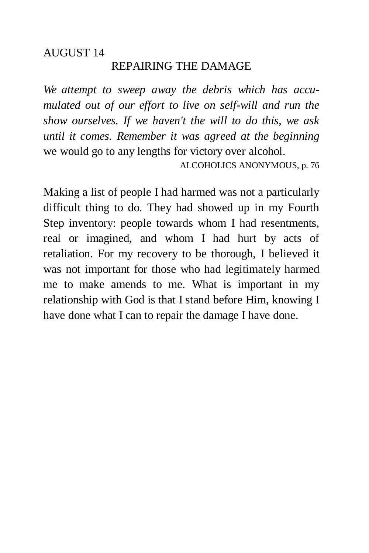### REPAIRING THE DAMAGE

*We attempt to sweep away the debris which has accumulated out of our effort to live on self-will and run the show ourselves. If we haven't the will to do this, we ask until it comes. Remember it was agreed at the beginning*  we would go to any lengths for victory over alcohol.

ALCOHOLICS ANONYMOUS, p. 76

Making a list of people I had harmed was not a particularly difficult thing to do. They had showed up in my Fourth Step inventory: people towards whom I had resentments, real or imagined, and whom I had hurt by acts of retaliation. For my recovery to be thorough, I believed it was not important for those who had legitimately harmed me to make amends to me. What is important in my relationship with God is that I stand before Him, knowing I have done what I can to repair the damage I have done.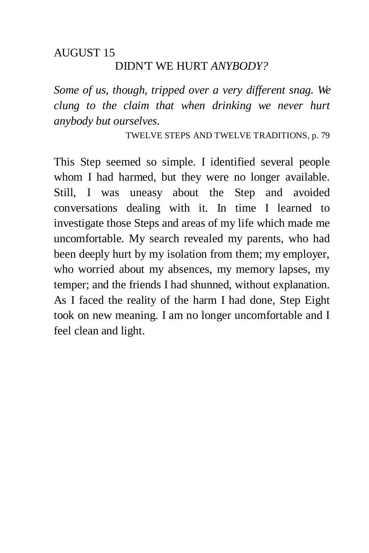# AUGUST 15 DIDN'T WE HURT *ANYBODY?*

*Some of us, though, tripped over a very different snag. We clung to the claim that when drinking we never hurt anybody but ourselves.* 

TWELVE STEPS AND TWELVE TRADITIONS, p. 79

This Step seemed so simple. I identified several people whom I had harmed, but they were no longer available. Still, I was uneasy about the Step and avoided conversations dealing with it. In time I learned to investigate those Steps and areas of my life which made me uncomfortable. My search revealed my parents, who had been deeply hurt by my isolation from them; my employer, who worried about my absences, my memory lapses, my temper; and the friends I had shunned, without explanation. As I faced the reality of the harm I had done, Step Eight took on new meaning. I am no longer uncomfortable and I feel clean and light.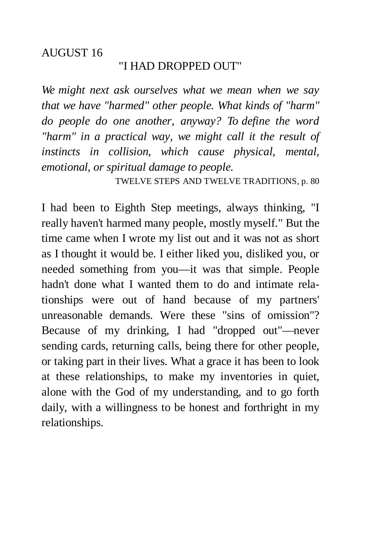#### "I HAD DROPPED OUT"

*We might next ask ourselves what we mean when we say that we have "harmed" other people. What kinds of "harm" do people do one another, anyway? To define the word "harm" in a practical way, we might call it the result of instincts in collision, which cause physical, mental, emotional, or spiritual damage to people.* 

TWELVE STEPS AND TWELVE TRADITIONS, p. 80

I had been to Eighth Step meetings, always thinking, "I really haven't harmed many people, mostly myself." But the time came when I wrote my list out and it was not as short as I thought it would be. I either liked you, disliked you, or needed something from you—it was that simple. People hadn't done what I wanted them to do and intimate relationships were out of hand because of my partners' unreasonable demands. Were these "sins of omission"? Because of my drinking, I had "dropped out"—never sending cards, returning calls, being there for other people, or taking part in their lives. What a grace it has been to look at these relationships, to make my inventories in quiet, alone with the God of my understanding, and to go forth daily, with a willingness to be honest and forthright in my relationships.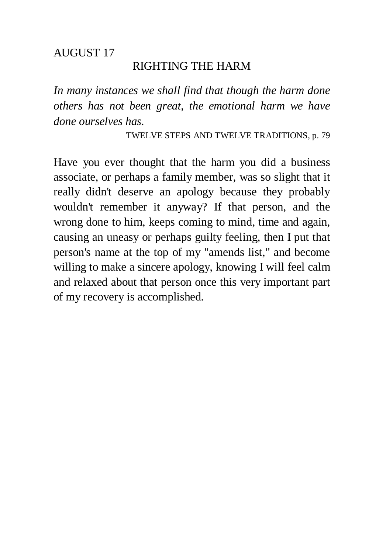### RIGHTING THE HARM

*In many instances we shall find that though the harm done others has not been great, the emotional harm we have done ourselves has.* 

TWELVE STEPS AND TWELVE TRADITIONS, p. 79

Have you ever thought that the harm you did a business associate, or perhaps a family member, was so slight that it really didn't deserve an apology because they probably wouldn't remember it anyway? If that person, and the wrong done to him, keeps coming to mind, time and again, causing an uneasy or perhaps guilty feeling, then I put that person's name at the top of my "amends list," and become willing to make a sincere apology, knowing I will feel calm and relaxed about that person once this very important part of my recovery is accomplished.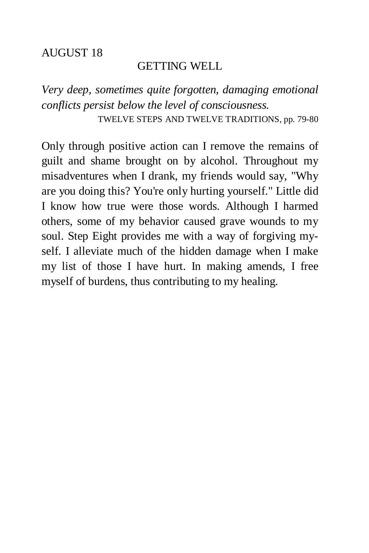### GETTING WELL

*Very deep, sometimes quite forgotten, damaging emotional conflicts persist below the level of consciousness.*  TWELVE STEPS AND TWELVE TRADITIONS, pp. 79-80

Only through positive action can I remove the remains of guilt and shame brought on by alcohol. Throughout my misadventures when I drank, my friends would say, "Why are you doing this? You're only hurting yourself." Little did I know how true were those words. Although I harmed others, some of my behavior caused grave wounds to my soul. Step Eight provides me with a way of forgiving myself. I alleviate much of the hidden damage when I make my list of those I have hurt. In making amends, I free myself of burdens, thus contributing to my healing.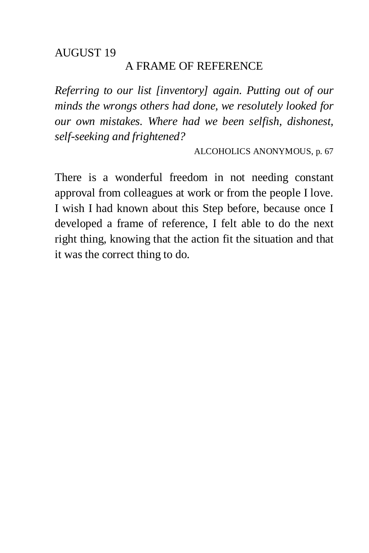### A FRAME OF REFERENCE

*Referring to our list [inventory] again. Putting out of our minds the wrongs others had done, we resolutely looked for our own mistakes. Where had we been selfish, dishonest, self-seeking and frightened?* 

ALCOHOLICS ANONYMOUS, p. 67

There is a wonderful freedom in not needing constant approval from colleagues at work or from the people I love. I wish I had known about this Step before, because once I developed a frame of reference, I felt able to do the next right thing, knowing that the action fit the situation and that it was the correct thing to do.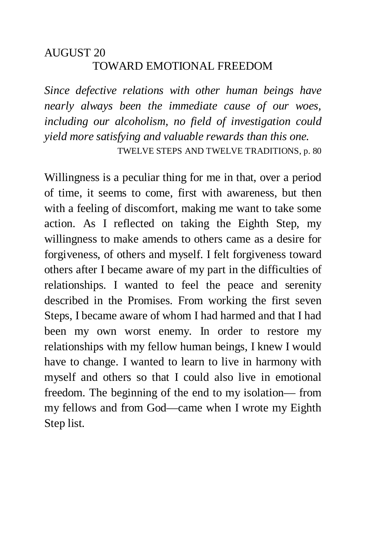# AUGUST 20 TOWARD EMOTIONAL FREEDOM

*Since defective relations with other human beings have nearly always been the immediate cause of our woes, including our alcoholism, no field of investigation could yield more satisfying and valuable rewards than this one.* 

TWELVE STEPS AND TWELVE TRADITIONS, p. 80

Willingness is a peculiar thing for me in that, over a period of time, it seems to come, first with awareness, but then with a feeling of discomfort, making me want to take some action. As I reflected on taking the Eighth Step, my willingness to make amends to others came as a desire for forgiveness, of others and myself. I felt forgiveness toward others after I became aware of my part in the difficulties of relationships. I wanted to feel the peace and serenity described in the Promises. From working the first seven Steps, I became aware of whom I had harmed and that I had been my own worst enemy. In order to restore my relationships with my fellow human beings, I knew I would have to change. I wanted to learn to live in harmony with myself and others so that I could also live in emotional freedom. The beginning of the end to my isolation— from my fellows and from God—came when I wrote my Eighth Step list.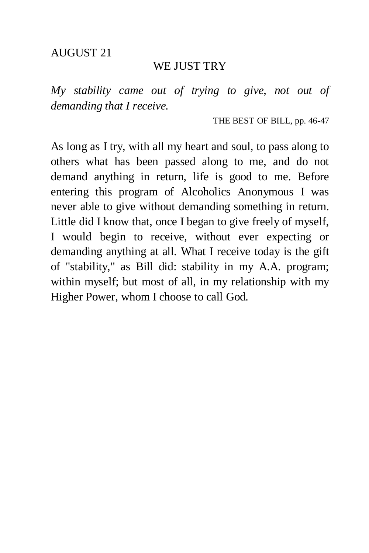### WE JUST TRY

*My stability came out of trying to give, not out of demanding that I receive.* 

THE BEST OF BILL, pp. 46-47

As long as I try, with all my heart and soul, to pass along to others what has been passed along to me, and do not demand anything in return, life is good to me. Before entering this program of Alcoholics Anonymous I was never able to give without demanding something in return. Little did I know that, once I began to give freely of myself, I would begin to receive, without ever expecting or demanding anything at all. What I receive today is the gift of "stability," as Bill did: stability in my A.A. program; within myself; but most of all, in my relationship with my Higher Power, whom I choose to call God.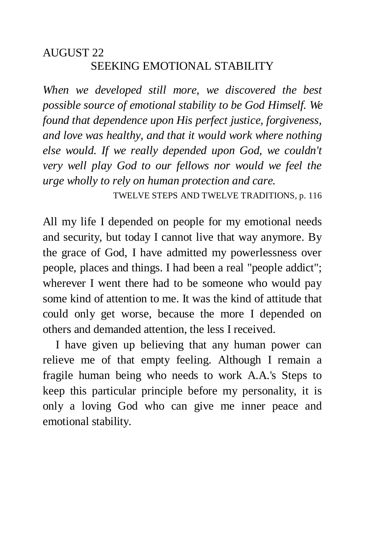# AUGUST 22 SEEKING EMOTIONAL STABILITY

*When we developed still more, we discovered the best possible source of emotional stability to be God Himself. We found that dependence upon His perfect justice, forgiveness, and love was healthy, and that it would work where nothing else would. If we really depended upon God, we couldn't very well play God to our fellows nor would we feel the urge wholly to rely on human protection and care.* 

TWELVE STEPS AND TWELVE TRADITIONS, p. 116

All my life I depended on people for my emotional needs and security, but today I cannot live that way anymore. By the grace of God, I have admitted my powerlessness over people, places and things. I had been a real "people addict"; wherever I went there had to be someone who would pay some kind of attention to me. It was the kind of attitude that could only get worse, because the more I depended on others and demanded attention, the less I received.

I have given up believing that any human power can relieve me of that empty feeling. Although I remain a fragile human being who needs to work A.A.'s Steps to keep this particular principle before my personality, it is only a loving God who can give me inner peace and emotional stability.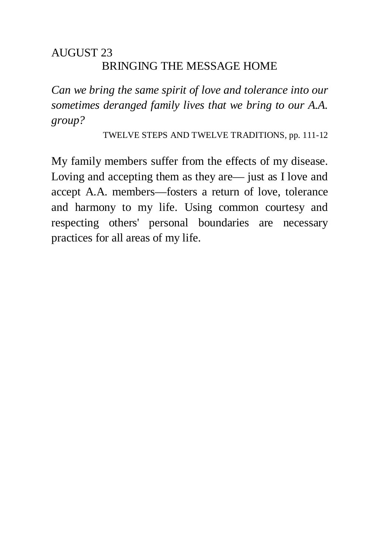# AUGUST 23 BRINGING THE MESSAGE HOME

*Can we bring the same spirit of love and tolerance into our sometimes deranged family lives that we bring to our A.A. group?* 

TWELVE STEPS AND TWELVE TRADITIONS, pp. 111-12

My family members suffer from the effects of my disease. Loving and accepting them as they are— just as I love and accept A.A. members—fosters a return of love, tolerance and harmony to my life. Using common courtesy and respecting others' personal boundaries are necessary practices for all areas of my life.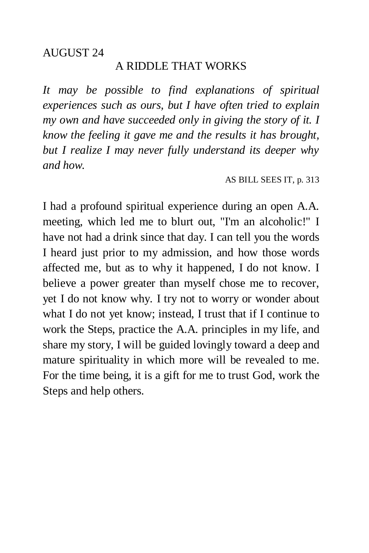### A RIDDLE THAT WORKS

*It may be possible to find explanations of spiritual experiences such as ours, but I have often tried to explain my own and have succeeded only in giving the story of it. I know the feeling it gave me and the results it has brought, but I realize I may never fully understand its deeper why and how.* 

AS BILL SEES IT, p. 313

I had a profound spiritual experience during an open A.A. meeting, which led me to blurt out, "I'm an alcoholic!" I have not had a drink since that day. I can tell you the words I heard just prior to my admission, and how those words affected me, but as to why it happened, I do not know. I believe a power greater than myself chose me to recover, yet I do not know why. I try not to worry or wonder about what I do not yet know; instead, I trust that if I continue to work the Steps, practice the A.A. principles in my life, and share my story, I will be guided lovingly toward a deep and mature spirituality in which more will be revealed to me. For the time being, it is a gift for me to trust God, work the Steps and help others.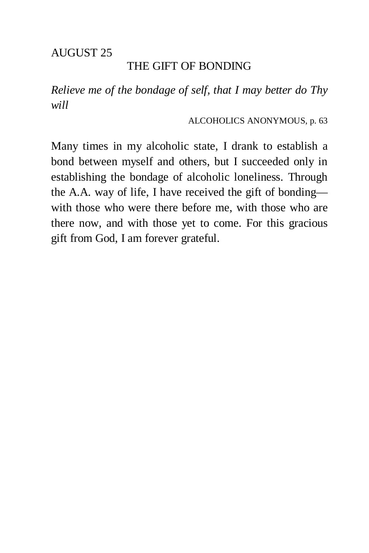# THE GIFT OF BONDING

*Relieve me of the bondage of self, that I may better do Thy will* 

ALCOHOLICS ANONYMOUS, p. 63

Many times in my alcoholic state, I drank to establish a bond between myself and others, but I succeeded only in establishing the bondage of alcoholic loneliness. Through the A.A. way of life, I have received the gift of bonding with those who were there before me, with those who are there now, and with those yet to come. For this gracious gift from God, I am forever grateful.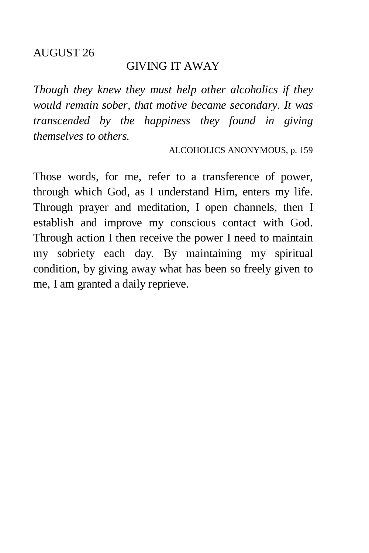### GIVING IT AWAY

*Though they knew they must help other alcoholics if they would remain sober, that motive became secondary. It was transcended by the happiness they found in giving themselves to others.* 

ALCOHOLICS ANONYMOUS, p. 159

Those words, for me, refer to a transference of power, through which God, as I understand Him, enters my life. Through prayer and meditation, I open channels, then I establish and improve my conscious contact with God. Through action I then receive the power I need to maintain my sobriety each day. By maintaining my spiritual condition, by giving away what has been so freely given to me, I am granted a daily reprieve.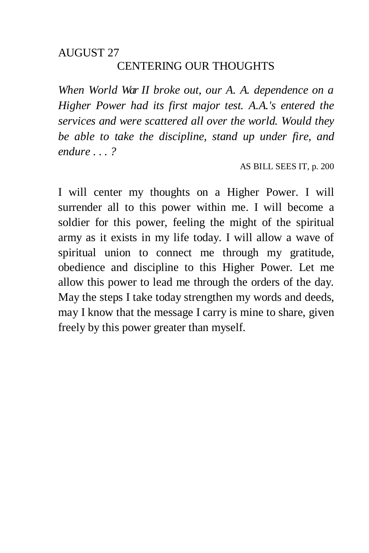# AUGUST 27 CENTERING OUR THOUGHTS

*When World War II broke out, our A. A. dependence on a Higher Power had its first major test. A.A.'s entered the services and were scattered all over the world. Would they be able to take the discipline, stand up under fire, and endure . . . ?* 

AS BILL SEES IT, p. 200

I will center my thoughts on a Higher Power. I will surrender all to this power within me. I will become a soldier for this power, feeling the might of the spiritual army as it exists in my life today. I will allow a wave of spiritual union to connect me through my gratitude, obedience and discipline to this Higher Power. Let me allow this power to lead me through the orders of the day. May the steps I take today strengthen my words and deeds, may I know that the message I carry is mine to share, given freely by this power greater than myself.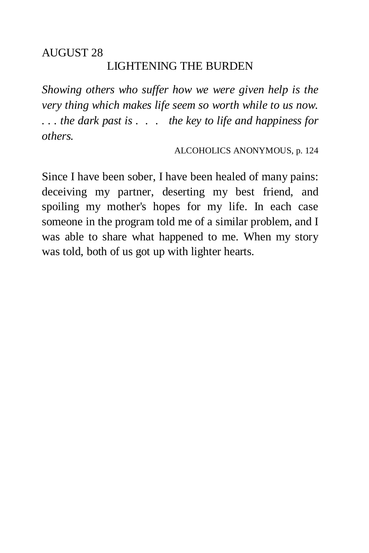# AUGUST 28 LIGHTENING THE BURDEN

*Showing others who suffer how we were given help is the very thing which makes life seem so worth while to us now. . . . the dark past is . . . the key to life and happiness for others.* 

#### ALCOHOLICS ANONYMOUS, p. 124

Since I have been sober, I have been healed of many pains: deceiving my partner, deserting my best friend, and spoiling my mother's hopes for my life. In each case someone in the program told me of a similar problem, and I was able to share what happened to me. When my story was told, both of us got up with lighter hearts.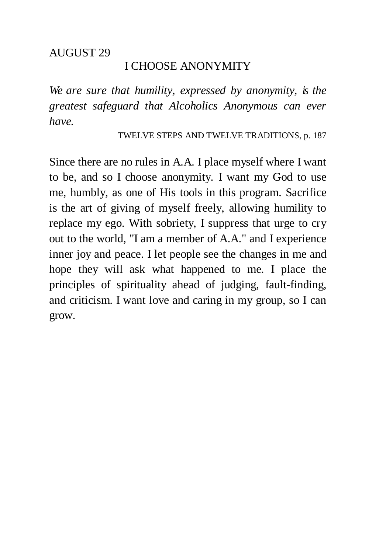## I CHOOSE ANONYMITY

*We are sure that humility, expressed by anonymity, is the greatest safeguard that Alcoholics Anonymous can ever have.* 

TWELVE STEPS AND TWELVE TRADITIONS, p. 187

Since there are no rules in A.A. I place myself where I want to be, and so I choose anonymity. I want my God to use me, humbly, as one of His tools in this program. Sacrifice is the art of giving of myself freely, allowing humility to replace my ego. With sobriety, I suppress that urge to cry out to the world, "I am a member of A.A." and I experience inner joy and peace. I let people see the changes in me and hope they will ask what happened to me. I place the principles of spirituality ahead of judging, fault-finding, and criticism. I want love and caring in my group, so I can grow.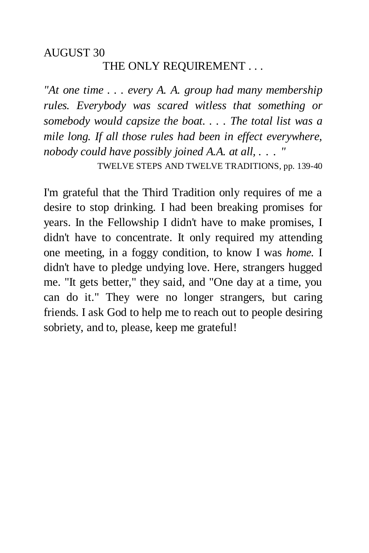# AUGUST 30 THE ONLY REQUIREMENT . . .

*"At one time . . . every A. A. group had many membership rules. Everybody was scared witless that something or somebody would capsize the boat. . . . The total list was a mile long. If all those rules had been in effect everywhere, nobody could have possibly joined A.A. at all, ..."* 

TWELVE STEPS AND TWELVE TRADITIONS, pp. 139-40

I'm grateful that the Third Tradition only requires of me a desire to stop drinking. I had been breaking promises for years. In the Fellowship I didn't have to make promises, I didn't have to concentrate. It only required my attending one meeting, in a foggy condition, to know I was *home.* I didn't have to pledge undying love. Here, strangers hugged me. "It gets better," they said, and "One day at a time, you can do it." They were no longer strangers, but caring friends. I ask God to help me to reach out to people desiring sobriety, and to, please, keep me grateful!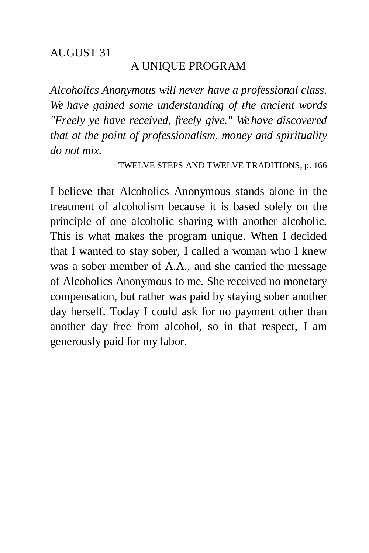### A UNIQUE PROGRAM

*Alcoholics Anonymous will never have a professional class. We have gained some understanding of the ancient words "Freely ye have received, freely give." We have discovered that at the point of professionalism, money and spirituality do not mix.* 

TWELVE STEPS AND TWELVE TRADITIONS, p. 166

I believe that Alcoholics Anonymous stands alone in the treatment of alcoholism because it is based solely on the principle of one alcoholic sharing with another alcoholic. This is what makes the program unique. When I decided that I wanted to stay sober, I called a woman who I knew was a sober member of A.A., and she carried the message of Alcoholics Anonymous to me. She received no monetary compensation, but rather was paid by staying sober another day herself. Today I could ask for no payment other than another day free from alcohol, so in that respect, I am generously paid for my labor.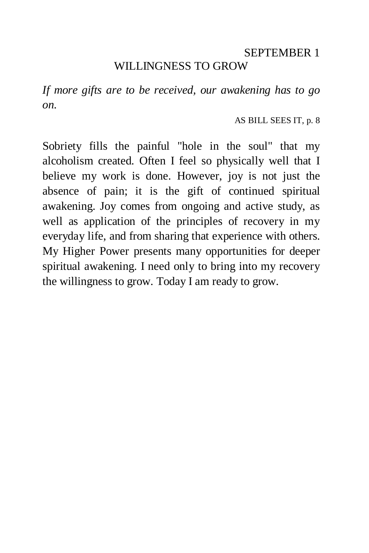# SEPTEMBER 1 WILLINGNESS TO GROW

*If more gifts are to be received, our awakening has to go on.* 

AS BILL SEES IT, p. 8

Sobriety fills the painful "hole in the soul" that my alcoholism created. Often I feel so physically well that I believe my work is done. However, joy is not just the absence of pain; it is the gift of continued spiritual awakening. Joy comes from ongoing and active study, as well as application of the principles of recovery in my everyday life, and from sharing that experience with others. My Higher Power presents many opportunities for deeper spiritual awakening. I need only to bring into my recovery the willingness to grow. Today I am ready to grow.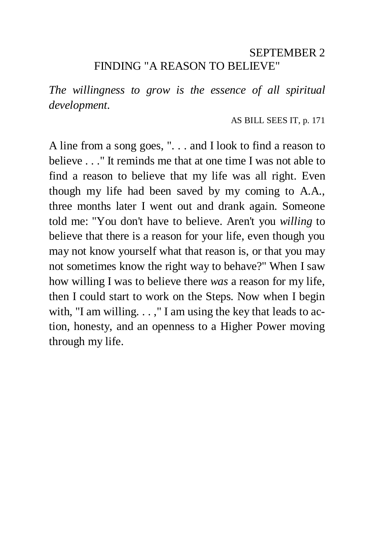# SEPTEMBER 2 FINDING "A REASON TO BELIEVE"

*The willingness to grow is the essence of all spiritual development.* 

AS BILL SEES IT, p. 171

A line from a song goes, ". . . and I look to find a reason to believe . . ." It reminds me that at one time I was not able to find a reason to believe that my life was all right. Even though my life had been saved by my coming to A.A., three months later I went out and drank again. Someone told me: "You don't have to believe. Aren't you *willing* to believe that there is a reason for your life, even though you may not know yourself what that reason is, or that you may not sometimes know the right way to behave?" When I saw how willing I was to believe there *was* a reason for my life, then I could start to work on the Steps. Now when I begin with, "I am willing.  $\ldots$ ," I am using the key that leads to action, honesty, and an openness to a Higher Power moving through my life.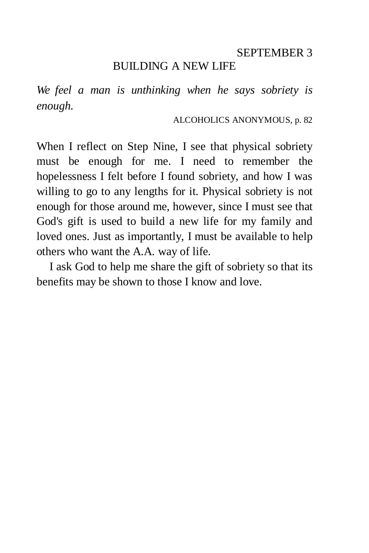#### BUILDING A NEW LIFE

*We feel a man is unthinking when he says sobriety is enough.* 

ALCOHOLICS ANONYMOUS, p. 82

When I reflect on Step Nine, I see that physical sobriety must be enough for me. I need to remember the hopelessness I felt before I found sobriety, and how I was willing to go to any lengths for it. Physical sobriety is not enough for those around me, however, since I must see that God's gift is used to build a new life for my family and loved ones. Just as importantly, I must be available to help others who want the A.A. way of life.

I ask God to help me share the gift of sobriety so that its benefits may be shown to those I know and love.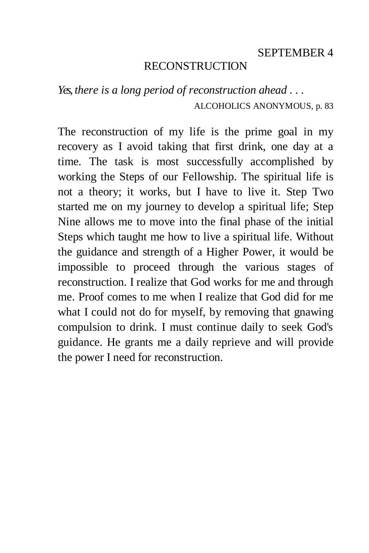### RECONSTRUCTION

*Yes, there is a long period of reconstruction ahead . . .*  ALCOHOLICS ANONYMOUS, p. 83

The reconstruction of my life is the prime goal in my recovery as I avoid taking that first drink, one day at a time. The task is most successfully accomplished by working the Steps of our Fellowship. The spiritual life is not a theory; it works, but I have to live it. Step Two started me on my journey to develop a spiritual life; Step Nine allows me to move into the final phase of the initial Steps which taught me how to live a spiritual life. Without the guidance and strength of a Higher Power, it would be impossible to proceed through the various stages of reconstruction. I realize that God works for me and through me. Proof comes to me when I realize that God did for me what I could not do for myself, by removing that gnawing compulsion to drink. I must continue daily to seek God's guidance. He grants me a daily reprieve and will provide the power I need for reconstruction.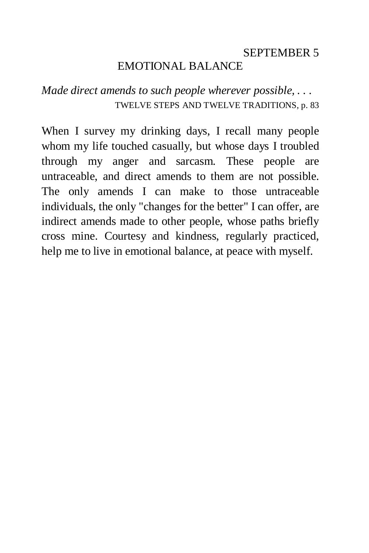## SEPTEMBER 5 EMOTIONAL BALANCE

## *Made direct amends to such people wherever possible, . . .*  TWELVE STEPS AND TWELVE TRADITIONS, p. 83

When I survey my drinking days, I recall many people whom my life touched casually, but whose days I troubled through my anger and sarcasm. These people are untraceable, and direct amends to them are not possible. The only amends I can make to those untraceable individuals, the only "changes for the better" I can offer, are indirect amends made to other people, whose paths briefly cross mine. Courtesy and kindness, regularly practiced, help me to live in emotional balance, at peace with myself.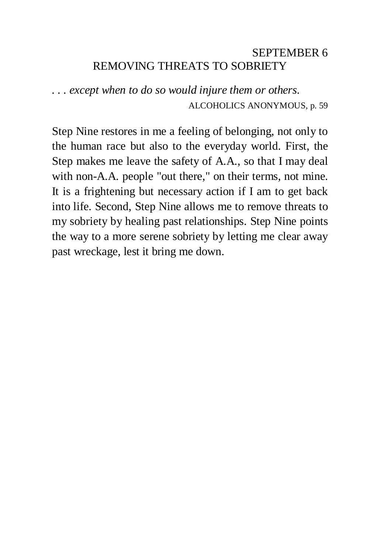### SEPTEMBER 6 REMOVING THREATS TO SOBRIETY

*. . . except when to do so would injure them or others.*  ALCOHOLICS ANONYMOUS, p. 59

Step Nine restores in me a feeling of belonging, not only to the human race but also to the everyday world. First, the Step makes me leave the safety of A.A., so that I may deal with non-A.A. people "out there," on their terms, not mine. It is a frightening but necessary action if I am to get back into life. Second, Step Nine allows me to remove threats to my sobriety by healing past relationships. Step Nine points the way to a more serene sobriety by letting me clear away past wreckage, lest it bring me down.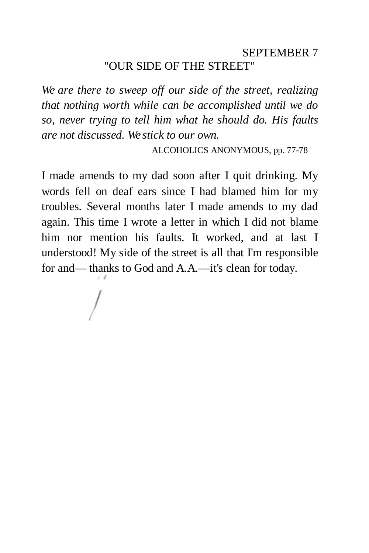### SEPTEMBER 7 "OUR SIDE OF THE STREET"

*We are there to sweep off our side of the street, realizing that nothing worth while can be accomplished until we do so, never trying to tell him what he should do. His faults are not discussed. We stick to our own.* 

ALCOHOLICS ANONYMOUS, pp. 77-78

I made amends to my dad soon after I quit drinking. My words fell on deaf ears since I had blamed him for my troubles. Several months later I made amends to my dad again. This time I wrote a letter in which I did not blame him nor mention his faults. It worked, and at last I understood! My side of the street is all that I'm responsible for and— thanks to God and A.A.—it's clean for today.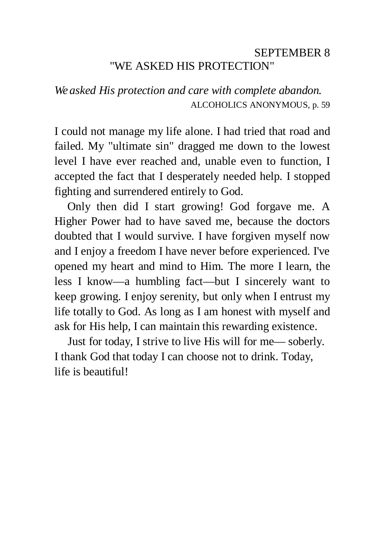### SEPTEMBER 8 "WE ASKED HIS PROTECTION"

*We asked His protection and care with complete abandon.*  ALCOHOLICS ANONYMOUS, p. 59

I could not manage my life alone. I had tried that road and failed. My "ultimate sin" dragged me down to the lowest level I have ever reached and, unable even to function, I accepted the fact that I desperately needed help. I stopped fighting and surrendered entirely to God.

Only then did I start growing! God forgave me. A Higher Power had to have saved me, because the doctors doubted that I would survive. I have forgiven myself now and I enjoy a freedom I have never before experienced. I've opened my heart and mind to Him. The more I learn, the less I know—a humbling fact—but I sincerely want to keep growing. I enjoy serenity, but only when I entrust my life totally to God. As long as I am honest with myself and ask for His help, I can maintain this rewarding existence.

Just for today, I strive to live His will for me— soberly. I thank God that today I can choose not to drink. Today, life is beautiful!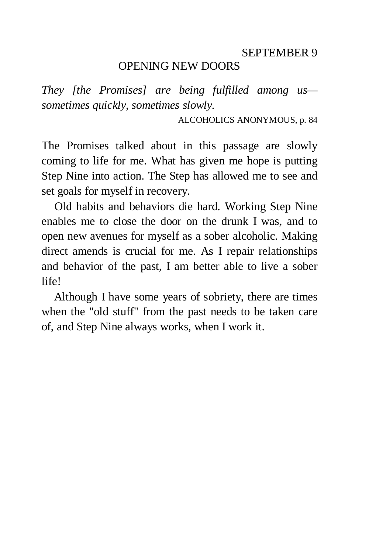#### OPENING NEW DOORS

*They [the Promises] are being fulfilled among us sometimes quickly, sometimes slowly.* 

ALCOHOLICS ANONYMOUS, p. 84

The Promises talked about in this passage are slowly coming to life for me. What has given me hope is putting Step Nine into action. The Step has allowed me to see and set goals for myself in recovery.

Old habits and behaviors die hard. Working Step Nine enables me to close the door on the drunk I was, and to open new avenues for myself as a sober alcoholic. Making direct amends is crucial for me. As I repair relationships and behavior of the past, I am better able to live a sober life!

Although I have some years of sobriety, there are times when the "old stuff" from the past needs to be taken care of, and Step Nine always works, when I work it.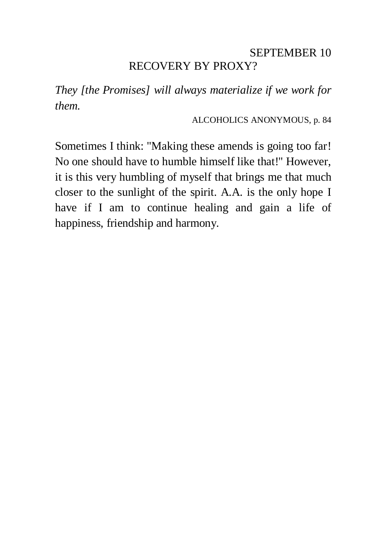## SEPTEMBER 10 RECOVERY BY PROXY?

*They [the Promises] will always materialize if we work for them.* 

ALCOHOLICS ANONYMOUS, p. 84

Sometimes I think: "Making these amends is going too far! No one should have to humble himself like that!" However, it is this very humbling of myself that brings me that much closer to the sunlight of the spirit. A.A. is the only hope I have if I am to continue healing and gain a life of happiness, friendship and harmony.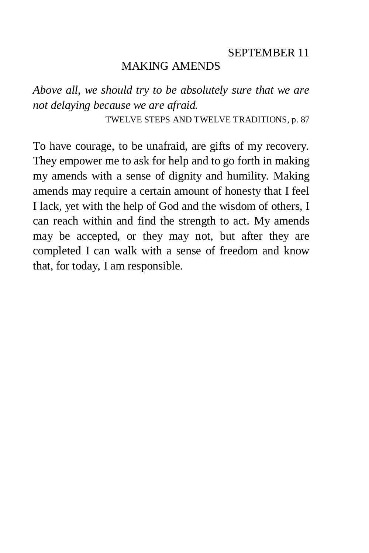### MAKING AMENDS

*Above all, we should try to be absolutely sure that we are not delaying because we are afraid.* 

TWELVE STEPS AND TWELVE TRADITIONS, p. 87

To have courage, to be unafraid, are gifts of my recovery. They empower me to ask for help and to go forth in making my amends with a sense of dignity and humility. Making amends may require a certain amount of honesty that I feel I lack, yet with the help of God and the wisdom of others, I can reach within and find the strength to act. My amends may be accepted, or they may not, but after they are completed I can walk with a sense of freedom and know that, for today, I am responsible.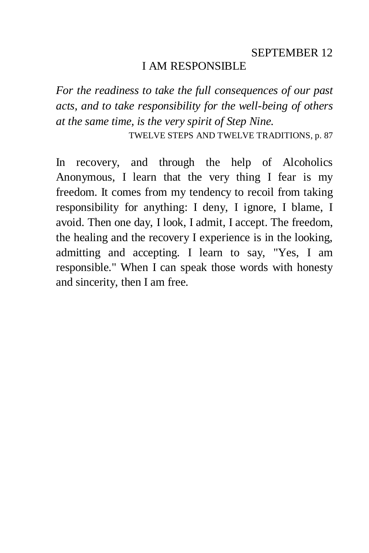#### I AM RESPONSIBLE

*For the readiness to take the full consequences of our past acts, and to take responsibility for the well-being of others at the same time, is the very spirit of Step Nine.* 

TWELVE STEPS AND TWELVE TRADITIONS, p. 87

In recovery, and through the help of Alcoholics Anonymous, I learn that the very thing I fear is my freedom. It comes from my tendency to recoil from taking responsibility for anything: I deny, I ignore, I blame, I avoid. Then one day, I look, I admit, I accept. The freedom, the healing and the recovery I experience is in the looking, admitting and accepting. I learn to say, "Yes, I am responsible." When I can speak those words with honesty and sincerity, then I am free.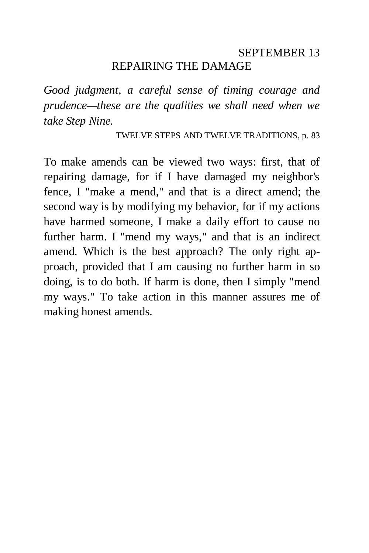### SEPTEMBER 13 REPAIRING THE DAMAGE

*Good judgment, a careful sense of timing courage and prudence—these are the qualities we shall need when we take Step Nine.* 

TWELVE STEPS AND TWELVE TRADITIONS, p. 83

To make amends can be viewed two ways: first, that of repairing damage, for if I have damaged my neighbor's fence, I "make a mend," and that is a direct amend; the second way is by modifying my behavior, for if my actions have harmed someone, I make a daily effort to cause no further harm. I "mend my ways," and that is an indirect amend. Which is the best approach? The only right approach, provided that I am causing no further harm in so doing, is to do both. If harm is done, then I simply "mend my ways." To take action in this manner assures me of making honest amends.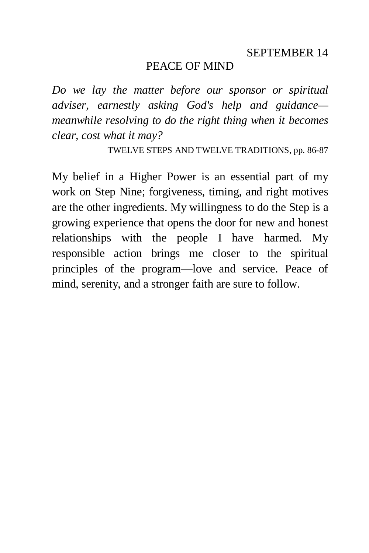## PEACE OF MIND

*Do we lay the matter before our sponsor or spiritual adviser, earnestly asking God's help and guidance meanwhile resolving to do the right thing when it becomes clear, cost what it may?* 

TWELVE STEPS AND TWELVE TRADITIONS, pp. 86-87

My belief in a Higher Power is an essential part of my work on Step Nine; forgiveness, timing, and right motives are the other ingredients. My willingness to do the Step is a growing experience that opens the door for new and honest relationships with the people I have harmed. My responsible action brings me closer to the spiritual principles of the program—love and service. Peace of mind, serenity, and a stronger faith are sure to follow.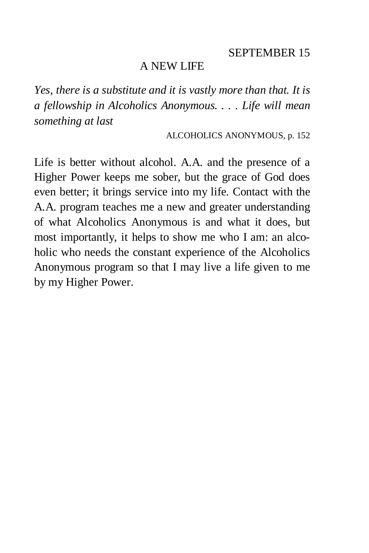#### A NEW LIFE

*Yes, there is a substitute and it is vastly more than that. It is a fellowship in Alcoholics Anonymous. . . . Life will mean something at last* 

ALCOHOLICS ANONYMOUS, p. 152

Life is better without alcohol. A.A. and the presence of a Higher Power keeps me sober, but the grace of God does even better; it brings service into my life. Contact with the A.A. program teaches me a new and greater understanding of what Alcoholics Anonymous is and what it does, but most importantly, it helps to show me who I am: an alcoholic who needs the constant experience of the Alcoholics Anonymous program so that I may live a life given to me by my Higher Power.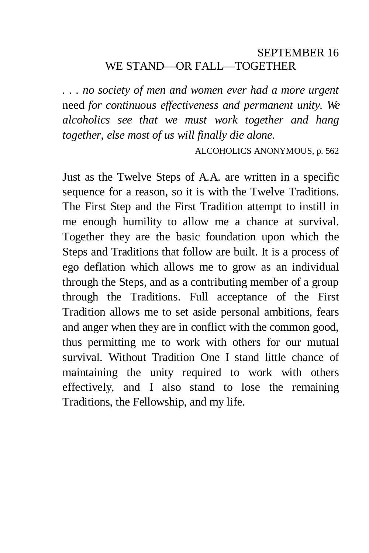### SEPTEMBER 16 WE STAND—OR FALL—TOGETHER

*. . . no society of men and women ever had a more urgent*  need *for continuous effectiveness and permanent unity. We alcoholics see that we must work together and hang together, else most of us will finally die alone.* 

ALCOHOLICS ANONYMOUS, p. 562

Just as the Twelve Steps of A.A. are written in a specific sequence for a reason, so it is with the Twelve Traditions. The First Step and the First Tradition attempt to instill in me enough humility to allow me a chance at survival. Together they are the basic foundation upon which the Steps and Traditions that follow are built. It is a process of ego deflation which allows me to grow as an individual through the Steps, and as a contributing member of a group through the Traditions. Full acceptance of the First Tradition allows me to set aside personal ambitions, fears and anger when they are in conflict with the common good, thus permitting me to work with others for our mutual survival. Without Tradition One I stand little chance of maintaining the unity required to work with others effectively, and I also stand to lose the remaining Traditions, the Fellowship, and my life.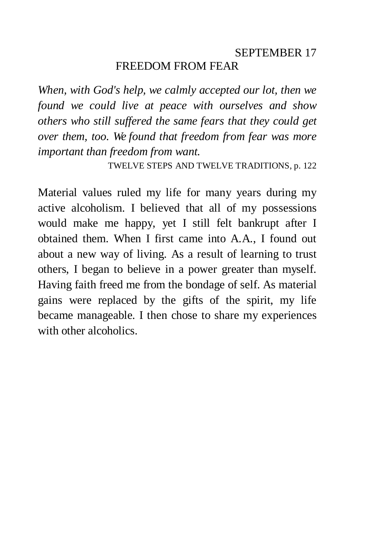### SEPTEMBER 17 FREEDOM FROM FEAR

*When, with God's help, we calmly accepted our lot, then we found we could live at peace with ourselves and show others who still suffered the same fears that they could get over them, too. We found that freedom from fear was more important than freedom from want.* 

TWELVE STEPS AND TWELVE TRADITIONS, p. 122

Material values ruled my life for many years during my active alcoholism. I believed that all of my possessions would make me happy, yet I still felt bankrupt after I obtained them. When I first came into A.A., I found out about a new way of living. As a result of learning to trust others, I began to believe in a power greater than myself. Having faith freed me from the bondage of self. As material gains were replaced by the gifts of the spirit, my life became manageable. I then chose to share my experiences with other alcoholics.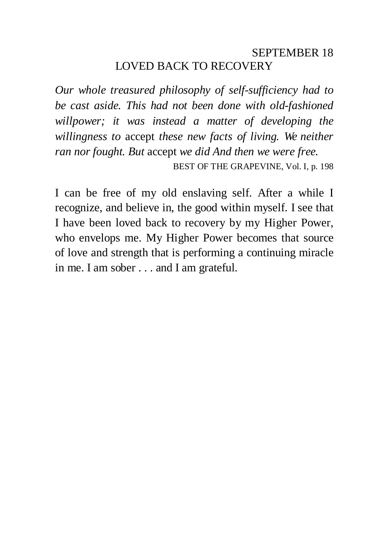### SEPTEMBER 18 LOVED BACK TO RECOVERY

*Our whole treasured philosophy of self-sufficiency had to be cast aside. This had not been done with old-fashioned willpower; it was instead a matter of developing the willingness to* accept *these new facts of living. We neither ran nor fought. But* accept *we did And then we were free.*  BEST OF THE GRAPEVINE, Vol. I, p. 198

I can be free of my old enslaving self. After a while I recognize, and believe in, the good within myself. I see that I have been loved back to recovery by my Higher Power, who envelops me. My Higher Power becomes that source of love and strength that is performing a continuing miracle in me. I am sober . . . and I am grateful.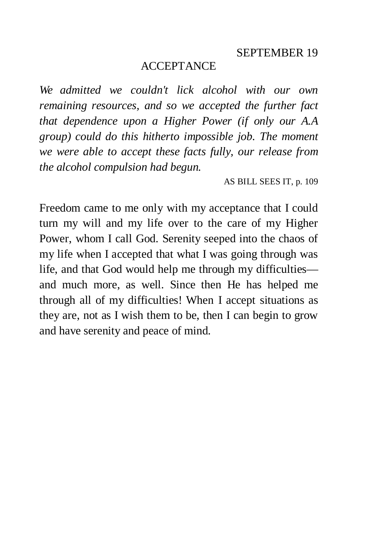#### ACCEPTANCE

*We admitted we couldn't lick alcohol with our own remaining resources, and so we accepted the further fact that dependence upon a Higher Power (if only our A.A group) could do this hitherto impossible job. The moment we were able to accept these facts fully, our release from the alcohol compulsion had begun.* 

AS BILL SEES IT, p. 109

Freedom came to me only with my acceptance that I could turn my will and my life over to the care of my Higher Power, whom I call God. Serenity seeped into the chaos of my life when I accepted that what I was going through was life, and that God would help me through my difficulties and much more, as well. Since then He has helped me through all of my difficulties! When I accept situations as they are, not as I wish them to be, then I can begin to grow and have serenity and peace of mind.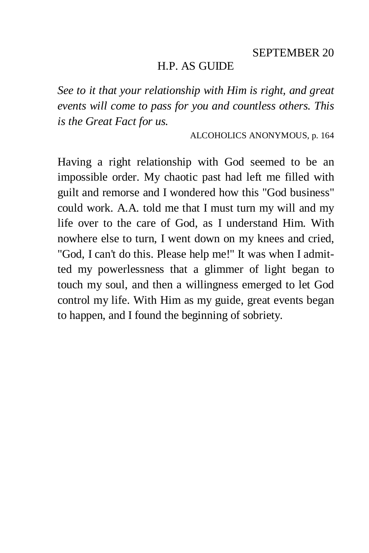#### H.P. AS GUIDE

*See to it that your relationship with Him is right, and great events will come to pass for you and countless others. This is the Great Fact for us.* 

ALCOHOLICS ANONYMOUS, p. 164

Having a right relationship with God seemed to be an impossible order. My chaotic past had left me filled with guilt and remorse and I wondered how this "God business" could work. A.A. told me that I must turn my will and my life over to the care of God, as I understand Him. With nowhere else to turn, I went down on my knees and cried, "God, I can't do this. Please help me!" It was when I admitted my powerlessness that a glimmer of light began to touch my soul, and then a willingness emerged to let God control my life. With Him as my guide, great events began to happen, and I found the beginning of sobriety.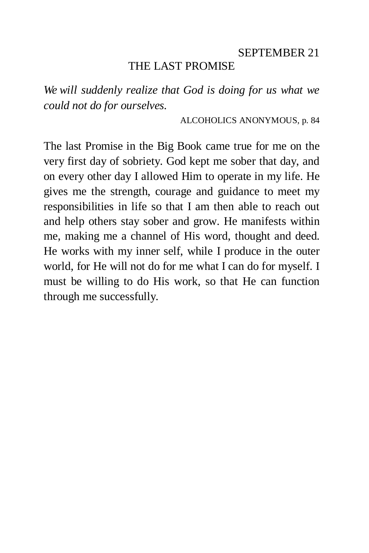### SEPTEMBER 21 THE LAST PROMISE

*We will suddenly realize that God is doing for us what we could not do for ourselves.* 

ALCOHOLICS ANONYMOUS, p. 84

The last Promise in the Big Book came true for me on the very first day of sobriety. God kept me sober that day, and on every other day I allowed Him to operate in my life. He gives me the strength, courage and guidance to meet my responsibilities in life so that I am then able to reach out and help others stay sober and grow. He manifests within me, making me a channel of His word, thought and deed. He works with my inner self, while I produce in the outer world, for He will not do for me what I can do for myself. I must be willing to do His work, so that He can function through me successfully.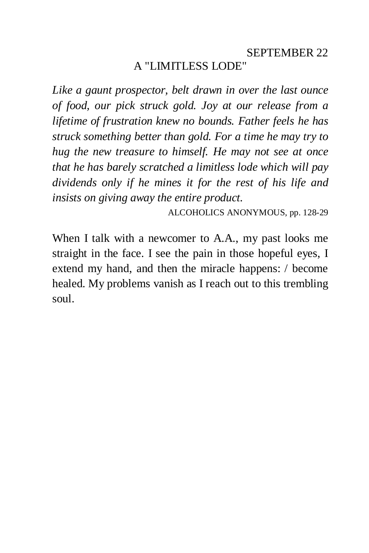### SEPTEMBER 22 A "LIMITLESS LODE"

*Like a gaunt prospector, belt drawn in over the last ounce of food, our pick struck gold. Joy at our release from a lifetime of frustration knew no bounds. Father feels he has struck something better than gold. For a time he may try to hug the new treasure to himself. He may not see at once that he has barely scratched a limitless lode which will pay dividends only if he mines it for the rest of his life and insists on giving away the entire product.* 

ALCOHOLICS ANONYMOUS, pp. 128-29

When I talk with a newcomer to A.A., my past looks me straight in the face. I see the pain in those hopeful eyes, I extend my hand, and then the miracle happens: / become healed. My problems vanish as I reach out to this trembling soul.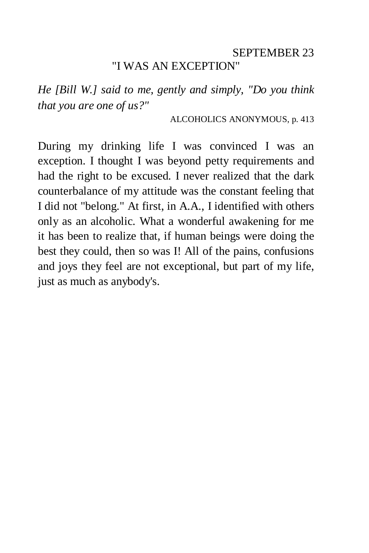### SEPTEMBER 23 "I WAS AN EXCEPTION"

*He [Bill W.] said to me, gently and simply, "Do you think that you are one of us?"* 

ALCOHOLICS ANONYMOUS, p. 413

During my drinking life I was convinced I was an exception. I thought I was beyond petty requirements and had the right to be excused. I never realized that the dark counterbalance of my attitude was the constant feeling that I did not "belong." At first, in A.A., I identified with others only as an alcoholic. What a wonderful awakening for me it has been to realize that, if human beings were doing the best they could, then so was I! All of the pains, confusions and joys they feel are not exceptional, but part of my life, just as much as anybody's.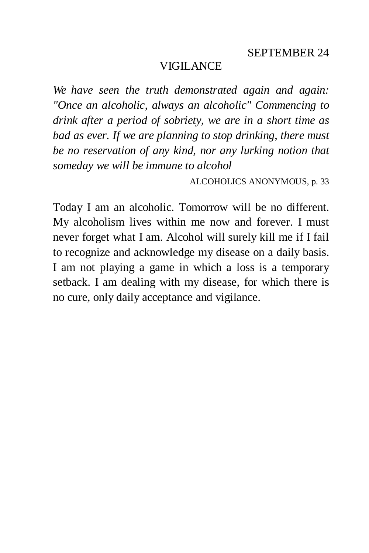#### VIGILANCE

*We have seen the truth demonstrated again and again: "Once an alcoholic, always an alcoholic" Commencing to drink after a period of sobriety, we are in a short time as bad as ever. If we are planning to stop drinking, there must be no reservation of any kind, nor any lurking notion that someday we will be immune to alcohol* 

ALCOHOLICS ANONYMOUS, p. 33

Today I am an alcoholic. Tomorrow will be no different. My alcoholism lives within me now and forever. I must never forget what I am. Alcohol will surely kill me if I fail to recognize and acknowledge my disease on a daily basis. I am not playing a game in which a loss is a temporary setback. I am dealing with my disease, for which there is no cure, only daily acceptance and vigilance.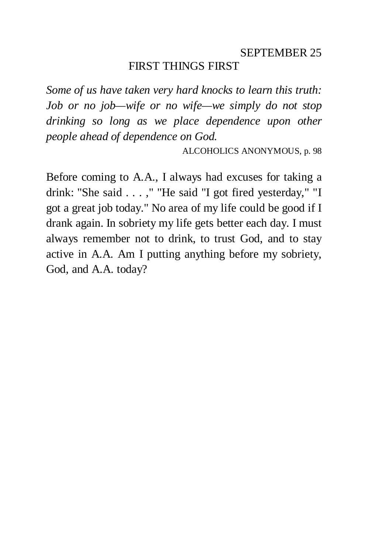### SEPTEMBER 25 FIRST THINGS FIRST

*Some of us have taken very hard knocks to learn this truth: Job or no job—wife or no wife—we simply do not stop drinking so long as we place dependence upon other people ahead of dependence on God.* 

ALCOHOLICS ANONYMOUS, p. 98

Before coming to A.A., I always had excuses for taking a drink: "She said . . . ," "He said "I got fired yesterday," "I got a great job today." No area of my life could be good if I drank again. In sobriety my life gets better each day. I must always remember not to drink, to trust God, and to stay active in A.A. Am I putting anything before my sobriety, God, and A.A. today?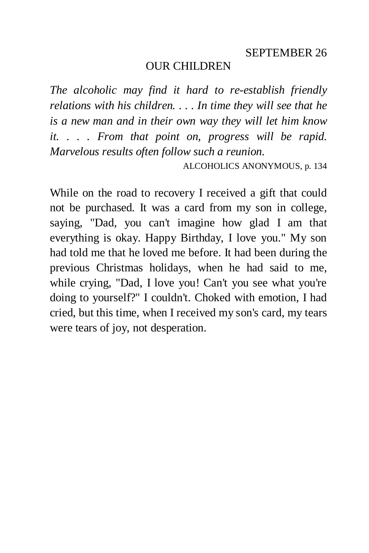#### OUR CHILDREN

*The alcoholic may find it hard to re-establish friendly relations with his children. . . . In time they will see that he is a new man and in their own way they will let him know it. . . . From that point on, progress will be rapid. Marvelous results often follow such a reunion.* 

ALCOHOLICS ANONYMOUS, p. 134

While on the road to recovery I received a gift that could not be purchased. It was a card from my son in college, saying, "Dad, you can't imagine how glad I am that everything is okay. Happy Birthday, I love you." My son had told me that he loved me before. It had been during the previous Christmas holidays, when he had said to me, while crying, "Dad, I love you! Can't you see what you're doing to yourself?" I couldn't. Choked with emotion, I had cried, but this time, when I received my son's card, my tears were tears of joy, not desperation.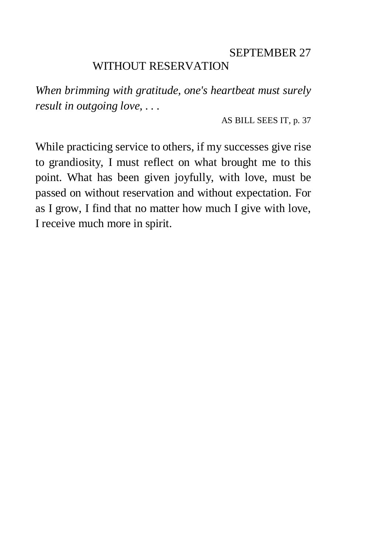## SEPTEMBER 27 WITHOUT RESERVATION

*When brimming with gratitude, one's heartbeat must surely result in outgoing love, . . .* 

AS BILL SEES IT, p. 37

While practicing service to others, if my successes give rise to grandiosity, I must reflect on what brought me to this point. What has been given joyfully, with love, must be passed on without reservation and without expectation. For as I grow, I find that no matter how much I give with love, I receive much more in spirit.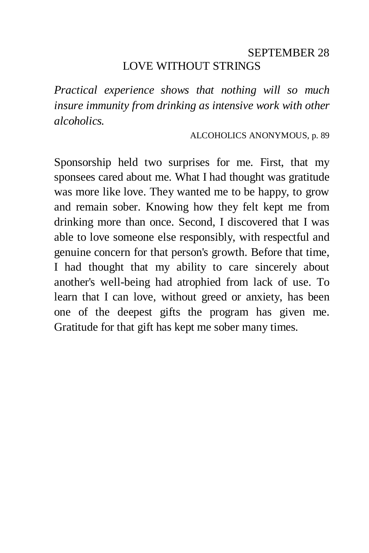### SEPTEMBER 28 LOVE WITHOUT STRINGS

*Practical experience shows that nothing will so much insure immunity from drinking as intensive work with other alcoholics.* 

ALCOHOLICS ANONYMOUS, p. 89

Sponsorship held two surprises for me. First, that my sponsees cared about me. What I had thought was gratitude was more like love. They wanted me to be happy, to grow and remain sober. Knowing how they felt kept me from drinking more than once. Second, I discovered that I was able to love someone else responsibly, with respectful and genuine concern for that person's growth. Before that time, I had thought that my ability to care sincerely about another's well-being had atrophied from lack of use. To learn that I can love, without greed or anxiety, has been one of the deepest gifts the program has given me. Gratitude for that gift has kept me sober many times.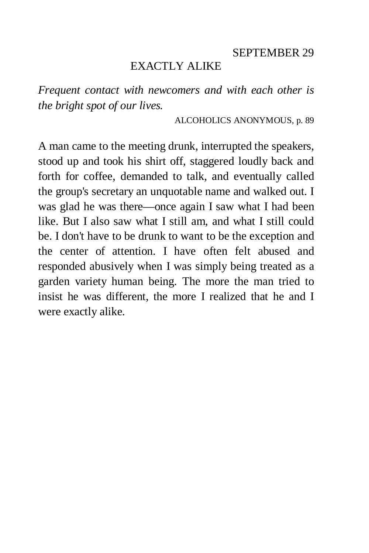### EXACTLY ALIKE

*Frequent contact with newcomers and with each other is the bright spot of our lives.* 

ALCOHOLICS ANONYMOUS, p. 89

A man came to the meeting drunk, interrupted the speakers, stood up and took his shirt off, staggered loudly back and forth for coffee, demanded to talk, and eventually called the group's secretary an unquotable name and walked out. I was glad he was there—once again I saw what I had been like. But I also saw what I still am, and what I still could be. I don't have to be drunk to want to be the exception and the center of attention. I have often felt abused and responded abusively when I was simply being treated as a garden variety human being. The more the man tried to insist he was different, the more I realized that he and I were exactly alike.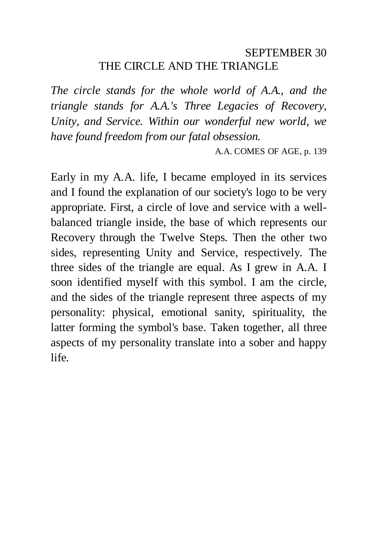## SEPTEMBER 30 THE CIRCLE AND THE TRIANGLE

*The circle stands for the whole world of A.A., and the triangle stands for A.A.'s Three Legacies of Recovery, Unity, and Service. Within our wonderful new world, we have found freedom from our fatal obsession.* 

A.A. COMES OF AGE, p. 139

Early in my A.A. life, I became employed in its services and I found the explanation of our society's logo to be very appropriate. First, a circle of love and service with a wellbalanced triangle inside, the base of which represents our Recovery through the Twelve Steps. Then the other two sides, representing Unity and Service, respectively. The three sides of the triangle are equal. As I grew in A.A. I soon identified myself with this symbol. I am the circle, and the sides of the triangle represent three aspects of my personality: physical, emotional sanity, spirituality, the latter forming the symbol's base. Taken together, all three aspects of my personality translate into a sober and happy life.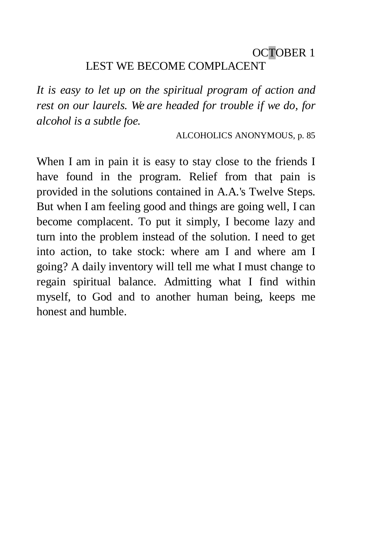## OCTOBER 1 LEST WE BECOME COMPLACENT

*It is easy to let up on the spiritual program of action and rest on our laurels. We are headed for trouble if we do, for alcohol is a subtle foe.* 

ALCOHOLICS ANONYMOUS, p. 85

When I am in pain it is easy to stay close to the friends I have found in the program. Relief from that pain is provided in the solutions contained in A.A.'s Twelve Steps. But when I am feeling good and things are going well, I can become complacent. To put it simply, I become lazy and turn into the problem instead of the solution. I need to get into action, to take stock: where am I and where am I going? A daily inventory will tell me what I must change to regain spiritual balance. Admitting what I find within myself, to God and to another human being, keeps me honest and humble.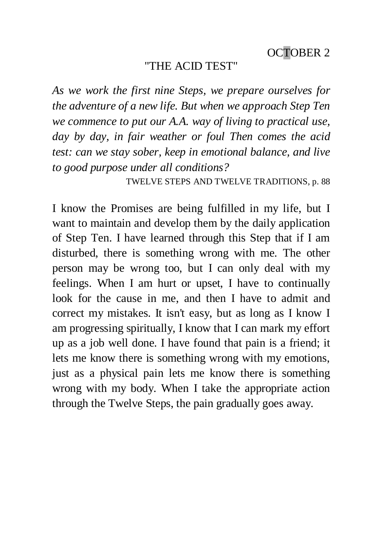#### "THE ACID TEST"

*As we work the first nine Steps, we prepare ourselves for the adventure of a new life. But when we approach Step Ten we commence to put our A.A. way of living to practical use, day by day, in fair weather or foul Then comes the acid test: can we stay sober, keep in emotional balance, and live to good purpose under all conditions?* 

TWELVE STEPS AND TWELVE TRADITIONS, p. 88

I know the Promises are being fulfilled in my life, but I want to maintain and develop them by the daily application of Step Ten. I have learned through this Step that if I am disturbed, there is something wrong with me. The other person may be wrong too, but I can only deal with my feelings. When I am hurt or upset, I have to continually look for the cause in me, and then I have to admit and correct my mistakes. It isn't easy, but as long as I know I am progressing spiritually, I know that I can mark my effort up as a job well done. I have found that pain is a friend; it lets me know there is something wrong with my emotions, just as a physical pain lets me know there is something wrong with my body. When I take the appropriate action through the Twelve Steps, the pain gradually goes away.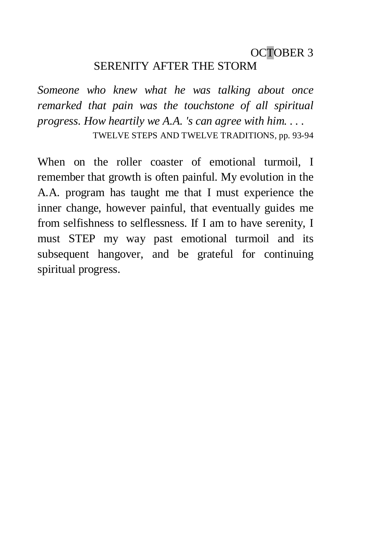## OCTOBER 3 SERENITY AFTER THE STORM

*Someone who knew what he was talking about once remarked that pain was the touchstone of all spiritual progress. How heartily we A.A. 's can agree with him. . . .*  TWELVE STEPS AND TWELVE TRADITIONS, pp. 93-94

When on the roller coaster of emotional turmoil. I remember that growth is often painful. My evolution in the A.A. program has taught me that I must experience the inner change, however painful, that eventually guides me from selfishness to selflessness. If I am to have serenity, I must STEP my way past emotional turmoil and its subsequent hangover, and be grateful for continuing spiritual progress.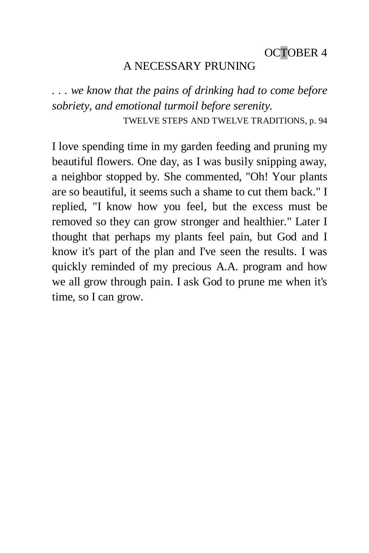### A NECESSARY PRUNING

*. . . we know that the pains of drinking had to come before sobriety, and emotional turmoil before serenity.* 

TWELVE STEPS AND TWELVE TRADITIONS, p. 94

I love spending time in my garden feeding and pruning my beautiful flowers. One day, as I was busily snipping away, a neighbor stopped by. She commented, "Oh! Your plants are so beautiful, it seems such a shame to cut them back." I replied, "I know how you feel, but the excess must be removed so they can grow stronger and healthier." Later I thought that perhaps my plants feel pain, but God and I know it's part of the plan and I've seen the results. I was quickly reminded of my precious A.A. program and how we all grow through pain. I ask God to prune me when it's time, so I can grow.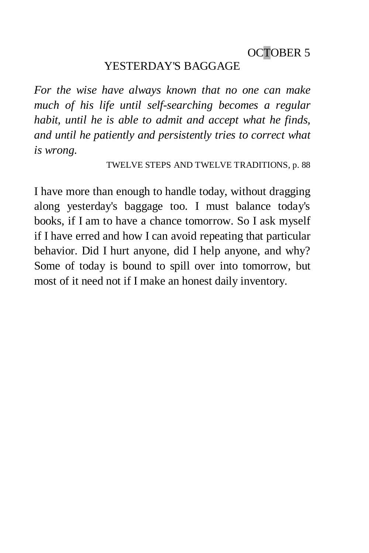#### YESTERDAY'S BAGGAGE

*For the wise have always known that no one can make much of his life until self-searching becomes a regular habit, until he is able to admit and accept what he finds, and until he patiently and persistently tries to correct what is wrong.* 

TWELVE STEPS AND TWELVE TRADITIONS, p. 88

I have more than enough to handle today, without dragging along yesterday's baggage too. I must balance today's books, if I am to have a chance tomorrow. So I ask myself if I have erred and how I can avoid repeating that particular behavior. Did I hurt anyone, did I help anyone, and why? Some of today is bound to spill over into tomorrow, but most of it need not if I make an honest daily inventory.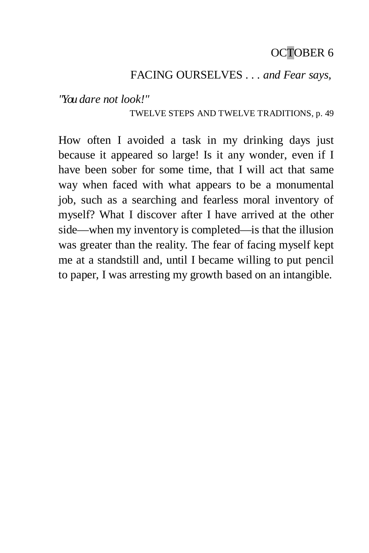## FACING OURSELVES *. . . and Fear says,*

*"You dare not look!"* 

TWELVE STEPS AND TWELVE TRADITIONS, p. 49

How often I avoided a task in my drinking days just because it appeared so large! Is it any wonder, even if I have been sober for some time, that I will act that same way when faced with what appears to be a monumental job, such as a searching and fearless moral inventory of myself? What I discover after I have arrived at the other side—when my inventory is completed—is that the illusion was greater than the reality. The fear of facing myself kept me at a standstill and, until I became willing to put pencil to paper, I was arresting my growth based on an intangible.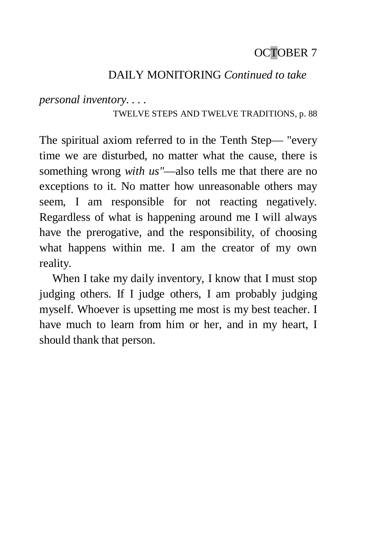## DAILY MONITORING *Continued to take*

*personal inventory. . . .* 

TWELVE STEPS AND TWELVE TRADITIONS, p. 88

The spiritual axiom referred to in the Tenth Step— "every time we are disturbed, no matter what the cause, there is something wrong *with us"*—also tells me that there are no exceptions to it. No matter how unreasonable others may seem, I am responsible for not reacting negatively. Regardless of what is happening around me I will always have the prerogative, and the responsibility, of choosing what happens within me. I am the creator of my own reality.

When I take my daily inventory, I know that I must stop judging others. If I judge others, I am probably judging myself. Whoever is upsetting me most is my best teacher. I have much to learn from him or her, and in my heart, I should thank that person.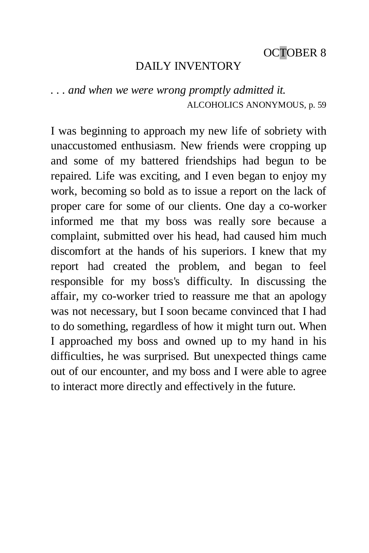### DAILY INVENTORY

## *. . . and when we were wrong promptly admitted it.*  ALCOHOLICS ANONYMOUS, p. 59

I was beginning to approach my new life of sobriety with unaccustomed enthusiasm. New friends were cropping up and some of my battered friendships had begun to be repaired. Life was exciting, and I even began to enjoy my work, becoming so bold as to issue a report on the lack of proper care for some of our clients. One day a co-worker informed me that my boss was really sore because a complaint, submitted over his head, had caused him much discomfort at the hands of his superiors. I knew that my report had created the problem, and began to feel responsible for my boss's difficulty. In discussing the affair, my co-worker tried to reassure me that an apology was not necessary, but I soon became convinced that I had to do something, regardless of how it might turn out. When I approached my boss and owned up to my hand in his difficulties, he was surprised. But unexpected things came out of our encounter, and my boss and I were able to agree to interact more directly and effectively in the future.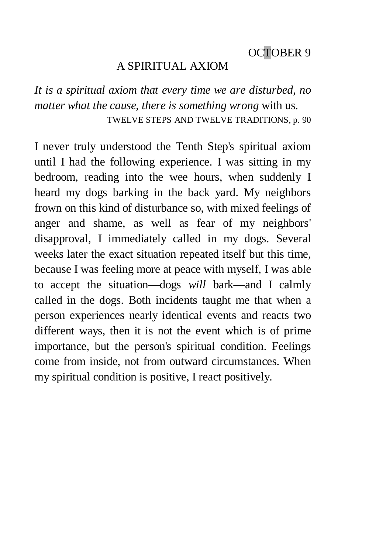#### A SPIRITUAL AXIOM

*It is a spiritual axiom that every time we are disturbed, no matter what the cause, there is something wrong* with us. TWELVE STEPS AND TWELVE TRADITIONS, p. 90

I never truly understood the Tenth Step's spiritual axiom until I had the following experience. I was sitting in my bedroom, reading into the wee hours, when suddenly I heard my dogs barking in the back yard. My neighbors frown on this kind of disturbance so, with mixed feelings of anger and shame, as well as fear of my neighbors' disapproval, I immediately called in my dogs. Several weeks later the exact situation repeated itself but this time, because I was feeling more at peace with myself, I was able to accept the situation—dogs *will* bark—and I calmly called in the dogs. Both incidents taught me that when a person experiences nearly identical events and reacts two different ways, then it is not the event which is of prime importance, but the person's spiritual condition. Feelings come from inside, not from outward circumstances. When my spiritual condition is positive, I react positively.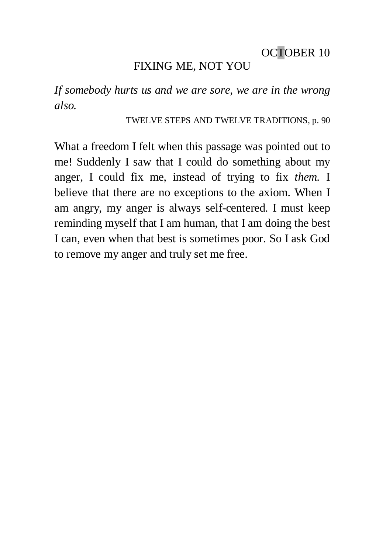# FIXING ME, NOT YOU

*If somebody hurts us and we are sore, we are in the wrong also.* 

TWELVE STEPS AND TWELVE TRADITIONS, p. 90

What a freedom I felt when this passage was pointed out to me! Suddenly I saw that I could do something about my anger, I could fix me, instead of trying to fix *them.* I believe that there are no exceptions to the axiom. When I am angry, my anger is always self-centered. I must keep reminding myself that I am human, that I am doing the best I can, even when that best is sometimes poor. So I ask God to remove my anger and truly set me free.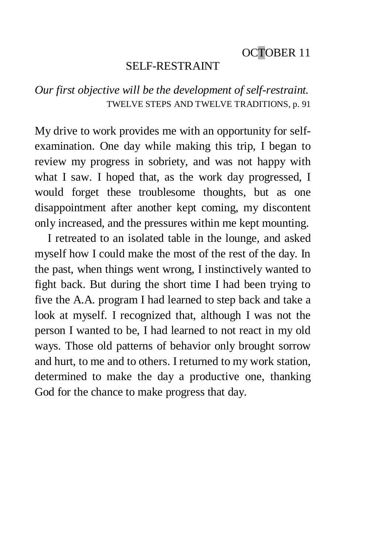#### SELF-RESTRAINT

### *Our first objective will be the development of self-restraint.*  TWELVE STEPS AND TWELVE TRADITIONS, p. 91

My drive to work provides me with an opportunity for selfexamination. One day while making this trip, I began to review my progress in sobriety, and was not happy with what I saw. I hoped that, as the work day progressed, I would forget these troublesome thoughts, but as one disappointment after another kept coming, my discontent only increased, and the pressures within me kept mounting.

I retreated to an isolated table in the lounge, and asked myself how I could make the most of the rest of the day. In the past, when things went wrong, I instinctively wanted to fight back. But during the short time I had been trying to five the A.A. program I had learned to step back and take a look at myself. I recognized that, although I was not the person I wanted to be, I had learned to not react in my old ways. Those old patterns of behavior only brought sorrow and hurt, to me and to others. I returned to my work station, determined to make the day a productive one, thanking God for the chance to make progress that day.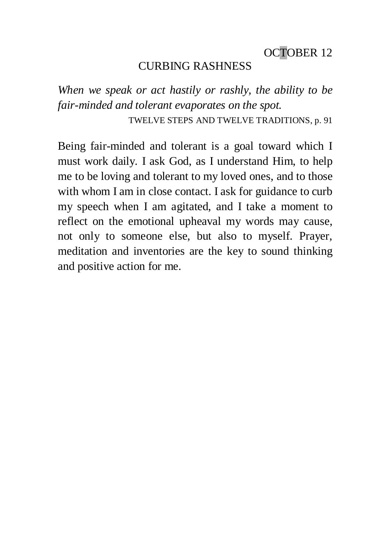### CURBING RASHNESS

*When we speak or act hastily or rashly, the ability to be fair-minded and tolerant evaporates on the spot.*  TWELVE STEPS AND TWELVE TRADITIONS, p. 91

Being fair-minded and tolerant is a goal toward which I must work daily. I ask God, as I understand Him, to help me to be loving and tolerant to my loved ones, and to those with whom I am in close contact. I ask for guidance to curb my speech when I am agitated, and I take a moment to reflect on the emotional upheaval my words may cause, not only to someone else, but also to myself. Prayer, meditation and inventories are the key to sound thinking and positive action for me.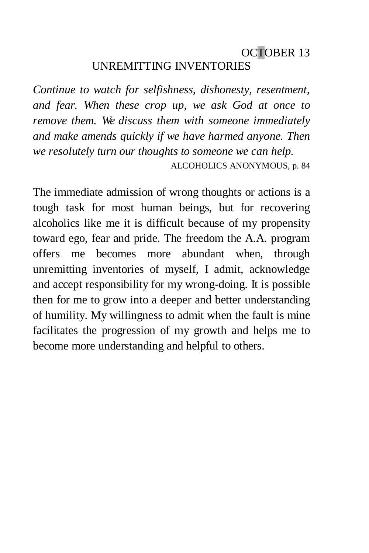# OCTOBER 13 UNREMITTING INVENTORIES

*Continue to watch for selfishness, dishonesty, resentment, and fear. When these crop up, we ask God at once to remove them. We discuss them with someone immediately and make amends quickly if we have harmed anyone. Then we resolutely turn our thoughts to someone we can help.*  ALCOHOLICS ANONYMOUS, p. 84

The immediate admission of wrong thoughts or actions is a tough task for most human beings, but for recovering alcoholics like me it is difficult because of my propensity toward ego, fear and pride. The freedom the A.A. program offers me becomes more abundant when, through unremitting inventories of myself, I admit, acknowledge and accept responsibility for my wrong-doing. It is possible then for me to grow into a deeper and better understanding of humility. My willingness to admit when the fault is mine facilitates the progression of my growth and helps me to become more understanding and helpful to others.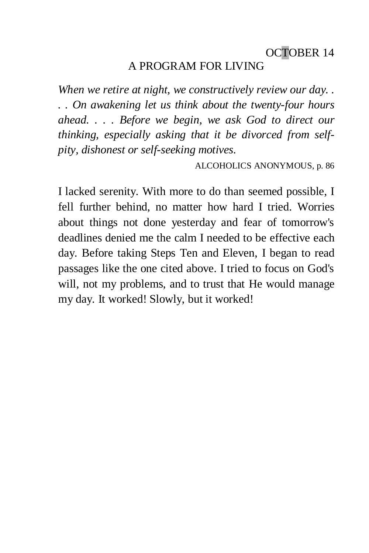## OCTOBER 14 A PROGRAM FOR LIVING

*When we retire at night, we constructively review our day. . . . On awakening let us think about the twenty-four hours ahead. . . . Before we begin, we ask God to direct our thinking, especially asking that it be divorced from selfpity, dishonest or self-seeking motives.* 

ALCOHOLICS ANONYMOUS, p. 86

I lacked serenity. With more to do than seemed possible, I fell further behind, no matter how hard I tried. Worries about things not done yesterday and fear of tomorrow's deadlines denied me the calm I needed to be effective each day. Before taking Steps Ten and Eleven, I began to read passages like the one cited above. I tried to focus on God's will, not my problems, and to trust that He would manage my day. It worked! Slowly, but it worked!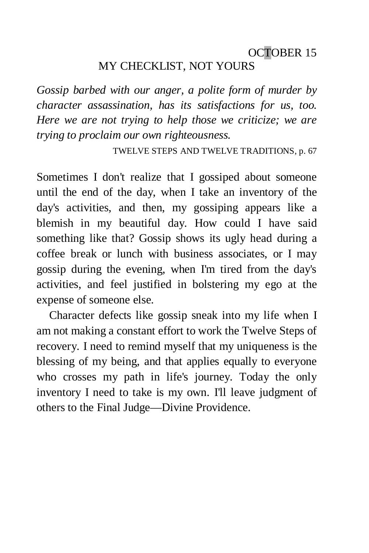# OCTOBER 15 MY CHECKLIST, NOT YOURS

*Gossip barbed with our anger, a polite form of murder by character assassination, has its satisfactions for us, too. Here we are not trying to help those we criticize; we are trying to proclaim our own righteousness.* 

TWELVE STEPS AND TWELVE TRADITIONS, p. 67

Sometimes I don't realize that I gossiped about someone until the end of the day, when I take an inventory of the day's activities, and then, my gossiping appears like a blemish in my beautiful day. How could I have said something like that? Gossip shows its ugly head during a coffee break or lunch with business associates, or I may gossip during the evening, when I'm tired from the day's activities, and feel justified in bolstering my ego at the expense of someone else.

Character defects like gossip sneak into my life when I am not making a constant effort to work the Twelve Steps of recovery. I need to remind myself that my uniqueness is the blessing of my being, and that applies equally to everyone who crosses my path in life's journey. Today the only inventory I need to take is my own. I'll leave judgment of others to the Final Judge—Divine Providence.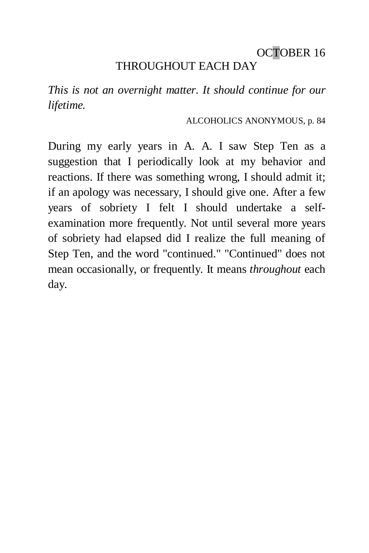# OCTOBER 16 THROUGHOUT EACH DAY

*This is not an overnight matter. It should continue for our lifetime.* 

#### ALCOHOLICS ANONYMOUS, p. 84

During my early years in A. A. I saw Step Ten as a suggestion that I periodically look at my behavior and reactions. If there was something wrong, I should admit it; if an apology was necessary, I should give one. After a few years of sobriety I felt I should undertake a selfexamination more frequently. Not until several more years of sobriety had elapsed did I realize the full meaning of Step Ten, and the word "continued." "Continued" does not mean occasionally, or frequently. It means *throughout* each day.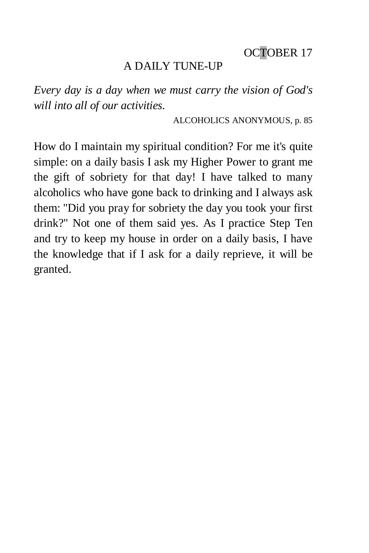# A DAILY TUNE-UP

*Every day is a day when we must carry the vision of God's will into all of our activities.* 

ALCOHOLICS ANONYMOUS, p. 85

How do I maintain my spiritual condition? For me it's quite simple: on a daily basis I ask my Higher Power to grant me the gift of sobriety for that day! I have talked to many alcoholics who have gone back to drinking and I always ask them: "Did you pray for sobriety the day you took your first drink?" Not one of them said yes. As I practice Step Ten and try to keep my house in order on a daily basis, I have the knowledge that if I ask for a daily reprieve, it will be granted.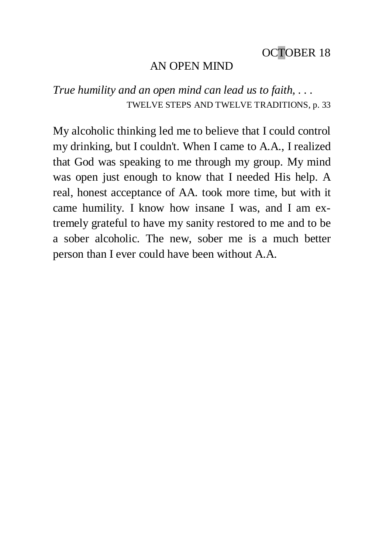### AN OPEN MIND

*True humility and an open mind can lead us to faith, . . .*  TWELVE STEPS AND TWELVE TRADITIONS, p. 33

My alcoholic thinking led me to believe that I could control my drinking, but I couldn't. When I came to A.A., I realized that God was speaking to me through my group. My mind was open just enough to know that I needed His help. A real, honest acceptance of AA. took more time, but with it came humility. I know how insane I was, and I am extremely grateful to have my sanity restored to me and to be a sober alcoholic. The new, sober me is a much better person than I ever could have been without A.A.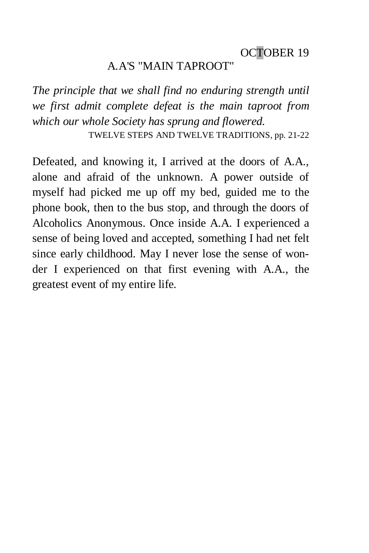#### OCTOBER 19 A.A'S "MAIN TAPROOT"

*The principle that we shall find no enduring strength until we first admit complete defeat is the main taproot from which our whole Society has sprung and flowered.* 

TWELVE STEPS AND TWELVE TRADITIONS, pp. 21-22

Defeated, and knowing it, I arrived at the doors of A.A., alone and afraid of the unknown. A power outside of myself had picked me up off my bed, guided me to the phone book, then to the bus stop, and through the doors of Alcoholics Anonymous. Once inside A.A. I experienced a sense of being loved and accepted, something I had net felt since early childhood. May I never lose the sense of wonder I experienced on that first evening with A.A., the greatest event of my entire life.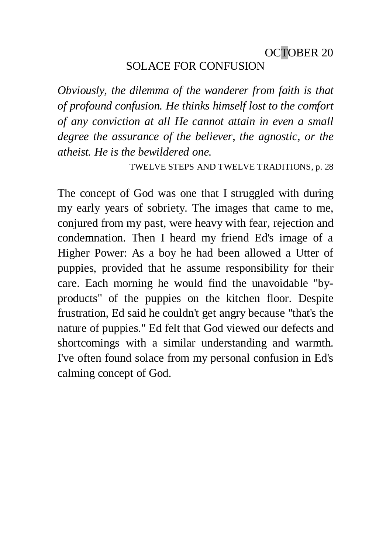# OCTOBER 20 SOLACE FOR CONFUSION

*Obviously, the dilemma of the wanderer from faith is that of profound confusion. He thinks himself lost to the comfort of any conviction at all He cannot attain in even a small degree the assurance of the believer, the agnostic, or the atheist. He is the bewildered one.* 

TWELVE STEPS AND TWELVE TRADITIONS, p. 28

The concept of God was one that I struggled with during my early years of sobriety. The images that came to me, conjured from my past, were heavy with fear, rejection and condemnation. Then I heard my friend Ed's image of a Higher Power: As a boy he had been allowed a Utter of puppies, provided that he assume responsibility for their care. Each morning he would find the unavoidable "byproducts" of the puppies on the kitchen floor. Despite frustration, Ed said he couldn't get angry because "that's the nature of puppies." Ed felt that God viewed our defects and shortcomings with a similar understanding and warmth. I've often found solace from my personal confusion in Ed's calming concept of God.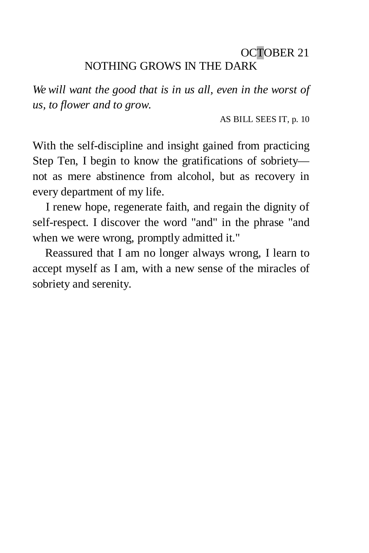# OCTOBER 21 NOTHING GROWS IN THE DARK

*We will want the good that is in us all, even in the worst of us, to flower and to grow.* 

AS BILL SEES IT, p. 10

With the self-discipline and insight gained from practicing Step Ten, I begin to know the gratifications of sobriety not as mere abstinence from alcohol, but as recovery in every department of my life.

I renew hope, regenerate faith, and regain the dignity of self-respect. I discover the word "and" in the phrase "and when we were wrong, promptly admitted it."

Reassured that I am no longer always wrong, I learn to accept myself as I am, with a new sense of the miracles of sobriety and serenity.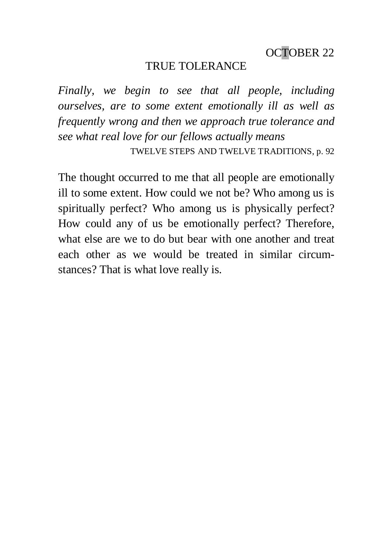#### TRUE TOLERANCE

*Finally, we begin to see that all people, including ourselves, are to some extent emotionally ill as well as frequently wrong and then we approach true tolerance and see what real love for our fellows actually means* 

TWELVE STEPS AND TWELVE TRADITIONS, p. 92

The thought occurred to me that all people are emotionally ill to some extent. How could we not be? Who among us is spiritually perfect? Who among us is physically perfect? How could any of us be emotionally perfect? Therefore, what else are we to do but bear with one another and treat each other as we would be treated in similar circumstances? That is what love really is.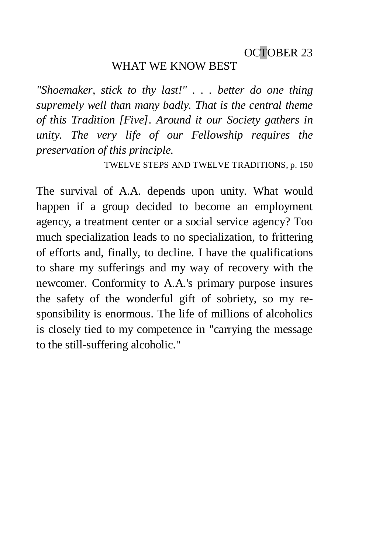#### WHAT WE KNOW BEST

*"Shoemaker, stick to thy last!" . . . better do one thing supremely well than many badly. That is the central theme of this Tradition [Five]. Around it our Society gathers in unity. The very life of our Fellowship requires the preservation of this principle.* 

TWELVE STEPS AND TWELVE TRADITIONS, p. 150

The survival of A.A. depends upon unity. What would happen if a group decided to become an employment agency, a treatment center or a social service agency? Too much specialization leads to no specialization, to frittering of efforts and, finally, to decline. I have the qualifications to share my sufferings and my way of recovery with the newcomer. Conformity to A.A.'s primary purpose insures the safety of the wonderful gift of sobriety, so my responsibility is enormous. The life of millions of alcoholics is closely tied to my competence in "carrying the message to the still-suffering alcoholic."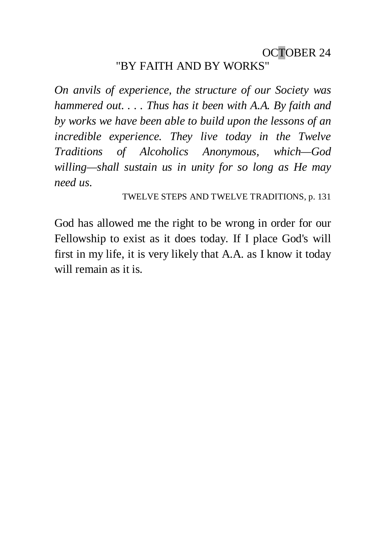# OCTOBER 24 "BY FAITH AND BY WORKS"

*On anvils of experience, the structure of our Society was hammered out. . . . Thus has it been with A.A. By faith and by works we have been able to build upon the lessons of an incredible experience. They live today in the Twelve Traditions of Alcoholics Anonymous, which—God willing—shall sustain us in unity for so long as He may need us.* 

#### TWELVE STEPS AND TWELVE TRADITIONS, p. 131

God has allowed me the right to be wrong in order for our Fellowship to exist as it does today. If I place God's will first in my life, it is very likely that A.A. as I know it today will remain as it is.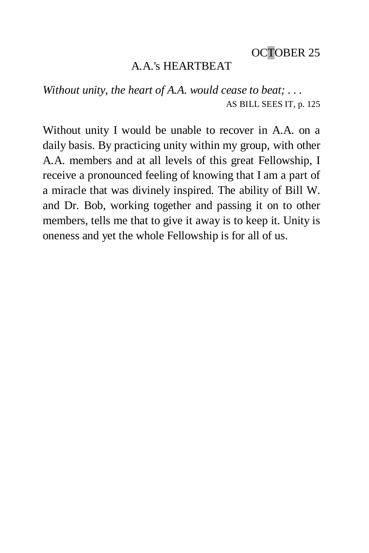# A.A.'s HEARTBEAT

*Without unity, the heart of A.A. would cease to beat; . . .*  AS BILL SEES IT, p. 125

Without unity I would be unable to recover in A.A. on a daily basis. By practicing unity within my group, with other A.A. members and at all levels of this great Fellowship, I receive a pronounced feeling of knowing that I am a part of a miracle that was divinely inspired. The ability of Bill W. and Dr. Bob, working together and passing it on to other members, tells me that to give it away is to keep it. Unity is oneness and yet the whole Fellowship is for all of us.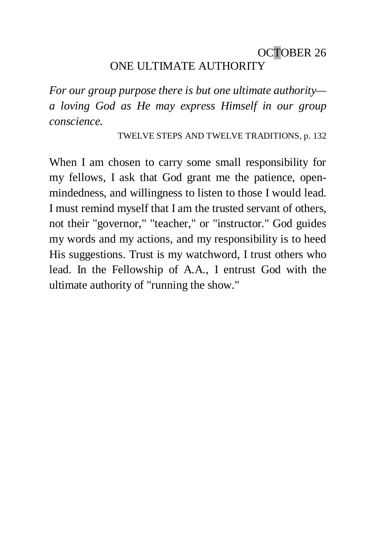# OCTOBER 26 ONE ULTIMATE AUTHORITY

*For our group purpose there is but one ultimate authority a loving God as He may express Himself in our group conscience.* 

TWELVE STEPS AND TWELVE TRADITIONS, p. 132

When I am chosen to carry some small responsibility for my fellows, I ask that God grant me the patience, openmindedness, and willingness to listen to those I would lead. I must remind myself that I am the trusted servant of others, not their "governor," "teacher," or "instructor." God guides my words and my actions, and my responsibility is to heed His suggestions. Trust is my watchword, I trust others who lead. In the Fellowship of A.A., I entrust God with the ultimate authority of "running the show."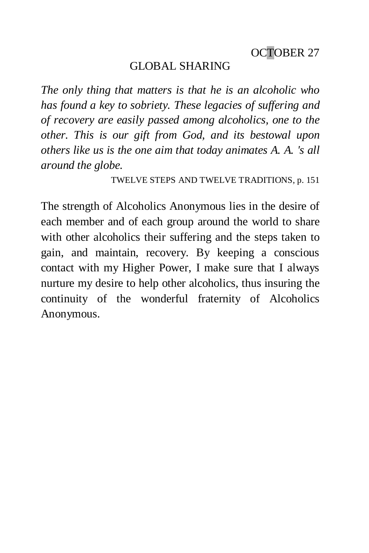#### GLOBAL SHARING

*The only thing that matters is that he is an alcoholic who has found a key to sobriety. These legacies of suffering and of recovery are easily passed among alcoholics, one to the other. This is our gift from God, and its bestowal upon others like us is the one aim that today animates A. A. 's all around the globe.* 

TWELVE STEPS AND TWELVE TRADITIONS, p. 151

The strength of Alcoholics Anonymous lies in the desire of each member and of each group around the world to share with other alcoholics their suffering and the steps taken to gain, and maintain, recovery. By keeping a conscious contact with my Higher Power, I make sure that I always nurture my desire to help other alcoholics, thus insuring the continuity of the wonderful fraternity of Alcoholics Anonymous.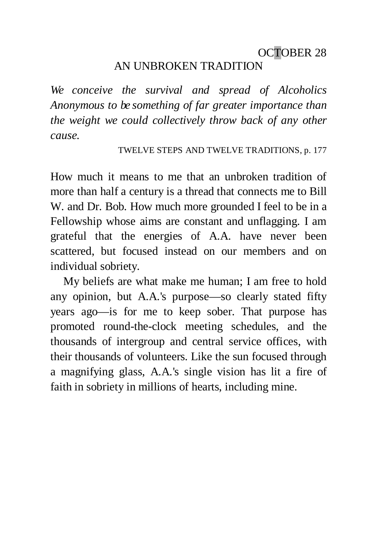# OCTOBER 28 AN UNBROKEN TRADITION

*We conceive the survival and spread of Alcoholics Anonymous to be something of far greater importance than the weight we could collectively throw back of any other cause.* 

#### TWELVE STEPS AND TWELVE TRADITIONS, p. 177

How much it means to me that an unbroken tradition of more than half a century is a thread that connects me to Bill W. and Dr. Bob. How much more grounded I feel to be in a Fellowship whose aims are constant and unflagging. I am grateful that the energies of A.A. have never been scattered, but focused instead on our members and on individual sobriety.

My beliefs are what make me human; I am free to hold any opinion, but A.A.'s purpose—so clearly stated fifty years ago—is for me to keep sober. That purpose has promoted round-the-clock meeting schedules, and the thousands of intergroup and central service offices, with their thousands of volunteers. Like the sun focused through a magnifying glass, A.A.'s single vision has lit a fire of faith in sobriety in millions of hearts, including mine.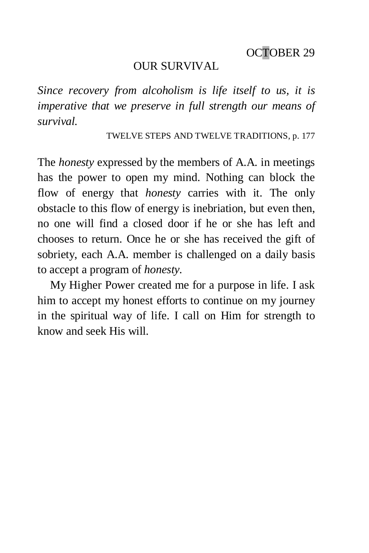#### OUR SURVIVAL

*Since recovery from alcoholism is life itself to us, it is imperative that we preserve in full strength our means of survival.* 

TWELVE STEPS AND TWELVE TRADITIONS, p. 177

The *honesty* expressed by the members of A.A. in meetings has the power to open my mind. Nothing can block the flow of energy that *honesty* carries with it. The only obstacle to this flow of energy is inebriation, but even then, no one will find a closed door if he or she has left and chooses to return. Once he or she has received the gift of sobriety, each A.A. member is challenged on a daily basis to accept a program of *honesty.* 

My Higher Power created me for a purpose in life. I ask him to accept my honest efforts to continue on my journey in the spiritual way of life. I call on Him for strength to know and seek His will.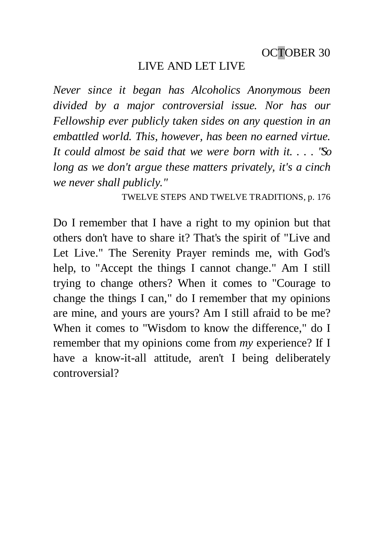### LIVE AND LET LIVE

*Never since it began has Alcoholics Anonymous been divided by a major controversial issue. Nor has our Fellowship ever publicly taken sides on any question in an embattled world. This, however, has been no earned virtue. It could almost be said that we were born with it. . . . "So long as we don't argue these matters privately, it's a cinch we never shall publicly."* 

TWELVE STEPS AND TWELVE TRADITIONS, p. 176

Do I remember that I have a right to my opinion but that others don't have to share it? That's the spirit of "Live and Let Live." The Serenity Prayer reminds me, with God's help, to "Accept the things I cannot change." Am I still trying to change others? When it comes to "Courage to change the things I can," do I remember that my opinions are mine, and yours are yours? Am I still afraid to be me? When it comes to "Wisdom to know the difference," do I remember that my opinions come from *my* experience? If I have a know-it-all attitude, aren't I being deliberately controversial?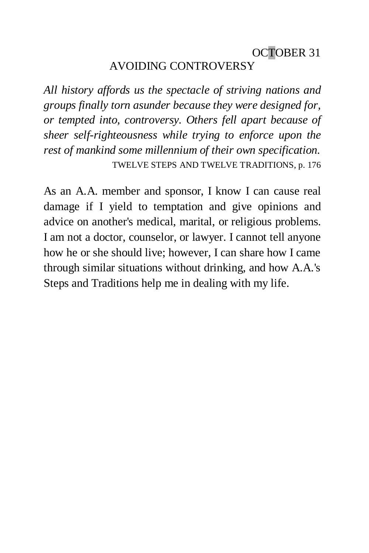## OCTOBER 31 AVOIDING CONTROVERSY

*All history affords us the spectacle of striving nations and groups finally torn asunder because they were designed for, or tempted into, controversy. Others fell apart because of sheer self-righteousness while trying to enforce upon the rest of mankind some millennium of their own specification.*  TWELVE STEPS AND TWELVE TRADITIONS, p. 176

As an A.A. member and sponsor, I know I can cause real damage if I yield to temptation and give opinions and advice on another's medical, marital, or religious problems. I am not a doctor, counselor, or lawyer. I cannot tell anyone how he or she should live; however, I can share how I came through similar situations without drinking, and how A.A.'s Steps and Traditions help me in dealing with my life.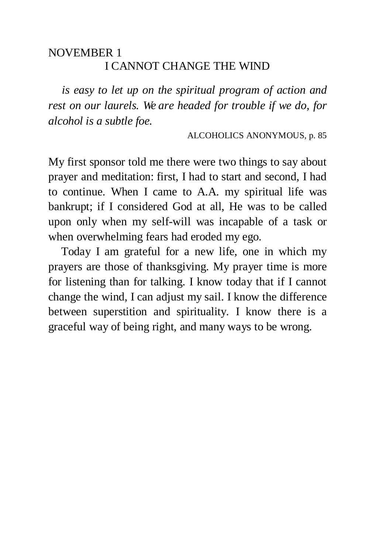### NOVEMBER 1 I CANNOT CHANGE THE WIND

*is easy to let up on the spiritual program of action and rest on our laurels. We are headed for trouble if we do, for alcohol is a subtle foe.* 

ALCOHOLICS ANONYMOUS, p. 85

My first sponsor told me there were two things to say about prayer and meditation: first, I had to start and second, I had to continue. When I came to A.A. my spiritual life was bankrupt; if I considered God at all, He was to be called upon only when my self-will was incapable of a task or when overwhelming fears had eroded my ego.

Today I am grateful for a new life, one in which my prayers are those of thanksgiving. My prayer time is more for listening than for talking. I know today that if I cannot change the wind, I can adjust my sail. I know the difference between superstition and spirituality. I know there is a graceful way of being right, and many ways to be wrong.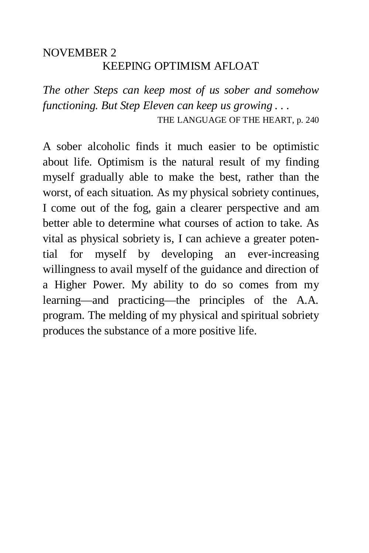## NOVEMBER 2 KEEPING OPTIMISM AFLOAT

*The other Steps can keep most of us sober and somehow functioning. But Step Eleven can keep us growing . . .*  THE LANGUAGE OF THE HEART, p. 240

A sober alcoholic finds it much easier to be optimistic about life. Optimism is the natural result of my finding myself gradually able to make the best, rather than the worst, of each situation. As my physical sobriety continues, I come out of the fog, gain a clearer perspective and am better able to determine what courses of action to take. As vital as physical sobriety is, I can achieve a greater potential for myself by developing an ever-increasing willingness to avail myself of the guidance and direction of a Higher Power. My ability to do so comes from my learning—and practicing—the principles of the A.A. program. The melding of my physical and spiritual sobriety produces the substance of a more positive life.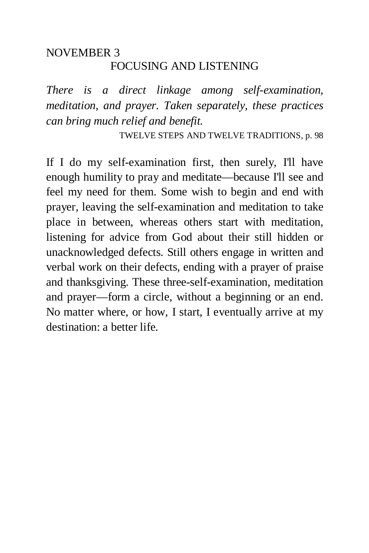# NOVEMBER 3 FOCUSING AND LISTENING

*There is a direct linkage among self-examination, meditation, and prayer. Taken separately, these practices can bring much relief and benefit.* 

TWELVE STEPS AND TWELVE TRADITIONS, p. 98

If I do my self-examination first, then surely, I'll have enough humility to pray and meditate—because I'll see and feel my need for them. Some wish to begin and end with prayer, leaving the self-examination and meditation to take place in between, whereas others start with meditation, listening for advice from God about their still hidden or unacknowledged defects. Still others engage in written and verbal work on their defects, ending with a prayer of praise and thanksgiving. These three-self-examination, meditation and prayer—form a circle, without a beginning or an end. No matter where, or how, I start, I eventually arrive at my destination: a better life.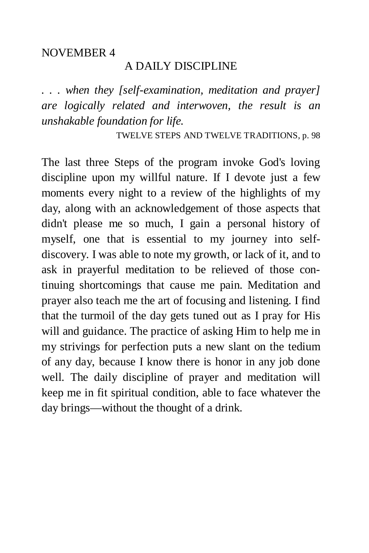#### NOVEMBER 4

#### A DAILY DISCIPLINE

*. . . when they [self-examination, meditation and prayer] are logically related and interwoven, the result is an unshakable foundation for life.* 

TWELVE STEPS AND TWELVE TRADITIONS, p. 98

The last three Steps of the program invoke God's loving discipline upon my willful nature. If I devote just a few moments every night to a review of the highlights of my day, along with an acknowledgement of those aspects that didn't please me so much, I gain a personal history of myself, one that is essential to my journey into selfdiscovery. I was able to note my growth, or lack of it, and to ask in prayerful meditation to be relieved of those continuing shortcomings that cause me pain. Meditation and prayer also teach me the art of focusing and listening. I find that the turmoil of the day gets tuned out as I pray for His will and guidance. The practice of asking Him to help me in my strivings for perfection puts a new slant on the tedium of any day, because I know there is honor in any job done well. The daily discipline of prayer and meditation will keep me in fit spiritual condition, able to face whatever the day brings—without the thought of a drink.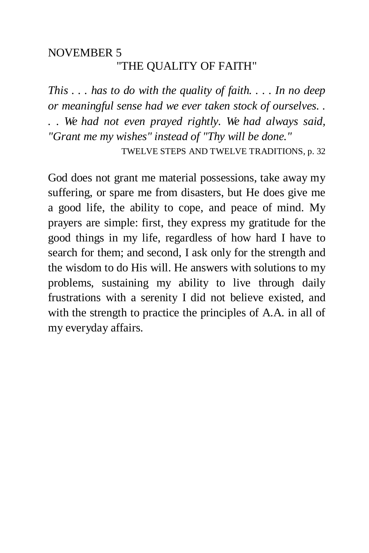## NOVEMBER 5 "THE QUALITY OF FAITH"

*This . . . has to do with the quality of faith. . . . In no deep or meaningful sense had we ever taken stock of ourselves. . . . We had not even prayed rightly. We had always said, "Grant me my wishes" instead of "Thy will be done."* 

TWELVE STEPS AND TWELVE TRADITIONS, p. 32

God does not grant me material possessions, take away my suffering, or spare me from disasters, but He does give me a good life, the ability to cope, and peace of mind. My prayers are simple: first, they express my gratitude for the good things in my life, regardless of how hard I have to search for them; and second, I ask only for the strength and the wisdom to do His will. He answers with solutions to my problems, sustaining my ability to live through daily frustrations with a serenity I did not believe existed, and with the strength to practice the principles of A.A. in all of my everyday affairs.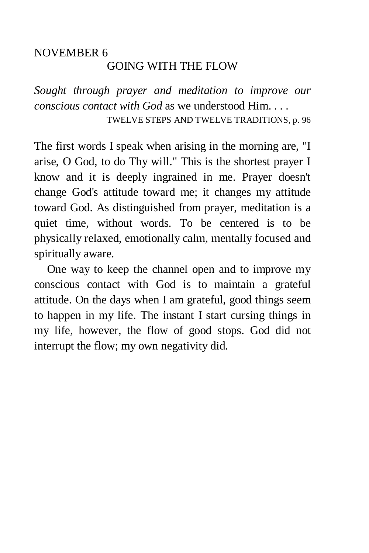## NOVEMBER 6 GOING WITH THE FLOW

*Sought through prayer and meditation to improve our conscious contact with God* as we understood Him. . . . TWELVE STEPS AND TWELVE TRADITIONS, p. 96

The first words I speak when arising in the morning are, "I arise, O God, to do Thy will." This is the shortest prayer I know and it is deeply ingrained in me. Prayer doesn't change God's attitude toward me; it changes my attitude toward God. As distinguished from prayer, meditation is a quiet time, without words. To be centered is to be physically relaxed, emotionally calm, mentally focused and spiritually aware.

One way to keep the channel open and to improve my conscious contact with God is to maintain a grateful attitude. On the days when I am grateful, good things seem to happen in my life. The instant I start cursing things in my life, however, the flow of good stops. God did not interrupt the flow; my own negativity did.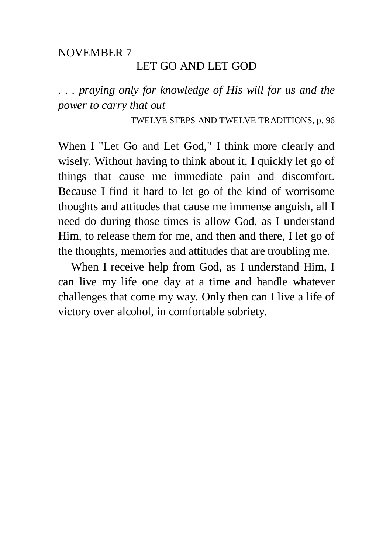# NOVEMBER 7 LET GO AND LET GOD

*. . . praying only for knowledge of His will for us and the power to carry that out* 

TWELVE STEPS AND TWELVE TRADITIONS, p. 96

When I "Let Go and Let God," I think more clearly and wisely. Without having to think about it, I quickly let go of things that cause me immediate pain and discomfort. Because I find it hard to let go of the kind of worrisome thoughts and attitudes that cause me immense anguish, all I need do during those times is allow God, as I understand Him, to release them for me, and then and there, I let go of the thoughts, memories and attitudes that are troubling me.

When I receive help from God, as I understand Him, I can live my life one day at a time and handle whatever challenges that come my way. Only then can I live a life of victory over alcohol, in comfortable sobriety.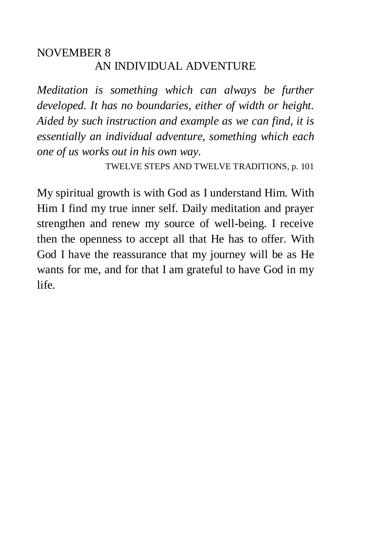## NOVEMBER 8 AN INDIVIDUAL ADVENTURE

*Meditation is something which can always be further developed. It has no boundaries, either of width or height. Aided by such instruction and example as we can find, it is essentially an individual adventure, something which each one of us works out in his own way.* 

TWELVE STEPS AND TWELVE TRADITIONS, p. 101

My spiritual growth is with God as I understand Him. With Him I find my true inner self. Daily meditation and prayer strengthen and renew my source of well-being. I receive then the openness to accept all that He has to offer. With God I have the reassurance that my journey will be as He wants for me, and for that I am grateful to have God in my life.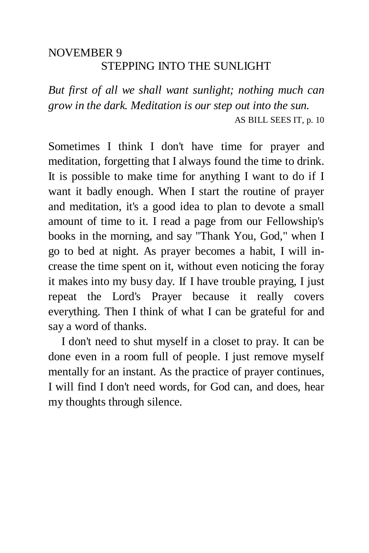## NOVEMBER 9 STEPPING INTO THE SUNLIGHT

*But first of all we shall want sunlight; nothing much can grow in the dark. Meditation is our step out into the sun.*  AS BILL SEES IT, p. 10

Sometimes I think I don't have time for prayer and meditation, forgetting that I always found the time to drink. It is possible to make time for anything I want to do if I want it badly enough. When I start the routine of prayer and meditation, it's a good idea to plan to devote a small amount of time to it. I read a page from our Fellowship's books in the morning, and say "Thank You, God," when I go to bed at night. As prayer becomes a habit, I will increase the time spent on it, without even noticing the foray it makes into my busy day. If I have trouble praying, I just repeat the Lord's Prayer because it really covers everything. Then I think of what I can be grateful for and say a word of thanks.

I don't need to shut myself in a closet to pray. It can be done even in a room full of people. I just remove myself mentally for an instant. As the practice of prayer continues, I will find I don't need words, for God can, and does, hear my thoughts through silence.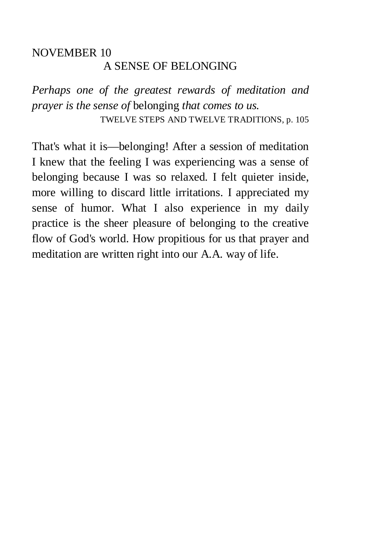## NOVEMBER 10 A SENSE OF BELONGING

*Perhaps one of the greatest rewards of meditation and prayer is the sense of* belonging *that comes to us.*  TWELVE STEPS AND TWELVE TRADITIONS, p. 105

That's what it is—belonging! After a session of meditation I knew that the feeling I was experiencing was a sense of belonging because I was so relaxed. I felt quieter inside, more willing to discard little irritations. I appreciated my sense of humor. What I also experience in my daily practice is the sheer pleasure of belonging to the creative flow of God's world. How propitious for us that prayer and meditation are written right into our A.A. way of life.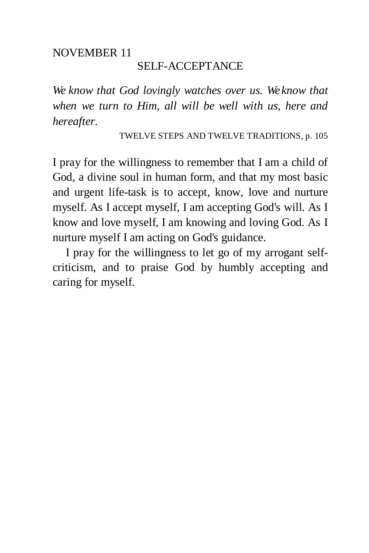#### NOVEMBER 11 SELF-ACCEPTANCE

*We know that God lovingly watches over us. We know that when we turn to Him, all will be well with us, here and hereafter.* 

TWELVE STEPS AND TWELVE TRADITIONS, p. 105

I pray for the willingness to remember that I am a child of God, a divine soul in human form, and that my most basic and urgent life-task is to accept, know, love and nurture myself. As I accept myself, I am accepting God's will. As I know and love myself, I am knowing and loving God. As I nurture myself I am acting on God's guidance.

I pray for the willingness to let go of my arrogant selfcriticism, and to praise God by humbly accepting and caring for myself.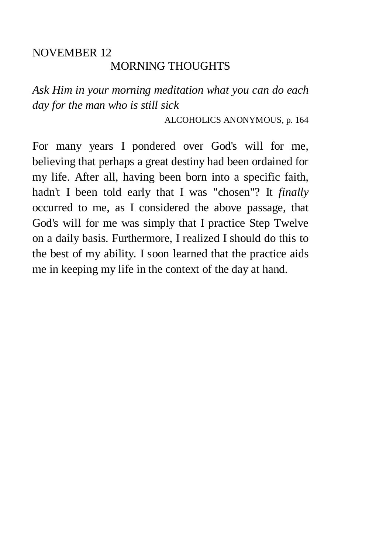## NOVEMBER 12 MORNING THOUGHTS

*Ask Him in your morning meditation what you can do each day for the man who is still sick* 

ALCOHOLICS ANONYMOUS, p. 164

For many years I pondered over God's will for me, believing that perhaps a great destiny had been ordained for my life. After all, having been born into a specific faith, hadn't I been told early that I was "chosen"? It *finally*  occurred to me, as I considered the above passage, that God's will for me was simply that I practice Step Twelve on a daily basis. Furthermore, I realized I should do this to the best of my ability. I soon learned that the practice aids me in keeping my life in the context of the day at hand.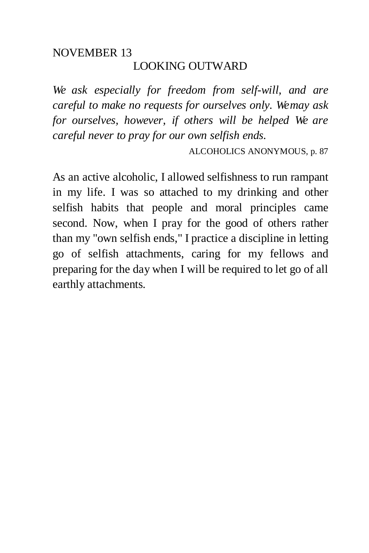# NOVEMBER 13 LOOKING OUTWARD

*We ask especially for freedom from self-will, and are careful to make no requests for ourselves only. We may ask for ourselves, however, if others will be helped We are careful never to pray for our own selfish ends.* 

ALCOHOLICS ANONYMOUS, p. 87

As an active alcoholic, I allowed selfishness to run rampant in my life. I was so attached to my drinking and other selfish habits that people and moral principles came second. Now, when I pray for the good of others rather than my "own selfish ends," I practice a discipline in letting go of selfish attachments, caring for my fellows and preparing for the day when I will be required to let go of all earthly attachments.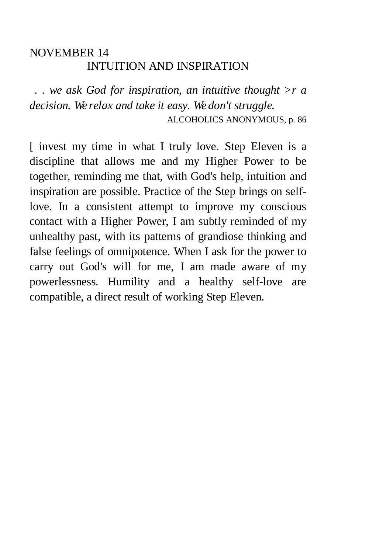## NOVEMBER 14 INTUITION AND INSPIRATION

*. . we ask God for inspiration, an intuitive thought >r a decision. We relax and take it easy. We don't struggle.*  ALCOHOLICS ANONYMOUS, p. 86

[ invest my time in what I truly love. Step Eleven is a discipline that allows me and my Higher Power to be together, reminding me that, with God's help, intuition and inspiration are possible. Practice of the Step brings on selflove. In a consistent attempt to improve my conscious contact with a Higher Power, I am subtly reminded of my unhealthy past, with its patterns of grandiose thinking and false feelings of omnipotence. When I ask for the power to carry out God's will for me, I am made aware of my powerlessness. Humility and a healthy self-love are compatible, a direct result of working Step Eleven.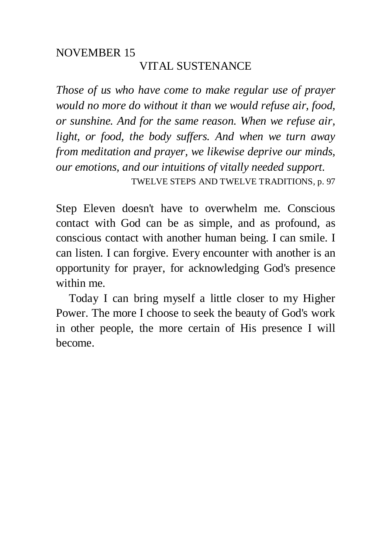# NOVEMBER 15 VITAL SUSTENANCE

*Those of us who have come to make regular use of prayer would no more do without it than we would refuse air, food, or sunshine. And for the same reason. When we refuse air, light, or food, the body suffers. And when we turn away from meditation and prayer, we likewise deprive our minds, our emotions, and our intuitions of vitally needed support.*  TWELVE STEPS AND TWELVE TRADITIONS, p. 97

Step Eleven doesn't have to overwhelm me. Conscious contact with God can be as simple, and as profound, as conscious contact with another human being. I can smile. I can listen. I can forgive. Every encounter with another is an opportunity for prayer, for acknowledging God's presence within me.

Today I can bring myself a little closer to my Higher Power. The more I choose to seek the beauty of God's work in other people, the more certain of His presence I will become.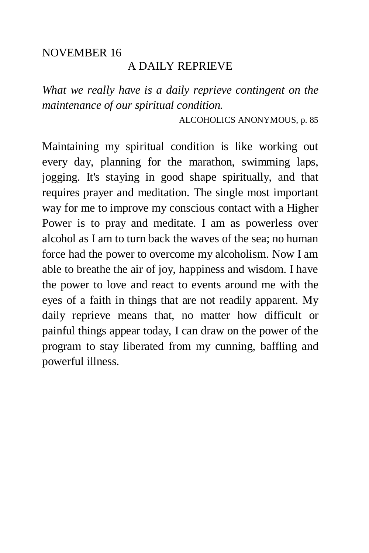### NOVEMBER 16

### A DAILY REPRIEVE

*What we really have is a daily reprieve contingent on the maintenance of our spiritual condition.* 

ALCOHOLICS ANONYMOUS, p. 85

Maintaining my spiritual condition is like working out every day, planning for the marathon, swimming laps, jogging. It's staying in good shape spiritually, and that requires prayer and meditation. The single most important way for me to improve my conscious contact with a Higher Power is to pray and meditate. I am as powerless over alcohol as I am to turn back the waves of the sea; no human force had the power to overcome my alcoholism. Now I am able to breathe the air of joy, happiness and wisdom. I have the power to love and react to events around me with the eyes of a faith in things that are not readily apparent. My daily reprieve means that, no matter how difficult or painful things appear today, I can draw on the power of the program to stay liberated from my cunning, baffling and powerful illness.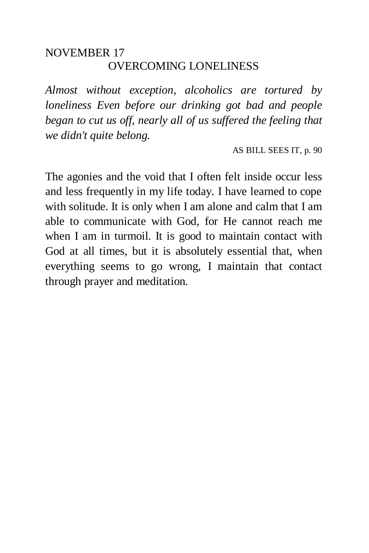# NOVEMBER 17 OVERCOMING LONELINESS

*Almost without exception, alcoholics are tortured by loneliness Even before our drinking got bad and people began to cut us off, nearly all of us suffered the feeling that we didn't quite belong.* 

AS BILL SEES IT, p. 90

The agonies and the void that I often felt inside occur less and less frequently in my life today. I have learned to cope with solitude. It is only when I am alone and calm that I am able to communicate with God, for He cannot reach me when I am in turmoil. It is good to maintain contact with God at all times, but it is absolutely essential that, when everything seems to go wrong, I maintain that contact through prayer and meditation.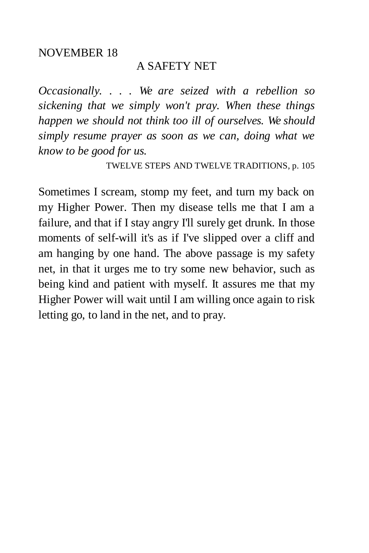#### NOVEMBER 18

### A SAFETY NET

*Occasionally. . . . We are seized with a rebellion so sickening that we simply won't pray. When these things happen we should not think too ill of ourselves. We should simply resume prayer as soon as we can, doing what we know to be good for us.* 

TWELVE STEPS AND TWELVE TRADITIONS, p. 105

Sometimes I scream, stomp my feet, and turn my back on my Higher Power. Then my disease tells me that I am a failure, and that if I stay angry I'll surely get drunk. In those moments of self-will it's as if I've slipped over a cliff and am hanging by one hand. The above passage is my safety net, in that it urges me to try some new behavior, such as being kind and patient with myself. It assures me that my Higher Power will wait until I am willing once again to risk letting go, to land in the net, and to pray.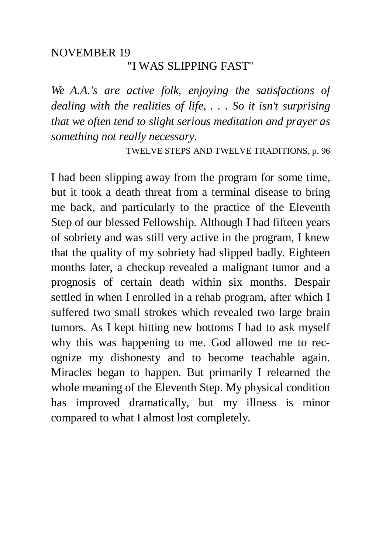# NOVEMBER 19 "I WAS SLIPPING FAST"

*We A.A.'s are active folk, enjoying the satisfactions of dealing with the realities of life, . . . So it isn't surprising that we often tend to slight serious meditation and prayer as something not really necessary.* 

TWELVE STEPS AND TWELVE TRADITIONS, p. 96

I had been slipping away from the program for some time, but it took a death threat from a terminal disease to bring me back, and particularly to the practice of the Eleventh Step of our blessed Fellowship. Although I had fifteen years of sobriety and was still very active in the program, I knew that the quality of my sobriety had slipped badly. Eighteen months later, a checkup revealed a malignant tumor and a prognosis of certain death within six months. Despair settled in when I enrolled in a rehab program, after which I suffered two small strokes which revealed two large brain tumors. As I kept hitting new bottoms I had to ask myself why this was happening to me. God allowed me to recognize my dishonesty and to become teachable again. Miracles began to happen. But primarily I relearned the whole meaning of the Eleventh Step. My physical condition has improved dramatically, but my illness is minor compared to what I almost lost completely.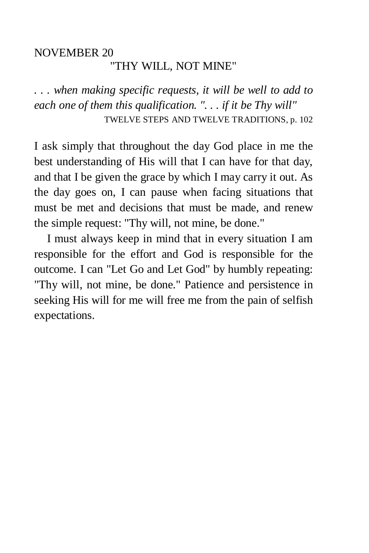## NOVEMBER 20 "THY WILL, NOT MINE"

*. . . when making specific requests, it will be well to add to each one of them this qualification. ". . . if it be Thy will"*  TWELVE STEPS AND TWELVE TRADITIONS, p. 102

I ask simply that throughout the day God place in me the best understanding of His will that I can have for that day, and that I be given the grace by which I may carry it out. As the day goes on, I can pause when facing situations that must be met and decisions that must be made, and renew the simple request: "Thy will, not mine, be done."

I must always keep in mind that in every situation I am responsible for the effort and God is responsible for the outcome. I can "Let Go and Let God" by humbly repeating: "Thy will, not mine, be done." Patience and persistence in seeking His will for me will free me from the pain of selfish expectations.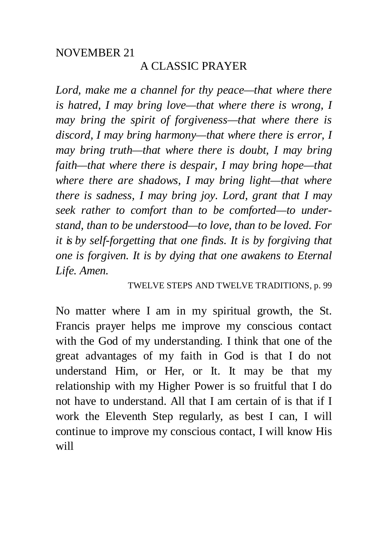### NOVEMBER 21 A CLASSIC PRAYER

Lord, make me a channel for thy peace—that where there *is hatred, I may bring love—that where there is wrong, I may bring the spirit of forgiveness—that where there is discord, I may bring harmony—that where there is error, I may bring truth—that where there is doubt, I may bring faith—that where there is despair, I may bring hope—that where there are shadows, I may bring light—that where there is sadness, I may bring joy. Lord, grant that I may seek rather to comfort than to be comforted—to understand, than to be understood—to love, than to be loved. For it is by self-forgetting that one finds. It is by forgiving that one is forgiven. It is by dying that one awakens to Eternal Life. Amen.* 

#### TWELVE STEPS AND TWELVE TRADITIONS, p. 99

No matter where I am in my spiritual growth, the St. Francis prayer helps me improve my conscious contact with the God of my understanding. I think that one of the great advantages of my faith in God is that I do not understand Him, or Her, or It. It may be that my relationship with my Higher Power is so fruitful that I do not have to understand. All that I am certain of is that if I work the Eleventh Step regularly, as best I can, I will continue to improve my conscious contact, I will know His will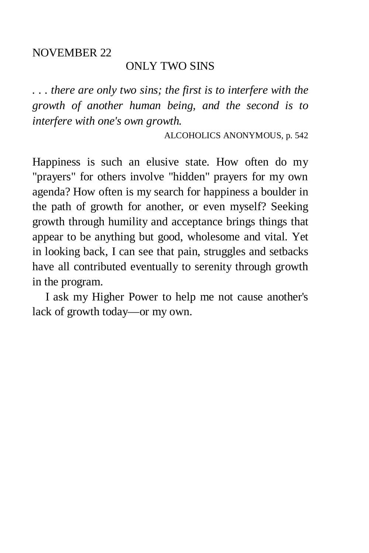#### NOVEMBER 22

### ONLY TWO SINS

*. . . there are only two sins; the first is to interfere with the growth of another human being, and the second is to interfere with one's own growth.* 

ALCOHOLICS ANONYMOUS, p. 542

Happiness is such an elusive state. How often do my "prayers" for others involve "hidden" prayers for my own agenda? How often is my search for happiness a boulder in the path of growth for another, or even myself? Seeking growth through humility and acceptance brings things that appear to be anything but good, wholesome and vital. Yet in looking back, I can see that pain, struggles and setbacks have all contributed eventually to serenity through growth in the program.

I ask my Higher Power to help me not cause another's lack of growth today—or my own.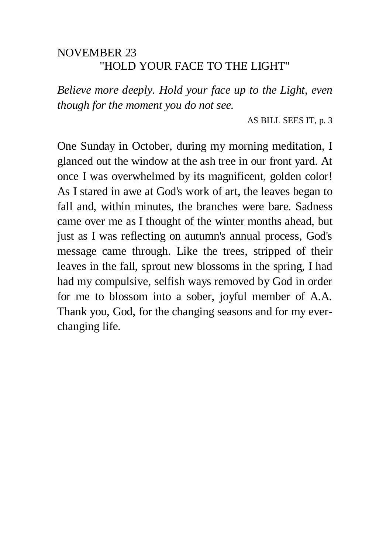## NOVEMBER 23 "HOLD YOUR FACE TO THE LIGHT"

*Believe more deeply. Hold your face up to the Light, even though for the moment you do not see.* 

AS BILL SEES IT, p. 3

One Sunday in October, during my morning meditation, I glanced out the window at the ash tree in our front yard. At once I was overwhelmed by its magnificent, golden color! As I stared in awe at God's work of art, the leaves began to fall and, within minutes, the branches were bare. Sadness came over me as I thought of the winter months ahead, but just as I was reflecting on autumn's annual process, God's message came through. Like the trees, stripped of their leaves in the fall, sprout new blossoms in the spring, I had had my compulsive, selfish ways removed by God in order for me to blossom into a sober, joyful member of A.A. Thank you, God, for the changing seasons and for my everchanging life.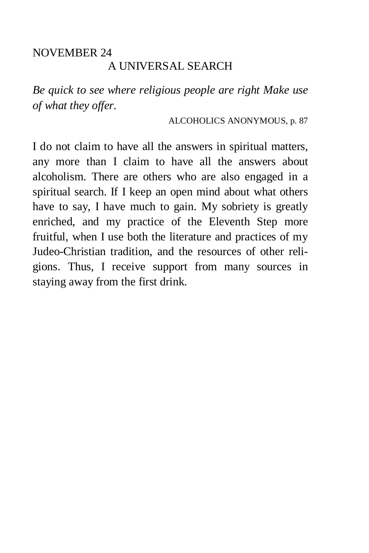# NOVEMBER 24 A UNIVERSAL SEARCH

*Be quick to see where religious people are right Make use of what they offer.* 

ALCOHOLICS ANONYMOUS, p. 87

I do not claim to have all the answers in spiritual matters, any more than I claim to have all the answers about alcoholism. There are others who are also engaged in a spiritual search. If I keep an open mind about what others have to say, I have much to gain. My sobriety is greatly enriched, and my practice of the Eleventh Step more fruitful, when I use both the literature and practices of my Judeo-Christian tradition, and the resources of other religions. Thus, I receive support from many sources in staying away from the first drink.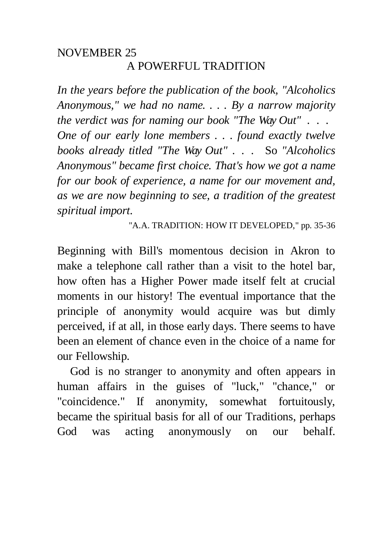# NOVEMBER 25 A POWERFUL TRADITION

*In the years before the publication of the book, "Alcoholics Anonymous," we had no name. . . . By a narrow majority the verdict was for naming our book "The Way Out" . . . One of our early lone members . . . found exactly twelve books already titled "The Way Out"* . . . So *"Alcoholics Anonymous" became first choice. That's how we got a name for our book of experience, a name for our movement and, as we are now beginning to see, a tradition of the greatest spiritual import.* 

"A.A. TRADITION: HOW IT DEVELOPED," pp. 35-36

Beginning with Bill's momentous decision in Akron to make a telephone call rather than a visit to the hotel bar, how often has a Higher Power made itself felt at crucial moments in our history! The eventual importance that the principle of anonymity would acquire was but dimly perceived, if at all, in those early days. There seems to have been an element of chance even in the choice of a name for our Fellowship.

God is no stranger to anonymity and often appears in human affairs in the guises of "luck," "chance," or "coincidence." If anonymity, somewhat fortuitously, became the spiritual basis for all of our Traditions, perhaps God was acting anonymously on our behalf.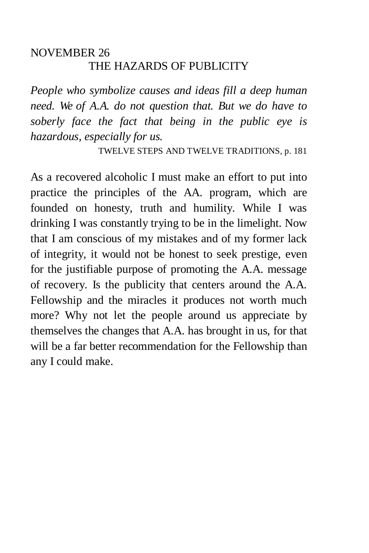## NOVEMBER 26 THE HAZARDS OF PUBLICITY

*People who symbolize causes and ideas fill a deep human need. We of A.A. do not question that. But we do have to soberly face the fact that being in the public eye is hazardous, especially for us.* 

TWELVE STEPS AND TWELVE TRADITIONS, p. 181

As a recovered alcoholic I must make an effort to put into practice the principles of the AA. program, which are founded on honesty, truth and humility. While I was drinking I was constantly trying to be in the limelight. Now that I am conscious of my mistakes and of my former lack of integrity, it would not be honest to seek prestige, even for the justifiable purpose of promoting the A.A. message of recovery. Is the publicity that centers around the A.A. Fellowship and the miracles it produces not worth much more? Why not let the people around us appreciate by themselves the changes that A.A. has brought in us, for that will be a far better recommendation for the Fellowship than any I could make.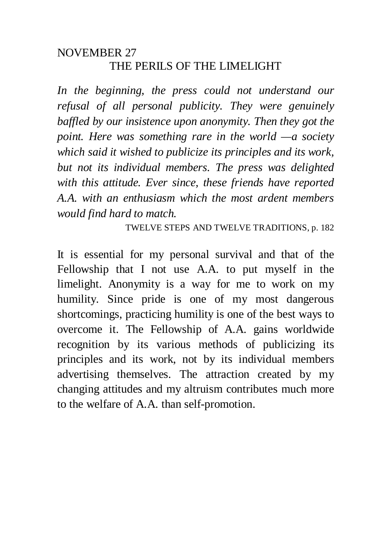# NOVEMBER 27 THE PERILS OF THE LIMELIGHT

*In the beginning, the press could not understand our refusal of all personal publicity. They were genuinely baffled by our insistence upon anonymity. Then they got the point. Here was something rare in the world —a society which said it wished to publicize its principles and its work, but not its individual members. The press was delighted with this attitude. Ever since, these friends have reported A.A. with an enthusiasm which the most ardent members would find hard to match.* 

TWELVE STEPS AND TWELVE TRADITIONS, p. 182

It is essential for my personal survival and that of the Fellowship that I not use A.A. to put myself in the limelight. Anonymity is a way for me to work on my humility. Since pride is one of my most dangerous shortcomings, practicing humility is one of the best ways to overcome it. The Fellowship of A.A. gains worldwide recognition by its various methods of publicizing its principles and its work, not by its individual members advertising themselves. The attraction created by my changing attitudes and my altruism contributes much more to the welfare of A.A. than self-promotion.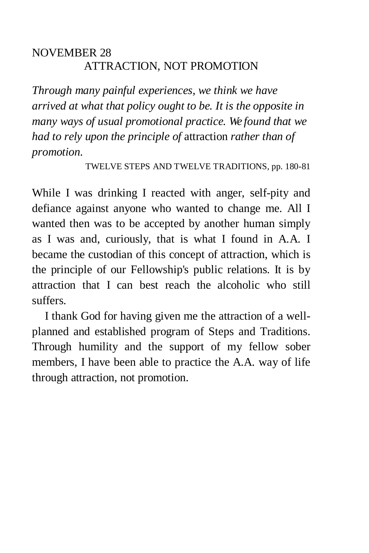## NOVEMBER 28 ATTRACTION, NOT PROMOTION

*Through many painful experiences, we think we have arrived at what that policy ought to be. It is the opposite in many ways of usual promotional practice. We found that we had to rely upon the principle of* attraction *rather than of promotion.* 

TWELVE STEPS AND TWELVE TRADITIONS, pp. 180-81

While I was drinking I reacted with anger, self-pity and defiance against anyone who wanted to change me. All I wanted then was to be accepted by another human simply as I was and, curiously, that is what I found in A.A. I became the custodian of this concept of attraction, which is the principle of our Fellowship's public relations. It is by attraction that I can best reach the alcoholic who still suffers.

I thank God for having given me the attraction of a wellplanned and established program of Steps and Traditions. Through humility and the support of my fellow sober members, I have been able to practice the A.A. way of life through attraction, not promotion.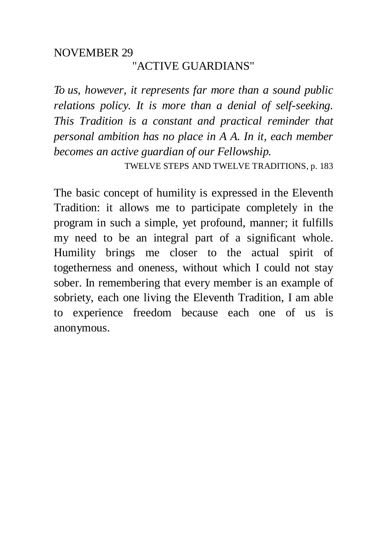# NOVEMBER 29 "ACTIVE GUARDIANS"

*To us, however, it represents far more than a sound public relations policy. It is more than a denial of self-seeking. This Tradition is a constant and practical reminder that personal ambition has no place in A A. In it, each member becomes an active guardian of our Fellowship.* 

TWELVE STEPS AND TWELVE TRADITIONS, p. 183

The basic concept of humility is expressed in the Eleventh Tradition: it allows me to participate completely in the program in such a simple, yet profound, manner; it fulfills my need to be an integral part of a significant whole. Humility brings me closer to the actual spirit of togetherness and oneness, without which I could not stay sober. In remembering that every member is an example of sobriety, each one living the Eleventh Tradition, I am able to experience freedom because each one of us is anonymous.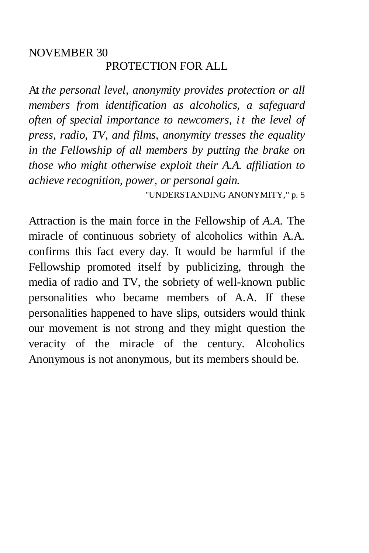### NOVEMBER 30 PROTECTION FOR ALL

At *the personal level, anonymity provides protection or all members from identification as alcoholics, a safeguard often of special importance to newcomers, i t the level of press, radio, TV, and films, anonymity tresses the equality in the Fellowship of all members by putting the brake on those who might otherwise exploit their A.A. affiliation to achieve recognition, power, or personal gain.* 

"UNDERSTANDING ANONYMITY," p. 5

Attraction is the main force in the Fellowship of *A.A.* The miracle of continuous sobriety of alcoholics within A.A. confirms this fact every day. It would be harmful if the Fellowship promoted itself by publicizing, through the media of radio and TV, the sobriety of well-known public personalities who became members of A.A. If these personalities happened to have slips, outsiders would think our movement is not strong and they might question the veracity of the miracle of the century. Alcoholics Anonymous is not anonymous, but its members should be.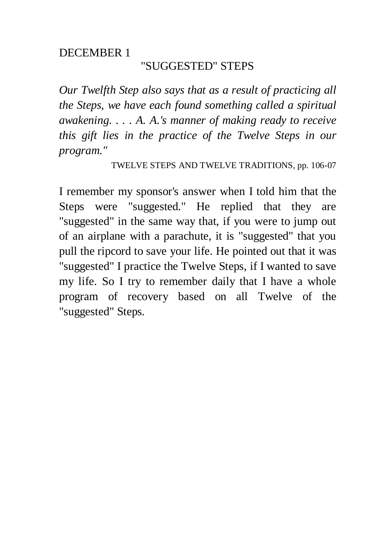# "SUGGESTED" STEPS

*Our Twelfth Step also says that as a result of practicing all the Steps, we have each found something called a spiritual awakening. . . . A. A.'s manner of making ready to receive this gift lies in the practice of the Twelve Steps in our program."* 

TWELVE STEPS AND TWELVE TRADITIONS, pp. 106-07

I remember my sponsor's answer when I told him that the Steps were "suggested." He replied that they are "suggested" in the same way that, if you were to jump out of an airplane with a parachute, it is "suggested" that you pull the ripcord to save your life. He pointed out that it was "suggested" I practice the Twelve Steps, if I wanted to save my life. So I try to remember daily that I have a whole program of recovery based on all Twelve of the "suggested" Steps.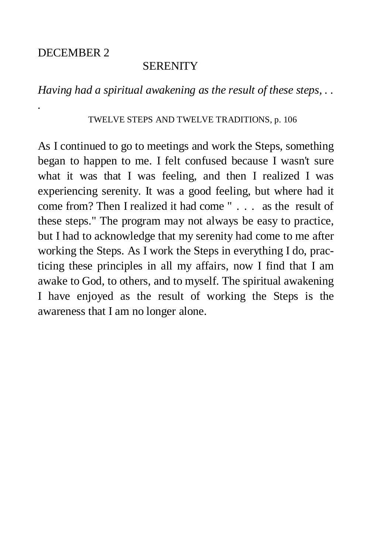*.* 

### **SERENITY**

*Having had a spiritual awakening as the result of these steps, . .* 

TWELVE STEPS AND TWELVE TRADITIONS, p. 106

As I continued to go to meetings and work the Steps, something began to happen to me. I felt confused because I wasn't sure what it was that I was feeling, and then I realized I was experiencing serenity. It was a good feeling, but where had it come from? Then I realized it had come " . . . as the result of these steps." The program may not always be easy to practice, but I had to acknowledge that my serenity had come to me after working the Steps. As I work the Steps in everything I do, practicing these principles in all my affairs, now I find that I am awake to God, to others, and to myself. The spiritual awakening I have enjoyed as the result of working the Steps is the awareness that I am no longer alone.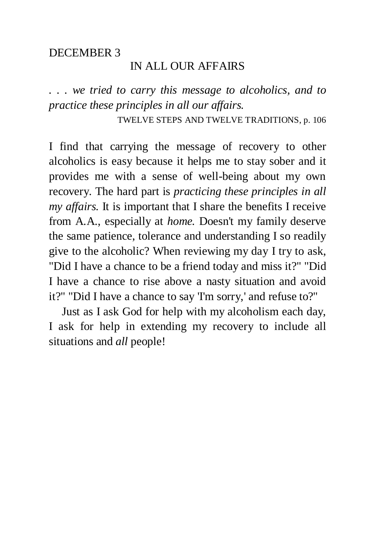### IN ALL OUR AFFAIRS

*. . . we tried to carry this message to alcoholics, and to practice these principles in all our affairs.* 

TWELVE STEPS AND TWELVE TRADITIONS, p. 106

I find that carrying the message of recovery to other alcoholics is easy because it helps me to stay sober and it provides me with a sense of well-being about my own recovery. The hard part is *practicing these principles in all my affairs.* It is important that I share the benefits I receive from A.A., especially at *home.* Doesn't my family deserve the same patience, tolerance and understanding I so readily give to the alcoholic? When reviewing my day I try to ask, "Did I have a chance to be a friend today and miss it?" "Did I have a chance to rise above a nasty situation and avoid it?" "Did I have a chance to say 'I'm sorry,' and refuse to?"

Just as I ask God for help with my alcoholism each day, I ask for help in extending my recovery to include all situations and *all* people!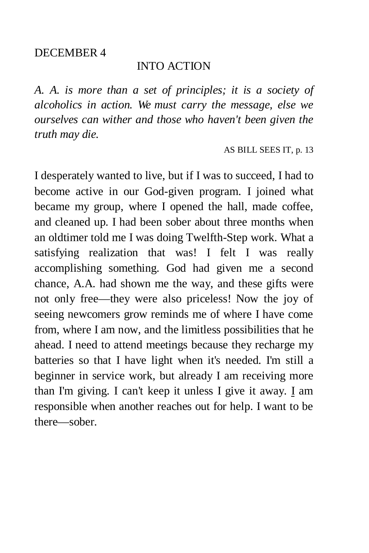### INTO ACTION

*A. A. is more than a set of principles; it is a society of alcoholics in action. We must carry the message, else we ourselves can wither and those who haven't been given the truth may die.* 

AS BILL SEES IT, p. 13

I desperately wanted to live, but if I was to succeed, I had to become active in our God-given program. I joined what became my group, where I opened the hall, made coffee, and cleaned up. I had been sober about three months when an oldtimer told me I was doing Twelfth-Step work. What a satisfying realization that was! I felt I was really accomplishing something. God had given me a second chance, A.A. had shown me the way, and these gifts were not only free—they were also priceless! Now the joy of seeing newcomers grow reminds me of where I have come from, where I am now, and the limitless possibilities that he ahead. I need to attend meetings because they recharge my batteries so that I have light when it's needed. I'm still a beginner in service work, but already I am receiving more than I'm giving. I can't keep it unless I give it away. I am responsible when another reaches out for help. I want to be there—sober.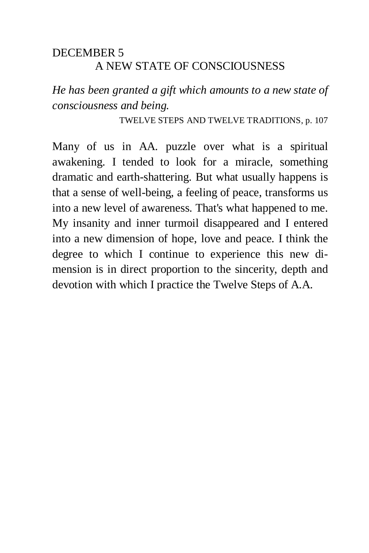# DECEMBER 5 A NEW STATE OF CONSCIOUSNESS

*He has been granted a gift which amounts to a new state of consciousness and being.* 

TWELVE STEPS AND TWELVE TRADITIONS, p. 107

Many of us in AA. puzzle over what is a spiritual awakening. I tended to look for a miracle, something dramatic and earth-shattering. But what usually happens is that a sense of well-being, a feeling of peace, transforms us into a new level of awareness. That's what happened to me. My insanity and inner turmoil disappeared and I entered into a new dimension of hope, love and peace. I think the degree to which I continue to experience this new dimension is in direct proportion to the sincerity, depth and devotion with which I practice the Twelve Steps of A.A.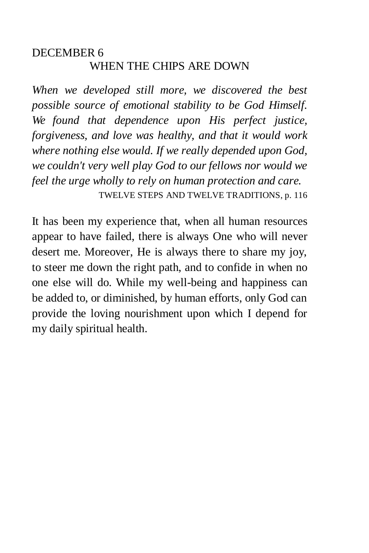## DECEMBER 6 WHEN THE CHIPS ARE DOWN

*When we developed still more, we discovered the best possible source of emotional stability to be God Himself. We found that dependence upon His perfect justice, forgiveness, and love was healthy, and that it would work where nothing else would. If we really depended upon God, we couldn't very well play God to our fellows nor would we feel the urge wholly to rely on human protection and care.*  TWELVE STEPS AND TWELVE TRADITIONS, p. 116

It has been my experience that, when all human resources appear to have failed, there is always One who will never desert me. Moreover, He is always there to share my joy, to steer me down the right path, and to confide in when no one else will do. While my well-being and happiness can be added to, or diminished, by human efforts, only God can provide the loving nourishment upon which I depend for my daily spiritual health.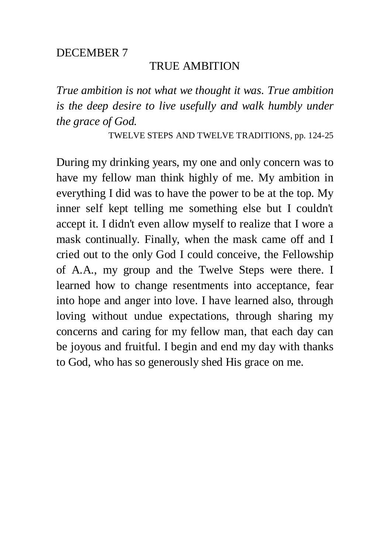### TRUE AMBITION

*True ambition is not what we thought it was. True ambition is the deep desire to live usefully and walk humbly under the grace of God.* 

TWELVE STEPS AND TWELVE TRADITIONS, pp. 124-25

During my drinking years, my one and only concern was to have my fellow man think highly of me. My ambition in everything I did was to have the power to be at the top. My inner self kept telling me something else but I couldn't accept it. I didn't even allow myself to realize that I wore a mask continually. Finally, when the mask came off and I cried out to the only God I could conceive, the Fellowship of A.A., my group and the Twelve Steps were there. I learned how to change resentments into acceptance, fear into hope and anger into love. I have learned also, through loving without undue expectations, through sharing my concerns and caring for my fellow man, that each day can be joyous and fruitful. I begin and end my day with thanks to God, who has so generously shed His grace on me.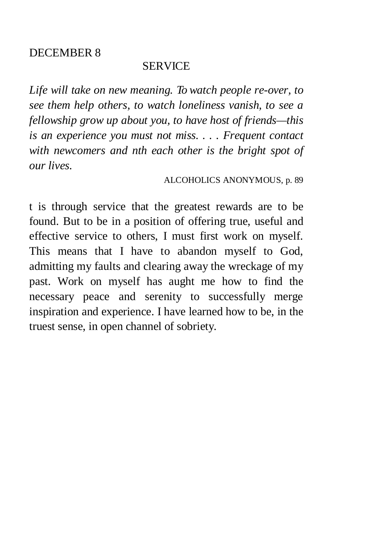### **SERVICE**

*Life will take on new meaning. To watch people re-over, to see them help others, to watch loneliness vanish, to see a fellowship grow up about you, to have host of friends—this is an experience you must not miss. . . . Frequent contact with newcomers and nth each other is the bright spot of our lives.* 

ALCOHOLICS ANONYMOUS, p. 89

t is through service that the greatest rewards are to be found. But to be in a position of offering true, useful and effective service to others, I must first work on myself. This means that I have to abandon myself to God, admitting my faults and clearing away the wreckage of my past. Work on myself has aught me how to find the necessary peace and serenity to successfully merge inspiration and experience. I have learned how to be, in the truest sense, in open channel of sobriety.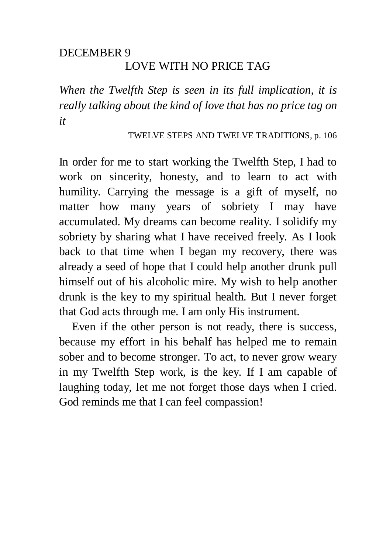# DECEMBER 9 LOVE WITH NO PRICE TAG

*When the Twelfth Step is seen in its full implication, it is really talking about the kind of love that has no price tag on it* 

TWELVE STEPS AND TWELVE TRADITIONS, p. 106

In order for me to start working the Twelfth Step, I had to work on sincerity, honesty, and to learn to act with humility. Carrying the message is a gift of myself, no matter how many years of sobriety I may have accumulated. My dreams can become reality. I solidify my sobriety by sharing what I have received freely. As I look back to that time when I began my recovery, there was already a seed of hope that I could help another drunk pull himself out of his alcoholic mire. My wish to help another drunk is the key to my spiritual health. But I never forget that God acts through me. I am only His instrument.

Even if the other person is not ready, there is success, because my effort in his behalf has helped me to remain sober and to become stronger. To act, to never grow weary in my Twelfth Step work, is the key. If I am capable of laughing today, let me not forget those days when I cried. God reminds me that I can feel compassion!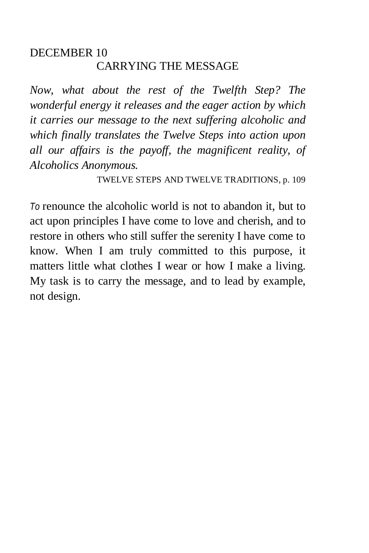## DECEMBER 10 CARRYING THE MESSAGE

*Now, what about the rest of the Twelfth Step? The wonderful energy it releases and the eager action by which it carries our message to the next suffering alcoholic and which finally translates the Twelve Steps into action upon all our affairs is the payoff, the magnificent reality, of Alcoholics Anonymous.* 

TWELVE STEPS AND TWELVE TRADITIONS, p. 109

*To* renounce the alcoholic world is not to abandon it, but to act upon principles I have come to love and cherish, and to restore in others who still suffer the serenity I have come to know. When I am truly committed to this purpose, it matters little what clothes I wear or how I make a living. My task is to carry the message, and to lead by example, not design.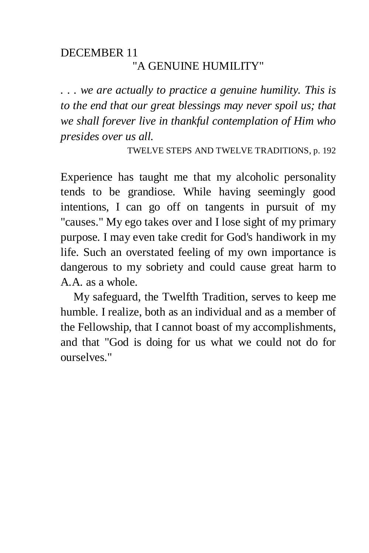# DECEMBER 11 "A GENUINE HUMILITY"

*. . . we are actually to practice a genuine humility. This is to the end that our great blessings may never spoil us; that we shall forever live in thankful contemplation of Him who presides over us all.* 

TWELVE STEPS AND TWELVE TRADITIONS, p. 192

Experience has taught me that my alcoholic personality tends to be grandiose. While having seemingly good intentions, I can go off on tangents in pursuit of my "causes." My ego takes over and I lose sight of my primary purpose. I may even take credit for God's handiwork in my life. Such an overstated feeling of my own importance is dangerous to my sobriety and could cause great harm to A.A. as a whole.

My safeguard, the Twelfth Tradition, serves to keep me humble. I realize, both as an individual and as a member of the Fellowship, that I cannot boast of my accomplishments, and that "God is doing for us what we could not do for ourselves."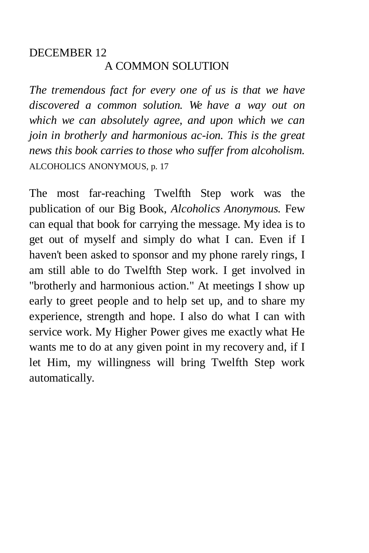## DECEMBER 12 A COMMON SOLUTION

*The tremendous fact for every one of us is that we have discovered a common solution. We have a way out on which we can absolutely agree, and upon which we can join in brotherly and harmonious ac-ion. This is the great news this book carries to those who suffer from alcoholism.*  ALCOHOLICS ANONYMOUS, p. 17

The most far-reaching Twelfth Step work was the publication of our Big Book, *Alcoholics Anonymous.* Few can equal that book for carrying the message. My idea is to get out of myself and simply do what I can. Even if I haven't been asked to sponsor and my phone rarely rings, I am still able to do Twelfth Step work. I get involved in "brotherly and harmonious action." At meetings I show up early to greet people and to help set up, and to share my experience, strength and hope. I also do what I can with service work. My Higher Power gives me exactly what He wants me to do at any given point in my recovery and, if I let Him, my willingness will bring Twelfth Step work automatically.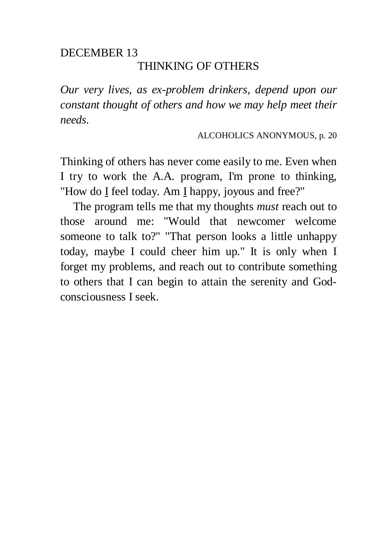# DECEMBER 13 THINKING OF OTHERS

*Our very lives, as ex-problem drinkers, depend upon our constant thought of others and how we may help meet their needs.* 

ALCOHOLICS ANONYMOUS, p. 20

Thinking of others has never come easily to me. Even when I try to work the A.A. program, I'm prone to thinking, "How do I feel today. Am I happy, joyous and free?"

The program tells me that my thoughts *must* reach out to those around me: "Would that newcomer welcome someone to talk to?" "That person looks a little unhappy today, maybe I could cheer him up." It is only when I forget my problems, and reach out to contribute something to others that I can begin to attain the serenity and Godconsciousness I seek.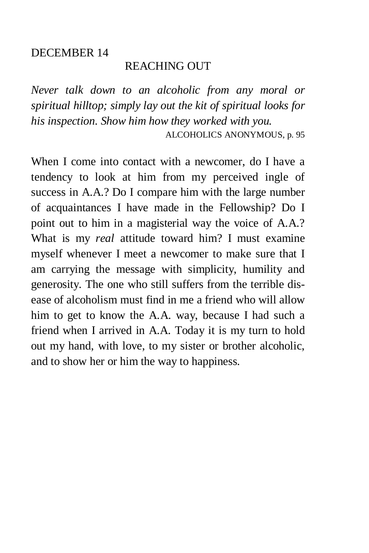### REACHING OUT

*Never talk down to an alcoholic from any moral or spiritual hilltop; simply lay out the kit of spiritual looks for his inspection. Show him how they worked with you.*  ALCOHOLICS ANONYMOUS, p. 95

When I come into contact with a newcomer, do I have a tendency to look at him from my perceived ingle of success in A.A.? Do I compare him with the large number of acquaintances I have made in the Fellowship? Do I point out to him in a magisterial way the voice of A.A.? What is my *real* attitude toward him? I must examine myself whenever I meet a newcomer to make sure that I am carrying the message with simplicity, humility and generosity. The one who still suffers from the terrible disease of alcoholism must find in me a friend who will allow him to get to know the A.A. way, because I had such a friend when I arrived in A.A. Today it is my turn to hold out my hand, with love, to my sister or brother alcoholic, and to show her or him the way to happiness.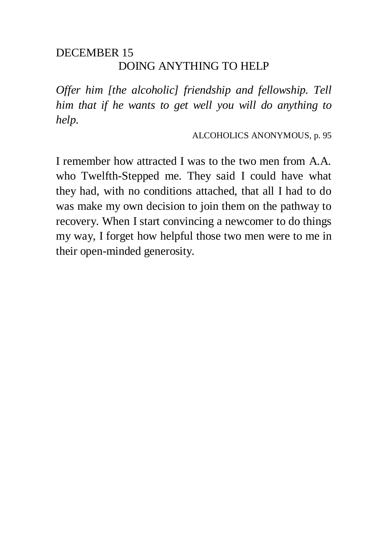# DECEMBER 15 DOING ANYTHING TO HELP

*Offer him [the alcoholic] friendship and fellowship. Tell him that if he wants to get well you will do anything to help.* 

ALCOHOLICS ANONYMOUS, p. 95

I remember how attracted I was to the two men from A.A. who Twelfth-Stepped me. They said I could have what they had, with no conditions attached, that all I had to do was make my own decision to join them on the pathway to recovery. When I start convincing a newcomer to do things my way, I forget how helpful those two men were to me in their open-minded generosity.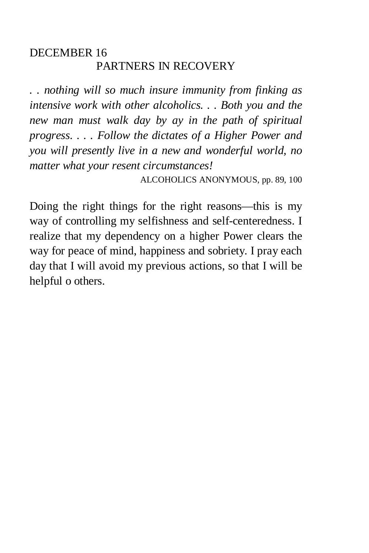## DECEMBER 16 PARTNERS IN RECOVERY

*. . nothing will so much insure immunity from finking as intensive work with other alcoholics. . . Both you and the new man must walk day by ay in the path of spiritual progress. . . . Follow the dictates of a Higher Power and you will presently live in a new and wonderful world, no matter what your resent circumstances!* 

ALCOHOLICS ANONYMOUS, pp. 89, 100

Doing the right things for the right reasons—this is my way of controlling my selfishness and self-centeredness. I realize that my dependency on a higher Power clears the way for peace of mind, happiness and sobriety. I pray each day that I will avoid my previous actions, so that I will be helpful o others.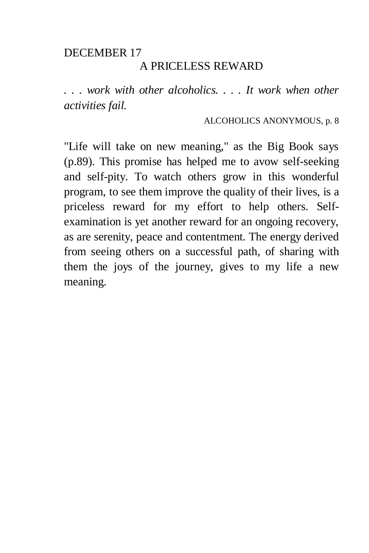# DECEMBER 17 A PRICELESS REWARD

*. . . work with other alcoholics. . . . It work when other activities fail.* 

ALCOHOLICS ANONYMOUS, p. 8

"Life will take on new meaning," as the Big Book says (p.89). This promise has helped me to avow self-seeking and self-pity. To watch others grow in this wonderful program, to see them improve the quality of their lives, is a priceless reward for my effort to help others. Selfexamination is yet another reward for an ongoing recovery, as are serenity, peace and contentment. The energy derived from seeing others on a successful path, of sharing with them the joys of the journey, gives to my life a new meaning.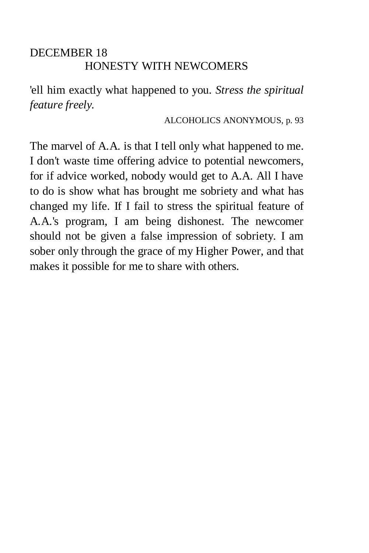# DECEMBER 18 HONESTY WITH NEWCOMERS

'ell him exactly what happened to you. *Stress the spiritual feature freely.* 

ALCOHOLICS ANONYMOUS, p. 93

The marvel of A.A. is that I tell only what happened to me. I don't waste time offering advice to potential newcomers, for if advice worked, nobody would get to A.A. All I have to do is show what has brought me sobriety and what has changed my life. If I fail to stress the spiritual feature of A.A.'s program, I am being dishonest. The newcomer should not be given a false impression of sobriety. I am sober only through the grace of my Higher Power, and that makes it possible for me to share with others.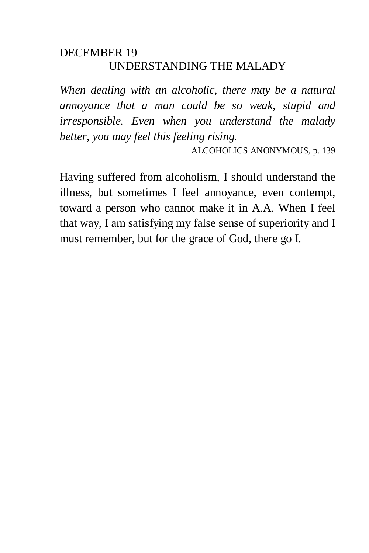# DECEMBER 19 UNDERSTANDING THE MALADY

*When dealing with an alcoholic, there may be a natural annoyance that a man could be so weak, stupid and irresponsible. Even when you understand the malady better, you may feel this feeling rising.* 

ALCOHOLICS ANONYMOUS, p. 139

Having suffered from alcoholism, I should understand the illness, but sometimes I feel annoyance, even contempt, toward a person who cannot make it in A.A. When I feel that way, I am satisfying my false sense of superiority and I must remember, but for the grace of God, there go I.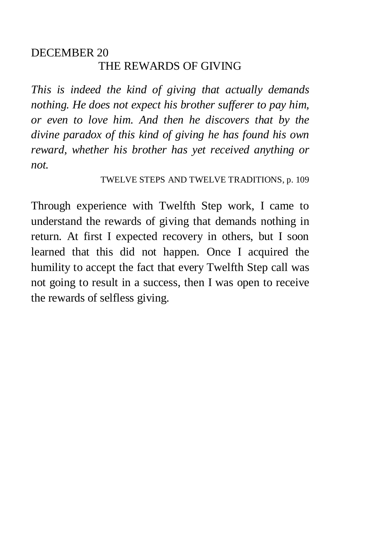## DECEMBER 20 THE REWARDS OF GIVING

*This is indeed the kind of giving that actually demands nothing. He does not expect his brother sufferer to pay him, or even to love him. And then he discovers that by the divine paradox of this kind of giving he has found his own reward, whether his brother has yet received anything or not.* 

TWELVE STEPS AND TWELVE TRADITIONS, p. 109

Through experience with Twelfth Step work, I came to understand the rewards of giving that demands nothing in return. At first I expected recovery in others, but I soon learned that this did not happen. Once I acquired the humility to accept the fact that every Twelfth Step call was not going to result in a success, then I was open to receive the rewards of selfless giving.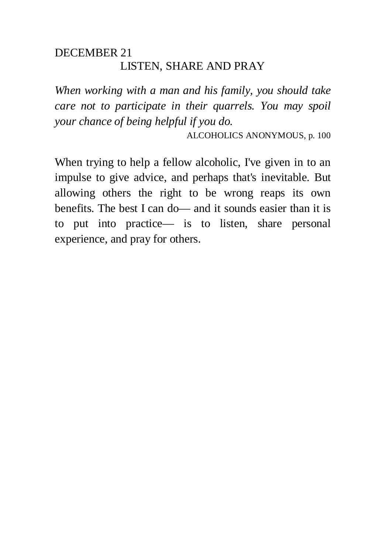# DECEMBER 21 LISTEN, SHARE AND PRAY

*When working with a man and his family, you should take care not to participate in their quarrels. You may spoil your chance of being helpful if you do.* 

ALCOHOLICS ANONYMOUS, p. 100

When trying to help a fellow alcoholic, I've given in to an impulse to give advice, and perhaps that's inevitable. But allowing others the right to be wrong reaps its own benefits. The best I can do— and it sounds easier than it is to put into practice— is to listen, share personal experience, and pray for others.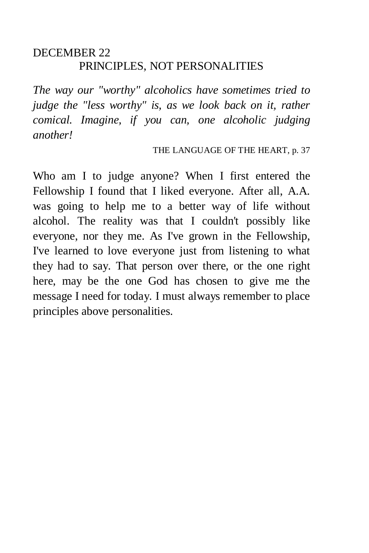# DECEMBER 22 PRINCIPLES, NOT PERSONALITIES

*The way our "worthy" alcoholics have sometimes tried to judge the "less worthy" is, as we look back on it, rather comical. Imagine, if you can, one alcoholic judging another!* 

THE LANGUAGE OF THE HEART, p. 37

Who am I to judge anyone? When I first entered the Fellowship I found that I liked everyone. After all, A.A. was going to help me to a better way of life without alcohol. The reality was that I couldn't possibly like everyone, nor they me. As I've grown in the Fellowship, I've learned to love everyone just from listening to what they had to say. That person over there, or the one right here, may be the one God has chosen to give me the message I need for today. I must always remember to place principles above personalities.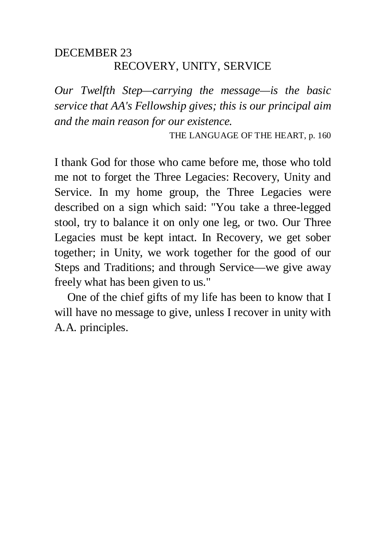# DECEMBER 23 RECOVERY, UNITY, SERVICE

*Our Twelfth Step—carrying the message—is the basic service that AA's Fellowship gives; this is our principal aim and the main reason for our existence.* 

THE LANGUAGE OF THE HEART, p. 160

I thank God for those who came before me, those who told me not to forget the Three Legacies: Recovery, Unity and Service. In my home group, the Three Legacies were described on a sign which said: "You take a three-legged stool, try to balance it on only one leg, or two. Our Three Legacies must be kept intact. In Recovery, we get sober together; in Unity, we work together for the good of our Steps and Traditions; and through Service—we give away freely what has been given to us."

One of the chief gifts of my life has been to know that I will have no message to give, unless I recover in unity with A.A. principles.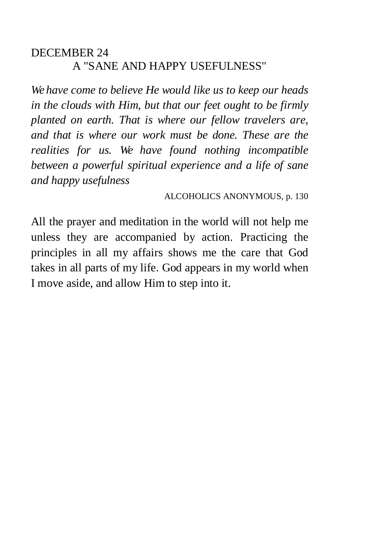# DECEMBER 24 A "SANE AND HAPPY USEFULNESS"

*We have come to believe He would like us to keep our heads in the clouds with Him, but that our feet ought to be firmly planted on earth. That is where our fellow travelers are, and that is where our work must be done. These are the realities for us. We have found nothing incompatible between a powerful spiritual experience and a life of sane and happy usefulness* 

ALCOHOLICS ANONYMOUS, p. 130

All the prayer and meditation in the world will not help me unless they are accompanied by action. Practicing the principles in all my affairs shows me the care that God takes in all parts of my life. God appears in my world when I move aside, and allow Him to step into it.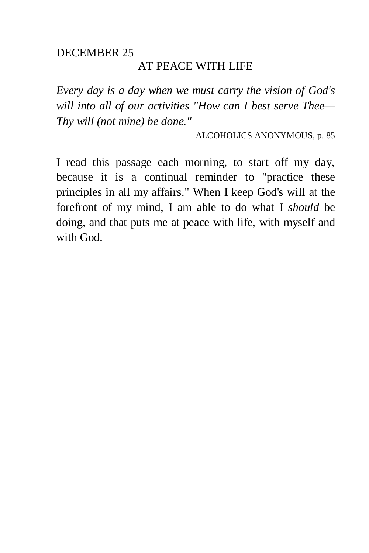# AT PEACE WITH LIFE

*Every day is a day when we must carry the vision of God's will into all of our activities "How can I best serve Thee— Thy will (not mine) be done."* 

ALCOHOLICS ANONYMOUS, p. 85

I read this passage each morning, to start off my day, because it is a continual reminder to "practice these principles in all my affairs." When I keep God's will at the forefront of my mind, I am able to do what I *should* be doing, and that puts me at peace with life, with myself and with God.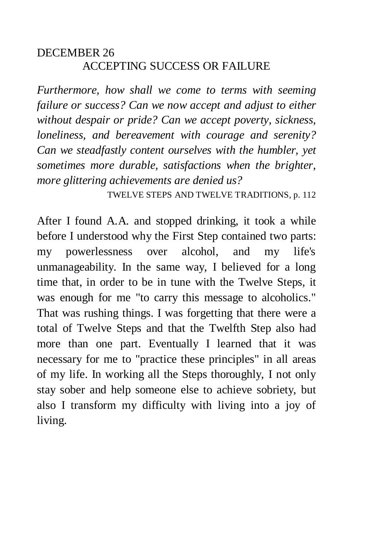## DECEMBER 26 ACCEPTING SUCCESS OR FAILURE

*Furthermore, how shall we come to terms with seeming failure or success? Can we now accept and adjust to either without despair or pride? Can we accept poverty, sickness, loneliness, and bereavement with courage and serenity? Can we steadfastly content ourselves with the humbler, yet sometimes more durable, satisfactions when the brighter, more glittering achievements are denied us?* 

TWELVE STEPS AND TWELVE TRADITIONS, p. 112

After I found A.A. and stopped drinking, it took a while before I understood why the First Step contained two parts: my powerlessness over alcohol, and my life's unmanageability. In the same way, I believed for a long time that, in order to be in tune with the Twelve Steps, it was enough for me "to carry this message to alcoholics." That was rushing things. I was forgetting that there were a total of Twelve Steps and that the Twelfth Step also had more than one part. Eventually I learned that it was necessary for me to "practice these principles" in all areas of my life. In working all the Steps thoroughly, I not only stay sober and help someone else to achieve sobriety, but also I transform my difficulty with living into a joy of living.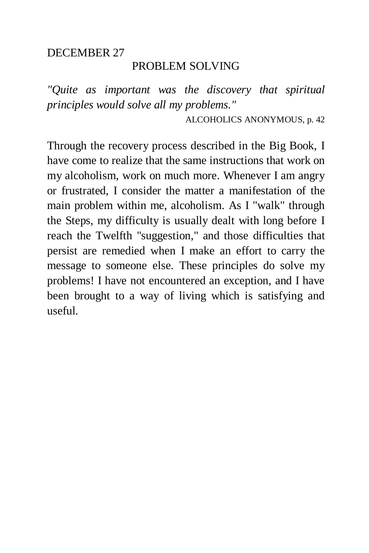### PROBLEM SOLVING

*"Quite as important was the discovery that spiritual principles would solve all my problems."* 

ALCOHOLICS ANONYMOUS, p. 42

Through the recovery process described in the Big Book, I have come to realize that the same instructions that work on my alcoholism, work on much more. Whenever I am angry or frustrated, I consider the matter a manifestation of the main problem within me, alcoholism. As I "walk" through the Steps, my difficulty is usually dealt with long before I reach the Twelfth "suggestion," and those difficulties that persist are remedied when I make an effort to carry the message to someone else. These principles do solve my problems! I have not encountered an exception, and I have been brought to a way of living which is satisfying and useful.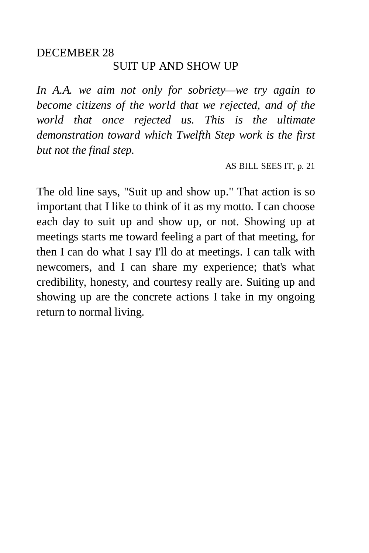## DECEMBER 28 SUIT UP AND SHOW UP

*In A.A. we aim not only for sobriety—we try again to become citizens of the world that we rejected, and of the world that once rejected us. This is the ultimate demonstration toward which Twelfth Step work is the first but not the final step.* 

AS BILL SEES IT, p. 21

The old line says, "Suit up and show up." That action is so important that I like to think of it as my motto. I can choose each day to suit up and show up, or not. Showing up at meetings starts me toward feeling a part of that meeting, for then I can do what I say I'll do at meetings. I can talk with newcomers, and I can share my experience; that's what credibility, honesty, and courtesy really are. Suiting up and showing up are the concrete actions I take in my ongoing return to normal living.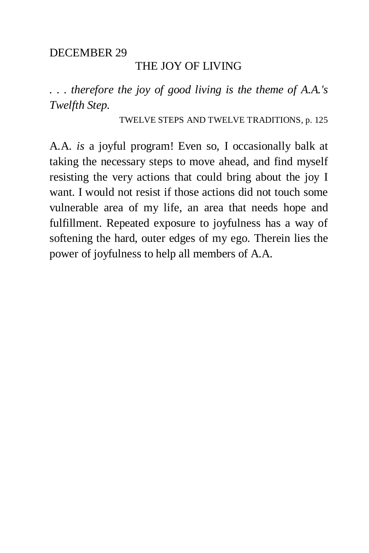### THE JOY OF LIVING

*. . . therefore the joy of good living is the theme of A.A.'s Twelfth Step.* 

TWELVE STEPS AND TWELVE TRADITIONS, p. 125

A.A. *is* a joyful program! Even so, I occasionally balk at taking the necessary steps to move ahead, and find myself resisting the very actions that could bring about the joy I want. I would not resist if those actions did not touch some vulnerable area of my life, an area that needs hope and fulfillment. Repeated exposure to joyfulness has a way of softening the hard, outer edges of my ego. Therein lies the power of joyfulness to help all members of A.A.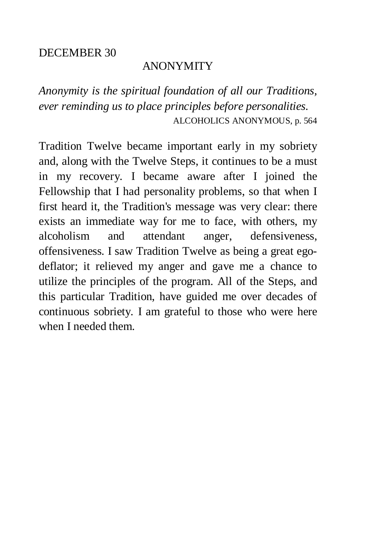### ANONYMITY

*Anonymity is the spiritual foundation of all our Traditions, ever reminding us to place principles before personalities.*  ALCOHOLICS ANONYMOUS, p. 564

Tradition Twelve became important early in my sobriety and, along with the Twelve Steps, it continues to be a must in my recovery. I became aware after I joined the Fellowship that I had personality problems, so that when I first heard it, the Tradition's message was very clear: there exists an immediate way for me to face, with others, my alcoholism and attendant anger, defensiveness, offensiveness. I saw Tradition Twelve as being a great egodeflator; it relieved my anger and gave me a chance to utilize the principles of the program. All of the Steps, and this particular Tradition, have guided me over decades of continuous sobriety. I am grateful to those who were here when I needed them.